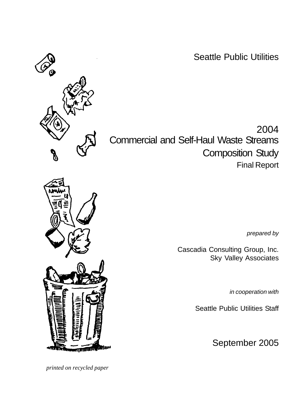Seattle Public Utilities



2004 Commercial and Self-Haul Waste Streams Composition Study Final Report

*prepared by*

Cascadia Consulting Group, Inc. Sky Valley Associates

*in cooperation with*

Seattle Public Utilities Staff

September 2005



 *printed on recycled paper*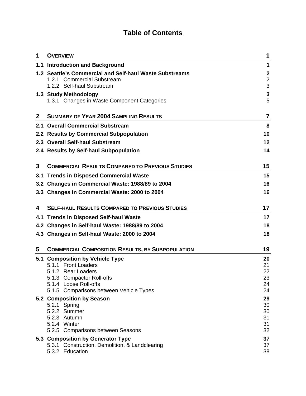# **Table of Contents**

| 1 | <b>OVERVIEW</b>                                                                                                    | 1                                       |
|---|--------------------------------------------------------------------------------------------------------------------|-----------------------------------------|
|   | 1.1 Introduction and Background                                                                                    | 1                                       |
|   | 1.2 Seattle's Commercial and Self-haul Waste Substreams<br>1.2.1 Commercial Substream<br>1.2.2 Self-haul Substream | $\boldsymbol{2}$<br>$\overline{2}$<br>3 |
|   | 1.3 Study Methodology                                                                                              | $\mathbf 3$                             |
|   | 1.3.1 Changes in Waste Component Categories                                                                        | 5                                       |
| 2 | <b>SUMMARY OF YEAR 2004 SAMPLING RESULTS</b>                                                                       | 7                                       |
|   | 2.1 Overall Commercial Substream                                                                                   | 8                                       |
|   | 2.2 Results by Commercial Subpopulation                                                                            | 10                                      |
|   | 2.3 Overall Self-haul Substream                                                                                    | 12                                      |
|   | 2.4 Results by Self-haul Subpopulation                                                                             | 14                                      |
| 3 | <b>COMMERCIAL RESULTS COMPARED TO PREVIOUS STUDIES</b>                                                             | 15                                      |
|   | 3.1 Trends in Disposed Commercial Waste                                                                            | 15                                      |
|   | 3.2 Changes in Commercial Waste: 1988/89 to 2004                                                                   | 16                                      |
|   | 3.3 Changes in Commercial Waste: 2000 to 2004                                                                      | 16                                      |
| 4 | <b>SELF-HAUL RESULTS COMPARED TO PREVIOUS STUDIES</b>                                                              | 17                                      |
|   | 4.1 Trends in Disposed Self-haul Waste                                                                             | 17                                      |
|   | 4.2 Changes in Self-haul Waste: 1988/89 to 2004                                                                    | 18                                      |
|   | 4.3 Changes in Self-haul Waste: 2000 to 2004                                                                       | 18                                      |
| 5 | <b>COMMERCIAL COMPOSITION RESULTS, BY SUBPOPULATION</b>                                                            | 19                                      |
|   | 5.1 Composition by Vehicle Type                                                                                    | 20                                      |
|   | 5.1.1 Front Loaders<br>5.1.2 Rear Loaders                                                                          | 21<br>22                                |
|   | 5.1.3 Compactor Roll-offs                                                                                          | 23                                      |
|   | 5.1.4 Loose Roll-offs                                                                                              | 24                                      |
|   | 5.1.5 Comparisons between Vehicle Types                                                                            | 24                                      |
|   | 5.2 Composition by Season                                                                                          | 29<br>30                                |
|   | 5.2.1 Spring<br>5.2.2 Summer                                                                                       | 30                                      |
|   | 5.2.3 Autumn                                                                                                       | 31                                      |
|   | 5.2.4 Winter                                                                                                       | 31                                      |
|   | 5.2.5 Comparisons between Seasons                                                                                  | 32                                      |
|   |                                                                                                                    |                                         |
|   | 5.3 Composition by Generator Type<br>5.3.1 Construction, Demolition, & Landclearing                                | 37<br>37                                |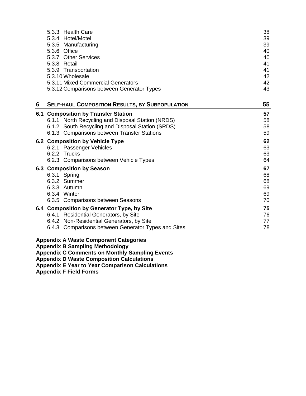|   | 5.3.3 Health Care<br>5.3.4 Hotel/Motel<br>5.3.5 Manufacturing<br>5.3.6 Office<br>5.3.7 Other Services<br>5.3.8 Retail<br>5.3.9 Transportation<br>5.3.10 Wholesale<br>5.3.11 Mixed Commercial Generators                                                       | 38<br>39<br>39<br>40<br>40<br>41<br>41<br>42<br>42 |
|---|---------------------------------------------------------------------------------------------------------------------------------------------------------------------------------------------------------------------------------------------------------------|----------------------------------------------------|
|   | 5.3.12 Comparisons between Generator Types                                                                                                                                                                                                                    | 43                                                 |
| 6 | <b>SELF-HAUL COMPOSITION RESULTS, BY SUBPOPULATION</b>                                                                                                                                                                                                        | 55                                                 |
|   | 6.1 Composition by Transfer Station<br>6.1.1 North Recycling and Disposal Station (NRDS)<br>6.1.2 South Recycling and Disposal Station (SRDS)<br>6.1.3 Comparisons between Transfer Stations                                                                  | 57<br>58<br>58<br>59                               |
|   | 6.2 Composition by Vehicle Type<br>6.2.1 Passenger Vehicles<br>6.2.2 Trucks<br>6.2.3 Comparisons between Vehicle Types                                                                                                                                        | 62<br>63<br>63<br>64                               |
|   | 6.3 Composition by Season<br>6.3.1 Spring<br>6.3.2 Summer<br>6.3.3 Autumn<br>6.3.4 Winter<br>6.3.5 Comparisons between Seasons                                                                                                                                | 67<br>68<br>68<br>69<br>69<br>70                   |
|   | 6.4 Composition by Generator Type, by Site<br>6.4.1 Residential Generators, by Site<br>6.4.2 Non-Residential Generators, by Site<br>6.4.3 Comparisons between Generator Types and Sites                                                                       | 75<br>76<br>77<br>78                               |
|   | <b>Appendix A Waste Component Categories</b><br><b>Appendix B Sampling Methodology</b><br><b>Appendix C Comments on Monthly Sampling Events</b><br><b>Appendix D Waste Composition Calculations</b><br><b>Appendix E Year to Year Comparison Calculations</b> |                                                    |

**Appendix F Field Forms**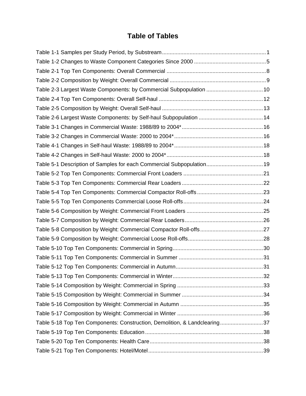## **Table of Tables**

| Table 2-3 Largest Waste Components: by Commercial Subpopulation  10       |  |
|---------------------------------------------------------------------------|--|
|                                                                           |  |
|                                                                           |  |
|                                                                           |  |
|                                                                           |  |
|                                                                           |  |
|                                                                           |  |
|                                                                           |  |
| Table 5-1 Description of Samples for each Commercial Subpopulation 19     |  |
|                                                                           |  |
|                                                                           |  |
|                                                                           |  |
|                                                                           |  |
|                                                                           |  |
|                                                                           |  |
|                                                                           |  |
|                                                                           |  |
|                                                                           |  |
|                                                                           |  |
|                                                                           |  |
|                                                                           |  |
|                                                                           |  |
|                                                                           |  |
|                                                                           |  |
|                                                                           |  |
| Table 5-18 Top Ten Components: Construction, Demolition, & Landclearing37 |  |
|                                                                           |  |
|                                                                           |  |
|                                                                           |  |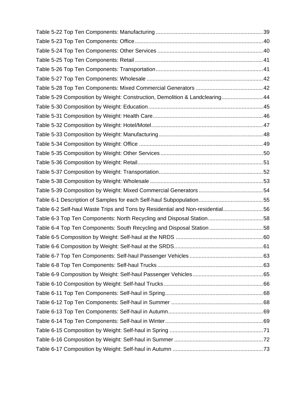| Table 5-29 Composition by Weight: Construction, Demolition & Landclearing44   |  |
|-------------------------------------------------------------------------------|--|
|                                                                               |  |
|                                                                               |  |
|                                                                               |  |
|                                                                               |  |
|                                                                               |  |
|                                                                               |  |
|                                                                               |  |
|                                                                               |  |
|                                                                               |  |
|                                                                               |  |
|                                                                               |  |
| Table 6-2 Self-haul Waste Trips and Tons by Residential and Non-residential56 |  |
| Table 6-3 Top Ten Components: North Recycling and Disposal Station58          |  |
| Table 6-4 Top Ten Components: South Recycling and Disposal Station 58         |  |
|                                                                               |  |
|                                                                               |  |
|                                                                               |  |
|                                                                               |  |
|                                                                               |  |
|                                                                               |  |
|                                                                               |  |
|                                                                               |  |
|                                                                               |  |
|                                                                               |  |
|                                                                               |  |
|                                                                               |  |
|                                                                               |  |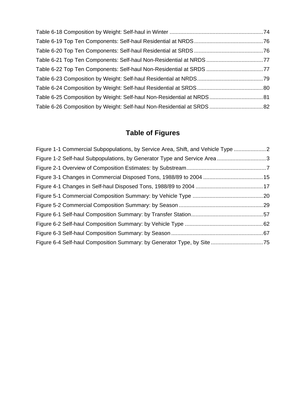| Table 6-21 Top Ten Components: Self-haul Non-Residential at NRDS 77 |  |
|---------------------------------------------------------------------|--|
|                                                                     |  |
|                                                                     |  |
|                                                                     |  |
|                                                                     |  |
|                                                                     |  |

# **Table of Figures**

| Figure 1-1 Commercial Subpopulations, by Service Area, Shift, and Vehicle Type 2 |  |
|----------------------------------------------------------------------------------|--|
| Figure 1-2 Self-haul Subpopulations, by Generator Type and Service Area3         |  |
|                                                                                  |  |
|                                                                                  |  |
|                                                                                  |  |
|                                                                                  |  |
|                                                                                  |  |
|                                                                                  |  |
|                                                                                  |  |
|                                                                                  |  |
|                                                                                  |  |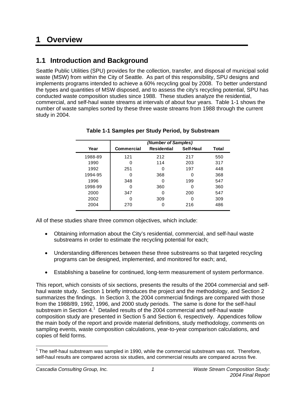# **1 Overview**

## **1.1 Introduction and Background**

Seattle Public Utilities (SPU) provides for the collection, transfer, and disposal of municipal solid waste (MSW) from within the City of Seattle. As part of this responsibility, SPU designs and implements programs intended to achieve a 60% recycling goal by 2008. To better understand the types and quantities of MSW disposed, and to assess the city's recycling potential, SPU has conducted waste composition studies since 1988. These studies analyze the residential, commercial, and self-haul waste streams at intervals of about four years. Table 1-1 shows the number of waste samples sorted by these three waste streams from 1988 through the current study in 2004.

|         | (Number of Samples) |                    |           |       |
|---------|---------------------|--------------------|-----------|-------|
| Year    | <b>Commercial</b>   | <b>Residential</b> | Self-Haul | Total |
| 1988-89 | 121                 | 212                | 217       | 550   |
| 1990    | 0                   | 114                | 203       | 317   |
| 1992    | 251                 | 0                  | 197       | 448   |
| 1994-95 | 0                   | 368                | 0         | 368   |
| 1996    | 348                 | 0                  | 199       | 547   |
| 1998-99 | 0                   | 360                | O         | 360   |
| 2000    | 347                 | O                  | 200       | 547   |
| 2002    | 0                   | 309                | 0         | 309   |
| 2004    | 270                 | 0                  | 216       | 486   |

#### **Table 1-1 Samples per Study Period, by Substream**

All of these studies share three common objectives, which include:

- Obtaining information about the City's residential, commercial, and self-haul waste substreams in order to estimate the recycling potential for each;
- Understanding differences between these three substreams so that targeted recycling programs can be designed, implemented, and monitored for each; and,
- Establishing a baseline for continued, long-term measurement of system performance.

This report, which consists of six sections, presents the results of the 2004 commercial and selfhaul waste study. Section 1 briefly introduces the project and the methodology, and Section 2 summarizes the findings. In Section 3, the 2004 commercial findings are compared with those from the 1988/89, 1992, 1996, and 2000 study periods. The same is done for the self-haul substream in Section  $4.1$  Detailed results of the 2004 commercial and self-haul waste composition study are presented in Section 5 and Section 6, respectively. Appendices follow the main body of the report and provide material definitions, study methodology, comments on sampling events, waste composition calculations, year-to-year comparison calculations, and copies of field forms.

  $1$  The self-haul substream was sampled in 1990, while the commercial substream was not. Therefore, self-haul results are compared across six studies, and commercial results are compared across five.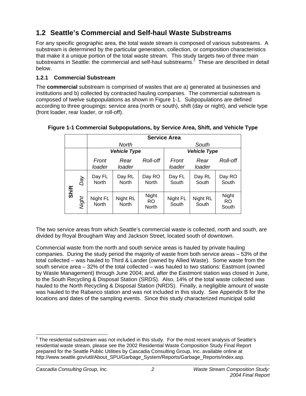# **1.2 Seattle's Commercial and Self-haul Waste Substreams**

For any specific geographic area, the total waste stream is composed of various substreams. A substream is determined by the particular generation, collection, or composition characteristics that make it a unique portion of the total waste stream. This study targets two of three main substreams in Seattle: the commercial and self-haul substreams.<sup>2</sup> These are described in detail below.

### **1.2.1 Commercial Substream**

The **commercial** substream is comprised of wastes that are a) generated at businesses and institutions and b) collected by contracted hauling companies. The commercial substream is composed of twelve subpopulations as shown in Figure 1-1. Subpopulations are defined according to three groupings: service area (north or south), shift (day or night), and vehicle type (front loader, rear loader, or roll-off).

|       |       | <b>Service Area</b>    |                   |                        |                     |                   |                             |
|-------|-------|------------------------|-------------------|------------------------|---------------------|-------------------|-----------------------------|
|       |       |                        | <b>North</b>      |                        | South               |                   |                             |
|       |       | <b>Vehicle Type</b>    |                   |                        | <b>Vehicle Type</b> |                   |                             |
|       |       | Front<br>loader        | Rear<br>loader    | Roll-off               | Front<br>loader     | Rear<br>loader    | Roll-off                    |
| Shift | Day   | Day FL<br><b>North</b> | Day RL<br>North   | Day RO<br><b>North</b> | Day FL<br>South     | Day RL<br>South   | Day RO<br>South             |
|       | Night | Night FL<br>North      | Night RL<br>North | Night<br>RO.<br>North  | Night FL<br>South   | Night RL<br>South | Night<br><b>RO</b><br>South |

### **Figure 1-1 Commercial Subpopulations, by Service Area, Shift, and Vehicle Type**

The two service areas from which Seattle's commercial waste is collected, *north* and *south*, are divided by Royal Brougham Way and Jackson Street, located south of downtown.

Commercial waste from the north and south service areas is hauled by private hauling companies. During the study period the majority of waste from both service areas – 53% of the total collected – was hauled to Third & Lander (owned by Allied Waste). Some waste from the south service area – 32% of the total collected – was hauled to two stations: Eastmont (owned by Waste Management) through June 2004; and, after the Eastmont station was closed in June, to the South Recycling & Disposal Station (SRDS). Also, 14% of the total waste collected was hauled to the North Recycling & Disposal Station (NRDS). Finally, a negligible amount of waste was hauled to the Rabanco station and was not included in this study. See Appendix B for the locations and dates of the sampling events. Since this study characterized municipal solid

 2 The residential substream was not included in this study. For the most recent analysis of Seattle's residential waste stream, please see the 2002 Residential Waste Composition Study Final Report prepared for the Seattle Public Utilities by Cascadia Consulting Group, Inc. available online at http://www.seattle.gov/util/About\_SPU/Garbage\_System/Reports/Garbage\_Reports/index.asp.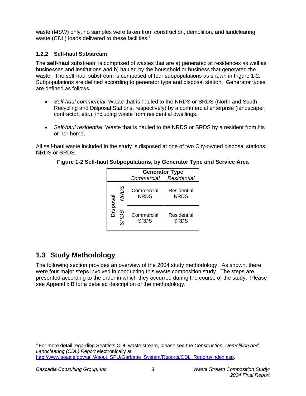waste (MSW) only, no samples were taken from construction, demolition, and landclearing waste (CDL) loads delivered to these facilities.<sup>3</sup>

### **1.2.2 Self-haul Substream**

The **self-haul** substream is comprised of wastes that are a) generated at residences as well as businesses and institutions and b) hauled by the household or business that generated the waste. The self-haul substream is composed of four subpopulations as shown in Figure 1-2. Subpopulations are defined according to generator type and disposal station. Generator types are defined as follows.

- *Self-haul commercial*: Waste that is hauled to the NRDS or SRDS (North and South Recycling and Disposal Stations, respectively) by a commercial enterprise (landscaper, contractor, etc.), including waste from residential dwellings.
- *Self-haul residential*: Waste that is hauled to the NRDS or SRDS by a resident from his or her home.

All self-haul waste included in the study is disposed at one of two City-owned disposal stations: NRDS or SRDS.

|      |             | <b>Generator Type</b>     |                            |  |  |  |
|------|-------------|---------------------------|----------------------------|--|--|--|
|      |             | Commercial Residential    |                            |  |  |  |
| ಡ    | <b>NRDS</b> | Commercial<br><b>NRDS</b> | Residential<br><b>NRDS</b> |  |  |  |
| Disp | <b>RDS</b>  | Commercial<br><b>SRDS</b> | Residential<br><b>SRDS</b> |  |  |  |

#### **Figure 1-2 Self-haul Subpopulations, by Generator Type and Service Area**

# **1.3 Study Methodology**

The following section provides an overview of the 2004 study methodology. As shown, there were four major steps involved in conducting this waste composition study. The steps are presented according to the order in which they occurred during the course of the study. Please see Appendix B for a detailed description of the methodology.

 3 For more detail regarding Seattle's CDL waste stream, please see the *Construction, Demolition and Landclearing (CDL) Report* electronically at http://www.seattle.gov/util/About\_SPU/Garbage\_System/Reports/CDL\_Reports/index.asp.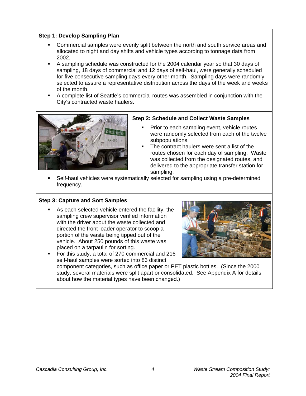#### **Step 1: Develop Sampling Plan**

- Commercial samples were evenly split between the north and south service areas and allocated to night and day shifts and vehicle types according to tonnage data from 2002.
- A sampling schedule was constructed for the 2004 calendar year so that 30 days of sampling, 18 days of commercial and 12 days of self-haul, were generally scheduled for five consecutive sampling days every other month. Sampling days were randomly selected to assure a representative distribution across the days of the week and weeks of the month.
- A complete list of Seattle's commercial routes was assembled in conjunction with the City's contracted waste haulers.



#### **Step 2: Schedule and Collect Waste Samples**

- Prior to each sampling event, vehicle routes were randomly selected from each of the twelve subpopulations.
- The contract haulers were sent a list of the routes chosen for each day of sampling. Waste was collected from the designated routes, and delivered to the appropriate transfer station for sampling.
- Self-haul vehicles were systematically selected for sampling using a pre-determined frequency.

#### **Step 3: Capture and Sort Samples**

- As each selected vehicle entered the facility, the sampling crew supervisor verified information with the driver about the waste collected and directed the front loader operator to scoop a portion of the waste being tipped out of the vehicle. About 250 pounds of this waste was placed on a tarpaulin for sorting.
- For this study, a total of 270 commercial and 216 self-haul samples were sorted into 83 distinct



component categories, such as office paper or PET plastic bottles. (Since the 2000 study, several materials were split apart or consolidated. See Appendix A for details about how the material types have been changed.)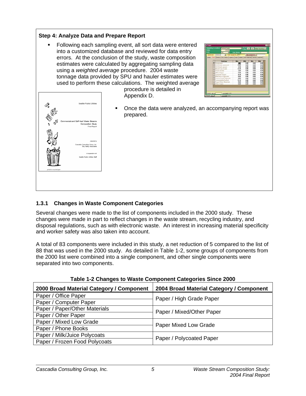### **Step 4: Analyze Data and Prepare Report**

 Following each sampling event, all sort data were entered into a customized database and reviewed for data entry errors. At the conclusion of the study, waste composition estimates were calculated by aggregating sampling data using a *weighted average* procedure. 2004 waste tonnage data provided by SPU and hauler estimates were used to perform these calculations. The weighted average procedure is detailed in

Appendix D.





 Once the data were analyzed, an accompanying report was prepared.

### **1.3.1 Changes in Waste Component Categories**

Several changes were made to the list of components included in the 2000 study. These changes were made in part to reflect changes in the waste stream, recycling industry, and disposal regulations, such as with electronic waste. An interest in increasing material specificity and worker safety was also taken into account.

A total of 83 components were included in this study, a net reduction of 5 compared to the list of 88 that was used in the 2000 study. As detailed in Table 1-2, some groups of components from the 2000 list were combined into a single component, and other single components were separated into two components.

| 2000 Broad Material Category / Component | 2004 Broad Material Category / Component |  |
|------------------------------------------|------------------------------------------|--|
| Paper / Office Paper                     | Paper / High Grade Paper                 |  |
| Paper / Computer Paper                   |                                          |  |
| Paper / Paper/Other Materials            | Paper / Mixed/Other Paper                |  |
| Paper / Other Paper                      |                                          |  |
| Paper / Mixed Low Grade                  | Paper Mixed Low Grade                    |  |
| Paper / Phone Books                      |                                          |  |
| Paper / Milk/Juice Polycoats             |                                          |  |
| Paper / Frozen Food Polycoats            | Paper / Polycoated Paper                 |  |

**Table 1-2 Changes to Waste Component Categories Since 2000**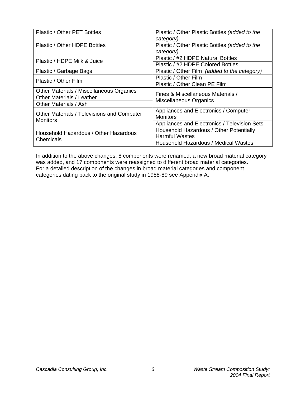| Plastic / Other PET Bottles                                   | Plastic / Other Plastic Bottles (added to the |  |
|---------------------------------------------------------------|-----------------------------------------------|--|
|                                                               | category)                                     |  |
| Plastic / Other HDPE Bottles                                  | Plastic / Other Plastic Bottles (added to the |  |
|                                                               | category)                                     |  |
| Plastic / HDPE Milk & Juice                                   | Plastic / #2 HDPE Natural Bottles             |  |
|                                                               | Plastic / #2 HDPE Colored Bottles             |  |
| Plastic / Garbage Bags                                        | Plastic / Other Film (added to the category)  |  |
| Plastic / Other Film                                          | Plastic / Other Film                          |  |
|                                                               | Plastic / Other Clean PE Film                 |  |
| Other Materials / Miscellaneous Organics                      | Fines & Miscellaneous Materials /             |  |
| <b>Other Materials / Leather</b>                              | Miscellaneous Organics                        |  |
| Other Materials / Ash                                         |                                               |  |
|                                                               | Appliances and Electronics / Computer         |  |
| Other Materials / Televisions and Computer<br><b>Monitors</b> | <b>Monitors</b>                               |  |
|                                                               | Appliances and Electronics / Television Sets  |  |
| Household Hazardous / Other Hazardous                         | Household Hazardous / Other Potentially       |  |
|                                                               | <b>Harmful Wastes</b>                         |  |
| Chemicals                                                     | Household Hazardous / Medical Wastes          |  |

In addition to the above changes, 8 components were renamed, a new broad material category was added, and 17 components were reassigned to different broad material categories. For a detailed description of the changes in broad material categories and component categories dating back to the original study in 1988-89 see Appendix A.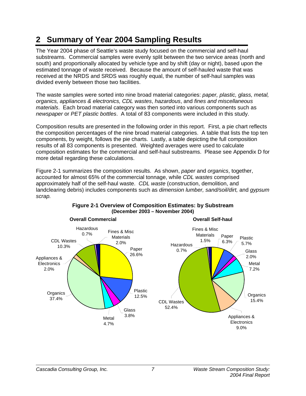# **2 Summary of Year 2004 Sampling Results**

The Year 2004 phase of Seattle's waste study focused on the commercial and self-haul substreams. Commercial samples were evenly split between the two service areas (north and south) and proportionally allocated by vehicle type and by shift (day or night), based upon the estimated tonnage of waste received. Because the amount of self-hauled waste that was received at the NRDS and SRDS was roughly equal, the number of self-haul samples was divided evenly between those two facilities.

The waste samples were sorted into nine broad material categories: *paper, plastic, glass, metal, organics, appliances & electronics, CDL wastes*, *hazardous*, and *fines and miscellaneous materials*. Each broad material category was then sorted into various components such as *newspaper* or *PET plastic bottles*. A total of 83 components were included in this study.

Composition results are presented in the following order in this report. First, a pie chart reflects the composition percentages of the nine broad material categories. A table that lists the top ten components, by weight, follows the pie charts. Lastly, a table depicting the full composition results of all 83 components is presented. Weighted averages were used to calculate composition estimates for the commercial and self-haul substreams. Please see Appendix D for more detail regarding these calculations.

Figure 2-1 summarizes the composition results. As shown, *paper* and *organics*, together, accounted for almost 65% of the commercial tonnage, while *CDL wastes* comprised approximately half of the self-haul waste. *CDL waste* (construction, demolition, and landclearing debris) includes components such as *dimension lumber, sand/soil/dirt,* and *gypsum scrap.* 



#### **Figure 2-1 Overview of Composition Estimates: by Substream (December 2003 – November 2004)**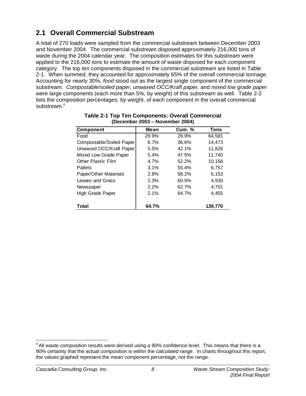# **2.1 Overall Commercial Substream**

A total of 270 loads were sampled from the commercial substream between December 2003 and November 2004. The commercial substream disposed approximately 216,000 tons of waste during the 2004 calendar year. The composition estimates for this substream were applied to the 216,000 tons to estimate the amount of waste disposed for each component category. The top ten components disposed in the commercial substream are listed in Table 2-1. When summed, they accounted for approximately 65% of the overall commercial tonnage. Accounting for nearly 30%, *food* stood out as the largest single component of the commercial substream. *Compostable/soiled paper*, *unwaxed OCC/Kraft paper,* and *mixed low grade paper* were large components (each more than 5%, by weight) of this substream as well. Table 2-2 lists the composition percentages, by weight, of each component in the overall commercial substream.<sup>4</sup>

| <b>Component</b>         | Mean  | <b>Cum.</b> % | Tons    |
|--------------------------|-------|---------------|---------|
| Food                     | 29.9% | 29.9%         | 64.581  |
| Compostable/Soiled Paper | 6.7%  | 36.6%         | 14.473  |
| Unwaxed OCC/Kraft Paper  | 5.5%  | 42.1%         | 11,826  |
| Mixed Low Grade Paper    | 5.4%  | 47.5%         | 11,740  |
| Other Plastic Film       | 4.7%  | 52.2%         | 10,156  |
| Pallets                  | 3.1%  | 55.4%         | 6,757   |
| Paper/Other Materials    | 2.8%  | 58.2%         | 6,153   |
| Leaves and Grass         | 2.3%  | 60.5%         | 4,930   |
| Newspaper                | 2.2%  | 62.7%         | 4.701   |
| High Grade Paper         | 2.1%  | 64.7%         | 4.455   |
| Total                    | 64.7% |               | 139,770 |

| <b>Table 2-1 Top Ten Components: Overall Commercial</b> |
|---------------------------------------------------------|
| (December 2003 – November 2004)                         |

  $<sup>4</sup>$  All waste composition results were derived using a 90% confidence level. This means that there is a</sup> 90% certainty that the actual composition is within the calculated range. In charts throughout this report, the values graphed represent the mean component percentage, not the range.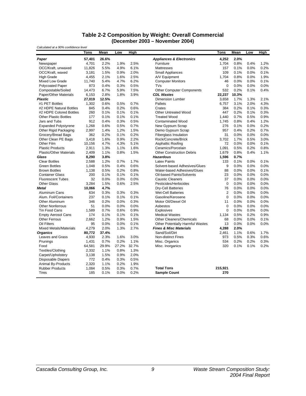#### **Table 2-2 Composition by Weight: Overall Commercial (December 2003 – November 2004)**

| Calculated at a 90% confidence level |        |       |       |       |                                         |                |       |      |      |
|--------------------------------------|--------|-------|-------|-------|-----------------------------------------|----------------|-------|------|------|
|                                      | Tons   | Mean  | Low   | High  |                                         | Tons           | Mean  | Low  | High |
| Paper                                | 57,401 | 26.6% |       |       | <b>Appliances &amp; Electronics</b>     | 4,252          | 2.0%  |      |      |
| Newspaper                            | 4.701  | 2.2%  | 1.9%  | 2.5%  | Furniture                               | 1.704          | 0.8%  | 0.4% | 1.2% |
| OCC/Kraft, unwaxed                   | 11,826 | 5.5%  | 4.9%  | 6.1%  | <b>Mattresses</b>                       | 157            | 0.1%  | 0.0% | 0.2% |
| OCC/Kraft, waxed                     | 3,181  | 1.5%  | 0.9%  | 2.0%  | <b>Small Appliances</b>                 | 109            | 0.1%  | 0.0% | 0.1% |
| <b>High Grade</b>                    | 4,455  | 2.1%  | 1.6%  | 2.5%  | A/V Equipment                           | 1,704          | 0.8%  | 0.0% | 1.9% |
| <b>Mixed Low Grade</b>               | 11.740 | 5.4%  | 4.7%  | 6.2%  | <b>Computer Monitors</b>                | 46             | 0.0%  | 0.0% | 0.1% |
| <b>Polycoated Paper</b>              | 873    | 0.4%  | 0.3%  | 0.5%  | TVs                                     | $\pmb{0}$      | 0.0%  | 0.0% | 0.0% |
| Compostable/Soiled                   | 14,473 | 6.7%  | 5.9%  | 7.5%  | <b>Other Computer Components</b>        | 532            | 0.2%  | 0.1% | 0.4% |
| <b>Paper/Other Materials</b>         | 6,153  | 2.8%  | 1.8%  | 3.9%  | <b>CDL Wastes</b>                       | 22,237         | 10.3% |      |      |
| <b>Plastic</b>                       | 27,019 | 12.5% |       |       | <b>Dimension Lumber</b>                 | 3,658          | 1.7%  | 1.3% | 2.1% |
| #1 PET Bottles                       | 1,302  | 0.6%  | 0.5%  | 0.7%  | <b>Pallets</b>                          | 6,757          | 3.1%  | 2.0% | 4.3% |
| #2 HDPE Natural Bottles              | 845    | 0.4%  | 0.2%  | 0.6%  | Crates                                  | 384            | 0.2%  | 0.1% | 0.3% |
| #2 HDPE Colored Bottles              | 260    | 0.1%  | 0.1%  | 0.1%  | <b>Other Untreated Wood</b>             | 447            | 0.2%  | 0.1% | 0.3% |
| <b>Other Plastic Bottles</b>         | 177    | 0.1%  | 0.1%  | 0.1%  | <b>Treated Wood</b>                     | 1,440          | 0.7%  | 0.5% | 0.9% |
| Jars and Tubs                        | 912    | 0.4%  | 0.3%  | 0.5%  | <b>Contaminated Wood</b>                | 1,745          | 0.8%  | 0.4% | 1.2% |
| <b>Expanded Polystyrene</b>          | 1,268  | 0.6%  | 0.5%  | 0.7%  | New Gypsum Scrap                        | 276            | 0.1%  | 0.0% | 0.2% |
| Other Rigid Packaging                | 2,997  | 1.4%  | 1.2%  | 1.5%  | Demo Gypsum Scrap                       | 957            | 0.4%  | 0.2% | 0.7% |
| Grocery/Bread Bags                   | 362    | 0.2%  | 0.1%  | 0.2%  | <b>Fiberglass Insulation</b>            | 31             | 0.0%  | 0.0% | 0.0% |
| Other Clean PE Bags                  | 3,418  | 1.6%  | 0.9%  | 2.2%  | Rock/Concrete/Brick                     | 3.702          | 1.7%  | 0.5% | 3.0% |
| Other Film                           | 10,156 | 4.7%  | 4.3%  | 5.1%  | Asphaltic Roofing                       | 72             | 0.0%  | 0.0% | 0.1% |
| <b>Plastic Products</b>              | 2,911  | 1.3%  | 1.1%  | 1.6%  | Ceramics/Porcelain                      | 1,091          | 0.5%  | 0.2% | 0.8% |
| <b>Plastic/Other Materials</b>       | 2,409  | 1.1%  | 0.8%  | 1.5%  | <b>Other Construction Debris</b>        | 1,679          | 0.8%  | 0.4% | 1.1% |
| Glass                                | 8,290  | 3.8%  |       |       | <b>Hazardous</b>                        | 1,596          | 0.7%  |      |      |
| <b>Clear Bottles</b>                 | 2,588  | 1.2%  | 0.7%  | 1.7%  | <b>Latex Paints</b>                     | 133            | 0.1%  | 0.0% | 0.1% |
| <b>Green Bottles</b>                 | 1,048  | 0.5%  | 0.4%  | 0.6%  | Solvent-based Adhesives/Glues           | 9              | 0.0%  | 0.0% | 0.0% |
| <b>Brown Bottles</b>                 | 1,138  | 0.5%  | 0.2%  | 0.8%  | Water-based Adhesives/Glues             | 88             | 0.0%  | 0.0% | 0.1% |
| <b>Container Glass</b>               | 200    | 0.1%  | 0.1%  | 0.1%  | <b>Oil-based Paints/Solvents</b>        | 23             | 0.0%  | 0.0% | 0.0% |
| <b>Fluorescent Tubes</b>             | 32     | 0.0%  | 0.0%  | 0.0%  | <b>Caustic Cleaners</b>                 | 37             | 0.0%  | 0.0% | 0.0% |
| <b>Other Glass</b>                   | 3,284  | 1.5%  | 0.6%  | 2.5%  | Pesticides/Herbicides                   | $\mathbf 0$    | 0.0%  | 0.0% | 0.0% |
| <b>Metal</b>                         | 10,066 | 4.7%  |       |       | Dry-Cell Batteries                      | 76             | 0.0%  | 0.0% | 0.0% |
| Aluminum Cans                        | 634    | 0.3%  | 0.3%  | 0.3%  | <b>Wet-Cell Batteries</b>               | $\overline{2}$ | 0.0%  | 0.0% | 0.0% |
| Alum. Foil/Containers                | 237    | 0.1%  | 0.1%  | 0.1%  | Gasoline/Kerosene                       | $\mathbf 0$    | 0.0%  | 0.0% | 0.0% |
| <b>Other Aluminum</b>                | 346    | 0.2%  | 0.0%  | 0.3%  | Motor Oil/Diesel Oil                    | 11             | 0.0%  | 0.0% | 0.0% |
| <b>Other Nonferrous</b>              | 51     | 0.0%  | 0.0%  | 0.0%  | Asbestos                                | $\mathbf 0$    | 0.0%  | 0.0% | 0.0% |
| Tin Food Cans                        | 1,589  | 0.7%  | 0.6%  | 0.9%  | <b>Explosives</b>                       | 0              | 0.0%  | 0.0% | 0.0% |
| <b>Empty Aerosol Cans</b>            | 174    | 0.1%  | 0.1%  | 0.1%  | <b>Medical Wastes</b>                   | 1,134          | 0.5%  | 0.2% | 0.9% |
| <b>Other Ferrous</b>                 | 2,662  | 1.2%  | 0.9%  | 1.5%  | <b>Other Cleaners/Chemicals</b>         | 68             | 0.0%  | 0.0% | 0.1% |
| Oil Filters                          | 95     | 0.0%  | 0.0%  | 0.1%  | <b>Other Potentially Harmful Wastes</b> | 13             | 0.0%  | 0.0% | 0.0% |
| <b>Mixed Metals/Materials</b>        | 4,279  | 2.0%  | 1.3%  | 2.7%  | <b>Fines &amp; Misc Materials</b>       | 4,288          | 2.0%  |      |      |
| <b>Organics</b>                      | 80,772 | 37.4% |       |       | Sand/Soil/Dirt                          | 2,461          | 1.1%  | 0.6% | 1.7% |
| Leaves and Grass                     | 4,930  | 2.3%  | 1.6%  | 3.0%  | <b>Non-distinct Fines</b>               | 973            | 0.5%  | 0.3% | 0.6% |
| Prunings                             | 1,431  | 0.7%  | 0.2%  | 1.1%  | Misc. Organics                          | 534            | 0.2%  | 0.2% | 0.3% |
| Food                                 | 64,581 | 29.9% | 27.2% | 32.7% | Misc. Inorganics                        | 320            | 0.1%  | 0.1% | 0.2% |
| Textiles/Clothing                    | 2,332  | 1.1%  | 0.8%  | 1.3%  |                                         |                |       |      |      |
| Carpet/Upholstery                    | 3,138  | 1.5%  | 0.9%  | 2.0%  |                                         |                |       |      |      |
| Disposable Diapers                   | 772    | 0.4%  | 0.3%  | 0.5%  |                                         |                |       |      |      |
| Animal By-Products                   | 2,320  | 1.1%  | 0.2%  | 1.9%  |                                         |                |       |      |      |
| <b>Rubber Products</b>               | 1,084  | 0.5%  | 0.3%  | 0.7%  | <b>Total Tons</b>                       | 215,921        |       |      |      |
| Tires                                | 185    | 0.1%  | 0.0%  | 0.2%  | <b>Sample Count</b>                     | 270            |       |      |      |
|                                      |        |       |       |       |                                         |                |       |      |      |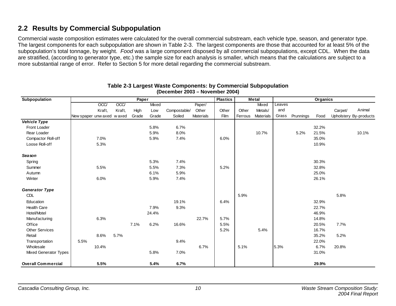## **2.2 Results by Commercial Subpopulation**

Commercial waste composition estimates were calculated for the overall commercial substream, each vehicle type, season, and generator type. The largest components for each subpopulation are shown in Table 2-3. The largest components are those that accounted for at least 5% of the subpopulation's total tonnage, by weight. *Food* was a large component disposed by all commercial subpopulations, except CDL. When the data are stratified, (according to generator type, etc.) the sample size for each analysis is smaller, which means that the calculations are subject to a more substantial range of error. Refer to Section 5 for more detail regarding the commercial substream.

| Subpopulation                |                            |        |        | Paper |       |              |                  | <b>Plastics</b> |         | <b>Metal</b>     |        |           | Organics |         |                        |
|------------------------------|----------------------------|--------|--------|-------|-------|--------------|------------------|-----------------|---------|------------------|--------|-----------|----------|---------|------------------------|
|                              |                            | OCC    | OCC    |       | Mixed |              | Paper/           |                 |         | Mixed            | Leaves |           |          |         |                        |
|                              |                            | Kraft, | Kraft, | High  | Low   | Compostable/ | Other            | Other           | Other   | Metals/          | and    |           |          | Carpet/ | Animal                 |
|                              | New spaper unw axed w axed |        |        | Grade | Grade | Soiled       | <b>Materials</b> | Film            | Ferrous | <b>Materials</b> | Grass  | Prunnings | Food     |         | Upholstery By-products |
| <b>Vehicle Type</b>          |                            |        |        |       |       |              |                  |                 |         |                  |        |           |          |         |                        |
| Front Loader                 |                            |        |        |       | 5.8%  | 6.7%         |                  |                 |         |                  |        |           | 32.2%    |         |                        |
| Rear Loader                  |                            |        |        |       | 5.9%  | 8.0%         |                  |                 |         | 10.7%            |        | 5.2%      | 21.5%    |         | 10.1%                  |
| Compactor Roll-off           |                            | 7.0%   |        |       | 5.9%  | 7.4%         |                  | 6.0%            |         |                  |        |           | 35.0%    |         |                        |
| Loose Roll-off               |                            | 5.3%   |        |       |       |              |                  |                 |         |                  |        |           | 10.9%    |         |                        |
| <b>Season</b>                |                            |        |        |       |       |              |                  |                 |         |                  |        |           |          |         |                        |
| Spring                       |                            |        |        |       | 5.3%  | 7.4%         |                  |                 |         |                  |        |           | 30.3%    |         |                        |
| Summer                       |                            | 5.5%   |        |       | 5.5%  | 7.3%         |                  | 5.2%            |         |                  |        |           | 32.8%    |         |                        |
| Autumn                       |                            |        |        |       | 6.1%  | 5.9%         |                  |                 |         |                  |        |           | 25.0%    |         |                        |
| Winter                       |                            | 6.0%   |        |       | 5.9%  | 7.4%         |                  |                 |         |                  |        |           | 26.1%    |         |                        |
| <b>Generator Type</b>        |                            |        |        |       |       |              |                  |                 |         |                  |        |           |          |         |                        |
| <b>CDL</b>                   |                            |        |        |       |       |              |                  |                 | 5.9%    |                  |        |           |          | 5.8%    |                        |
| Education                    |                            |        |        |       |       | 19.1%        |                  | 6.4%            |         |                  |        |           | 32.9%    |         |                        |
| Health Care                  |                            |        |        |       | 7.9%  | 9.3%         |                  |                 |         |                  |        |           | 22.7%    |         |                        |
| Hotel/Motel                  |                            |        |        |       | 24.4% |              |                  |                 |         |                  |        |           | 46.9%    |         |                        |
| Manufacturing                |                            | 6.3%   |        |       |       |              | 22.7%            | 5.7%            |         |                  |        |           | 14.8%    |         |                        |
| Office                       |                            |        |        | 7.1%  | 6.2%  | 16.6%        |                  | 5.5%            |         |                  |        |           | 20.5%    | 7.7%    |                        |
| <b>Other Services</b>        |                            |        |        |       |       |              |                  | 5.2%            |         | 5.4%             |        |           | 16.7%    |         |                        |
| Retail                       |                            | 8.6%   | 5.7%   |       |       |              |                  |                 |         |                  |        |           | 35.2%    | 5.2%    |                        |
| Transportation               | 5.5%                       |        |        |       |       | 9.4%         |                  |                 |         |                  |        |           | 22.0%    |         |                        |
| Wholesale                    |                            | 10.4%  |        |       |       |              | 6.7%             |                 | 5.1%    |                  | 5.3%   |           | 6.7%     | 20.8%   |                        |
| <b>Mixed Generator Types</b> |                            |        |        |       | 5.8%  | 7.0%         |                  |                 |         |                  |        |           | 31.0%    |         |                        |
| <b>Overall Commercial</b>    |                            | 5.5%   |        |       | 5.4%  | 6.7%         |                  |                 |         |                  |        |           | 29.9%    |         |                        |

#### **Table 2-3 Largest Waste Components: by Commercial Subpopulation (December 2003 – November 2004)**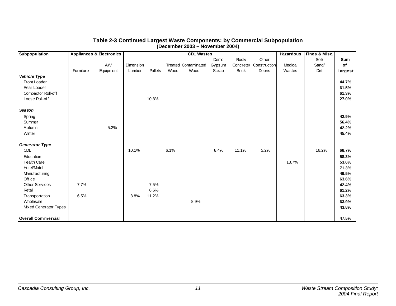| Subpopulation                |           | <b>Appliances &amp; Electronics</b> |           |         |      | <b>CDL Wastes</b>           |        |              |              | <b>Hazardous</b> | Fines & Misc. |         |
|------------------------------|-----------|-------------------------------------|-----------|---------|------|-----------------------------|--------|--------------|--------------|------------------|---------------|---------|
|                              |           |                                     |           |         |      |                             | Demo   | <b>Rock</b>  | Other        |                  | Soil/         | Sum     |
|                              |           | A/V                                 | Dimension |         |      | <b>Treated Contaminated</b> | Gypsum | Concrete/    | Construction | Medical          | Sand/         | of      |
|                              | Furniture | Equipment                           | Lumber    | Pallets | Wood | Wood                        | Scrap  | <b>Brick</b> | Debris       | Wastes           | Dirt          | Largest |
| <b>Vehicle Type</b>          |           |                                     |           |         |      |                             |        |              |              |                  |               |         |
| Front Loader                 |           |                                     |           |         |      |                             |        |              |              |                  |               | 44.7%   |
| Rear Loader                  |           |                                     |           |         |      |                             |        |              |              |                  |               | 61.5%   |
| Compactor Roll-off           |           |                                     |           |         |      |                             |        |              |              |                  |               | 61.3%   |
| Loose Roll-off               |           |                                     |           | 10.8%   |      |                             |        |              |              |                  |               | 27.0%   |
| Sea son                      |           |                                     |           |         |      |                             |        |              |              |                  |               |         |
| Spring                       |           |                                     |           |         |      |                             |        |              |              |                  |               | 42.9%   |
| Summer                       |           |                                     |           |         |      |                             |        |              |              |                  |               | 56.4%   |
| Autumn                       |           | 5.2%                                |           |         |      |                             |        |              |              |                  |               | 42.2%   |
| Winter                       |           |                                     |           |         |      |                             |        |              |              |                  |               | 45.4%   |
| <b>Generator Type</b>        |           |                                     |           |         |      |                             |        |              |              |                  |               |         |
| <b>CDL</b>                   |           |                                     | 10.1%     |         | 6.1% |                             | 8.4%   | 11.1%        | 5.2%         |                  | 16.2%         | 68.7%   |
| Education                    |           |                                     |           |         |      |                             |        |              |              |                  |               | 58.3%   |
| <b>Health Care</b>           |           |                                     |           |         |      |                             |        |              |              | 13.7%            |               | 53.6%   |
| Hotel/Motel                  |           |                                     |           |         |      |                             |        |              |              |                  |               | 71.3%   |
| Manufacturing                |           |                                     |           |         |      |                             |        |              |              |                  |               | 49.5%   |
| Office                       |           |                                     |           |         |      |                             |        |              |              |                  |               | 63.6%   |
| <b>Other Services</b>        | 7.7%      |                                     |           | 7.5%    |      |                             |        |              |              |                  |               | 42.4%   |
| Retail                       |           |                                     |           | 6.6%    |      |                             |        |              |              |                  |               | 61.2%   |
| Transportation               | 6.5%      |                                     | 8.8%      | 11.2%   |      |                             |        |              |              |                  |               | 63.3%   |
| Wholesale                    |           |                                     |           |         |      | 8.9%                        |        |              |              |                  |               | 63.9%   |
| <b>Mixed Generator Types</b> |           |                                     |           |         |      |                             |        |              |              |                  |               | 43.8%   |
| <b>Overall Commercial</b>    |           |                                     |           |         |      |                             |        |              |              |                  |               | 47.5%   |

#### **Table 2-3 Continued Largest Waste Components: by Commercial Subpopulation (December 2003 – November 2004)**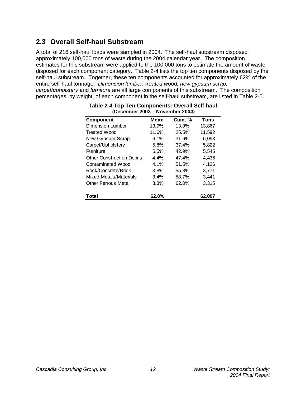# **2.3 Overall Self-haul Substream**

A total of 216 self-haul loads were sampled in 2004. The self-haul substream disposed approximately 100,000 tons of waste during the 2004 calendar year. The composition estimates for this substream were applied to the 100,000 tons to estimate the amount of waste disposed for each component category. Table 2-4 lists the top ten components disposed by the self-haul substream. Together, these ten components accounted for approximately 62% of the entire self-haul tonnage. *Dimension lumber, treated wood, new gypsum scrap, carpet/upholstery* and *furniture* are all large components of this substream. The composition percentages, by weight, of each component in the self-haul substream, are listed in Table 2-5.

| Component                        | Mean  | <b>Cum. %</b> | Tons   |
|----------------------------------|-------|---------------|--------|
| Dimension Lumber                 | 13.9% | 13.9%         | 13,867 |
| Treated Wood                     | 11.6% | 25.5%         | 11,592 |
| New Gypsum Scrap                 | 6.1%  | 31.6%         | 6.093  |
| Carpet/Upholstery                | 5.8%  | 37.4%         | 5,822  |
| <b>Furniture</b>                 | 5.5%  | 42.9%         | 5,545  |
| <b>Other Construction Debris</b> | 4.4%  | 47.4%         | 4,436  |
| Contaminated Wood                | 4.1%  | 51.5%         | 4,126  |
| Rock/Concrete/Brick              | 3.8%  | 55.3%         | 3,771  |
| Mixed Metals/Materials           | 3.4%  | 58.7%         | 3,441  |
| Other Ferrous Metal              | 3.3%  | 62.0%         | 3.315  |
| Total                            | 62.0% |               | 62,007 |

| Table 2-4 Top Ten Components: Overall Self-haul |
|-------------------------------------------------|
| (December 2003 – November 2004)                 |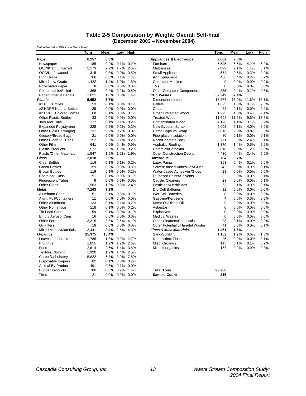#### **Table 2-5 Composition by Weight: Overall Self-haul (December 2003 – November 2004)**

| Calculated at a 90% confidence level |        |         |                |              |                                     |                |       |       |       |  |
|--------------------------------------|--------|---------|----------------|--------------|-------------------------------------|----------------|-------|-------|-------|--|
|                                      | Tons   | Mean    | Low            | High         |                                     | Tons           | Mean  | Low   | High  |  |
| Paper                                | 6,257  | 6.3%    |                |              | <b>Appliances &amp; Electronics</b> | 9,002          | 9.0%  |       |       |  |
| Newspaper                            | 185    | 0.2%    |                | 0.1% 0.2%    | Furniture                           | 5,545          | 5.5%  | 4.2%  | 6.9%  |  |
| OCC/Kraft, unwaxed                   | 2,173  | 2.2%    |                | 1.7% 2.6%    | <b>Mattresses</b>                   | 2,092          | 2.1%  | 1.1%  | 3.1%  |  |
| OCC/Kraft, waxed                     | 315    | 0.3%    |                | $0.0\%$ 0.8% | <b>Small Appliances</b>             | 574            | 0.6%  | 0.3%  | 0.9%  |  |
| <b>High Grade</b>                    | 766    | 0.8%    | 0.1%           | 1.4%         | A/V Equipment                       | 436            | 0.4%  | 0.2%  | 0.7%  |  |
| Mixed Low Grade                      | 1,422  | 1.4%    |                | 1.0% 1.8%    | <b>Computer Monitors</b>            | $\mathbf 0$    | 0.0%  | 0.0%  | 0.0%  |  |
| <b>Polycoated Paper</b>              | 8      | 0.0%    | $0.0\%$        | 0.0%         | TVs                                 | $\Omega$       | 0.0%  | 0.0%  | 0.0%  |  |
| Compostable/Soiled                   | 368    | 0.4%    |                | 0.2% 0.5%    | <b>Other Computer Components</b>    | 355            | 0.4%  | 0.1%  | 0.6%  |  |
| Paper/Other Materials                | 1,021  | 1.0%    |                | 0.6% 1.4%    | <b>CDL Wastes</b>                   | 52,349         | 52.4% |       |       |  |
| <b>Plastic</b>                       | 5,652  | 5.7%    |                |              | <b>Dimension Lumber</b>             | 13,867         | 13.9% | 11.6% | 16.1% |  |
| #1 PET Bottles                       | 53     |         | 0.1% 0.0% 0.1% |              | Pallets                             | 1,625          | 1.6%  | 0.7%  | 2.6%  |  |
| #2 HDPE Natural Bottles              | 29     | 0.0%    | 0.0%           | 0.0%         | Crates                              | 82             | 0.1%  | 0.0%  | 0.2%  |  |
| #2 HDPE Colored Bottles              | 68     | 0.1%    |                | 0.0% 0.1%    | <b>Other Untreated Wood</b>         | 1,275          | 1.3%  | 0.4%  | 2.1%  |  |
| <b>Other Plastic Bottles</b>         | 33     | 0.0%    | 0.0%           | 0.0%         | <b>Treated Wood</b>                 | 11,592         | 11.6% | 9.6%  | 13.5% |  |
| Jars and Tubs                        | 127    | 0.1%    | 0.1%           | 0.2%         | <b>Contaminated Wood</b>            | 4.126          | 4.1%  | 3.1%  | 5.2%  |  |
| <b>Expanded Polystyrene</b>          | 228    | 0.2%    | $0.2\%$ 0.3%   |              | New Gypsum Scrap                    | 6.093          | 6.1%  | 4.0%  | 8.2%  |  |
| Other Rigid Packaging                | 231    | 0.2%    |                | 0.2% 0.3%    | Demo Gypsum Scrap                   | 2,016          | 2.0%  | 0.8%  | 3.3%  |  |
| Grocery/Bread Bags                   | 21     | $0.0\%$ |                | $0.0\%$ 0.0% | <b>Fiberglass Insulation</b>        | 80             | 0.1%  | 0.0%  | 0.1%  |  |
| Other Clean PE Bags                  | 152    | 0.2%    | 0.1%           | 0.2%         | Rock/Concrete/Brick                 | 3,771          | 3.8%  | 2.4%  | 5.1%  |  |
| Other Film                           | 641    | 0.6%    |                | 0.4% 0.9%    | Asphaltic Roofing                   | 1,370          | 1.4%  | 0.5%  | 2.2%  |  |
| <b>Plastic Products</b>              | 2,522  | 2.5%    | 1.9%           | 3.2%         | Ceramics/Porcelain                  | 2,018          | 2.0%  | 1.2%  | 2.8%  |  |
| <b>Plastic/Other Materials</b>       | 1,547  | 1.5%    |                | 1.2% 1.9%    | <b>Other Construction Debris</b>    | 4,436          | 4.4%  | 3.4%  | 5.5%  |  |
| Glass                                | 2,018  | 2.0%    |                |              | <b>Hazardous</b>                    | 704            | 0.7%  |       |       |  |
| <b>Clear Bottles</b>                 | 116    | 0.1%    | 0.1%           | 0.2%         | <b>Latex Paints</b>                 | 353            | 0.4%  | 0.1%  | 0.6%  |  |
| <b>Green Bottles</b>                 | 159    | 0.2%    |                | $0.0\%$ 0.3% | Solvent-based Adhesives/Glues       | 42             | 0.0%  | 0.0%  | 0.1%  |  |
| <b>Brown Bottles</b>                 | 119    | 0.1%    |                | $0.0\%$ 0.2% | Water-based Adhesives/Glues         | 23             | 0.0%  | 0.0%  | 0.0%  |  |
| <b>Container Glass</b>               | 51     | 0.1%    |                | 0.0% 0.1%    | Oil-based Paints/Solvents           | 32             | 0.0%  | 0.0%  | 0.1%  |  |
| <b>Fluorescent Tubes</b>             | 9      | 0.0%    |                | 0.0% 0.0%    | <b>Caustic Cleaners</b>             | 28             | 0.0%  | 0.0%  | 0.1%  |  |
| <b>Other Glass</b>                   | 1,563  | 1.6%    |                | 0.8% 2.4%    | Pesticides/Herbicides               | 62             | 0.1%  | 0.0%  | 0.1%  |  |
| Metal                                | 7,163  | 7.2%    |                |              | <b>Dry-Cell Batteries</b>           | 12             | 0.0%  | 0.0%  | 0.0%  |  |
| Aluminum Cans                        | 51     | 0.1%    | $0.0\%$        | 0.1%         | <b>Wet-Cell Batteries</b>           | 0              | 0.0%  | 0.0%  | 0.0%  |  |
| Alum. Foil/Containers                | 11     | 0.0%    |                | $0.0\%$ 0.0% | Gasoline/Kerosene                   | $\overline{4}$ | 0.0%  | 0.0%  | 0.0%  |  |
| <b>Other Aluminum</b>                | 133    | 0.1%    |                | $0.1\%$ 0.2% | Motor Oil/Diesel Oil                | 9              | 0.0%  | 0.0%  | 0.0%  |  |
| <b>Other Nonferrous</b>              | 118    | 0.1%    |                | $0.0\%$ 0.2% | Asbestos                            | $\mathbf 0$    | 0.0%  | 0.0%  | 0.0%  |  |
| <b>Tin Food Cans</b>                 | 59     | 0.1%    |                | $0.0\%$ 0.1% | <b>Explosives</b>                   | $\mathbf 0$    | 0.0%  | 0.0%  | 0.0%  |  |
| <b>Empty Aerosol Cans</b>            | 16     | 0.0%    |                | $0.0\%$ 0.0% | <b>Medical Wastes</b>               | $\mathbf 0$    | 0.0%  | 0.0%  | 0.0%  |  |
| <b>Other Ferrous</b>                 | 3,315  | 3.3%    | 2.6% 4.1%      |              | <b>Other Cleaners/Chemicals</b>     | 98             | 0.1%  | 0.0%  | 0.2%  |  |
| Oil Filters                          | 18     | 0.0%    | 0.0%           | $0.0\%$      | Other Potentially Harmful Wastes    | 41             | 0.0%  | 0.0%  | 0.1%  |  |
| <b>Mixed Metals/Materials</b>        | 3,441  | 3.4%    |                | 2.5% 4.3%    | <b>Fines &amp; Misc Materials</b>   | 1,461          | 1.5%  |       |       |  |
| <b>Organics</b>                      | 15,375 | 15.4%   |                |              | Sand/Soil/Dirt                      | 1,162          | 1.2%  | 0.6%  | 1.8%  |  |
| Leaves and Grass                     | 1,785  | 1.8%    |                | 0.9% 2.7%    | <b>Non-distinct Fines</b>           | 26             | 0.0%  | 0.0%  | 0.1%  |  |
| Prunings                             | 1,855  | 1.9%    | 1.2%           | 2.6%         | Misc. Organics                      | 115            | 0.1%  | 0.1%  | 0.2%  |  |
| Food                                 | 2,614  | 2.6%    |                | 1.4% 3.8%    | Misc. Inorganics                    | 157            | 0.2%  | 0.0%  | 0.3%  |  |
| <b>Textiles/Clothing</b>             | 1,920  | 1.9%    | 1.4% 2.5%      |              |                                     |                |       |       |       |  |
| Carpet/Upholstery                    | 5,822  | 5.8%    |                | 3.9% 7.8%    |                                     |                |       |       |       |  |
| <b>Disposable Diapers</b>            | 82     |         | 0.1% 0.0% 0.2% |              |                                     |                |       |       |       |  |
| Animal By-Products                   | 491    | 0.5%    |                | 0.1% 0.9%    |                                     |                |       |       |       |  |
| <b>Rubber Products</b>               | 786    | 0.8%    |                | 0.2% 1.4%    | <b>Total Tons</b>                   | 99,980         |       |       |       |  |
| <b>Tires</b>                         | 21     |         | 0.0% 0.0% 0.0% |              | <b>Sample Count</b>                 | 216            |       |       |       |  |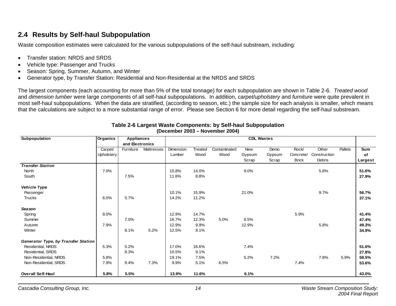# **2.4 Results by Self-haul Subpopulation**

Waste composition estimates were calculated for the various subpopulations of the self-haul substream, including:

- Transfer station: NRDS and SRDS
- Vehicle type: Passenger and Trucks
- Season: Spring, Summer, Autumn, and Winter
- Generator type, by Transfer Station: Residential and Non-Residential at the NRDS and SRDS

The largest components (each accounting for more than 5% of the total tonnage) for each subpopulation are shown in Table 2-6. *Treated wood*  and *dimension lumber* were large components of all self-haul subpopulations. In addition, *carpet/upholstery* and *furniture* were quite prevalent in most self-haul subpopulations. When the data are stratified, (according to season, etc.) the sample size for each analysis is smaller, which means that the calculations are subject to a more substantial range of error. Please see Section 6 for more detail regarding the self-haul substream.

| Subpopulation                              | Organics   | <b>Appliances</b> |            |           |                |              | <b>CDL Wastes</b> |        |              |               |         |            |
|--------------------------------------------|------------|-------------------|------------|-----------|----------------|--------------|-------------------|--------|--------------|---------------|---------|------------|
|                                            |            | and Electronics   |            |           |                |              |                   |        |              |               |         |            |
|                                            | Carpet/    | Furniture         | Mattresses | Dimension | <b>Treated</b> | Contaminated | <b>New</b>        | Demo   | Rock/        | Other         | Pallets | <b>Sum</b> |
|                                            | Upholstery |                   |            | Lumber    | Wood           | Wood         | Gypsum            | Gypsum | Concrete/    | Construction  |         | of         |
|                                            |            |                   |            |           |                |              | Scrap             | Scrap  | <b>Brick</b> | <b>Debris</b> |         | Largest    |
| <b>Transfer Station</b>                    |            |                   |            |           |                |              |                   |        |              |               |         |            |
| North                                      | 7.0%       |                   |            | 15.8%     | 14.0%          |              | 9.0%              |        |              | 5.8%          |         | 51.6%      |
| South                                      |            | 7.5%              |            | 11.6%     | 8.8%           |              |                   |        |              |               |         | 27.9%      |
| <b>Vehicle Type</b>                        |            |                   |            |           |                |              |                   |        |              |               |         |            |
| Passenger                                  |            |                   |            | 10.1%     | 15.9%          |              | 21.0%             |        |              | 9.7%          |         | 56.7%      |
| <b>Trucks</b>                              | 6.0%       | 5.7%              |            | 14.2%     | 11.2%          |              |                   |        |              |               |         | 37.1%      |
| <b>Season</b>                              |            |                   |            |           |                |              |                   |        |              |               |         |            |
| Spring                                     | 8.0%       |                   |            | 12.9%     | 14.7%          |              |                   |        | 5.9%         |               |         | 41.4%      |
| Summer                                     |            | 7.0%              |            | 16.7%     | 12.3%          | 5.0%         | 6.5%              |        |              |               |         | 47.4%      |
| Autumn                                     | 7.9%       |                   |            | 12.9%     | 9.9%           |              | 12.9%             |        |              | 5.8%          |         | 49.3%      |
| Winter                                     |            | 8.1%              | 5.2%       | 12.5%     | 9.1%           |              |                   |        |              |               |         | 34.9%      |
| <b>Generator Type, by Transfer Station</b> |            |                   |            |           |                |              |                   |        |              |               |         |            |
| Residential, NRDS                          | 5.3%       | 5.2%              |            | 17.0%     | 16.6%          |              | 7.4%              |        |              |               |         | 51.6%      |
| Residential, SRDS                          |            | 8.3%              |            | 10.5%     | 9.1%           |              |                   |        |              |               |         | 27.8%      |
| Non-Residential, NRDS                      | 5.8%       |                   |            | 19.1%     | 7.5%           |              | 5.2%              | 7.2%   |              | 7.8%          | 5.9%    | 58.5%      |
| Non-Residential, SRDS                      | 7.9%       | 9.4%              | 7.3%       | 9.9%      | 5.1%           | 6.5%         |                   |        | 7.4%         |               |         | 53.6%      |
| <b>Overall Self-Haul</b>                   | 5.8%       | 5.5%              |            | 13.9%     | 11.6%          |              | 6.1%              |        |              |               |         | 43.0%      |

#### **Table 2-6 Largest Waste Components: by Self-haul Subpopulation (December 2003 – November 2004)**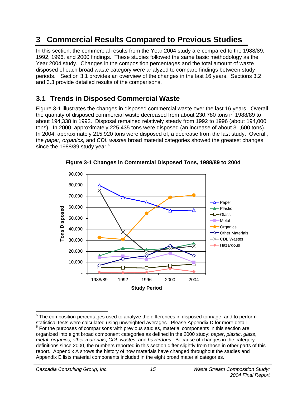# **3 Commercial Results Compared to Previous Studies**

In this section, the commercial results from the Year 2004 study are compared to the 1988/89, 1992, 1996, and 2000 findings. These studies followed the same basic methodology as the Year 2004 study. Changes in the composition percentages and the total amount of waste disposed of each broad waste category were analyzed to compare findings between study periods.<sup>5</sup> Section 3.1 provides an overview of the changes in the last 16 years. Sections 3.2 and 3.3 provide detailed results of the comparisons.

# **3.1 Trends in Disposed Commercial Waste**

Figure 3-1 illustrates the changes in disposed commercial waste over the last 16 years. Overall, the quantity of disposed commercial waste decreased from about 230,780 tons in 1988/89 to about 194,338 in 1992. Disposal remained relatively steady from 1992 to 1996 (about 194,000 tons). In 2000, approximately 225,435 tons were disposed (an increase of about 31,600 tons). In 2004, approximately 215,920 tons were disposed of, a decrease from the last study. Overall, the *paper, organics,* and *CDL wastes* broad material categories showed the greatest changes since the 1988/89 study year.<sup>6</sup>



**Figure 3-1 Changes in Commercial Disposed Tons, 1988/89 to 2004** 

-

 $5$  The composition percentages used to analyze the differences in disposed tonnage, and to perform statistical tests were calculated using unweighted averages. Please Appendix D for more detail. 6  $<sup>6</sup>$  For the purposes of comparisons with previous studies, material components in this section are</sup> organized into eight broad component categories as defined in the 2000 study: *paper*, *plastic*, *glass*, *metal*, *organics*, *other materials*, *CDL wastes*, and *hazardous*. Because of changes in the category definitions since 2000, the numbers reported in this section differ slightly from those in other parts of this report. Appendix A shows the history of how materials have changed throughout the studies and Appendix E lists material components included in the eight broad material categories.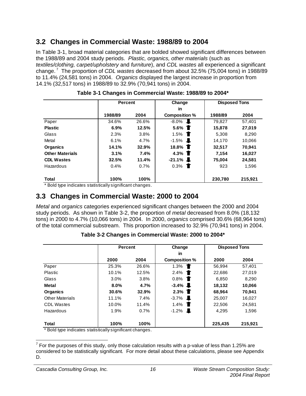# **3.2 Changes in Commercial Waste: 1988/89 to 2004**

In Table 3-1, broad material categories that are bolded showed significant differences between the 1988/89 and 2004 study periods. *Plastic, organics, other materials* (such as *textiles/clothing, carpet/upholstery* and *furniture*), and *CDL wastes* all experienced a significant change. 7 The proportion of *CDL wastes* decreased from about 32.5% (75,004 tons) in 1988/89 to 11.4% (24,581 tons) in 2004. *Organics* displayed the largest increase in proportion from 14.1% (32,517 tons) in 1988/89 to 32.9% (70,941 tons) in 2004.

|                        | <b>Percent</b> |         | Change                 | <b>Disposed Tons</b> |         |
|------------------------|----------------|---------|------------------------|----------------------|---------|
|                        |                |         | in                     |                      |         |
|                        | 1988/89        | 2004    | Composition %          | 1988/89              | 2004    |
| Paper                  | 34.6%          | 26.6%   | $-8.0\%$               | 79.827               | 57.401  |
| <b>Plastic</b>         | 6.9%           | 12.5%   | 5.6% $\blacksquare$    | 15,878               | 27,019  |
| Glass                  | 2.3%           | 3.8%    | 1.5%<br>$\blacksquare$ | 5.308                | 8,290   |
| Metal                  | 6.1%           | $4.7\%$ | $-1.5%$<br>Ш.          | 14,170               | 10,066  |
| Organics               | 14.1%          | 32.9%   | 18.8% <b>T</b>         | 32.517               | 70.941  |
| <b>Other Materials</b> | 3.1%           | 7.4%    | 4.3% $\blacksquare$    | 7.154                | 16,027  |
| <b>CDL Wastes</b>      | 32.5%          | 11.4%   | $-21.1\%$ <b>L</b>     | 75,004               | 24,581  |
| Hazardous              | 0.4%           | 0.7%    | 0.3%<br>$\blacksquare$ | 923                  | 1.596   |
| Total                  | 100%           | 100%    |                        | 230,780              | 215,921 |

**Table 3-1 Changes in Commercial Waste: 1988/89 to 2004\*** 

\* Bold type indicates statistically significant changes.

## **3.3 Changes in Commercial Waste: 2000 to 2004**

*Metal* and *organics* categories experienced significant changes between the 2000 and 2004 study periods. As shown in Table 3-2, the proportion of *metal* decreased from 8.0% (18,132 tons) in 2000 to 4.7% (10,066 tons) in 2004. In 2000, *organics* comprised 30.6% (68,964 tons) of the total commercial substream. This proportion increased to 32.9% (70,941 tons) in 2004.

|                                               | <b>Percent</b>  |       | Change                              | <b>Disposed Tons</b> |         |
|-----------------------------------------------|-----------------|-------|-------------------------------------|----------------------|---------|
|                                               |                 |       | in                                  |                      |         |
|                                               | 2000            | 2004  | <b>Composition %</b>                | 2000                 | 2004    |
| Paper                                         | 25.3%           | 26.6% | 1.3%                                | 56,994               | 57,401  |
| Plastic                                       | 10.1%           | 12.5% | 2.4%                                | 22.686               | 27,019  |
| Glass                                         | 3.0%            | 3.8%  | 0.8%<br><b>TI</b>                   | 6,850                | 8,290   |
| <b>Metal</b>                                  | 8.0%            | 4.7%  | $-3.4\%$                            | 18.132               | 10,066  |
| <b>Organics</b>                               | 30.6%           | 32.9% | 2.3% $\blacksquare$                 | 68.964               | 70.941  |
| <b>Other Materials</b>                        | 11.1%           | 7.4%  | $-3.7%$<br>$\overline{\phantom{a}}$ | 25,007               | 16,027  |
| <b>CDL Wastes</b>                             | 10.0%           | 11.4% | 1.4%<br>a de la c                   | 22.506               | 24,581  |
| Hazardous                                     | 1.9%            | 0.7%  | L<br>$-1.2%$                        | 4.295                | 1,596   |
|                                               |                 |       |                                     |                      |         |
| <b>Total</b><br>. <b>.</b><br>$\cdot$ $\cdot$ | 100%<br>$\cdot$ | 100%  |                                     | 225,435              | 215,921 |

**Table 3-2 Changes in Commercial Waste: 2000 to 2004\*** 

\* Bold type indicates statistically significant changes.

<sup>————————————————————&</sup>lt;br><sup>7</sup> For the purposes of this study, only those calculation results with a p-value of less than 1.25% are considered to be statistically significant*.* For more detail about these calculations, please see Appendix D.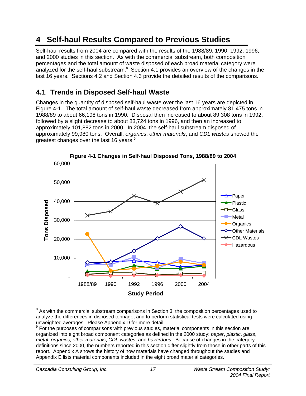# **4 Self-haul Results Compared to Previous Studies**

Self-haul results from 2004 are compared with the results of the 1988/89, 1990, 1992, 1996, and 2000 studies in this section. As with the commercial substream, both composition percentages and the total amount of waste disposed of each broad material category were analyzed for the self-haul substream. $8$  Section 4.1 provides an overview of the changes in the last 16 years. Sections 4.2 and Section 4.3 provide the detailed results of the comparisons.

# **4.1 Trends in Disposed Self-haul Waste**

Changes in the quantity of disposed self-haul waste over the last 16 years are depicted in Figure 4-1. The total amount of self-haul waste decreased from approximately 81,475 tons in 1988/89 to about 66,198 tons in 1990. Disposal then increased to about 89,308 tons in 1992, followed by a slight decrease to about 83,724 tons in 1996, and then an increased to approximately 101,882 tons in 2000. In 2004, the self-haul substream disposed of approximately 99,980 tons. Overall, *organics*, *other materials*, and *CDL wastes* showed the greatest changes over the last 16 years. $9$ 



**Figure 4-1 Changes in Self-haul Disposed Tons, 1988/89 to 2004** 

 8 As with the commercial substream comparisons in Section 3, the composition percentages used to analyze the differences in disposed tonnage, and to perform statistical tests were calculated using unweighted averages. Please Appendix D for more detail.

<sup>&</sup>lt;sup>9</sup> For the purposes of comparisons with previous studies, material components in this section are organized into eight broad component categories as defined in the 2000 study: *paper*, *plastic*, *glass*, *metal*, *organics*, *other materials*, *CDL wastes*, and *hazardous*. Because of changes in the category definitions since 2000, the numbers reported in this section differ slightly from those in other parts of this report. Appendix A shows the history of how materials have changed throughout the studies and Appendix E lists material components included in the eight broad material categories.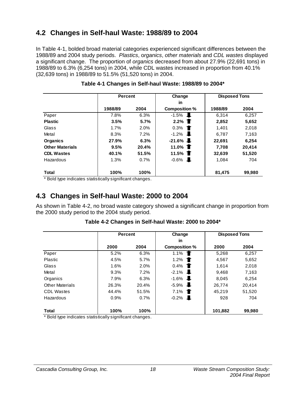# **4.2 Changes in Self-haul Waste: 1988/89 to 2004**

In Table 4-1, bolded broad material categories experienced significant differences between the 1988/89 and 2004 study periods. *Plastics*, o*rganics*, *other materials* and *CDL wastes* displayed a significant change. The proportion of *organics* decreased from about 27.9% (22,691 tons) in 1988/89 to 6.3% (6,254 tons) in 2004, while CDL wastes increased in proportion from 40.1% (32,639 tons) in 1988/89 to 51.5% (51,520 tons) in 2004.

|                        | <b>Percent</b> |       | Change                 | <b>Disposed Tons</b> |        |
|------------------------|----------------|-------|------------------------|----------------------|--------|
|                        |                |       | in                     |                      |        |
|                        | 1988/89        | 2004  | <b>Composition %</b>   | 1988/89              | 2004   |
| Paper                  | 7.8%           | 6.3%  | $-1.5%$                | 6.314                | 6.257  |
| <b>Plastic</b>         | 3.5%           | 5.7%  | 2.2% $\blacksquare$    | 2,852                | 5,652  |
| Glass                  | 1.7%           | 2.0%  | 0.3%<br>$\blacksquare$ | 1.401                | 2,018  |
| Metal                  | 8.3%           | 7.2%  | $-1.2\%$               | 6.787                | 7,163  |
| Organics               | 27.9%          | 6.3%  | $-21.6\%$              | 22,691               | 6,254  |
| <b>Other Materials</b> | 9.5%           | 20.4% | 11.0% <b>T</b>         | 7.708                | 20,414 |
| <b>CDL Wastes</b>      | 40.1%          | 51.5% | 11.5% <b>T</b>         | 32.639               | 51,520 |
| Hazardous              | 1.3%           | 0.7%  | $-0.6\%$ <b>L</b>      | 1.084                | 704    |
| <b>Total</b>           | 100%           | 100%  |                        | 81,475               | 99,980 |

#### **Table 4-1 Changes in Self-haul Waste: 1988/89 to 2004\***

\* Bold type indicates statistically significant changes.

## **4.3 Changes in Self-haul Waste: 2000 to 2004**

As shown in Table 4-2, no broad waste category showed a significant change in proportion from the 2000 study period to the 2004 study period.

|                        | <b>Percent</b> |         | Change                 | <b>Disposed Tons</b> |        |
|------------------------|----------------|---------|------------------------|----------------------|--------|
|                        |                |         | in                     |                      |        |
|                        | 2000           | 2004    | <b>Composition %</b>   | 2000                 | 2004   |
| Paper                  | 5.2%           | 6.3%    | 1.1%                   | 5,268                | 6,257  |
| Plastic                | 4.5%           | 5.7%    | 1.2%                   | 4,567                | 5,652  |
| Glass                  | 1.6%           | $2.0\%$ | 0.4%                   | 1.614                | 2.018  |
| Metal                  | 9.3%           | 7.2%    | $-2.1%$                | 9.468                | 7,163  |
| Organics               | 7.9%           | 6.3%    | $-1.6%$<br><b>July</b> | 8.045                | 6.254  |
| <b>Other Materials</b> | 26.3%          | 20.4%   | $-5.9%$<br>J.          | 26,774               | 20.414 |
| <b>CDL Wastes</b>      | 44.4%          | 51.5%   | 7.1%                   | 45,219               | 51,520 |
| Hazardous              | 0.9%           | 0.7%    | $-0.2%$<br>JL.         | 928                  | 704    |
| <b>Total</b>           | 100%           | 100%    |                        | 101,882              | 99,980 |

**Table 4-2 Changes in Self-haul Waste: 2000 to 2004\*** 

\* Bold type indicates statistically significant changes.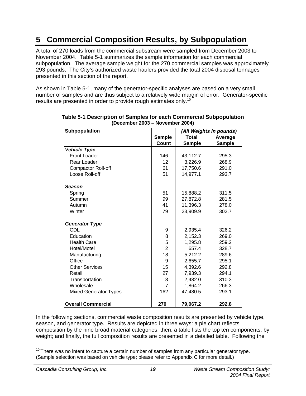# **5 Commercial Composition Results, by Subpopulation**

A total of 270 loads from the commercial substream were sampled from December 2003 to November 2004. Table 5-1 summarizes the sample information for each commercial subpopulation. The average sample weight for the 270 commercial samples was approximately 293 pounds. The City's authorized waste haulers provided the total 2004 disposal tonnages presented in this section of the report.

As shown in Table 5-1, many of the generator-specific analyses are based on a very small number of samples and are thus subject to a relatively wide margin of error. Generator-specific results are presented in order to provide rough estimates only.<sup>10</sup>

| Subpopulation                |                |               | (All Weights in pounds) |
|------------------------------|----------------|---------------|-------------------------|
|                              | <b>Sample</b>  | <b>Total</b>  | Average                 |
|                              | Count          | <b>Sample</b> | <b>Sample</b>           |
| <b>Vehicle Type</b>          |                |               |                         |
| <b>Front Loader</b>          | 146            | 43,112.7      | 295.3                   |
| Rear Loader                  | 12             | 3,226.9       | 268.9                   |
| <b>Compactor Roll-off</b>    | 61             | 17,750.6      | 291.0                   |
| Loose Roll-off               | 51             | 14,977.1      | 293.7                   |
| Season                       |                |               |                         |
| Spring                       | 51             | 15,888.2      | 311.5                   |
| Summer                       | 99             | 27,872.8      | 281.5                   |
| Autumn                       | 41             | 11,396.3      | 278.0                   |
| Winter                       | 79             | 23,909.9      | 302.7                   |
| <b>Generator Type</b>        |                |               |                         |
| CDL                          | 9              | 2,935.4       | 326.2                   |
| Education                    | 8              | 2,152.3       | 269.0                   |
| <b>Health Care</b>           | 5              | 1,295.8       | 259.2                   |
| Hotel/Motel                  | $\overline{2}$ | 657.4         | 328.7                   |
| Manufacturing                | 18             | 5,212.2       | 289.6                   |
| Office                       | 9              | 2,655.7       | 295.1                   |
| <b>Other Services</b>        | 15             | 4,392.6       | 292.8                   |
| Retail                       | 27             | 7,939.3       | 294.1                   |
| Transportation               | 8              | 2,482.0       | 310.3                   |
| Wholesale                    | $\overline{7}$ | 1,864.2       | 266.3                   |
| <b>Mixed Generator Types</b> | 162            | 47,480.5      | 293.1                   |
| <b>Overall Commercial</b>    | 270            | 79,067.2      | 292.8                   |

**Table 5-1 Description of Samples for each Commercial Subpopulation (December 2003 – November 2004)** 

In the following sections, commercial waste composition results are presented by vehicle type, season, and generator type. Results are depicted in three ways: a pie chart reflects composition by the nine broad material categories; then, a table lists the top ten components, by weight; and finally, the full composition results are presented in a detailed table. Following the

  $10$  There was no intent to capture a certain number of samples from any particular generator type. (Sample selection was based on vehicle type; please refer to Appendix C for more detail.)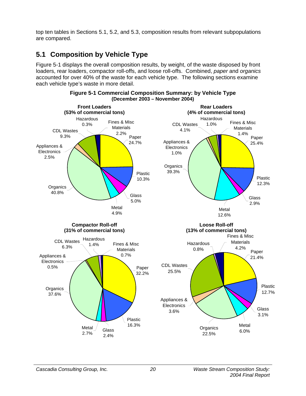top ten tables in Sections 5.1, 5.2, and 5.3, composition results from relevant subpopulations are compared.

# **5.1 Composition by Vehicle Type**

Figure 5-1 displays the overall composition results, by weight, of the waste disposed by front loaders, rear loaders, compactor roll-offs, and loose roll-offs. Combined, *paper* and *organics* accounted for over 40% of the waste for each vehicle type. The following sections examine each vehicle type's waste in more detail.



**Figure 5-1 Commercial Composition Summary: by Vehicle Type (December 2003 – November 2004)**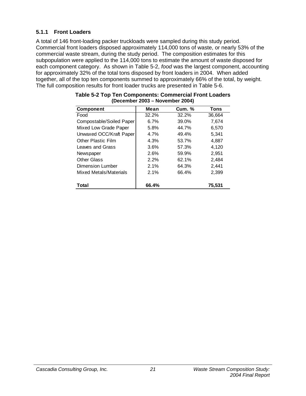### **5.1.1 Front Loaders**

A total of 146 front-loading packer truckloads were sampled during this study period. Commercial front loaders disposed approximately 114,000 tons of waste, or nearly 53% of the commercial waste stream, during the study period. The composition estimates for this subpopulation were applied to the 114,000 tons to estimate the amount of waste disposed for each component category. As shown in Table 5-2, *food* was the largest component, accounting for approximately 32% of the total tons disposed by front loaders in 2004. When added together, all of the top ten components summed to approximately 66% of the total, by weight. The full composition results for front loader trucks are presented in Table 5-6.

| <b>Component</b>          | Mean  | <b>Cum. %</b> | Tons   |
|---------------------------|-------|---------------|--------|
| Food                      | 32.2% | 32.2%         | 36,664 |
| Compostable/Soiled Paper  | 6.7%  | 39.0%         | 7,674  |
| Mixed Low Grade Paper     | 5.8%  | 44.7%         | 6,570  |
| Unwaxed OCC/Kraft Paper   | 4.7%  | 49.4%         | 5.341  |
| <b>Other Plastic Film</b> | 4.3%  | 53.7%         | 4.887  |
| Leaves and Grass          | 3.6%  | 57.3%         | 4,120  |
| Newspaper                 | 2.6%  | 59.9%         | 2,951  |
| <b>Other Glass</b>        | 2.2%  | 62.1%         | 2,484  |
| Dimension Lumber          | 2.1%  | 64.3%         | 2,441  |
| Mixed Metals/Materials    | 2.1%  | 66.4%         | 2,399  |
| Total                     | 66.4% |               | 75,531 |

#### **Table 5-2 Top Ten Components: Commercial Front Loaders (December 2003 – November 2004)**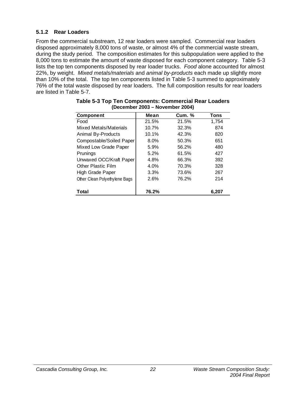### **5.1.2 Rear Loaders**

From the commercial substream, 12 rear loaders were sampled. Commercial rear loaders disposed approximately 8,000 tons of waste, or almost 4% of the commercial waste stream, during the study period. The composition estimates for this subpopulation were applied to the 8,000 tons to estimate the amount of waste disposed for each component category. Table 5-3 lists the top ten components disposed by rear loader trucks. *Food* alone accounted for almost 22%, by weight. *Mixed metals/materials* and *animal by-products* each made up slightly more than 10% of the total. The top ten components listed in Table 5-3 summed to approximately 76% of the total waste disposed by rear loaders. The full composition results for rear loaders are listed in Table 5-7.

| <b>Component</b>              | Mean  | <b>Cum. %</b> | Tons  |
|-------------------------------|-------|---------------|-------|
| Food                          | 21.5% | 21.5%         | 1,754 |
| Mixed Metals/Materials        | 10.7% | 32.3%         | 874   |
| Animal By-Products            | 10.1% | 42.3%         | 820   |
| Compostable/Soiled Paper      | 8.0%  | 50.3%         | 651   |
| Mixed Low Grade Paper         | 5.9%  | 56.2%         | 480   |
| Prunings                      | 5.2%  | 61.5%         | 427   |
| Unwaxed OCC/Kraft Paper       | 4.8%  | 66.3%         | 392   |
| <b>Other Plastic Film</b>     | 4.0%  | 70.3%         | 328   |
| High Grade Paper              | 3.3%  | 73.6%         | 267   |
| Other Clean Polyethylene Bags | 2.6%  | 76.2%         | 214   |
| Total                         | 76.2% |               | 6,207 |

| Table 5-3 Top Ten Components: Commercial Rear Loaders |  |
|-------------------------------------------------------|--|
| (December 2003 – November 2004)                       |  |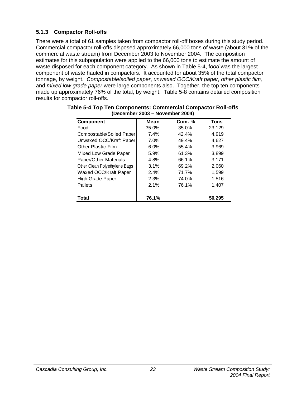### **5.1.3 Compactor Roll-offs**

There were a total of 61 samples taken from compactor roll-off boxes during this study period. Commercial compactor roll-offs disposed approximately 66,000 tons of waste (about 31% of the commercial waste stream) from December 2003 to November 2004. The composition estimates for this subpopulation were applied to the 66,000 tons to estimate the amount of waste disposed for each component category. As shown in Table 5-4, f*ood* was the largest component of waste hauled in compactors. It accounted for about 35% of the total compactor tonnage, by weight. *Compostable/soiled paper*, *unwaxed OCC/Kraft paper, other plastic film,* and *mixed low grade paper* were large components also. Together, the top ten components made up approximately 76% of the total, by weight. Table 5-8 contains detailed composition results for compactor roll-offs.

| <b>Component</b>              | Mean    | <b>Cum. %</b> | <b>Tons</b> |
|-------------------------------|---------|---------------|-------------|
| Food                          | 35.0%   | 35.0%         | 23,129      |
| Compostable/Soiled Paper      | 7.4%    | 42.4%         | 4,919       |
| Unwaxed OCC/Kraft Paper       | $7.0\%$ | 49.4%         | 4,627       |
| <b>Other Plastic Film</b>     | 6.0%    | 55.4%         | 3,969       |
| Mixed Low Grade Paper         | 5.9%    | 61.3%         | 3,899       |
| Paper/Other Materials         | 4.8%    | 66.1%         | 3,171       |
| Other Clean Polyethylene Bags | 3.1%    | 69.2%         | 2,060       |
| Waxed OCC/Kraft Paper         | 2.4%    | 71.7%         | 1,599       |
| High Grade Paper              | 2.3%    | 74.0%         | 1,516       |
| Pallets                       | 2.1%    | 76.1%         | 1,407       |
| Total                         | 76.1%   |               | 50.295      |

| Table 5-4 Top Ten Components: Commercial Compactor Roll-offs |  |
|--------------------------------------------------------------|--|
| (December 2003 – November 2004)                              |  |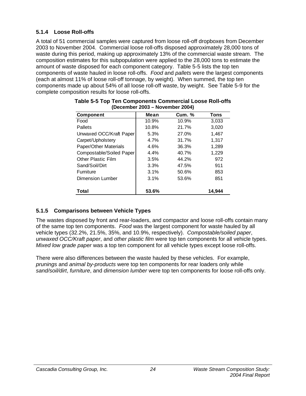### **5.1.4 Loose Roll-offs**

A total of 51 commercial samples were captured from loose roll-off dropboxes from December 2003 to November 2004. Commercial loose roll-offs disposed approximately 28,000 tons of waste during this period, making up approximately 13% of the commercial waste stream. The composition estimates for this subpopulation were applied to the 28,000 tons to estimate the amount of waste disposed for each component category. Table 5-5 lists the top ten components of waste hauled in loose roll-offs. *Food* and *pallets* were the largest components (each at almost 11% of loose roll-off tonnage, by weight). When summed, the top ten components made up about 54% of all loose roll-off waste, by weight. See Table 5-9 for the complete composition results for loose roll-offs.

| <b>Component</b>         | Mean    | <b>Cum. %</b> | <b>Tons</b> |
|--------------------------|---------|---------------|-------------|
| Food                     | 10.9%   | 10.9%         | 3,033       |
| Pallets                  | 10.8%   | 21.7%         | 3,020       |
| Unwaxed OCC/Kraft Paper  | 5.3%    | 27.0%         | 1,467       |
| Carpet/Upholstery        | 4.7%    | 31.7%         | 1,317       |
| Paper/Other Materials    | 4.6%    | 36.3%         | 1,289       |
| Compostable/Soiled Paper | $4.4\%$ | 40.7%         | 1,229       |
| Other Plastic Film       | 3.5%    | 44.2%         | 972         |
| Sand/Soil/Dirt           | 3.3%    | 47.5%         | 911         |
| Furniture                | 3.1%    | 50.6%         | 853         |
| Dimension Lumber         | 3.1%    | 53.6%         | 851         |
| <b>Total</b>             | 53.6%   |               | 14.944      |

| Table 5-5 Top Ten Components Commercial Loose Roll-offs |  |
|---------------------------------------------------------|--|
| (December 2003 – November 2004)                         |  |

### **5.1.5 Comparisons between Vehicle Types**

The wastes disposed by front and rear-loaders, and compactor and loose roll-offs contain many of the same top ten components. *Food* was the largest component for waste hauled by all vehicle types (32.2%, 21.5%, 35%, and 10.9%, respectively). *Compostable/soiled paper*, *unwaxed OCC/Kraft paper*, and *other plastic film* were top ten components for all vehicle types. *Mixed low grade paper* was a top ten component for all vehicle types except loose roll-offs.

There were also differences between the waste hauled by these vehicles. For example, *prunings* and *animal by-products* were top ten components for rear loaders only while *sand/soil/dirt*, *furniture*, and *dimension lumber* were top ten components for loose roll-offs only.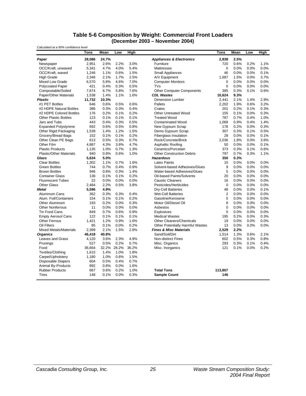#### **Table 5-6 Composition by Weight: Commercial Front Loaders (December 2003 – November 2004)**

| Calculated at a 90% confidence level |             |             |       |             |                                     |                |      |      |             |
|--------------------------------------|-------------|-------------|-------|-------------|-------------------------------------|----------------|------|------|-------------|
|                                      | <b>Tons</b> | <b>Mean</b> | Low   | <b>High</b> |                                     | <b>Tons</b>    | Mean | Low  | <b>High</b> |
| Paper                                | 28,086      | 24.7%       |       |             | <b>Appliances &amp; Electronics</b> | 2,838          | 2.5% |      |             |
| Newspaper                            | 2,951       | 2.6%        | 2.2%  | 3.0%        | Furniture                           | 720            | 0.6% | 0.2% | 1.1%        |
| OCC/Kraft, unwaxed                   | 5,341       | 4.7%        | 4.0%  | 5.4%        | <b>Mattresses</b>                   | $\mathbf 0$    | 0.0% | 0.0% | 0.0%        |
| OCC/Kraft, waxed                     | 1,246       | 1.1%        | 0.6%  | 1.5%        | <b>Small Appliances</b>             | 46             | 0.0% | 0.0% | 0.1%        |
| <b>High Grade</b>                    | 2,346       | 2.1%        | 1.7%  | 2.5%        | A/V Equipment                       | 1,687          | 1.5% | 0.0% | 3.7%        |
| Mixed Low Grade                      | 6,570       | 5.8%        | 4.6%  | 7.0%        | <b>Computer Monitors</b>            | 0              | 0.0% | 0.0% | 0.0%        |
| <b>Polycoated Paper</b>              | 421         | 0.4%        | 0.3%  | 0.5%        | <b>TVs</b>                          | $\mathbf 0$    | 0.0% | 0.0% | 0.0%        |
| Compostable/Soiled                   | 7.674       | 6.7%        | 5.8%  | 7.6%        | <b>Other Computer Components</b>    | 385            | 0.3% | 0.1% | 0.6%        |
| Paper/Other Materials                | 1,538       | 1.4%        | 1.1%  | 1.6%        | <b>CDL Wastes</b>                   | 10,624         | 9.3% |      |             |
| <b>Plastic</b>                       | 11,732      | 10.3%       |       |             | <b>Dimension Lumber</b>             | 2,441          | 2.1% | 1.4% | 2.9%        |
| #1 PET Bottles                       | 646         | 0.6%        | 0.5%  | 0.6%        | Pallets                             | 2,202          | 1.9% | 0.6% | 3.2%        |
| #2 HDPE Natural Bottles              | 386         | 0.3%        | 0.3%  | 0.4%        | Crates                              | 201            | 0.2% | 0.1% | 0.3%        |
| #2 HDPE Colored Bottles              | 176         | 0.2%        | 0.1%  | 0.2%        | <b>Other Untreated Wood</b>         | 155            | 0.1% | 0.0% | 0.3%        |
| <b>Other Plastic Bottles</b>         | 123         | 0.1%        | 0.1%  | 0.1%        | <b>Treated Wood</b>                 | 787            | 0.7% | 0.4% | 1.0%        |
| Jars and Tubs                        | 443         | 0.4%        | 0.3%  | 0.5%        | <b>Contaminated Wood</b>            | 1.068          | 0.9% | 0.4% | 1.4%        |
| <b>Expanded Polystyrene</b>          | 692         | 0.6%        | 0.5%  | 0.8%        | New Gypsum Scrap                    | 178            | 0.2% | 0.0% | 0.3%        |
| Other Rigid Packaging                | 1,539       | 1.4%        | 1.2%  | 1.5%        | Demo Gypsum Scrap                   | 307            | 0.3% | 0.1% | 0.5%        |
| Grocery/Bread Bags                   | 152         | 0.1%        | 0.1%  | 0.2%        | Fiberglass Insulation               | 28             | 0.0% | 0.0% | 0.1%        |
| Other Clean PE Bags                  | 613         | 0.5%        | 0.3%  | 0.7%        | Rock/Concrete/Brick                 | 2,036          | 1.8% | 0.0% | 3.6%        |
| Other Film                           | 4,887       | 4.3%        | 3.8%  | 4.7%        | Asphaltic Roofing                   | 50             | 0.0% | 0.0% | 0.1%        |
| <b>Plastic Products</b>              | 1,135       | 1.0%        | 0.7%  | 1.3%        | Ceramics/Porcelain                  | 373            | 0.3% | 0.1% | 0.6%        |
| <b>Plastic/Other Materials</b>       | 940         | 0.8%        | 0.6%  | 1.0%        | <b>Other Construction Debris</b>    | 797            | 0.7% | 0.3% | 1.1%        |
| Glass                                | 5,634       | 5.0%        |       |             | <b>Hazardous</b>                    | 350            | 0.3% |      |             |
| <b>Clear Bottles</b>                 | 1,302       | 1.1%        | 0.7%  | 1.6%        | <b>Latex Paints</b>                 | 15             | 0.0% | 0.0% | 0.0%        |
| <b>Green Bottles</b>                 | 744         | 0.7%        | 0.4%  | 0.9%        | Solvent-based Adhesives/Glues       | 9              | 0.0% | 0.0% | 0.0%        |
| <b>Brown Bottles</b>                 | 946         | 0.8%        | 0.3%  | 1.4%        | Water-based Adhesives/Glues         | 5              | 0.0% | 0.0% | 0.0%        |
| <b>Container Glass</b>               | 136         | 0.1%        | 0.1%  | 0.2%        | Oil-based Paints/Solvents           | 20             | 0.0% | 0.0% | 0.0%        |
| <b>Fluorescent Tubes</b>             | 22          | 0.0%        | 0.0%  | 0.0%        | <b>Caustic Cleaners</b>             | 16             | 0.0% | 0.0% | 0.0%        |
| <b>Other Glass</b>                   | 2,484       | 2.2%        | 0.5%  | 3.8%        | Pesticides/Herbicides               | $\mathbf 0$    | 0.0% | 0.0% | 0.0%        |
| <b>Metal</b>                         | 5,596       | 4.9%        |       |             | Dry-Cell Batteries                  | 48             | 0.0% | 0.0% | 0.1%        |
| Aluminum Cans                        | 362         | 0.3%        | 0.3%  | 0.4%        | <b>Wet-Cell Batteries</b>           | $\overline{2}$ | 0.0% | 0.0% | 0.0%        |
| Alum. Foil/Containers                | 154         | 0.1%        | 0.1%  | 0.2%        | Gasoline/Kerosene                   | $\pmb{0}$      | 0.0% | 0.0% | 0.0%        |
| Other Aluminum                       | 193         | 0.2%        | 0.0%  | 0.3%        | Motor Oil/Diesel Oil                | 8              | 0.0% | 0.0% | 0.0%        |
| <b>Other Nonferrous</b>              | 11          | 0.0%        | 0.0%  | 0.0%        | Asbestos                            | $\mathbf 0$    | 0.0% | 0.0% | 0.0%        |
| Tin Food Cans                        | 849         | 0.7%        | 0.6%  | 0.9%        | <b>Explosives</b>                   | $\mathbf 0$    | 0.0% | 0.0% | 0.0%        |
| <b>Empty Aerosol Cans</b>            | 122         | 0.1%        | 0.1%  | 0.1%        | <b>Medical Wastes</b>               | 195            | 0.2% | 0.0% | 0.3%        |
| <b>Other Ferrous</b>                 | 1.421       | 1.2%        | 0.9%  | 1.6%        | <b>Other Cleaners/Chemicals</b>     | 19             | 0.0% | 0.0% | 0.0%        |
| Oil Filters                          | 85          | 0.1%        | 0.0%  | 0.2%        | Other Potentially Harmful Wastes    | 13             | 0.0% | 0.0% | 0.0%        |
| <b>Mixed Metals/Materials</b>        | 2,399       | 2.1%        | 1.5%  | 2.8%        | <b>Fines &amp; Misc Materials</b>   | 2,529          | 2.2% |      |             |
| <b>Organics</b>                      | 46,418      | 40.8%       |       |             | Sand/Soil/Dirt                      | 1,514          | 1.3% | 0.6% | 2.1%        |
| Leaves and Grass                     | 4,120       | 3.6%        | 2.3%  | 4.9%        | Non-distinct Fines                  | 602            | 0.5% | 0.3% | 0.8%        |
| Prunings                             | 527         | 0.5%        | 0.2%  | 0.7%        | Misc. Organics                      | 293            | 0.3% | 0.1% | 0.4%        |
| Food                                 | 36.664      | 32.2%       | 28.2% | 36.2%       | Misc. Inorganics                    | 121            | 0.1% | 0.0% | 0.2%        |
| Textiles/Clothing                    | 1,615       | 1.4%        | 1.0%  | 1.8%        |                                     |                |      |      |             |
| Carpet/Upholstery                    | 1,180       | 1.0%        | 0.6%  | 1.5%        |                                     |                |      |      |             |
| Disposable Diapers                   | 604         | 0.5%        | 0.4%  | 0.7%        |                                     |                |      |      |             |
| Animal By-Products                   | 892         | 0.8%        | 0.0%  | 1.6%        |                                     |                |      |      |             |
| <b>Rubber Products</b>               | 667         | 0.6%        | 0.2%  | 1.0%        | <b>Total Tons</b>                   | 113,807        |      |      |             |
| <b>Tires</b>                         | 148         | 0.1%        | 0.0%  | 0.3%        | <b>Sample Count</b>                 | 146            |      |      |             |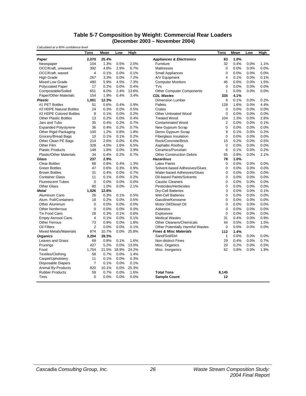#### **Table 5-7 Composition by Weight: Commercial Rear Loaders (December 2003 – November 2004)**

*Calculated at a 90% confidence level*

|                                | Tons           | Mean  | Low   | <b>High</b> |                                     | Tons           | Mean | Low  | High |
|--------------------------------|----------------|-------|-------|-------------|-------------------------------------|----------------|------|------|------|
| Paper                          | 2,070          | 25.4% |       |             | <b>Appliances &amp; Electronics</b> | 83             | 1.0% |      |      |
| Newspaper                      | 104            | 1.3%  | 0.5%  | 2.0%        | Furniture                           | 32             | 0.4% | 0.0% | 1.1% |
| OCC/Kraft, unwaxed             | 392            | 4.8%  | 2.9%  | 6.7%        | <b>Mattresses</b>                   | $\mathbf 0$    | 0.0% | 0.0% | 0.0% |
| OCC/Kraft, waxed               | $\overline{4}$ | 0.1%  | 0.0%  | 0.1%        | <b>Small Appliances</b>             | $\Omega$       | 0.0% | 0.0% | 0.0% |
| <b>High Grade</b>              | 267            | 3.3%  | 0.0%  | 7.2%        | A/V Equipment                       | $\overline{4}$ | 0.1% | 0.0% | 0.1% |
| Mixed Low Grade                | 480            | 5.9%  | 4.5%  | 7.3%        | <b>Computer Monitors</b>            | 46             | 0.6% | 0.0% | 1.5% |
| <b>Polycoated Paper</b>        | 17             | 0.2%  | 0.0%  | 0.4%        | <b>TVs</b>                          | $\Omega$       | 0.0% | 0.0% | 0.0% |
| Compostable/Soiled             | 651            | 8.0%  | 2.4%  | 13.6%       | <b>Other Computer Components</b>    | $\mathbf{1}$   | 0.0% | 0.0% | 0.0% |
| Paper/Other Materials          | 154            | 1.9%  | 0.4%  | 3.4%        | <b>CDL Wastes</b>                   | 335            | 4.1% |      |      |
| <b>Plastic</b>                 | 1,001          | 12.3% |       |             | <b>Dimension Lumber</b>             | 6              | 0.1% | 0.0% | 0.2% |
| #1 PET Bottles                 | 51             | 0.6%  | 0.4%  | 0.9%        | Pallets                             | 128            | 1.6% | 0.0% | 4.4% |
| #2 HDPE Natural Bottles        | 24             | 0.3%  | 0.0%  | 0.5%        | Crates                              | $\pmb{0}$      | 0.0% | 0.0% | 0.0% |
| #2 HDPE Colored Bottles        | 8              | 0.1%  | 0.0%  | 0.2%        | <b>Other Untreated Wood</b>         | $\Omega$       | 0.0% | 0.0% | 0.0% |
| <b>Other Plastic Bottles</b>   | 13             | 0.2%  | 0.0%  | 0.4%        | <b>Treated Wood</b>                 | 104            | 1.3% | 0.0% | 2.6% |
| Jars and Tubs                  | 35             | 0.4%  | 0.2%  | 0.7%        | <b>Contaminated Wood</b>            | 2              | 0.0% | 0.0% | 0.1% |
| <b>Expanded Polystyrene</b>    | 36             | 0.4%  | 0.2%  | 0.7%        | New Gypsum Scrap                    | $\mathbf 0$    | 0.0% | 0.0% | 0.0% |
| Other Rigid Packaging          | 100            | 1.2%  | 0.6%  | 1.8%        | Demo Gypsum Scrap                   | 9              | 0.1% | 0.0% | 0.2% |
| Grocery/Bread Bags             | 10             | 0.1%  | 0.1%  | 0.2%        | <b>Fiberglass Insulation</b>        | $\mathbf 0$    | 0.0% | 0.0% | 0.0% |
| Other Clean PE Bags            | 214            | 2.6%  | 0.0%  | 6.0%        | Rock/Concrete/Brick                 | 15             | 0.2% | 0.0% | 0.5% |
| Other Film                     | 328            | 4.0%  | 1.6%  | 6.5%        | Asphaltic Roofing                   | $\mathbf 0$    | 0.0% | 0.0% | 0.0% |
| <b>Plastic Products</b>        | 148            | 1.8%  | 0.0%  | 3.9%        | Ceramics/Porcelain                  | 6              | 0.1% | 0.0% | 0.2% |
| <b>Plastic/Other Materials</b> | 34             | 0.4%  | 0.2%  | 0.7%        | <b>Other Construction Debris</b>    | 65             | 0.8% | 0.0% | 2.1% |
| Glass                          | 237            | 2.9%  |       |             | <b>Hazardous</b>                    | 78             | 1.0% |      |      |
| <b>Clear Bottles</b>           | 68             | 0.8%  | 0.4%  | 1.3%        | <b>Latex Paints</b>                 | $\Omega$       | 0.0% | 0.0% | 0.0% |
| <b>Green Bottles</b>           | 47             | 0.6%  | 0.3%  | 0.9%        | Solvent-based Adhesives/Glues       | $\mathbf 0$    | 0.0% | 0.0% | 0.0% |
| <b>Brown Bottles</b>           | 31             | 0.4%  | 0.0%  | 0.7%        | Water-based Adhesives/Glues         | $\mathbf 0$    | 0.0% | 0.0% | 0.0% |
| <b>Container Glass</b>         | 11             | 0.1%  | 0.0%  | 0.2%        | Oil-based Paints/Solvents           | $\mathbf 0$    | 0.0% | 0.0% | 0.0% |
| <b>Fluorescent Tubes</b>       | $\mathbf 0$    | 0.0%  | 0.0%  | 0.0%        | <b>Caustic Cleaners</b>             | $\mathbf 0$    | 0.0% | 0.0% | 0.0% |
| <b>Other Glass</b>             | 80             | 1.0%  | 0.0%  | 2.1%        | Pesticides/Herbicides               | $\mathbf 0$    | 0.0% | 0.0% | 0.0% |
| <b>Metal</b>                   | 1,026          | 12.6% |       |             | Dry-Cell Batteries                  | 3              | 0.0% | 0.0% | 0.1% |
| Aluminum Cans                  | 26             | 0.3%  | 0.1%  | 0.5%        | <b>Wet-Cell Batteries</b>           | $\mathbf 0$    | 0.0% | 0.0% | 0.0% |
| Alum. Foil/Containers          | 18             | 0.2%  | 0.0%  | 0.5%        | Gasoline/Kerosene                   | $\mathbf 0$    | 0.0% | 0.0% | 0.0% |
| Other Aluminum                 | $\mathbf 0$    | 0.0%  | 0.0%  | 0.0%        | Motor Oil/Diesel Oil                | $\mathbf 0$    | 0.0% | 0.0% | 0.0% |
| <b>Other Nonferrous</b>        | $\mathbf 0$    | 0.0%  | 0.0%  | 0.0%        | Asbestos                            | $\mathbf 0$    | 0.0% | 0.0% | 0.0% |
| <b>Tin Food Cans</b>           | 28             | 0.3%  | 0.1%  | 0.6%        | <b>Explosives</b>                   | $\mathbf 0$    | 0.0% | 0.0% | 0.0% |
| <b>Empty Aerosol Cans</b>      | $\overline{4}$ | 0.1%  | 0.0%  | 0.1%        | <b>Medical Wastes</b>               | 31             | 0.4% | 0.0% | 0.9% |
| <b>Other Ferrous</b>           | 73             | 0.9%  | 0.0%  | 1.8%        | <b>Other Cleaners/Chemicals</b>     | 44             | 0.5% | 0.0% | 1.5% |
| Oil Filters                    | $\overline{2}$ | 0.0%  | 0.0%  | 0.1%        | Other Potentially Harmful Wastes    | $\pmb{0}$      | 0.0% | 0.0% | 0.0% |
| <b>Mixed Metals/Materials</b>  | 874            | 10.7% | 0.0%  | 25.8%       | <b>Fines &amp; Misc Materials</b>   | 112            | 1.4% |      |      |
| <b>Organics</b>                | 3,204          | 39.3% |       |             | Sand/Soil/Dirt                      | $\mathbf{1}$   | 0.0% | 0.0% | 0.0% |
| Leaves and Grass               | 69             | 0.8%  | 0.1%  | 1.6%        | <b>Non-distinct Fines</b>           | 29             | 0.4% | 0.0% | 0.7% |
| Prunings                       | 427            | 5.2%  | 0.0%  | 13.0%       | Misc. Organics                      | 20             | 0.2% | 0.0% | 0.5% |
| Food                           | 1,754          | 21.5% | 18.9% | 24.2%       | Misc. Inorganics                    | 62             | 0.8% | 0.0% | 1.9% |
| Textiles/Clothing              | 58             | 0.7%  | 0.0%  | 1.4%        |                                     |                |      |      |      |
| Carpet/Upholstery              | 11             | 0.1%  | 0.0%  | 0.3%        |                                     |                |      |      |      |
| Disposable Diapers             | $\overline{7}$ | 0.1%  | 0.0%  | 0.1%        |                                     |                |      |      |      |
| <b>Animal By-Products</b>      | 820            | 10.1% | 0.0%  | 25.3%       |                                     |                |      |      |      |
| <b>Rubber Products</b>         | 59             | 0.7%  | 0.0%  | 1.6%        | <b>Total Tons</b>                   | 8,145          |      |      |      |
| <b>Tires</b>                   | $\mathbf 0$    | 0.0%  | 0.0%  | 0.0%        | <b>Sample Count</b>                 | 12             |      |      |      |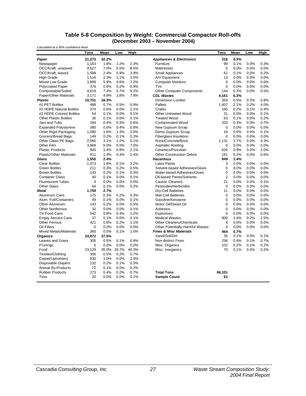#### **Table 5-8 Composition by Weight: Commercial Compactor Roll-offs (December 2003 – November 2004)**

| Calculated at a 90% confidence level |                |             |      |       |                                     |                |         |      |      |
|--------------------------------------|----------------|-------------|------|-------|-------------------------------------|----------------|---------|------|------|
|                                      | Tons           | Mean        | Low  | High  |                                     | Tons           | Mean    | Low  | High |
| Paper                                | 21,273         | 32.2%       |      |       | <b>Appliances &amp; Electronics</b> | 316            | 0.5%    |      |      |
| Newspaper                            | 1,163          | 1.8%        | 1.2% | 2.3%  | Furniture                           | 99             | 0.1%    | 0.0% | 0.3% |
| OCC/Kraft, unwaxed                   | 4,627          | 7.0%        | 5.5% | 8.5%  | <b>Mattresses</b>                   | $\mathbf 0$    | 0.0%    | 0.0% | 0.0% |
| OCC/Kraft, waxed                     | 1.599          | 2.4%        | 0.9% | 3.9%  | <b>Small Appliances</b>             | 61             | 0.1%    | 0.0% | 0.2% |
| <b>High Grade</b>                    | 1,516          | 2.3%        | 1.1% | 3.5%  | A/V Equipment                       | 13             | 0.0%    | 0.0% | 0.0% |
| <b>Mixed Low Grade</b>               | 3,899          | 5.9%        | 4.6% | 7.2%  | <b>Computer Monitors</b>            | $\mathbf 0$    | 0.0%    | 0.0% | 0.0% |
| <b>Polycoated Paper</b>              | 379            | 0.6%        | 0.2% | 0.9%  | <b>TVs</b>                          | $\mathbf 0$    | 0.0%    | 0.0% | 0.0% |
| Compostable/Soiled                   | 4,919          | 7.4%        | 5.7% | 9.2%  | <b>Other Computer Components</b>    | 144            | 0.2%    | 0.0% | 0.5% |
| <b>Paper/Other Materials</b>         | 3,171          | 4.8%        | 1.8% | 7.8%  | <b>CDL Wastes</b>                   | 4,161          | 6.3%    |      |      |
| <b>Plastic</b>                       | 10.751         | 16.3%       |      |       | <b>Dimension Lumber</b>             | 359            | 0.5%    | 0.3% | 0.8% |
| #1 PET Bottles                       | 488            | 0.7%        | 0.5% | 0.9%  | Pallets                             | 1,407          | 2.1%    | 0.2% | 4.0% |
| #2 HDPE Natural Bottles              | 374            | 0.6%        | 0.0% | 1.1%  | Crates                              | 160            | 0.2%    | 0.1% | 0.4% |
| #2 HDPE Colored Bottles              | 54             | 0.1%        | 0.0% | 0.1%  | <b>Other Untreated Wood</b>         | 31             | 0.0%    | 0.0% | 0.1% |
| <b>Other Plastic Bottles</b>         | 36             | 0.1%        | 0.0% | 0.1%  | <b>Treated Wood</b>                 | 63             | 0.1%    | 0.0% | 0.2% |
| Jars and Tubs                        | 294            | 0.4%        | 0.3% | 0.6%  | <b>Contaminated Wood</b>            | 203            | 0.3%    | 0.0% | 0.7% |
| <b>Expanded Polystyrene</b>          | 380            | 0.6%        | 0.4% | 0.8%  | New Gypsum Scrap                    | $\mathbf{0}$   | $0.0\%$ | 0.0% | 0.0% |
| Other Rigid Packaging                | 1,090          | 1.6%        | 1.3% | 2.0%  | Demo Gypsum Scrap                   | 19             | 0.0%    | 0.0% | 0.1% |
| Grocery/Bread Bags                   | 149            | 0.2%        | 0.1% | 0.3%  | <b>Fiberglass Insulation</b>        | $\mathbf 0$    | 0.0%    | 0.0% | 0.0% |
| Other Clean PE Bags                  | 2.060          | 3.1%        | 1.2% | 5.1%  | Rock/Concrete/Brick                 | 1,131          | 1.7%    | 0.0% | 4.3% |
| Other Film                           | 3,969          | 6.0%        | 5.0% | 7.0%  | Asphaltic Roofing                   | 0              | 0.0%    | 0.0% | 0.0% |
| <b>Plastic Products</b>              | 945            | 1.4%        | 0.8% | 2.1%  | Ceramics/Porcelain                  | 626            | 0.9%    | 0.0% | 2.0% |
| <b>Plastic/Other Materials</b>       | 911            | 1.4%        | 0.4% | 2.4%  | <b>Other Construction Debris</b>    | 161            | 0.2%    | 0.0% | 0.6% |
| Glass                                | 1,555          | 2.4%        |      |       | <b>Hazardous</b>                    | 949            | 1.4%    |      |      |
| <b>Clear Bottles</b>                 | 1,073          | 1.6%        | 0.1% | 3.2%  | <b>Latex Paints</b>                 | 3              | 0.0%    | 0.0% | 0.0% |
| <b>Green Bottles</b>                 | 211            | 0.3%        | 0.2% | 0.5%  | Solvent-based Adhesives/Glues       | $\mathbf 0$    | 0.0%    | 0.0% | 0.0% |
| <b>Brown Bottles</b>                 | 143            | 0.2%        | 0.1% | 0.3%  | Water-based Adhesives/Glues         | 0              | 0.0%    | 0.0% | 0.0% |
| <b>Container Glass</b>               | 40             | 0.1%        | 0.0% | 0.1%  | <b>Oil-based Paints/Solvents</b>    | $\overline{2}$ | 0.0%    | 0.0% | 0.0% |
| <b>Fluorescent Tubes</b>             | $\overline{4}$ | 0.0%        | 0.0% | 0.0%  | <b>Caustic Cleaners</b>             | 21             | 0.0%    | 0.0% | 0.1% |
| <b>Other Glass</b>                   | 84             | 0.1%        | 0.0% | 0.2%  | Pesticides/Herbicides               | 0              | 0.0%    | 0.0% | 0.0% |
| Metal                                | 1,759          | 2.7%        |      |       | Dry-Cell Batteries                  | 11             | $0.0\%$ | 0.0% | 0.0% |
| Aluminum Cans                        | 175            | 0.3%        | 0.2% | 0.3%  | <b>Wet-Cell Batteries</b>           | $\mathbf 0$    | 0.0%    | 0.0% | 0.0% |
| Alum. Foil/Containers                | 49             | 0.1%        | 0.0% | 0.1%  | Gasoline/Kerosene                   | 0              | 0.0%    | 0.0% | 0.0% |
| Other Aluminum                       | 143            | 0.2%        | 0.0% | 0.5%  | Motor Oil/Diesel Oil                | $\mathbf 0$    | 0.0%    | 0.0% | 0.0% |
| <b>Other Nonferrous</b>              | 32             | 0.0%        | 0.0% | 0.1%  | Asbestos                            | $\Omega$       | 0.0%    | 0.0% | 0.0% |
| <b>Tin Food Cans</b>                 | 542            | 0.8%        | 0.4% | 1.2%  | Explosives                          | 0              | 0.0%    | 0.0% | 0.0% |
| <b>Empty Aerosol Cans</b>            | 37             | 0.1%        | 0.0% | 0.1%  | <b>Medical Wastes</b>               | 909            | 1.4%    | 0.2% | 2.5% |
| <b>Other Ferrous</b>                 | 421            | 0.6%        | 0.2% | 1.1%  | <b>Other Cleaners/Chemicals</b>     | 4              | 0.0%    | 0.0% | 0.0% |
| Oil Filters                          | $\mathbf 0$    | 0.0%        | 0.0% | 0.0%  | Other Potentially Harmful Wastes    | $\pmb{0}$      | $0.0\%$ | 0.0% | 0.0% |
| <b>Mixed Metals/Materials</b>        | 360            | 0.5%        | 0.1% | 1.0%  | <b>Fines &amp; Misc Materials</b>   | 464            | 0.7%    |      |      |
| <b>Organics</b>                      | 24,872         | 37.6%       |      |       | Sand/Soil/Dirt                      | 35             | 0.1%    | 0.0% | 0.1% |
| Leaves and Grass                     | 305            | 0.5%        | 0.1% | 0.8%  | <b>Non-distinct Fines</b>           | 256            | 0.4%    | 0.1% | 0.7% |
| Prunings                             | 5              | 0.0%        | 0.0% | 0.0%  | Misc. Organics                      | 102            | 0.2%    | 0.1% | 0.2% |
| Food                                 | 23,129         | 35.0% 29.7% |      | 40.3% | Misc. Inorganics                    | 70             | 0.1%    | 0.0% | 0.2% |
| Textiles/Clothing                    | 306            | 0.5%        | 0.2% | 0.7%  |                                     |                |         |      |      |
| Carpet/Upholstery                    | 630            | 1.0%        | 0.0% | 2.0%  |                                     |                |         |      |      |
| <b>Disposable Diapers</b>            | 132            | 0.2%        | 0.1% | 0.3%  |                                     |                |         |      |      |
| Animal By-Products                   | 72             | 0.1%        | 0.0% | 0.2%  |                                     |                |         |      |      |
| <b>Rubber Products</b>               | 273            | 0.4%        | 0.2% | 0.7%  | <b>Total Tons</b>                   | 66,101         |         |      |      |
| Tires                                | 20             | 0.0%        | 0.0% | 0.1%  |                                     | 61             |         |      |      |
|                                      |                |             |      |       | <b>Sample Count</b>                 |                |         |      |      |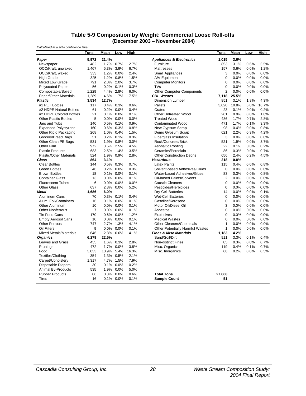#### **Table 5-9 Composition by Weight: Commercial Loose Roll-offs (December 2003 – November 2004)**

*Calculated at a 90% confidence level*

|                                | Tons           | Mean    | Low       | <b>High</b> |                                         | Tons           | Mean  | Low  | <b>High</b> |
|--------------------------------|----------------|---------|-----------|-------------|-----------------------------------------|----------------|-------|------|-------------|
| Paper                          | 5,972          | 21.4%   |           |             | <b>Appliances &amp; Electronics</b>     | 1,015          | 3.6%  |      |             |
| Newspaper                      | 482            |         | 1.7% 0.7% | 2.7%        | Furniture                               | 853            | 3.1%  | 0.6% | 5.5%        |
| OCC/Kraft, unwaxed             | 1.467          | 5.3%    | 3.9%      | 6.7%        | Mattresses                              | 157            | 0.6%  | 0.0% | 1.2%        |
| OCC/Kraft, waxed               | 333            | 1.2%    | 0.0%      | 2.4%        | <b>Small Appliances</b>                 | 3              | 0.0%  | 0.0% | 0.0%        |
| <b>High Grade</b>              | 325            | 1.2%    | 0.8%      | 1.5%        | A/V Equipment                           | $\mathbf 0$    | 0.0%  | 0.0% | 0.0%        |
| <b>Mixed Low Grade</b>         | 791            |         | 2.8% 2.0% | 3.7%        | <b>Computer Monitors</b>                | $\Omega$       | 0.0%  | 0.0% | 0.0%        |
| <b>Polycoated Paper</b>        | 56             | 0.2%    | 0.1%      | 0.3%        | <b>TVs</b>                              | $\Omega$       | 0.0%  | 0.0% | 0.0%        |
| Compostable/Soiled             | 1,229          | 4.4%    | 2.8%      | 6.0%        | <b>Other Computer Components</b>        | $\overline{2}$ | 0.0%  | 0.0% | 0.0%        |
| Paper/Other Materials          | 1,289          | 4.6%    | 1.7%      | 7.5%        | <b>CDL Wastes</b>                       | 7,118          | 25.5% |      |             |
| <b>Plastic</b>                 | 3,534          | 12.7%   |           |             | <b>Dimension Lumber</b>                 | 851            | 3.1%  | 1.8% | 4.3%        |
| #1 PET Bottles                 | 117            | 0.4%    | 0.3%      | 0.6%        | Pallets                                 | 3,020          | 10.8% | 5.0% | 16.7%       |
| #2 HDPE Natural Bottles        | 61             | 0.2%    | 0.0%      | 0.4%        | Crates                                  | 23             | 0.1%  | 0.0% | 0.2%        |
| #2 HDPE Colored Bottles        | 21             |         | 0.1% 0.0% | 0.1%        | <b>Other Untreated Wood</b>             | 261            | 0.9%  | 0.0% | 1.8%        |
| <b>Other Plastic Bottles</b>   | 5              |         | 0.0% 0.0% | 0.0%        | <b>Treated Wood</b>                     | 486            | 1.7%  | 0.7% | 2.8%        |
| Jars and Tubs                  | 140            |         | 0.5% 0.1% | 0.9%        | <b>Contaminated Wood</b>                | 471            | 1.7%  | 0.1% | 3.3%        |
| <b>Expanded Polystyrene</b>    | 160            |         | 0.6% 0.3% | 0.8%        | New Gypsum Scrap                        | 98             | 0.4%  | 0.0% | 0.8%        |
| Other Rigid Packaging          | 268            |         | 1.0% 0.4% | 1.5%        | Demo Gypsum Scrap                       | 621            | 2.2%  | 0.3% | 4.2%        |
| Grocery/Bread Bags             | 51             | 0.2%    | 0.1%      | 0.3%        | <b>Fiberglass Insulation</b>            | 3              | 0.0%  | 0.0% | 0.0%        |
| Other Clean PE Bags            | 531            | 1.9%    | 0.8%      | 3.0%        | Rock/Concrete/Brick                     | 521            | 1.9%  | 0.0% | 3.7%        |
| Other Film                     | 972            | 3.5%    | 2.5%      | 4.5%        | Asphaltic Roofing                       | 22             | 0.1%  | 0.0% | 0.2%        |
| <b>Plastic Products</b>        | 683            | 2.5%    | 1.4%      | 3.5%        | Ceramics/Porcelain                      | 86             | 0.3%  | 0.0% | 0.7%        |
| <b>Plastic/Other Materials</b> | 524            | 1.9%    | 0.9%      | 2.8%        | <b>Other Construction Debris</b>        | 656            | 2.4%  | 0.2% | 4.5%        |
| Glass                          | 864            | 3.1%    |           |             | <b>Hazardous</b>                        | 218            | 0.8%  |      |             |
| <b>Clear Bottles</b>           | 144            | 0.5%    | 0.3%      | 0.7%        | <b>Latex Paints</b>                     | 115            | 0.4%  | 0.0% | 0.8%        |
| <b>Green Bottles</b>           | 46             | 0.2%    | 0.0%      | 0.3%        | Solvent-based Adhesives/Glues           | $\mathbf 0$    | 0.0%  | 0.0% | 0.0%        |
| <b>Brown Bottles</b>           | 18             | 0.1%    | 0.0%      | 0.1%        | Water-based Adhesives/Glues             | 83             | 0.3%  | 0.0% | 0.8%        |
| <b>Container Glass</b>         | 13             | 0.0%    | 0.0%      | 0.1%        | Oil-based Paints/Solvents               | $\overline{2}$ | 0.0%  | 0.0% | 0.0%        |
| <b>Fluorescent Tubes</b>       | 6              | $0.0\%$ | 0.0%      | 0.0%        | <b>Caustic Cleaners</b>                 | $\mathbf 0$    | 0.0%  | 0.0% | 0.0%        |
| <b>Other Glass</b>             | 637            |         | 2.3% 0.0% | 5.2%        | Pesticides/Herbicides                   | $\mathbf 0$    | 0.0%  | 0.0% | 0.0%        |
| <b>Metal</b>                   | 1,686          | 6.0%    |           |             | Dry-Cell Batteries                      | 14             | 0.0%  | 0.0% | 0.1%        |
| Aluminum Cans                  | 70             | 0.3%    | 0.1%      | 0.4%        | <b>Wet-Cell Batteries</b>               | $\mathbf 0$    | 0.0%  | 0.0% | 0.0%        |
| Alum. Foil/Containers          | 16             | 0.1%    | 0.0%      | 0.1%        | Gasoline/Kerosene                       | $\mathbf 0$    | 0.0%  | 0.0% | 0.0%        |
| Other Aluminum                 | 10             | 0.0%    | 0.0%      | 0.1%        | Motor Oil/Diesel Oil                    | 3              | 0.0%  | 0.0% | 0.0%        |
| <b>Other Nonferrous</b>        | $\overline{7}$ | $0.0\%$ | 0.0%      | 0.1%        | Asbestos                                | $\mathbf 0$    | 0.0%  | 0.0% | 0.0%        |
| <b>Tin Food Cans</b>           | 170            | 0.6%    | 0.0%      | 1.2%        | Explosives                              | $\mathbf 0$    | 0.0%  | 0.0% | 0.0%        |
| <b>Empty Aerosol Cans</b>      | 10             | 0.0%    | 0.0%      | 0.1%        | <b>Medical Wastes</b>                   | $\mathbf 0$    | 0.0%  | 0.0% | 0.0%        |
| <b>Other Ferrous</b>           | 747            | 2.7%    | 1.3%      | 4.1%        | <b>Other Cleaners/Chemicals</b>         | $\mathbf{1}$   | 0.0%  | 0.0% | 0.0%        |
| Oil Filters                    | 9              | 0.0%    | 0.0%      | 0.1%        | <b>Other Potentially Harmful Wastes</b> | $\mathbf{1}$   | 0.0%  | 0.0% | 0.0%        |
| <b>Mixed Metals/Materials</b>  | 646            |         | 2.3% 0.6% | 4.1%        | <b>Fines &amp; Misc Materials</b>       | 1,183          | 4.2%  |      |             |
| <b>Organics</b>                | 6,279          | 22.5%   |           |             | Sand/Soil/Dirt                          | 911            | 3.3%  | 0.1% | 6.4%        |
| Leaves and Grass               | 435            |         | 1.6% 0.3% | 2.8%        | <b>Non-distinct Fines</b>               | 85             | 0.3%  | 0.0% | 0.7%        |
| Prunings                       | 472            | 1.7%    | 0.0%      | 3.8%        | Misc. Organics                          | 119            | 0.4%  | 0.1% | 0.7%        |
| Food                           | 3,033          | 10.9%   | 5.4%      | 16.3%       | Misc. Inorganics                        | 68             | 0.2%  | 0.0% | 0.5%        |
| <b>Textiles/Clothing</b>       | 354            | 1.3%    | 0.5%      | 2.1%        |                                         |                |       |      |             |
| Carpet/Upholstery              | 1.317          | 4.7%    | 1.5%      | 7.9%        |                                         |                |       |      |             |
| <b>Disposable Diapers</b>      | 30             | 0.1%    | 0.0%      | 0.2%        |                                         |                |       |      |             |
| <b>Animal By-Products</b>      | 535            |         | 1.9% 0.0% | 5.0%        |                                         |                |       |      |             |
| <b>Rubber Products</b>         | 86             | 0.3%    | 0.0%      | 0.6%        | <b>Total Tons</b>                       | 27,868         |       |      |             |
| Tires                          | 16             |         | 0.1% 0.0% | 0.1%        | <b>Sample Count</b>                     | 51             |       |      |             |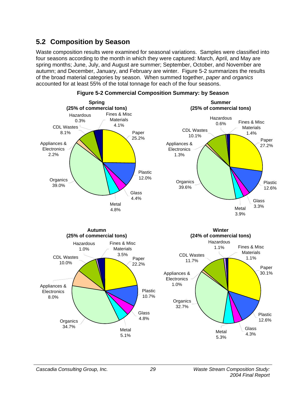# **5.2 Composition by Season**

Waste composition results were examined for seasonal variations. Samples were classified into four seasons according to the month in which they were captured: March, April, and May are spring months; June, July, and August are summer; September, October, and November are autumn; and December, January, and February are winter. Figure 5-2 summarizes the results of the broad material categories by season. When summed together, *paper* and *organics* accounted for at least 55% of the total tonnage for each of the four seasons.



#### **Figure 5-2 Commercial Composition Summary: by Season**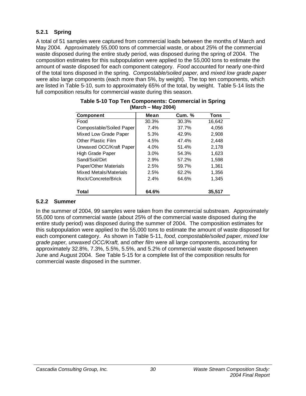## **5.2.1 Spring**

A total of 51 samples were captured from commercial loads between the months of March and May 2004. Approximately 55,000 tons of commercial waste, or about 25% of the commercial waste disposed during the entire study period, was disposed during the spring of 2004. The composition estimates for this subpopulation were applied to the 55,000 tons to estimate the amount of waste disposed for each component category. *Food* accounted for nearly one-third of the total tons disposed in the spring. *Compostable/soiled paper,* and *mixed low grade paper* were also large components (each more than 5%, by weight). The top ten components, which are listed in Table 5-10, sum to approximately 65% of the total, by weight. Table 5-14 lists the full composition results for commercial waste during this season.

| <b>Component</b>          | Mean    | <b>Cum. %</b> | <b>Tons</b> |
|---------------------------|---------|---------------|-------------|
| Food                      | 30.3%   | 30.3%         | 16,642      |
| Compostable/Soiled Paper  | 7.4%    | 37.7%         | 4,056       |
| Mixed Low Grade Paper     | 5.3%    | 42.9%         | 2,908       |
| <b>Other Plastic Film</b> | 4.5%    | 47.4%         | 2.448       |
| Unwaxed OCC/Kraft Paper   | 4.0%    | 51.4%         | 2,178       |
| High Grade Paper          | $3.0\%$ | 54.3%         | 1,623       |
| Sand/Soil/Dirt            | 2.9%    | 57.2%         | 1,598       |
| Paper/Other Materials     | 2.5%    | 59.7%         | 1,361       |
| Mixed Metals/Materials    | 2.5%    | 62.2%         | 1,356       |
| Rock/Concrete/Brick       | 2.4%    | 64.6%         | 1,345       |
| Total                     | 64.6%   |               | 35.517      |

| Table 5-10 Top Ten Components: Commercial in Spring |  |
|-----------------------------------------------------|--|
| (March – May 2004)                                  |  |

## **5.2.2 Summer**

In the summer of 2004, 99 samples were taken from the commercial substream. Approximately 55,000 tons of commercial waste (about 25% of the commercial waste disposed during the entire study period) was disposed during the summer of 2004. The composition estimates for this subpopulation were applied to the 55,000 tons to estimate the amount of waste disposed for each component category. As shown in Table 5-11, *food, compostable/soiled paper, mixed low grade paper, unwaxed OCC/Kraft,* and *other film* were all large components, accounting for approximately 32.8%, 7.3%, 5.5%, 5.5%, and 5.2% of commercial waste disposed between June and August 2004. See Table 5-15 for a complete list of the composition results for commercial waste disposed in the summer.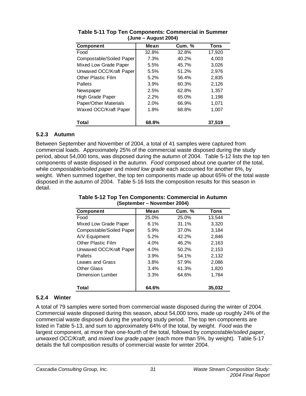| <b>Component</b>          | Mean  | <b>Cum. %</b> | Tons   |
|---------------------------|-------|---------------|--------|
| Food                      | 32.8% | 32.8%         | 17,920 |
| Compostable/Soiled Paper  | 7.3%  | 40.2%         | 4,003  |
| Mixed Low Grade Paper     | 5.5%  | 45.7%         | 3,026  |
| Unwaxed OCC/Kraft Paper   | 5.5%  | 51.2%         | 2,976  |
| <b>Other Plastic Film</b> | 5.2%  | 56.4%         | 2,835  |
| Pallets                   | 3.9%  | 60.3%         | 2,126  |
| Newspaper                 | 2.5%  | 62.8%         | 1,357  |
| High Grade Paper          | 2.2%  | 65.0%         | 1.198  |
| Paper/Other Materials     | 2.0%  | 66.9%         | 1,071  |
| Waxed OCC/Kraft Paper     | 1.8%  | 68.8%         | 1,007  |
| Total                     | 68.8% |               | 37,519 |

| Table 5-11 Top Ten Components: Commercial in Summer |  |
|-----------------------------------------------------|--|
| (June – August 2004)                                |  |

## **5.2.3 Autumn**

Between September and November of 2004, a total of 41 samples were captured from commercial loads. Approximately 25% of the commercial waste disposed during the study period, about 54,000 tons, was disposed during the autumn of 2004. Table 5-12 lists the top ten components of waste disposed in the autumn. *Food* composed about one quarter of the total, while *compostable/soiled paper* and *mixed low grade* each accounted for another 6%, by weight. When summed together, the top ten components made up about 65% of the total waste disposed in the autumn of 2004. Table 5-16 lists the composition results for this season in detail.

| <b>Component</b>         | Mean    | <b>Cum. %</b> | Tons   |
|--------------------------|---------|---------------|--------|
| Food                     | 25.0%   | 25.0%         | 13,544 |
| Mixed Low Grade Paper    | 6.1%    | 31.1%         | 3,320  |
| Compostable/Soiled Paper | 5.9%    | 37.0%         | 3,184  |
| A/V Equipment            | 5.2%    | 42.2%         | 2,846  |
| Other Plastic Film       | $4.0\%$ | 46.2%         | 2,163  |
| Unwaxed OCC/Kraft Paper  | $4.0\%$ | 50.2%         | 2,153  |
| Pallets                  | 3.9%    | 54.1%         | 2,132  |
| Leaves and Grass         | 3.8%    | 57.9%         | 2,086  |
| <b>Other Glass</b>       | $3.4\%$ | 61.3%         | 1,820  |
| Dimension Lumber         | 3.3%    | 64.6%         | 1,784  |
| Total                    | 64.6%   |               | 35,032 |

#### **Table 5-12 Top Ten Components: Commercial in Autumn (September – November 2004)**

## **5.2.4 Winter**

A total of 79 samples were sorted from commercial waste disposed during the winter of 2004. Commercial waste disposed during this season, about 54,000 tons, made up roughly 24% of the commercial waste disposed during the yearlong study period. The top ten components are listed in Table 5-13, and sum to approximately 64% of the total, by weight. *Food* was the largest component, at more than one-fourth of the total, followed by *compostable/soiled paper*, *unwaxed OCC/Kraft*, and *mixed low grade paper* (each more than 5%, by weight). Table 5-17 details the full composition results of commercial waste for winter 2004.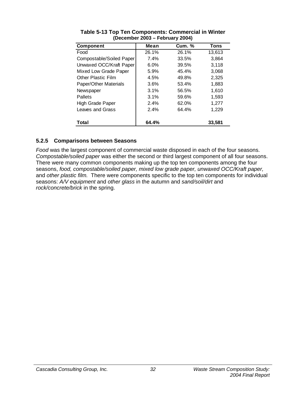| <b>Component</b>          | Mean    | <b>Cum.</b> % | Tons   |
|---------------------------|---------|---------------|--------|
| Food                      | 26.1%   | 26.1%         | 13,613 |
| Compostable/Soiled Paper  | 7.4%    | 33.5%         | 3,864  |
| Unwaxed OCC/Kraft Paper   | $6.0\%$ | 39.5%         | 3,118  |
| Mixed Low Grade Paper     | 5.9%    | 45.4%         | 3,068  |
| <b>Other Plastic Film</b> | 4.5%    | 49.8%         | 2,325  |
| Paper/Other Materials     | 3.6%    | 53.4%         | 1,883  |
| Newspaper                 | 3.1%    | 56.5%         | 1,610  |
| Pallets                   | 3.1%    | 59.6%         | 1,593  |
| High Grade Paper          | 2.4%    | 62.0%         | 1,277  |
| Leaves and Grass          | 2.4%    | 64.4%         | 1,229  |
|                           |         |               |        |
| Total                     | 64.4%   |               | 33,581 |

**Table 5-13 Top Ten Components: Commercial in Winter (December 2003 – February 2004)** 

## **5.2.5 Comparisons between Seasons**

*Food* was the largest component of commercial waste disposed in each of the four seasons. *Compostable/soiled paper* was either the second or third largest component of all four seasons. There were many common components making up the top ten components among the four seasons, *food, compostable/soiled paper, mixed low grade paper, unwaxed OCC/Kraft paper,*  and *other plastic film.* There were components specific to the top ten components for individual seasons: *A/V equipment* and *other glass* in the autumn and *sand/soil/dirt* and *rock/concrete/brick* in the spring.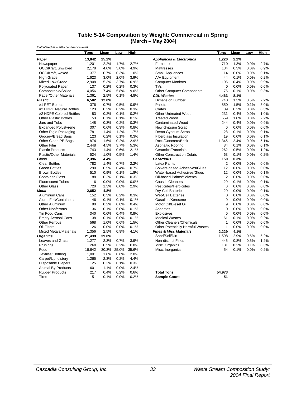#### **Table 5-14 Composition by Weight: Commercial in Spring (March – May 2004)**

*Calculated at a 90% confidence level* **Tons Mean Low High Tons Mean Low High** *Paper* **13,842 25.2%** *Appliances & Electronics* **1,220 2.2%** Newspaper 1,201 2.2% 1.7% 2.7% Furniture 710 1.3% 0.0% 2.7% OCC/Kraft, unwaxed 2,178 4.0% 3.0% 4.9% Mattresses 184 0.3% 0.0% 0.9% OCC/Kraft, waxed 377 0.7% 0.3% 1.0% Small Appliances 14 0.0% 0.0% 0.1% High Grade 1,623 3.0% 2.0% 3.9% A/V Equipment 44 0.1% 0.0% 0.2% Mixed Low Grade 2,908 5.3% 3.7% 6.9% Computer Monitors 195 0.4% 0.0% 0.9% Polycoated Paper 137 0.2% 0.2% 0.3% TVs 0 0.0% 0.0% 0.0% Compostable/Soiled 4,056 7.4% 5.8% 9.0% Other Computer Components 75 0.1% 0.0% 0.3%<br>Paper/Other Materials 1.361 2.5% 0.1% 4.8% CDL Wastes 4.463 8.1% 8.1% Paper/Other Materials 1,361 2.5% 0.1% 4.8% *CDL Wastes* **4,463 8.1%** *Plastic* **6,582 12.0%** Dimension Lumber 740 1.3% 0.5% 2.2% #1 PET Bottles 376 0.7% 0.5% 0.9% Pallets 850 1.5% 0.1% 3.0% #2 HDPE Natural Bottles 123 0.2% 0.2% 0.3% Crates 89 0.2% 0.0% 0.3% #2 HDPE Colored Bottles 83 0.2% 0.1% 0.2% Other Untreated Wood 231 0.4% 0.0% 1.0% Other Plastic Bottles 53 0.1% 0.1% 0.1% Treated Wood 559 1.0% 0.0% 2.2% Jars and Tubs 148 0.3% 0.2% 0.3% Contaminated Wood 244 0.4% 0.0% 0.9% Expanded Polystyrene 307 0.6% 0.3% 0.8% New Gypsum Scrap 0 0.0% 0.0% 0.0% 0.0% Other Rigid Packaging 781 1.4% 1.2% 1.7% Demo Gypsum Scrap 28 0.1% 0.0% 0.1% Grocery/Bread Bags 123 0.2% 0.1% 0.3% Fiberglass Insulation 19 0.0% 0.0% 0.1% Other Clean PE Bags 874 1.6% 0.2% 2.9% Rock/Concrete/Brick 1,345 2.4% 0.0% 5.1% Other Film 2,448 4.5% 3.7% 5.3% Asphaltic Roofing 34 0.1% 0.0% 0.1% Plastic Products **743** 1.4% 0.6% 2.1% Ceramics/Porcelain 262 0.5% 0.0% 1.2% <br>Plastic/Other Materials 524 1.0% 0.5% 1.4% Other Construction Debris 63 0.1% 0.0% 0.2% Plastic/Other Materials 524 1.0% 0.5% 1.4% Other Construction Debris 63 0.1% 0.0% 0.2% *Glass* **2,396 4.4%** *Hazardous* **150 0.3%** Clear Bottles 782 1.4% 0.7% 2.2% Latex Paints 2 0.0% 0.0% 0.0% Green Bottles 290 0.5% 0.4% 0.7% Solvent-based Adhesives/Glues 12 0.0% 0.0% 0.0% Brown Bottles 510 0.9% 0.1% 1.8% Water-based Adhesives/Glues 12 0.0% 0.0% 0.1% Container Glass 88 0.2% 0.1% 0.3% Oil-based Paints/Solvents 2 0.0% 0.0% 0.0% Fluorescent Tubes 6 0.0% 0.0% 0.0% Caustic Cleaners 29 0.1% 0.0% 0.1% Other Glass 720 1.3% 0.0% 2.9% Pesticides/Herbicides 0 0.0% 0.0% 0.0% *Metal* **2,652 4.8%** Dry-Cell Batteries 20 0.0% 0.0% 0.1% Aluminum Cans 152 0.3% 0.2% 0.3% Wet-Cell Batteries 0 0.0% 0.0% 0.0% Alum. Foil/Containers 46 0.1% 0.1% 0.1% Gasoline/Kerosene 0 0.0% 0.0% 0.0% Other Aluminum 90 0.2% 0.0% 0.4% Motor Oil/Diesel Oil 9 0.0% 0.0% 0.0% Other Nonferrous Tin Food Cans 340 0.6% 0.4% 0.8% Explosives 0 0.0% 0.0% 0.0% Empty Aerosol Cans 38 0.1% 0.0% 0.1% Medical Wastes 61 0.1% 0.0% 0.2% Other Ferrous 568 1.0% 0.6% 1.5% Other Cleaners/Chemicals 1 0.0% 0.0% 0.0% Oil Filters 26 0.0% 0.0% 0.1% Other Potentially Harmful Wastes 1 0.0% 0.0% 0.0% Mixed Metals/Materials 1,356 2.5% 0.9% 4.1% *Fines & Misc Materials* **2,229 4.1%** *Organics* **21,439 39.0%** Sand/Soil/Dirt 1,598 2.9% 0.6% 5.2% Leaves and Grass 1,277 2.3% 0.7% 3.9% Non-distinct Fines 445 0.8% 0.5% 1.2% Prunings 260 0.5% 0.2% 0.8% Misc. Organics 131 0.2% 0.1% 0.3% Food 16,642 30.3% 25.0% 35.6% Misc. Inorganics 54 0.1% 0.0% 0.2% Textiles/Clothing 1,001 1.8% 0.8% 2.8%<br>Carpet/Upholstery 1.265 2.3% 0.2% 4.4% Carpet/Upholstery 1,265 2.3% 0.2% 4.4%<br>Disposable Dianers 125 0.2% 0.1% 0.3% Disposable Diapers 125 0.2% Animal By-Products 601 1.1% 0.0% 2.4% Rubber Products 217 0.4% 0.2% 0.6% **Total Tons 54,973** Tires 51 0.1% 0.0% 0.2% **Sample Count 51**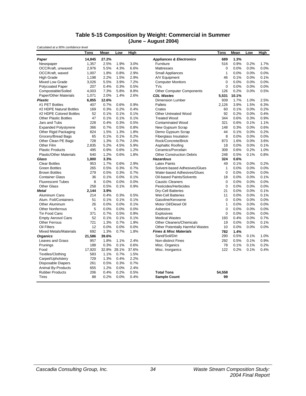#### **Table 5-15 Composition by Weight: Commercial in Summer (June – August 2004)**

*Calculated at a 90% confidence level* **Tons Mean Low High Tons Mean Low High** *Paper* **14,845 27.2%** *Appliances & Electronics* **689 1.3%** Newspaper 1,357 2.5% 1.9% 3.0% Furniture 516 0.9% 0.2% 1.7% OCC/Kraft, unwaxed 2,976 5.5% 4.3% 6.6% Mattresses 0 0.0% 0.0% 0.0% OCC/Kraft, waxed 1,007 1.8% 0.8% 2.9% Small Appliances 1 0.0% 0.0% 0.0% High Grade 1,198 2.2% 1.5% 2.9% A/V Equipment 46 0.1% 0.0% 0.1% Mixed Low Grade 3,026 5.5% 3.9% 7.2% Computer Monitors 0 0.0% 0.0% 0.0% Polycoated Paper 207 0.4% 0.3% 0.5% TVs 0 0.0% 0.0% 0.0% Compostable/Soiled 4,003 7.3% 5.8% 8.8% Other Computer Components 126 0.2% 0.0% 0.5%<br>Paper/Other Materials 1.071 2.0% 1.4% 2.6% CDI Wastes 5.531 1.01% 5.531 10.1% Paper/Other Materials 1,071 2.0% 1.4% 2.6% *CDL Wastes* **5,531 10.1% Plastic 6,855 12.6%** Dimension Lumber 939 1.7% 1.0% 2.5%<br>  $\#$ 1 PET Bottles 407 0.7% 0.6% 0.9% Pallets 9 2.126 3.9% 1.5% 6.3% #1 PET Bottles 407 0.7% 0.6% 0.9% Pallets 2,126 3.9% 1.5% 6.3% #2 HDPE Natural Bottles 169 0.3% 0.2% 0.4% Crates 60 0.1% 0.0% 0.2% #2 HDPE Colored Bottles 52 0.1% 0.1% 0.1% Other Untreated Wood 92 0.2% 0.0% 0.4% Other Plastic Bottles 47 0.1% 0.1% 0.1% Treated Wood 344 0.6% 0.3% 0.9% Jars and Tubs 228 0.4% 0.3% 0.5% Contaminated Wood 321 0.6% 0.1% 1.1% Expanded Polystyrene 366 0.7% 0.5% 0.8% New Gypsum Scrap 148 0.3% 0.0% 0.6% Other Rigid Packaging 824 1.5% 1.3% 1.8% Demo Gypsum Scrap 44 0.1% 0.0% 0.2% Grocerv/Bread Bags 65 0.1% 0.1% 0.2% Fiberglass Insulation 8 0.0% 0.0% 0.0% 0.0% Other Clean PE Bags 728 1.3% 0.7% 2.0% Rock/Concrete/Brick 873 1.6% 0.0% 3.6% Other Film 2,835 5.2% 4.5% 5.9% Asphaltic Roofing 18 0.0% 0.0% 0.1% Asphaltic Roofing 18 0.0% 0.0% 0.1% 0.9% 1.1%<br>Plastic Products 195 0.9% 0.6% 1.2% Ceramics/Porcelain 309 0.6% 0.2% 1.0% Plastic Products **495** 0.9% 0.6% 1.2% Ceramics/Porcelain 309 0.6% 0.2% 1.0% 9.8% 0.5% 0.2% 1.0%<br>Plastic/Other Materials 640 1.2% 0.6% 1.8% Other Construction Debris 248 0.5% 0.1% 0.8% Plastic/Other Materials 640 1.2% 0.6% 1.8% Other Construction Debris 248 0.5% 0.1% 0.8% *Glass* **1,800 3.3%** *Hazardous* **324 0.6%** Clear Bottles 953 1.7% 0.6% 2.9% Latex Paints 49 0.1% 0.0% 0.2% Green Bottles 265 0.5% 0.3% 0.7% Solvent-based Adhesives/Glues 1 0.0% 0.0% 0.0% Brown Bottles 279 0.5% 0.3% 0.7% Water-based Adhesives/Glues 0 0.0% 0.0% 0.0% Container Glass 36 0.1% 0.0% 0.1% Oil-based Paints/Solvents 18 0.0% 0.0% 0.1% Fluorescent Tubes 8 0.0% 0.0% 0.0% Caustic Cleaners 0 0.0% 0.0% 0.0% Other Glass 258 0.5% 0.1% 0.9% Pesticides/Herbicides 0 0.0% 0.0% 0.0% *Metal* **2,144 3.9%** Dry-Cell Batteries 21 0.0% 0.0% 0.1% Aluminum Cans 214 0.4% 0.3% 0.5% Wet-Cell Batteries 11 0.0% 0.0% 0.1% Alum. Foil/Containers 51 0.1% 0.1% 0.1% Gasoline/Kerosene 0 0.0% 0.0% 0.0% Other Aluminum 26 0.0% 0.0% 0.1% Motor Oil/Diesel Oil 1 0.0% 0.0% 0.0% Other Nonferrous **5** 0.0% 0.0% 0.0% Asbestos<br>
Tin Food Cans 371 0.7% 0.5% 0.9% Explosives Tin Food Cans 371 0.7% 0.5% 0.9% Explosives 0 0.0% 0.0% 0.0% Empty Aerosol Cans 52 0.1% 0.1% 0.1% Medical Wastes 193 0.4% 0.0% 0.7% Other Ferrous 721 1.3% 0.7% 1.9% Other Cleaners/Chemicals 19 0.0% 0.0% 0.1% Oil Filters 12 0.0% 0.0% 0.0% Other Potentially Harmful Wastes 10 0.0% 0.0% 0.0% Mixed Metals/Materials 692 1.3% 0.7% 1.8% *Fines & Misc Materials* **782 1.4%** *Organics* **21,586 39.6%** Sand/Soil/Dirt 290 0.5% 0.1% 1.0% Leaves and Grass 957 1.8% 1.1% 2.4% Non-distinct Fines 292 0.5% 0.1% 0.9% Prunings 188 0.3% 0.1% 0.6% Misc. Organics 78 0.1% 0.1% 0.2% Food 17,920 32.8% 28.1% 37.6% Misc. Inorganics 122 0.2% 0.1% 0.4% Textiles/Clothing 583 1.1% 0.7% 1.5%<br>Carpet/Upholstery 729 1.3% 0.4% 2.2% Carpet/Upholstery 729 1.3% 0.4% 2.2%<br>Disposable Diapers 261 0.5% 0.3% 0.7% Disposable Diapers 261 Animal By-Products 655 1.2% 0.0% 2.4% Rubber Products 206 0.4% 0.2% 0.5% **Total Tons 54,558** Tires 88 0.2% 0.0% 0.4% **Sample Count 99**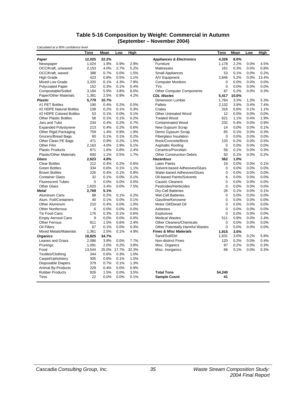#### **Table 5-16 Composition by Weight: Commercial in Autumn (September – November 2004)**

| Calculated at a 90% confidence level |             |             |      |       |                                     |             |       |      |       |
|--------------------------------------|-------------|-------------|------|-------|-------------------------------------|-------------|-------|------|-------|
|                                      | Tons        | Mean        | Low  | High  |                                     | Tons        | Mean  | Low  | High  |
| Paper                                | 12,025      | 22.2%       |      |       | <b>Appliances &amp; Electronics</b> | 4,326       | 8.0%  |      |       |
| Newspaper                            | 1,024       | 1.9%        | 0.9% | 2.9%  | Furniture                           | 1,178       | 2.2%  | 0.0% | 4.5%  |
| OCC/Kraft, unwaxed                   | 2,153       | 4.0%        | 2.7% | 5.2%  | <b>Mattresses</b>                   | 161         | 0.3%  | 0.0% | 0.8%  |
| OCC/Kraft, waxed                     | 388         | 0.7%        | 0.0% | 1.5%  | <b>Small Appliances</b>             | 53          | 0.1%  | 0.0% | 0.2%  |
| <b>High Grade</b>                    | 423         | 0.8%        | 0.5% | 1.1%  | A/V Equipment                       | 2.846       | 5.2%  | 0.0% | 13.4% |
| Mixed Low Grade                      | 3,320       | 6.1%        | 4.3% | 7.9%  | <b>Computer Monitors</b>            | 0           | 0.0%  | 0.0% | 0.0%  |
| <b>Polycoated Paper</b>              | 152         | 0.3%        | 0.1% | 0.4%  | TVs                                 | $\mathbf 0$ | 0.0%  | 0.0% | 0.0%  |
| Compostable/Soiled                   | 3.184       | 5.9%        | 3.8% | 8.0%  | <b>Other Computer Components</b>    | 87          | 0.2%  | 0.0% | 0.3%  |
| Paper/Other Materials                | 1,381       | 2.5%        | 0.9% | 4.2%  | <b>CDL Wastes</b>                   | 5,417       | 10.0% |      |       |
| <b>Plastic</b>                       | 5,779       | 10.7%       |      |       | <b>Dimension Lumber</b>             | 1,784       | 3.3%  | 1.3% | 5.3%  |
| #1 PET Bottles                       | 190         | 0.4%        | 0.2% | 0.5%  | Pallets                             | 2,132       | 3.9%  | 0.4% | 7.4%  |
| #2 HDPE Natural Bottles              | 108         | 0.2%        | 0.1% | 0.3%  | Crates                              | 316         | 0.6%  | 0.1% | 1.1%  |
| #2 HDPE Colored Bottles              | 53          | 0.1%        | 0.0% | 0.1%  | <b>Other Untreated Wood</b>         | 12          | 0.0%  | 0.0% | 0.0%  |
| <b>Other Plastic Bottles</b>         | 58          | 0.1%        | 0.1% | 0.2%  | <b>Treated Wood</b>                 | 621         | 1.1%  | 0.4% | 1.9%  |
| Jars and Tubs                        | 234         | 0.4%        | 0.2% | 0.7%  | <b>Contaminated Wood</b>            | 232         | 0.4%  | 0.0% | 0.9%  |
| <b>Expanded Polystyrene</b>          | 213         | 0.4%        | 0.2% | 0.6%  | New Gypsum Scrap                    | 14          | 0.0%  | 0.0% | 0.1%  |
| Other Rigid Packaging                | 759         | 1.4%        | 0.9% | 1.9%  | Demo Gypsum Scrap                   | 65          | 0.1%  | 0.0% | 0.3%  |
| Grocery/Bread Bags                   | 60          | 0.1%        | 0.1% | 0.2%  | <b>Fiberglass Insulation</b>        | 0           | 0.0%  | 0.0% | 0.0%  |
| Other Clean PE Bags                  | 471         | 0.9%        | 0.2% | 1.5%  | Rock/Concrete/Brick                 | 133         | 0.2%  | 0.0% | 0.5%  |
| Other Film                           | 2,163       | 4.0%        | 2.9% | 5.1%  | Asphaltic Roofing                   | 0           | 0.0%  | 0.0% | 0.0%  |
| <b>Plastic Products</b>              | 871         | 1.6%        | 0.8% | 2.4%  | Ceramics/Porcelain                  | 58          | 0.1%  | 0.0% | 0.3%  |
| <b>Plastic/Other Materials</b>       | 600         | 1.1%        | 0.5% | 1.7%  | <b>Other Construction Debris</b>    | 50          | 0.1%  | 0.0% | 0.2%  |
| Glass                                | 2,623       | 4.8%        |      |       | <b>Hazardous</b>                    | 562         | 1.0%  |      |       |
| <b>Clear Bottles</b>                 | 212         | 0.4%        | 0.2% | 0.6%  | <b>Latex Paints</b>                 | 16          | 0.0%  | 0.0% | 0.1%  |
| <b>Green Bottles</b>                 | 334         | 0.6%        | 0.1% | 1.1%  | Solvent-based Adhesives/Glues       | 0           | 0.0%  | 0.0% | 0.0%  |
| <b>Brown Bottles</b>                 | 226         | 0.4%        | 0.1% | 0.8%  | Water-based Adhesives/Glues         | $\mathbf 0$ | 0.0%  | 0.0% | 0.0%  |
| <b>Container Glass</b>               | 32          | 0.1%        | 0.0% | 0.1%  | <b>Oil-based Paints/Solvents</b>    | 6           | 0.0%  | 0.0% | 0.0%  |
| <b>Fluorescent Tubes</b>             | $\mathbf 0$ | 0.0%        | 0.0% | 0.0%  | <b>Caustic Cleaners</b>             | $\mathbf 0$ | 0.0%  | 0.0% | 0.0%  |
| <b>Other Glass</b>                   | 1,820       | 3.4%        | 0.0% | 7.5%  | Pesticides/Herbicides               | $\mathbf 0$ | 0.0%  | 0.0% | 0.0%  |
| <b>Metal</b>                         | 2.769       | 5.1%        |      |       | <b>Dry-Cell Batteries</b>           | 28          | 0.1%  | 0.0% | 0.1%  |
| Aluminum Cans                        | 88          | 0.2%        | 0.1% | 0.2%  | <b>Wet-Cell Batteries</b>           | 0           | 0.0%  | 0.0% | 0.0%  |
| Alum. Foil/Containers                | 40          | 0.1%        | 0.0% | 0.1%  | Gasoline/Kerosene                   | 0           | 0.0%  | 0.0% | 0.0%  |
| <b>Other Aluminum</b>                | 210         | 0.4%        | 0.0% | 1.0%  | Motor Oil/Diesel Oil                | $\mathbf 0$ | 0.0%  | 0.0% | 0.0%  |
| <b>Other Nonferrous</b>              | 6           | 0.0%        | 0.0% | 0.0%  | Asbestos                            | $\mathbf 0$ | 0.0%  | 0.0% | 0.0%  |
| Tin Food Cans                        | 176         | 0.3%        | 0.1% | 0.6%  | Explosives                          | $\mathbf 0$ | 0.0%  | 0.0% | 0.0%  |
| <b>Empty Aerosol Cans</b>            | 9           | 0.0%        | 0.0% | 0.0%  | <b>Medical Wastes</b>               | 511         | 0.9%  | 0.0% | 2.4%  |
| <b>Other Ferrous</b>                 | 811         | 1.5%        | 0.6% | 2.4%  | <b>Other Cleaners/Chemicals</b>     | $\mathbf 0$ | 0.0%  | 0.0% | 0.0%  |
| Oil Filters                          | 67          | 0.1%        | 0.0% | 0.3%  | Other Potentially Harmful Wastes    | 0           | 0.0%  | 0.0% | 0.0%  |
| <b>Mixed Metals/Materials</b>        | 1,361       | 2.5%        | 0.1% | 4.9%  | <b>Fines &amp; Misc Materials</b>   | 1,915       | 3.5%  |      |       |
| <b>Organics</b>                      | 18,825      | 34.7%       |      |       | Sand/Soil/Dirt                      | 1,631       | 3.0%  | 0.2% | 5.8%  |
| Leaves and Grass                     | 2,086       | 3.8%        | 0.0% | 7.7%  | Non-distinct Fines                  | 120         | 0.2%  | 0.0% | 0.4%  |
| Prunings                             | 1,091       | 2.0%        | 0.2% | 3.8%  | Misc. Organics                      | 97          | 0.2%  | 0.0% | 0.3%  |
| Food                                 | 13,544      | 25.0% 17.7% |      | 32.3% | Misc. Inorganics                    | 66          | 0.1%  | 0.0% | 0.3%  |
| Textiles/Clothing                    | 344         | 0.6%        | 0.3% | 1.0%  |                                     |             |       |      |       |
| Carpet/Upholstery                    | 305         | 0.6%        | 0.1% | 1.0%  |                                     |             |       |      |       |
| <b>Disposable Diapers</b>            | 379         | 0.7%        | 0.1% | 1.3%  |                                     |             |       |      |       |
| <b>Animal By-Products</b>            | 229         | 0.4%        | 0.0% | 0.9%  |                                     |             |       |      |       |
| <b>Rubber Products</b>               | 826         | 1.5%        | 0.0% | 3.5%  | <b>Total Tons</b>                   | 54.240      |       |      |       |
| <b>Tires</b>                         | 22          | 0.0%        | 0.0% | 0.1%  | <b>Sample Count</b>                 | 41          |       |      |       |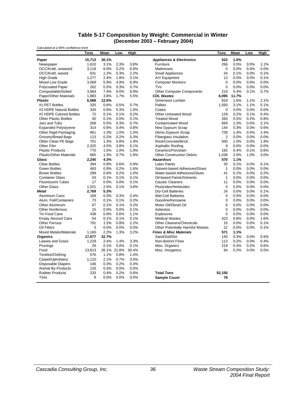#### **Table 5-17 Composition by Weight: Commercial in Winter (December 2003 – February 2004)**

| Calculated at a 90% confidence level |        |             |      |       |                                     |                |       |      |      |
|--------------------------------------|--------|-------------|------|-------|-------------------------------------|----------------|-------|------|------|
|                                      | Tons   | <b>Mean</b> | Low  | High  |                                     | Tons           | Mean  | Low  | High |
| Paper                                | 15,713 | 30.1%       |      |       | <b>Appliances &amp; Electronics</b> | 522            | 1.0%  |      |      |
| Newspaper                            | 1,610  | 3.1%        | 2.3% | 3.8%  | Furniture                           | 266            | 0.5%  | 0.0% | 1.1% |
| OCC/Kraft, unwaxed                   | 3.118  | 6.0%        | 5.2% | 6.8%  | <b>Mattresses</b>                   | $\Omega$       | 0.0%  | 0.0% | 0.0% |
| OCC/Kraft, waxed                     | 631    | 1.2%        | 0.3% | 2.2%  | <b>Small Appliances</b>             | 34             | 0.1%  | 0.0% | 0.1% |
| <b>High Grade</b>                    | 1,277  | 2.4%        | 1.8% | 3.1%  | A/V Equipment                       | 12             | 0.0%  | 0.0% | 0.1% |
| Mixed Low Grade                      | 3,068  | 5.9%        | 4.9% | 6.9%  | <b>Computer Monitors</b>            | $\mathbf 0$    | 0.0%  | 0.0% | 0.0% |
| <b>Polycoated Paper</b>              | 262    | 0.5%        | 0.3% | 0.7%  | TVS                                 | 0              | 0.0%  | 0.0% | 0.0% |
| Compostable/Soiled                   | 3,864  | 7.4%        | 6.0% | 8.9%  | <b>Other Computer Components</b>    | 210            | 0.4%  | 0.1% | 0.7% |
| Paper/Other Materials                | 1,883  | 3.6%        | 1.7% | 5.5%  | <b>CDL Wastes</b>                   | 6,095          | 11.7% |      |      |
| <b>Plastic</b>                       | 6,588  | 12.6%       |      |       | <b>Dimension Lumber</b>             | 819            | 1.6%  | 1.1% | 2.1% |
| #1 PET Bottles                       | 325    | 0.6%        | 0.5% | 0.7%  | Pallets                             | 1,593          | 3.1%  | 1.1% | 5.1% |
| #2 HDPE Natural Bottles              | 334    | 0.6%        | 0.3% | 1.0%  | Crates                              | 0              | 0.0%  | 0.0% | 0.0% |
| #2 HDPE Colored Bottles              | 72     | 0.1%        | 0.1% | 0.2%  | <b>Other Untreated Wood</b>         | 129            | 0.2%  | 0.1% | 0.4% |
| <b>Other Plastic Bottles</b>         | 40     | 0.1%        | 0.0% | 0.1%  | <b>Treated Wood</b>                 | 260            | 0.5%  | 0.2% | 0.8% |
| Jars and Tubs                        | 268    | 0.5%        | 0.3% | 0.7%  | <b>Contaminated Wood</b>            | 669            | 1.3%  | 0.5% | 2.1% |
| <b>Expanded Polystyrene</b>          | 314    | 0.6%        | 0.4% | 0.8%  | New Gypsum Scrap                    | 144            | 0.3%  | 0.0% | 0.6% |
| Other Rigid Packaging                | 661    | 1.3%        | 1.0% | 1.5%  | Demo Gypsum Scrap                   | 739            | 1.4%  | 0.4% | 2.4% |
| Grocery/Bread Bags                   | 113    | 0.2%        | 0.2% | 0.3%  | <b>Fiberglass Insulation</b>        | $\overline{c}$ | 0.0%  | 0.0% | 0.0% |
| Other Clean PE Bags                  | 701    | 1.3%        | 0.8% | 1.9%  | Rock/Concrete/Brick                 | 500            | 1.0%  | 0.0% | 1.9% |
| Other Film                           | 2.325  | 4.5%        | 3.8% | 5.1%  | Asphaltic Roofing                   | 9              | 0.0%  | 0.0% | 0.0% |
| <b>Plastic Products</b>              | 770    | 1.5%        | 1.0% | 1.9%  | Ceramics/Porcelain                  | 192            | 0.4%  | 0.1% | 0.6% |
| <b>Plastic/Other Materials</b>       | 665    | 1.3%        | 0.7% | 1.9%  | <b>Other Construction Debris</b>    | 1,038          | 2.0%  | 1.0% | 3.0% |
| Glass                                | 2,245  | 4.3%        |      |       | <b>Hazardous</b>                    | 570            | 1.1%  |      |      |
| <b>Clear Bottles</b>                 | 394    | 0.8%        | 0.6% | 0.9%  | <b>Latex Paints</b>                 | 35             | 0.1%  | 0.0% | 0.1% |
| <b>Green Bottles</b>                 | 463    | 0.9%        | 0.2% | 1.6%  | Solvent-based Adhesives/Glues       | $\mathbf{1}$   | 0.0%  | 0.0% | 0.0% |
| <b>Brown Bottles</b>                 | 299    | 0.6%        | 0.2% | 1.0%  | Water-based Adhesives/Glues         | 41             | 0.1%  | 0.0% | 0.2% |
| <b>Container Glass</b>               | 53     | 0.1%        | 0.1% | 0.1%  | Oil-based Paints/Solvents           | $\mathbf{1}$   | 0.0%  | 0.0% | 0.0% |
| <b>Fluorescent Tubes</b>             | 17     | 0.0%        | 0.0% | 0.1%  | <b>Caustic Cleaners</b>             | 11             | 0.0%  | 0.0% | 0.0% |
| <b>Other Glass</b>                   | 1,021  | 2.0%        | 0.1% | 3.8%  | Pesticides/Herbicides               | $\mathbf 0$    | 0.0%  | 0.0% | 0.0% |
| <b>Metal</b>                         | 2,769  | 5.3%        |      |       | Dry-Cell Batteries                  | 24             | 0.0%  | 0.0% | 0.1% |
| Aluminum Cans                        | 169    | 0.3%        | 0.3% | 0.4%  | <b>Wet-Cell Batteries</b>           | 0              | 0.0%  | 0.0% | 0.0% |
| Alum. Foil/Containers                | 73     | 0.1%        | 0.1% | 0.2%  | Gasoline/Kerosene                   | 0              | 0.0%  | 0.0% | 0.0% |
| <b>Other Aluminum</b>                | 67     | 0.1%        | 0.1% | 0.2%  | Motor Oil/Diesel Oil                | 6              | 0.0%  | 0.0% | 0.0% |
| <b>Other Nonferrous</b>              | 15     | 0.0%        | 0.0% | 0.1%  | Asbestos                            | 0              | 0.0%  | 0.0% | 0.0% |
| <b>Tin Food Cans</b>                 | 438    | 0.8%        | 0.6% | 1.1%  | Explosives                          | 0              | 0.0%  | 0.0% | 0.0% |
| <b>Empty Aerosol Cans</b>            | 54     | 0.1%        | 0.1% | 0.1%  | <b>Medical Wastes</b>               | 423            | 0.8%  | 0.0% | 1.6% |
| <b>Other Ferrous</b>                 | 791    | 1.5%        | 0.8% | 2.2%  | <b>Other Cleaners/Chemicals</b>     | 15             | 0.0%  | 0.0% | 0.1% |
| Oil Filters                          | 3      | 0.0%        | 0.0% | 0.0%  | Other Potentially Harmful Wastes    | 12             | 0.0%  | 0.0% | 0.1% |
| <b>Mixed Metals/Materials</b>        | 1,160  | 2.2%        | 1.3% | 3.2%  | <b>Fines &amp; Misc Materials</b>   | 571            | 1.1%  |      |      |
| <b>Organics</b>                      | 17,077 | 32.7%       |      |       | Sand/Soil/Dirt                      | 145            | 0.3%  | 0.0% | 0.6% |
| Leaves and Grass                     | 1,229  | 2.4%        | 1.4% | 3.3%  | <b>Non-distinct Fines</b>           | 113            | 0.2%  | 0.0% | 0.4% |
| Prunings                             | 29     | 0.1%        | 0.0% | 0.1%  | Misc. Organics                      | 219            | 0.4%  | 0.2% | 0.6% |
| Food                                 | 13,613 | 26.1% 21.8% |      | 30.4% | Misc. Inorganics                    | 94             | 0.2%  | 0.0% | 0.5% |
| Textiles/Clothing                    | 576    | 1.1%        | 0.8% | 1.4%  |                                     |                |       |      |      |
| Carpet/Upholstery                    | 1,110  | 2.1%        | 0.7% | 3.5%  |                                     |                |       |      |      |
| <b>Disposable Diapers</b>            | 146    | 0.3%        | 0.2% | 0.4%  |                                     |                |       |      |      |
| Animal By-Products                   | 133    | 0.3%        | 0.0% | 0.5%  |                                     |                |       |      |      |
| <b>Rubber Products</b>               | 233    | 0.4%        | 0.2% | 0.6%  | <b>Total Tons</b>                   | 52,150         |       |      |      |
| Tires                                | 9      | 0.0%        | 0.0% | 0.0%  | <b>Sample Count</b>                 | 79             |       |      |      |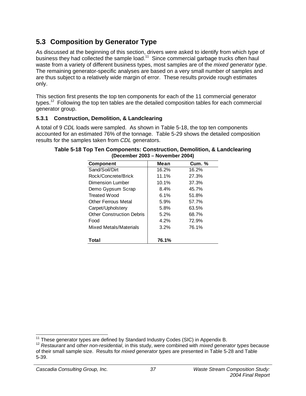# **5.3 Composition by Generator Type**

As discussed at the beginning of this section, drivers were asked to identify from which type of business they had collected the sample load.<sup>11</sup> Since commercial garbage trucks often haul waste from a variety of different business types, most samples are of the *mixed generator type*. The remaining generator-specific analyses are based on a very small number of samples and are thus subject to a relatively wide margin of error. These results provide rough estimates only.

This section first presents the top ten components for each of the 11 commercial generator types.<sup>12</sup> Following the top ten tables are the detailed composition tables for each commercial generator group.

## **5.3.1 Construction, Demolition, & Landclearing**

A total of 9 *CDL* loads were sampled. As shown in Table 5-18, the top ten components accounted for an estimated 76% of the tonnage. Table 5-29 shows the detailed composition results for the samples taken from *CDL* generators.

| <b>Component</b>                 | Mean  | <b>Cum.</b> % |
|----------------------------------|-------|---------------|
| Sand/Soil/Dirt                   | 16.2% | 16.2%         |
| Rock/Concrete/Brick              | 11.1% | 27.3%         |
| Dimension Lumber                 | 10.1% | 37.3%         |
| Demo Gypsum Scrap                | 8.4%  | 45.7%         |
| <b>Treated Wood</b>              | 6.1%  | 51.8%         |
| <b>Other Ferrous Metal</b>       | 5.9%  | 57.7%         |
| Carpet/Upholstery                | 5.8%  | 63.5%         |
| <b>Other Construction Debris</b> | 5.2%  | 68.7%         |
| Food                             | 4.2%  | 72.9%         |
| Mixed Metals/Materials           | 3.2%  | 76.1%         |
| Total                            | 76.1% |               |

| Table 5-18 Top Ten Components: Construction, Demolition, & Landclearing |  |
|-------------------------------------------------------------------------|--|
| (December 2003 – November 2004)                                         |  |

<sup>&</sup>lt;sup>11</sup> These generator types are defined by Standard Industry Codes (SIC) in Appendix B.

<sup>&</sup>lt;sup>12</sup> Restaurant and other non-residential, in this study, were combined with *mixed generator types* because of their small sample size. Results for *mixed generator types* are presented in Table 5-28 and Table 5-39.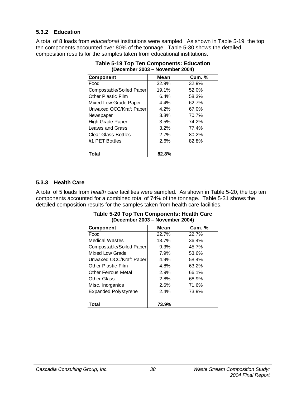## **5.3.2 Education**

A total of 8 loads from *educational* institutions were sampled. As shown in Table 5-19, the top ten components accounted over 80% of the tonnage. Table 5-30 shows the detailed composition results for the samples taken from educational institutions.

| (December 2003 – November 2004) |         |               |  |  |
|---------------------------------|---------|---------------|--|--|
| <b>Component</b>                | Mean    | <b>Cum.</b> % |  |  |
| Food                            | 32.9%   | 32.9%         |  |  |
| Compostable/Soiled Paper        | 19.1%   | 52.0%         |  |  |
| <b>Other Plastic Film</b>       | 6.4%    | 58.3%         |  |  |
| Mixed Low Grade Paper           | 4.4%    | 62.7%         |  |  |
| Unwaxed OCC/Kraft Paper         | 4.2%    | 67.0%         |  |  |
| Newspaper                       | 3.8%    | 70.7%         |  |  |
| <b>High Grade Paper</b>         | 3.5%    | 74.2%         |  |  |
| Leaves and Grass                | $3.2\%$ | 77.4%         |  |  |
| <b>Clear Glass Bottles</b>      | 2.7%    | 80.2%         |  |  |
| #1 PET Bottles                  | 2.6%    | 82.8%         |  |  |
| Total                           | 82.8%   |               |  |  |

| <b>Table 5-19 Top Ten Components: Education</b> |  |
|-------------------------------------------------|--|
| (December 2003 – November 2004)                 |  |

### **5.3.3 Health Care**

A total of 5 loads from *health care* facilities were sampled. As shown in Table 5-20, the top ten components accounted for a combined total of 74% of the tonnage. Table 5-31 shows the detailed composition results for the samples taken from health care facilities.

|                             | 1101101100120011 |               |
|-----------------------------|------------------|---------------|
| <b>Component</b>            | Mean             | <b>Cum. %</b> |
| Food                        | 22.7%            | 22.7%         |
| <b>Medical Wastes</b>       | 13.7%            | 36.4%         |
| Compostable/Soiled Paper    | 9.3%             | 45.7%         |
| Mixed Low Grade             | 7.9%             | 53.6%         |
| Unwaxed OCC/Kraft Paper     | 4.9%             | 58.4%         |
| <b>Other Plastic Film</b>   | 4.8%             | 63.2%         |
| <b>Other Ferrous Metal</b>  | 2.9%             | 66.1%         |
| <b>Other Glass</b>          | 2.8%             | 68.9%         |
| Misc. Inorganics            | 2.6%             | 71.6%         |
| <b>Expanded Polystyrene</b> | 2.4%             | 73.9%         |
|                             |                  |               |
| Total                       | 73.9%            |               |

#### **Table 5-20 Top Ten Components: Health Care (December 2003 – November 2004)**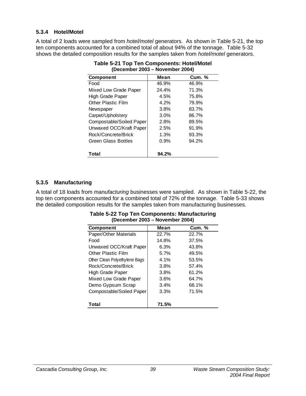## **5.3.4 Hotel/Motel**

A total of 2 loads were sampled from *hotel/motel* generators. As shown in Table 5-21, the top ten components accounted for a combined total of about 94% of the tonnage. Table 5-32 shows the detailed composition results for the samples taken from *hotel/motel* generators.

| (December 2003 – November 2004) |       |        |
|---------------------------------|-------|--------|
| <b>Component</b>                | Mean  | Cum. % |
| Food                            | 46.9% | 46.9%  |
| Mixed Low Grade Paper           | 24.4% | 71.3%  |
| High Grade Paper                | 4.5%  | 75.8%  |
| <b>Other Plastic Film</b>       | 4.2%  | 79.9%  |
| Newspaper                       | 3.8%  | 83.7%  |
| Carpet/Upholstery               | 3.0%  | 86.7%  |
| Compostable/Soiled Paper        | 2.8%  | 89.5%  |
| Unwaxed OCC/Kraft Paper         | 2.5%  | 91.9%  |
| Rock/Concrete/Brick             | 1.3%  | 93.3%  |
| Green Glass Bottles             | 0.9%  | 94.2%  |
|                                 |       |        |
| Total                           | 94.2% |        |

**Table 5-21 Top Ten Components: Hotel/Motel (December 2003 – November 2004)** 

## **5.3.5 Manufacturing**

A total of 18 loads from *manufacturing* businesses were sampled. As shown in Table 5-22, the top ten components accounted for a combined total of 72% of the tonnage. Table 5-33 shows the detailed composition results for the samples taken from manufacturing businesses.

| IPANGIINGI LUVU               |       |               |
|-------------------------------|-------|---------------|
| <b>Component</b>              | Mean  | <b>Cum. %</b> |
| Paper/Other Materials         | 22.7% | 22.7%         |
| Food                          | 14.8% | 37.5%         |
| Unwaxed OCC/Kraft Paper       | 6.3%  | 43.8%         |
| <b>Other Plastic Film</b>     | 5.7%  | 49.5%         |
| Other Clean Polyethylene Bags | 4.1%  | 53.5%         |
| Rock/Concrete/Brick           | 3.8%  | 57.4%         |
| High Grade Paper              | 3.8%  | 61.2%         |
| Mixed Low Grade Paper         | 3.6%  | 64.7%         |
| Demo Gypsum Scrap             | 3.4%  | 68.1%         |
| Compostable/Soiled Paper      | 3.3%  | 71.5%         |
|                               |       |               |
| Total                         | 71.5% |               |

#### **Table 5-22 Top Ten Components: Manufacturing (December 2003 – November 2004)**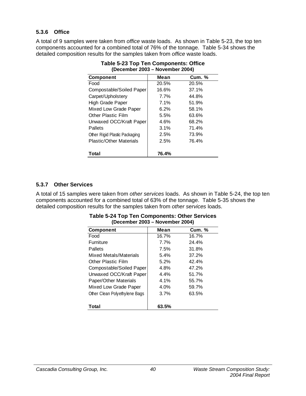## **5.3.6 Office**

A total of 9 samples were taken from *office* waste loads. As shown in Table 5-23, the top ten components accounted for a combined total of 76% of the tonnage. Table 5-34 shows the detailed composition results for the samples taken from *office* waste loads.

| (December 2003 – November 2004) |       |               |
|---------------------------------|-------|---------------|
| <b>Component</b>                | Mean  | <b>Cum. %</b> |
| Food                            | 20.5% | 20.5%         |
| Compostable/Soiled Paper        | 16.6% | 37.1%         |
| Carpet/Upholstery               | 7.7%  | 44.8%         |
| High Grade Paper                | 7.1%  | 51.9%         |
| Mixed Low Grade Paper           | 6.2%  | 58.1%         |
| <b>Other Plastic Film</b>       | 5.5%  | 63.6%         |
| Unwaxed OCC/Kraft Paper         | 4.6%  | 68.2%         |
| Pallets                         | 3.1%  | 71.4%         |
| Other Rigid Plastic Packaging   | 2.5%  | 73.9%         |
| <b>Plastic/Other Materials</b>  | 2.5%  | 76.4%         |
|                                 |       |               |
| Total                           | 76.4% |               |

| <b>Table 5-23 Top Ten Components: Office</b> |  |
|----------------------------------------------|--|
| (December 2003 – November 2004)              |  |

### **5.3.7 Other Services**

A total of 15 samples were taken from *other services* loads. As shown in Table 5-24, the top ten components accounted for a combined total of 63% of the tonnage. Table 5-35 shows the detailed composition results for the samples taken from *other services* loads.

| IPANGIINGI LUVU<br>$\begin{array}{c} \textbf{1121} & \textbf{221} \\ \textbf{231} & \textbf{242} \\ \textbf{251} & \textbf{262} \\ \textbf{262} & \textbf{272} \\ \textbf{283} & \textbf{293} \\ \textbf{294} & \textbf{293} \\ \textbf{206} & \textbf{293} \\ \textbf{217} & \textbf{293} \\ \textbf{218} & \textbf{293} \\ \textbf{218} & \textbf{293} \\ \textbf{218} & \textbf{293} \\ \textbf{218} & \textbf{2$ |       |               |
|----------------------------------------------------------------------------------------------------------------------------------------------------------------------------------------------------------------------------------------------------------------------------------------------------------------------------------------------------------------------------------------------------------------------|-------|---------------|
| <b>Component</b>                                                                                                                                                                                                                                                                                                                                                                                                     | Mean  | <b>Cum. %</b> |
| Food                                                                                                                                                                                                                                                                                                                                                                                                                 | 16.7% | 16.7%         |
| Furniture                                                                                                                                                                                                                                                                                                                                                                                                            | 7.7%  | 24.4%         |
| Pallets                                                                                                                                                                                                                                                                                                                                                                                                              | 7.5%  | 31.8%         |
| Mixed Metals/Materials                                                                                                                                                                                                                                                                                                                                                                                               | 5.4%  | 37.2%         |
| <b>Other Plastic Film</b>                                                                                                                                                                                                                                                                                                                                                                                            | 5.2%  | 42.4%         |
| Compostable/Soiled Paper                                                                                                                                                                                                                                                                                                                                                                                             | 4.8%  | 47.2%         |
| Unwaxed OCC/Kraft Paper                                                                                                                                                                                                                                                                                                                                                                                              | 4.4%  | 51.7%         |
| Paper/Other Materials                                                                                                                                                                                                                                                                                                                                                                                                | 4.1%  | 55.7%         |
| Mixed Low Grade Paper                                                                                                                                                                                                                                                                                                                                                                                                | 4.0%  | 59.7%         |
| Other Clean Polyethylene Bags                                                                                                                                                                                                                                                                                                                                                                                        | 3.7%  | 63.5%         |
| Total                                                                                                                                                                                                                                                                                                                                                                                                                | 63.5% |               |

#### **Table 5-24 Top Ten Components: Other Services (December 2003 – November 2004)**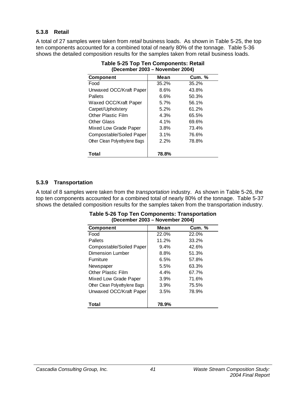## **5.3.8 Retail**

A total of 27 samples were taken from *retail* business loads. As shown in Table 5-25, the top ten components accounted for a combined total of nearly 80% of the tonnage. Table 5-36 shows the detailed composition results for the samples taken from retail business loads.

| (Deceniner 2003 – November 2004) |       |               |
|----------------------------------|-------|---------------|
| <b>Component</b>                 | Mean  | <b>Cum. %</b> |
| Food                             | 35.2% | 35.2%         |
| Unwaxed OCC/Kraft Paper          | 8.6%  | 43.8%         |
| <b>Pallets</b>                   | 6.6%  | 50.3%         |
| Waxed OCC/Kraft Paper            | 5.7%  | 56.1%         |
| Carpet/Upholstery                | 5.2%  | 61.2%         |
| <b>Other Plastic Film</b>        | 4.3%  | 65.5%         |
| Other Glass                      | 4.1%  | 69.6%         |
| Mixed Low Grade Paper            | 3.8%  | 73.4%         |
| Compostable/Soiled Paper         | 3.1%  | 76.6%         |
| Other Clean Polyethylene Bags    | 2.2%  | 78.8%         |
| Total                            | 78.8% |               |

**Table 5-25 Top Ten Components: Retail (December 2003 – November 2004)** 

## **5.3.9 Transportation**

A total of 8 samples were taken from the *transportation* industry. As shown in Table 5-26, the top ten components accounted for a combined total of nearly 80% of the tonnage. Table 5-37 shows the detailed composition results for the samples taken from the transportation industry.

| <b>Component</b>              | Mean  | <b>Cum.</b> % |
|-------------------------------|-------|---------------|
| Food                          | 22.0% | 22.0%         |
| Pallets                       | 11.2% | 33.2%         |
| Compostable/Soiled Paper      | 9.4%  | 42.6%         |
| Dimension Lumber              | 8.8%  | 51.3%         |
| <b>Furniture</b>              | 6.5%  | 57.8%         |
| Newspaper                     | 5.5%  | 63.3%         |
| <b>Other Plastic Film</b>     | 4.4%  | 67.7%         |
| Mixed Low Grade Paper         | 3.9%  | 71.6%         |
| Other Clean Polyethylene Bags | 3.9%  | 75.5%         |
| Unwaxed OCC/Kraft Paper       | 3.5%  | 78.9%         |
|                               |       |               |
| Total                         | 78.9% |               |

#### **Table 5-26 Top Ten Components: Transportation (December 2003 – November 2004)**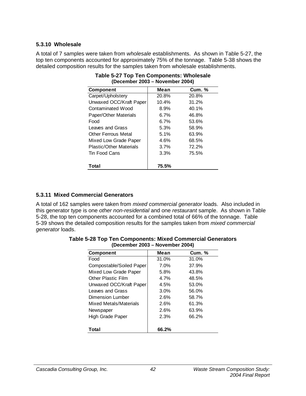### **5.3.10 Wholesale**

A total of 7 samples were taken from *wholesale* establishments. As shown in Table 5-27, the top ten components accounted for approximately 75% of the tonnage. Table 5-38 shows the detailed composition results for the samples taken from wholesale establishments.

| <b>Component</b>               | Mean    | <b>Cum. %</b> |
|--------------------------------|---------|---------------|
| Carpet/Upholstery              | 20.8%   | 20.8%         |
| Unwaxed OCC/Kraft Paper        | 10.4%   | 31.2%         |
| Contaminated Wood              | 8.9%    | 40.1%         |
| Paper/Other Materials          | $6.7\%$ | 46.8%         |
| Food                           | $6.7\%$ | 53.6%         |
| Leaves and Grass               | 5.3%    | 58.9%         |
| <b>Other Ferrous Metal</b>     | 5.1%    | 63.9%         |
| Mixed Low Grade Paper          | 4.6%    | 68.5%         |
| <b>Plastic/Other Materials</b> | 3.7%    | 72.2%         |
| Tin Food Cans                  | 3.3%    | 75.5%         |
|                                |         |               |
| Total                          | 75.5%   |               |

| Table 5-27 Top Ten Components: Wholesale |
|------------------------------------------|
| (December 2003 – November 2004)          |

### **5.3.11 Mixed Commercial Generators**

A total of 162 samples were taken from *mixed commercial generator* loads. Also included in this generator type is one *other non-residential* and one *restaurant* sample. As shown in Table 5-28, the top ten components accounted for a combined total of 66% of the tonnage. Table 5-39 shows the detailed composition results for the samples taken from *mixed commercial generator* loads.

| <b>Component</b>          | Mean    | <b>Cum.</b> % |
|---------------------------|---------|---------------|
| Food                      | 31.0%   | 31.0%         |
| Compostable/Soiled Paper  | $7.0\%$ | 37.9%         |
| Mixed Low Grade Paper     | 5.8%    | 43.8%         |
| <b>Other Plastic Film</b> | 4.7%    | 48.5%         |
| Unwaxed OCC/Kraft Paper   | 4.5%    | 53.0%         |
| Leaves and Grass          | $3.0\%$ | 56.0%         |
| Dimension Lumber          | 2.6%    | 58.7%         |
| Mixed Metals/Materials    | 2.6%    | 61.3%         |
| Newspaper                 | 2.6%    | 63.9%         |
| High Grade Paper          | 2.3%    | 66.2%         |
| Total                     | 66.2%   |               |

**Table 5-28 Top Ten Components: Mixed Commercial Generators (December 2003 – November 2004)**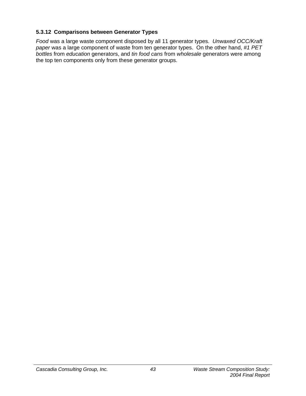## **5.3.12 Comparisons between Generator Types**

*Food* was a large waste component disposed by all 11 generator types. *Unwaxed OCC/Kraft paper* was a large component of waste from ten generator types. On the other hand, *#1 PET bottles* from *education* generators, and *tin food cans* from *wholesale* generators were among the top ten components only from these generator groups.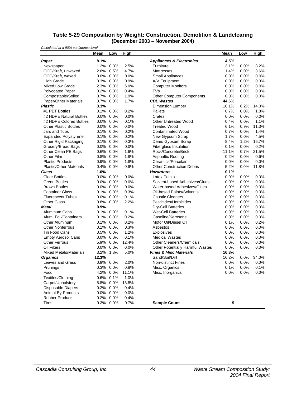| Table 5-29 Composition by Weight: Construction, Demolition & Landclearing |
|---------------------------------------------------------------------------|
| (December 2003 – November 2004)                                           |

| Calculated at a 90% confidence level |         |              |             |                                         |         |      |             |
|--------------------------------------|---------|--------------|-------------|-----------------------------------------|---------|------|-------------|
|                                      | Mean    | Low          | <b>High</b> |                                         | Mean    | Low  | <b>High</b> |
| Paper                                | 8.1%    |              |             | <b>Appliances &amp; Electronics</b>     | 4.5%    |      |             |
| Newspaper                            | 1.2%    | 0.0%         | 2.5%        | Furniture                               | 3.1%    | 0.0% | 8.2%        |
| OCC/Kraft, unwaxed                   | 2.6%    | 0.5%         | 4.7%        | <b>Mattresses</b>                       | 1.4%    | 0.0% | 3.6%        |
| OCC/Kraft, waxed                     | $0.0\%$ | 0.0%         | 0.0%        | Small Appliances                        | 0.0%    | 0.0% | 0.0%        |
| High Grade                           | 0.3%    | 0.0%         | 0.9%        | A/V Equipment                           | 0.0%    | 0.0% | 0.0%        |
| <b>Mixed Low Grade</b>               | 2.3%    | 0.0%         | 5.0%        | <b>Computer Monitors</b>                | 0.0%    | 0.0% | 0.0%        |
| <b>Polycoated Paper</b>              | 0.2%    | 0.0%         | 0.4%        | TVs                                     | 0.0%    | 0.0% | 0.0%        |
| Compostable/Soiled                   | 0.7%    | 0.0%         | 1.9%        | <b>Other Computer Components</b>        | 0.0%    | 0.0% | 0.0%        |
| Paper/Other Materials                | 0.7%    | 0.0%         | 1.7%        | <b>CDL Wastes</b>                       | 44.6%   |      |             |
| <b>Plastic</b>                       | 3.3%    |              |             | Dimension Lumber                        | 10.1%   | 6.2% | 14.0%       |
| #1 PET Bottles                       | 0.1%    | 0.0%         | 0.2%        | Pallets                                 | 0.7%    | 0.0% | 1.8%        |
| #2 HDPE Natural Bottles              | $0.0\%$ | 0.0%         | 0.0%        | Crates                                  | 0.0%    | 0.0% | 0.0%        |
| #2 HDPE Colored Bottles              | $0.0\%$ | 0.0%         | 0.1%        | <b>Other Untreated Wood</b>             | 0.4%    | 0.0% | 1.1%        |
| <b>Other Plastic Bottles</b>         | 0.0%    | 0.0%         | 0.0%        | <b>Treated Wood</b>                     | 6.1%    | 0.9% | 11.3%       |
| Jars and Tubs                        | 0.1%    | 0.0%         | 0.2%        | <b>Contaminated Wood</b>                | 0.7%    | 0.0% | 1.4%        |
| <b>Expanded Polystyrene</b>          | 0.1%    | 0.0%         | 0.2%        | New Gypsum Scrap                        | 1.7%    | 0.0% | 4.5%        |
| Other Rigid Packaging                | 0.1%    | 0.0%         | 0.3%        | Demo Gypsum Scrap                       | 8.4%    | 1.2% | 15.7%       |
| Grocery/Bread Bags                   | $0.0\%$ | 0.0%         | 0.0%        | Fiberglass Insulation                   | 0.1%    | 0.0% | 0.2%        |
| Other Clean PE Bags                  | 0.6%    | 0.0%         | 1.6%        | Rock/Concrete/Brick                     | 11.1%   | 0.7% | 21.5%       |
| Other Film                           | 0.8%    | 0.0%         | 1.8%        | Asphaltic Roofing                       | 0.2%    | 0.0% | 0.6%        |
| <b>Plastic Products</b>              | 0.9%    | 0.0%         | 1.8%        | Ceramics/Porcelain                      | 0.0%    | 0.0% | 0.0%        |
| <b>Plastic/Other Materials</b>       | 0.4%    | 0.0%         | 0.9%        | <b>Other Construction Debris</b>        | 5.2%    | 0.0% | 11.8%       |
| Glass                                | 1.0%    |              |             | <b>Hazardous</b>                        | 0.1%    |      |             |
| <b>Clear Bottles</b>                 | $0.0\%$ | 0.0%         | 0.0%        | <b>Latex Paints</b>                     | 0.0%    | 0.0% | 0.0%        |
| <b>Green Bottles</b>                 | $0.0\%$ | 0.0%         | 0.0%        | Solvent-based Adhesives/Glues           | 0.0%    | 0.0% | 0.0%        |
| <b>Brown Bottles</b>                 | $0.0\%$ | 0.0%         | 0.0%        | Water-based Adhesives/Glues             | 0.0%    | 0.0% | 0.0%        |
| <b>Container Glass</b>               | 0.1%    | 0.0%         | 0.3%        | Oil-based Paints/Solvents               | 0.0%    | 0.0% | 0.0%        |
| <b>Fluorescent Tubes</b>             | $0.0\%$ | 0.0%         | 0.1%        | <b>Caustic Cleaners</b>                 | 0.0%    | 0.0% | 0.0%        |
| <b>Other Glass</b>                   | 0.8%    | 0.0%         | 2.2%        | Pesticides/Herbicides                   | 0.0%    | 0.0% | 0.0%        |
| Metal                                | 9.9%    |              |             | <b>Dry-Cell Batteries</b>               | 0.0%    | 0.0% | 0.0%        |
| Aluminum Cans                        | 0.1%    | 0.0%         | 0.1%        | <b>Wet-Cell Batteries</b>               | 0.0%    | 0.0% | 0.0%        |
| Alum. Foil/Containers                | 0.1%    | 0.0%         | 0.2%        | Gasoline/Kerosene                       | 0.0%    | 0.0% | 0.0%        |
| Other Aluminum                       | $0.1\%$ | 0.0%         | 0.2%        | Motor Oil/Diesel Oil                    | 0.1%    | 0.0% | 0.2%        |
| <b>Other Nonferrous</b>              | 0.1%    | 0.0%         | 0.3%        | Asbestos                                | 0.0%    | 0.0% | 0.0%        |
| <b>Tin Food Cans</b>                 | 0.5%    | 0.0%         | 1.2%        | <b>Explosives</b>                       | 0.0%    | 0.0% | 0.0%        |
| <b>Empty Aerosol Cans</b>            | $0.0\%$ | 0.0%         | 0.1%        | <b>Medical Wastes</b>                   | 0.0%    | 0.0% | 0.0%        |
| <b>Other Ferrous</b>                 | 5.9%    | 0.0%         | 12.4%       | <b>Other Cleaners/Chemicals</b>         | 0.0%    | 0.0% | 0.0%        |
| Oil Filters                          | $0.0\%$ | 0.0%         | 0.0%        | <b>Other Potentially Harmful Wastes</b> | 0.0%    | 0.0% | 0.0%        |
| <b>Mixed Metals/Materials</b>        | 3.2%    | 1.3%         | 5.0%        | <b>Fines &amp; Misc Materials</b>       | 16.3%   |      |             |
| <b>Organics</b>                      | 12.3%   |              |             | Sand/Soil/Dirt                          | 16.2%   | 0.0% | 34.0%       |
| Leaves and Grass                     |         | 0.9% 0.0%    | 2.0%        | <b>Non-distinct Fines</b>               | 0.0%    | 0.0% | 0.0%        |
| Prunings                             |         | 0.3% 0.0%    | 0.8%        | Misc. Organics                          | 0.1%    | 0.0% | 0.1%        |
| Food                                 |         | 4.2% 0.0%    | 11.1%       | Misc. Inorganics                        | $0.0\%$ | 0.0% | $0.0\%$     |
| Textiles/Clothing                    |         | $0.6\%$ 0.1% | 1.0%        |                                         |         |      |             |
| Carpet/Upholstery                    | 5.8%    | 0.0%         | 13.8%       |                                         |         |      |             |
| <b>Disposable Diapers</b>            |         | 0.2% 0.0%    | 0.4%        |                                         |         |      |             |
| Animal By-Products                   |         | $0.0\%$ 0.0% | $0.0\%$     |                                         |         |      |             |
| <b>Rubber Products</b>               | $0.2\%$ | 0.0%         | 0.4%        |                                         |         |      |             |
| <b>Tires</b>                         |         | 0.3% 0.0%    | 0.7%        | <b>Sample Count</b>                     | 9       |      |             |
|                                      |         |              |             |                                         |         |      |             |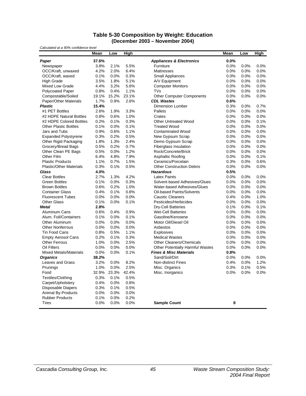#### **Table 5-30 Composition by Weight: Education (December 2003 – November 2004)**

| Calculated at a 90% confidence level            |              | Low          |              |                                                                              | Mean         | Low          | High         |
|-------------------------------------------------|--------------|--------------|--------------|------------------------------------------------------------------------------|--------------|--------------|--------------|
|                                                 | Mean         |              | <b>High</b>  |                                                                              |              |              |              |
| Paper                                           | 37.6%        |              |              | <b>Appliances &amp; Electronics</b>                                          | 0.0%         |              |              |
| Newspaper                                       | 3.8%         | 2.1%         | 5.5%         | Furniture                                                                    | 0.0%         | 0.0%         | 0.0%         |
| OCC/Kraft, unwaxed                              | 4.2%         | 2.0%         | 6.4%         | <b>Mattresses</b>                                                            | 0.0%         | 0.0%         | 0.0%         |
| OCC/Kraft, waxed                                | 0.1%         | 0.0%         | 0.3%         | <b>Small Appliances</b>                                                      | 0.0%         | 0.0%         | 0.0%         |
| <b>High Grade</b>                               | 3.5%         | 1.8%         | 5.1%         | A/V Equipment                                                                | 0.0%         | 0.0%         | 0.0%         |
| Mixed Low Grade                                 | 4.4%         | 3.2%         | 5.6%         | <b>Computer Monitors</b>                                                     | 0.0%         | 0.0%         | 0.0%         |
| <b>Polycoated Paper</b>                         | 0.8%         | 0.4%         | 1.1%         | TVs                                                                          | 0.0%         | 0.0%         | 0.0%         |
| Compostable/Soiled                              | 19.1%        | 15.2%        | 23.1%        | <b>Other Computer Components</b>                                             | 0.0%         | 0.0%         | 0.0%         |
| Paper/Other Materials                           | 1.7%         | 0.9%         | 2.6%         | <b>CDL Wastes</b>                                                            | 0.6%         |              |              |
| <b>Plastic</b>                                  | 15.4%        |              |              | <b>Dimension Lumber</b>                                                      | 0.3%         | 0.0%         | 0.7%         |
| #1 PET Bottles                                  | 2.6%         | 1.9%         | 3.3%         | Pallets                                                                      | 0.0%         | 0.0%         | 0.0%         |
| #2 HDPE Natural Bottles                         | 0.8%         | 0.6%         | 1.0%         | Crates                                                                       | 0.0%         | 0.0%         | 0.0%         |
| #2 HDPE Colored Bottles                         | 0.2%         | 0.1%         | 0.3%         | <b>Other Untreated Wood</b>                                                  | 0.0%         | 0.0%         | 0.1%         |
| <b>Other Plastic Bottles</b>                    | 0.1%         | 0.0%         | 0.1%         | <b>Treated Wood</b>                                                          | 0.0%         | 0.0%         | 0.0%         |
| Jars and Tubs                                   | 0.9%         | 0.6%         | 1.1%         | <b>Contaminated Wood</b>                                                     | 0.0%         | 0.0%         | 0.0%         |
| <b>Expanded Polystyrene</b>                     | 0.3%         | 0.2%         | 0.5%         | New Gypsum Scrap                                                             | 0.0%         | 0.0%         | 0.0%         |
| Other Rigid Packaging                           | 1.8%         | 1.3%         | 2.4%         | Demo Gypsum Scrap                                                            | 0.0%         | 0.0%         | 0.0%         |
| Grocery/Bread Bags                              | 0.5%         | 0.2%         | 0.7%         | <b>Fiberglass Insulation</b>                                                 | 0.0%         | 0.0%         | 0.0%         |
| Other Clean PE Bags                             | 0.5%         | 0.0%         | 1.2%         | Rock/Concrete/Brick                                                          | 0.0%         | 0.0%         | 0.0%         |
| Other Film                                      | 6.4%         | 4.8%         | 7.9%         | Asphaltic Roofing                                                            | 0.0%         | 0.0%         | 0.1%         |
| <b>Plastic Products</b>                         | 1.1%         | 0.7%         | 1.5%         | Ceramics/Porcelain                                                           | 0.3%         | 0.0%         | 0.6%         |
| <b>Plastic/Other Materials</b>                  | 0.3%         | 0.1%         | 0.5%         | <b>Other Construction Debris</b>                                             | 0.0%         | 0.0%         | 0.0%         |
| Glass                                           | 4.0%         |              |              | <b>Hazardous</b>                                                             | 0.5%         |              |              |
| <b>Clear Bottles</b>                            | 2.7%         | 1.3%         | 4.2%         | <b>Latex Paints</b>                                                          | 0.0%         | 0.0%         | 0.0%         |
| <b>Green Bottles</b>                            | 0.1%         | 0.0%         | 0.3%         | Solvent-based Adhesives/Glues                                                | 0.0%         | 0.0%         | 0.0%         |
| <b>Brown Bottles</b>                            | 0.6%         | 0.2%         | 1.0%         | Water-based Adhesives/Glues<br>Oil-based Paints/Solvents                     | 0.0%         | 0.0%         | 0.0%         |
| <b>Container Glass</b>                          | 0.4%         | 0.1%         | 0.8%         |                                                                              | 0.0%         | 0.0%         | 0.0%         |
| <b>Fluorescent Tubes</b>                        | 0.0%         | 0.0%         | 0.0%         | <b>Caustic Cleaners</b>                                                      | 0.4%         | 0.0%         | 1.0%         |
| <b>Other Glass</b>                              | 0.1%         | 0.0%         | 0.1%         | Pesticides/Herbicides                                                        | 0.0%         | 0.0%         | 0.0%         |
| Metal                                           | 2.8%         |              |              | <b>Dry-Cell Batteries</b>                                                    | 0.1%         | 0.0%         | 0.1%         |
| Aluminum Cans                                   | 0.6%         | 0.4%         | 0.9%         | <b>Wet-Cell Batteries</b><br>Gasoline/Kerosene                               | 0.0%         | 0.0%         | 0.0%         |
| Alum. Foil/Containers                           | 0.1%         | 0.0%         | 0.1%         |                                                                              | 0.0%         | 0.0%         | 0.0%         |
| Other Aluminum                                  | 0.0%         | 0.0%         | 0.0%         | Motor Oil/Diesel Oil                                                         | 0.0%         | 0.0%         | 0.0%         |
| <b>Other Nonferrous</b><br><b>Tin Food Cans</b> | 0.0%<br>0.8% | 0.0%<br>0.5% | 0.0%<br>1.1% | Asbestos                                                                     | 0.0%<br>0.0% | 0.0%<br>0.0% | 0.0%<br>0.0% |
|                                                 | 0.2%         | 0.1%         | 0.3%         | Explosives<br><b>Medical Wastes</b>                                          | 0.0%         | 0.0%         | 0.0%         |
| <b>Empty Aerosol Cans</b>                       |              |              |              |                                                                              |              |              |              |
| <b>Other Ferrous</b><br>Oil Filters             | 1.0%<br>0.0% | 0.0%<br>0.0% | 2.5%<br>0.0% | <b>Other Cleaners/Chemicals</b>                                              | 0.0%<br>0.0% | 0.0%<br>0.0% | 0.0%<br>0.0% |
|                                                 | 0.0%         |              |              | <b>Other Potentially Harmful Wastes</b><br><b>Fines &amp; Misc Materials</b> | 0.8%         |              |              |
| <b>Mixed Metals/Materials</b>                   | 38.2%        | 0.0%         | 0.1%         | Sand/Soil/Dirt                                                               |              |              |              |
| <b>Organics</b>                                 | 3.2%         | 0.0%         | 8.2%         |                                                                              | 0.0%<br>0.4% | 0.0%         | 0.0%<br>1.2% |
| Leaves and Grass                                | 1.0%         | 0.0%         | 2.5%         | <b>Non-distinct Fines</b>                                                    |              | 0.0%<br>0.1% | 0.5%         |
| Prunings<br>Food                                | 32.9%        | 23.3%        | 42.4%        | Misc. Organics<br>Misc. Inorganics                                           | 0.3%<br>0.0% | 0.0%         | 0.0%         |
| Textiles/Clothing                               | 0.3%         | 0.1%         | 0.5%         |                                                                              |              |              |              |
|                                                 |              |              |              |                                                                              |              |              |              |
| Carpet/Upholstery                               | 0.4%         | 0.0%<br>0.1% | 0.8%         |                                                                              |              |              |              |
| <b>Disposable Diapers</b>                       | 0.3%<br>0.0% |              | 0.5%<br>0.0% |                                                                              |              |              |              |
| Animal By-Products<br><b>Rubber Products</b>    | 0.1%         | 0.0%<br>0.0% | 0.2%         |                                                                              |              |              |              |
| Tires                                           | 0.0%         | 0.0%         | 0.0%         | <b>Sample Count</b>                                                          | 8            |              |              |
|                                                 |              |              |              |                                                                              |              |              |              |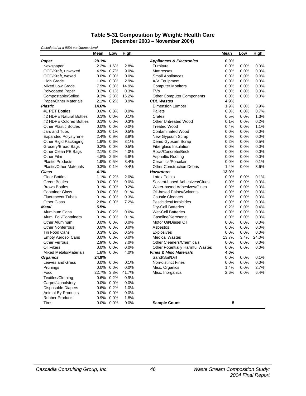#### **Table 5-31 Composition by Weight: Health Care (December 2003 – November 2004)**

| Calculated at a 90% confidence level |         |              |       |                                         |       |      |       |
|--------------------------------------|---------|--------------|-------|-----------------------------------------|-------|------|-------|
|                                      | Mean    | Low          | High  |                                         | Mean  | Low  | High  |
| Paper                                | 28.1%   |              |       | <b>Appliances &amp; Electronics</b>     | 0.0%  |      |       |
| Newspaper                            | 2.2%    | 1.6%         | 2.8%  | Furniture                               | 0.0%  | 0.0% | 0.0%  |
| OCC/Kraft, unwaxed                   | 4.9%    | 0.7%         | 9.0%  | <b>Mattresses</b>                       | 0.0%  | 0.0% | 0.0%  |
| OCC/Kraft, waxed                     | 0.0%    | $0.0\%$      | 0.0%  | Small Appliances                        | 0.0%  | 0.0% | 0.0%  |
| <b>High Grade</b>                    | 1.6%    | 0.3%         | 2.9%  | A/V Equipment                           | 0.0%  | 0.0% | 0.0%  |
| <b>Mixed Low Grade</b>               |         | 7.9% 0.8%    | 14.9% | <b>Computer Monitors</b>                | 0.0%  | 0.0% | 0.0%  |
| <b>Polycoated Paper</b>              | 0.2%    | 0.1%         | 0.3%  | <b>TVs</b>                              | 0.0%  | 0.0% | 0.0%  |
| Compostable/Soiled                   | 9.3%    | 2.3%         | 16.2% | <b>Other Computer Components</b>        | 0.0%  | 0.0% | 0.0%  |
| Paper/Other Materials                | 2.1%    | 0.2%         | 3.9%  | <b>CDL Wastes</b>                       | 4.9%  |      |       |
| <b>Plastic</b>                       | 14.6%   |              |       | <b>Dimension Lumber</b>                 | 1.9%  | 0.0% | 3.9%  |
| #1 PET Bottles                       | 0.6%    | 0.3%         | 0.9%  | Pallets                                 | 0.3%  | 0.0% | 0.7%  |
| #2 HDPE Natural Bottles              | 0.1%    | 0.0%         | 0.1%  | Crates                                  | 0.5%  | 0.0% | 1.3%  |
| #2 HDPE Colored Bottles              | 0.1%    | 0.0%         | 0.3%  | Other Untreated Wood                    | 0.1%  | 0.0% | 0.2%  |
| <b>Other Plastic Bottles</b>         | 0.0%    | 0.0%         | 0.0%  | <b>Treated Wood</b>                     | 0.4%  | 0.0% | 1.1%  |
| Jars and Tubs                        | 0.3%    | 0.1%         | 0.5%  | <b>Contaminated Wood</b>                | 0.0%  | 0.0% | 0.0%  |
| <b>Expanded Polystyrene</b>          | 2.4%    | 0.9%         | 3.9%  | New Gypsum Scrap                        | 0.0%  | 0.0% | 0.0%  |
| Other Rigid Packaging                |         | 1.9% 0.6%    | 3.1%  | Demo Gypsum Scrap                       | 0.2%  | 0.0% | 0.5%  |
| Grocery/Bread Bags                   | 0.2%    | 0.0%         | 0.5%  | Fiberglass Insulation                   | 0.0%  | 0.0% | 0.0%  |
| Other Clean PE Bags                  | 2.1%    | 0.2%         | 4.0%  | Rock/Concrete/Brick                     | 0.0%  | 0.0% | 0.0%  |
| Other Film                           | 4.8%    | 2.6%         | 6.9%  | Asphaltic Roofing                       | 0.0%  | 0.0% | 0.0%  |
| <b>Plastic Products</b>              | 1.9%    | 0.5%         | 3.4%  | Ceramics/Porcelain                      | 0.0%  | 0.0% | 0.1%  |
| <b>Plastic/Other Materials</b>       | 0.3%    | 0.1%         | 0.4%  | <b>Other Construction Debris</b>        | 1.4%  | 0.0% | 3.6%  |
| Glass                                | 4.1%    |              |       | <b>Hazardous</b>                        | 13.9% |      |       |
| <b>Clear Bottles</b>                 | 1.1%    | 0.2%         | 2.0%  | <b>Latex Paints</b>                     | 0.0%  | 0.0% | 0.1%  |
| <b>Green Bottles</b>                 | 0.0%    | 0.0%         | 0.0%  | Solvent-based Adhesives/Glues           | 0.0%  | 0.0% | 0.0%  |
| <b>Brown Bottles</b>                 | 0.1%    | 0.0%         | 0.2%  | Water-based Adhesives/Glues             | 0.0%  | 0.0% | 0.0%  |
| <b>Container Glass</b>               | 0.0%    | 0.0%         | 0.1%  | Oil-based Paints/Solvents               | 0.0%  | 0.0% | 0.0%  |
| <b>Fluorescent Tubes</b>             | 0.1%    | 0.0%         | 0.3%  | <b>Caustic Cleaners</b>                 | 0.0%  | 0.0% | 0.0%  |
| <b>Other Glass</b>                   | 2.8%    | 0.0%         | 7.2%  | Pesticides/Herbicides                   | 0.0%  | 0.0% | 0.0%  |
| <b>Metal</b>                         | 5.5%    |              |       | Dry-Cell Batteries                      | 0.2%  | 0.0% | 0.4%  |
| Aluminum Cans                        | 0.4%    | 0.2%         | 0.6%  | <b>Wet-Cell Batteries</b>               | 0.0%  | 0.0% | 0.0%  |
| Alum. Foil/Containers                | 0.1%    | 0.0%         | 0.1%  | Gasoline/Kerosene                       | 0.0%  | 0.0% | 0.0%  |
| Other Aluminum                       | 0.0%    | 0.0%         | 0.0%  | Motor Oil/Diesel Oil                    | 0.0%  | 0.0% | 0.0%  |
| <b>Other Nonferrous</b>              | 0.0%    | 0.0%         | 0.0%  | Asbestos                                | 0.0%  | 0.0% | 0.0%  |
| <b>Tin Food Cans</b>                 | 0.3%    | 0.2%         | 0.5%  | Explosives                              | 0.0%  | 0.0% | 0.0%  |
| <b>Empty Aerosol Cans</b>            | $0.0\%$ | 0.0%         | 0.0%  | <b>Medical Wastes</b>                   | 13.7% | 3.4% | 24.0% |
| <b>Other Ferrous</b>                 | 2.9%    | 0.0%         | 7.0%  | <b>Other Cleaners/Chemicals</b>         | 0.0%  | 0.0% | 0.0%  |
| Oil Filters                          | 0.0%    | 0.0%         | 0.0%  | <b>Other Potentially Harmful Wastes</b> | 0.0%  | 0.0% | 0.0%  |
| <b>Mixed Metals/Materials</b>        | 1.8%    | 0.0%         | 4.0%  | <b>Fines &amp; Misc Materials</b>       | 4.0%  |      |       |
| <b>Organics</b>                      | 24.9%   |              |       | Sand/Soil/Dirt                          | 0.0%  | 0.0% | 0.1%  |
| Leaves and Grass                     | $0.0\%$ | $0.0\%$      | 0.1%  | <b>Non-distinct Fines</b>               | 0.0%  | 0.0% | 0.0%  |
| Prunings                             | $0.0\%$ | 0.0%         | 0.0%  | Misc. Organics                          | 1.4%  | 0.0% | 2.7%  |
| Food                                 | 22.7%   | 3.8%         | 41.7% | Misc. Inorganics                        | 2.6%  | 0.0% | 6.4%  |
| Textiles/Clothing                    | 0.6%    | 0.2%         | 0.9%  |                                         |       |      |       |
| Carpet/Upholstery                    | 0.0%    | 0.0%         | 0.0%  |                                         |       |      |       |
| <b>Disposable Diapers</b>            | 0.6%    | 0.2%         | 1.0%  |                                         |       |      |       |
| Animal By-Products                   | 0.0%    | 0.0%         | 0.0%  |                                         |       |      |       |
| <b>Rubber Products</b>               | 0.9%    | 0.0%         | 1.8%  |                                         |       |      |       |
| Tires                                |         | $0.0\%$ 0.0% | 0.0%  | <b>Sample Count</b>                     | 5     |      |       |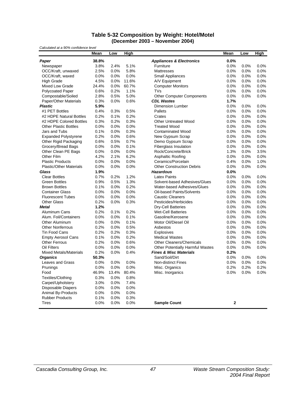#### **Table 5-32 Composition by Weight: Hotel/Motel (December 2003 – November 2004)**

*Calculated at a 90% confidence level*

|                                | Mean         | Low   | <b>High</b> |                                         | Mean           | Low  | High |
|--------------------------------|--------------|-------|-------------|-----------------------------------------|----------------|------|------|
| Paper                          | 38.8%        |       |             | <b>Appliances &amp; Electronics</b>     | 0.0%           |      |      |
| Newspaper                      | 3.8%         | 2.4%  | 5.1%        | Furniture                               | 0.0%           | 0.0% | 0.0% |
| OCC/Kraft, unwaxed             | 2.5%         | 0.0%  | 5.8%        | <b>Mattresses</b>                       | 0.0%           | 0.0% | 0.0% |
| OCC/Kraft, waxed               | 0.0%         | 0.0%  | 0.0%        | <b>Small Appliances</b>                 | 0.0%           | 0.0% | 0.0% |
| <b>High Grade</b>              | 4.5%         | 0.0%  | 11.6%       | A/V Equipment                           | 0.0%           | 0.0% | 0.0% |
| Mixed Low Grade                | 24.4%        | 0.0%  | 60.7%       | <b>Computer Monitors</b>                | 0.0%           | 0.0% | 0.0% |
| <b>Polycoated Paper</b>        | 0.6%         | 0.2%  | 1.1%        | <b>TVs</b>                              | 0.0%           | 0.0% | 0.0% |
| Compostable/Soiled             | 2.8%         | 0.5%  | 5.0%        | <b>Other Computer Components</b>        | 0.0%           | 0.0% | 0.0% |
| Paper/Other Materials          | 0.3%         | 0.0%  | 0.6%        | <b>CDL Wastes</b>                       | 1.7%           |      |      |
| <b>Plastic</b>                 | 5.9%         |       |             | <b>Dimension Lumber</b>                 | 0.0%           | 0.0% | 0.0% |
| #1 PET Bottles                 | 0.4%         | 0.3%  | 0.5%        | Pallets                                 | 0.0%           | 0.0% | 0.0% |
| #2 HDPE Natural Bottles        | 0.2%         | 0.1%  | 0.2%        | Crates                                  | 0.0%           | 0.0% | 0.0% |
| #2 HDPE Colored Bottles        | 0.3%         | 0.2%  | 0.3%        | <b>Other Untreated Wood</b>             | 0.0%           | 0.0% | 0.0% |
| <b>Other Plastic Bottles</b>   | 0.0%         | 0.0%  | 0.0%        | <b>Treated Wood</b>                     | 0.0%           | 0.0% | 0.0% |
| Jars and Tubs                  | 0.1%         | 0.0%  | 0.3%        | <b>Contaminated Wood</b>                | 0.0%           | 0.0% | 0.0% |
| <b>Expanded Polystyrene</b>    | 0.2%         | 0.0%  | 0.6%        | New Gypsum Scrap                        | 0.0%           | 0.0% | 0.0% |
| Other Rigid Packaging          | 0.6%         | 0.5%  | 0.7%        | Demo Gypsum Scrap                       | 0.0%           | 0.0% | 0.0% |
| Grocery/Bread Bags             | 0.0%         | 0.0%  | 0.1%        | <b>Fiberglass Insulation</b>            | 0.0%           | 0.0% | 0.0% |
| Other Clean PE Bags            | 0.0%         | 0.0%  | 0.0%        | Rock/Concrete/Brick                     | 1.3%           | 0.0% | 3.5% |
| Other Film                     | 4.2%         | 2.1%  | 6.2%        | <b>Asphaltic Roofing</b>                | 0.0%           | 0.0% | 0.0% |
| <b>Plastic Products</b>        | 0.0%         | 0.0%  | 0.0%        | Ceramics/Porcelain                      | 0.4%           | 0.0% | 1.0% |
| <b>Plastic/Other Materials</b> | 0.0%         | 0.0%  | 0.0%        | <b>Other Construction Debris</b>        | 0.0%           | 0.0% | 0.0% |
| Glass                          | 1.9%         |       |             | <b>Hazardous</b>                        | 0.0%           |      |      |
| <b>Clear Bottles</b>           | 0.7%         | 0.2%  | 1.2%        | <b>Latex Paints</b>                     | 0.0%           | 0.0% | 0.0% |
| <b>Green Bottles</b>           | 0.9%         | 0.5%  | 1.3%        | Solvent-based Adhesives/Glues           | 0.0%           | 0.0% | 0.0% |
| <b>Brown Bottles</b>           | 0.1%         | 0.0%  | 0.2%        | Water-based Adhesives/Glues             | 0.0%           | 0.0% | 0.0% |
| <b>Container Glass</b>         | 0.0%         | 0.0%  | 0.0%        | Oil-based Paints/Solvents               | 0.0%           | 0.0% | 0.0% |
| <b>Fluorescent Tubes</b>       | 0.0%         | 0.0%  | 0.0%        | <b>Caustic Cleaners</b>                 | 0.0%           | 0.0% | 0.0% |
| <b>Other Glass</b>             |              |       |             | Pesticides/Herbicides                   |                |      |      |
|                                | 0.2%<br>1.2% | 0.0%  | 0.3%        |                                         | 0.0%           | 0.0% | 0.0% |
| Metal                          |              |       |             | <b>Dry-Cell Batteries</b>               | 0.0%           | 0.0% | 0.0% |
| Aluminum Cans                  | 0.2%         | 0.1%  | 0.2%        | <b>Wet-Cell Batteries</b>               | 0.0%           | 0.0% | 0.0% |
| Alum. Foil/Containers          | 0.0%         | 0.0%  | 0.1%        | Gasoline/Kerosene                       | 0.0%           | 0.0% | 0.0% |
| Other Aluminum                 | 0.0%         | 0.0%  | 0.1%        | Motor Oil/Diesel Oil                    | 0.0%           | 0.0% | 0.0% |
| <b>Other Nonferrous</b>        | 0.2%         | 0.0%  | 0.5%        | Asbestos                                | 0.0%           | 0.0% | 0.0% |
| Tin Food Cans                  | 0.2%         | 0.2%  | 0.3%        | <b>Explosives</b>                       | 0.0%           | 0.0% | 0.0% |
| <b>Empty Aerosol Cans</b>      | 0.1%         | 0.0%  | 0.2%        | <b>Medical Wastes</b>                   | 0.0%           | 0.0% | 0.0% |
| <b>Other Ferrous</b>           | 0.2%         | 0.0%  | 0.6%        | <b>Other Cleaners/Chemicals</b>         | 0.0%           | 0.0% | 0.0% |
| Oil Filters                    | 0.0%         | 0.0%  | 0.0%        | <b>Other Potentially Harmful Wastes</b> | 0.0%           | 0.0% | 0.0% |
| <b>Mixed Metals/Materials</b>  | 0.2%         | 0.0%  | 0.4%        | <b>Fines &amp; Misc Materials</b>       | 0.2%           |      |      |
| <b>Organics</b>                | 50.3%        |       |             | Sand/Soil/Dirt                          | 0.0%           | 0.0% | 0.0% |
| Leaves and Grass               | 0.0%         | 0.0%  | 0.0%        | <b>Non-distinct Fines</b>               | 0.0%           | 0.0% | 0.0% |
| Prunings                       | 0.0%         | 0.0%  | 0.0%        | Misc. Organics                          | 0.2%           | 0.2% | 0.2% |
| Food                           | 46.9%        | 13.4% | 80.4%       | Misc. Inorganics                        | 0.0%           | 0.0% | 0.0% |
| Textiles/Clothing              | 0.3%         | 0.0%  | 0.8%        |                                         |                |      |      |
| Carpet/Upholstery              | 3.0%         | 0.0%  | 7.4%        |                                         |                |      |      |
| <b>Disposable Diapers</b>      | 0.0%         | 0.0%  | 0.0%        |                                         |                |      |      |
| <b>Animal By-Products</b>      | 0.0%         | 0.0%  | 0.0%        |                                         |                |      |      |
| <b>Rubber Products</b>         | 0.1%         | 0.0%  | 0.3%        |                                         |                |      |      |
| <b>Tires</b>                   | 0.0%         | 0.0%  | 0.0%        | <b>Sample Count</b>                     | $\overline{2}$ |      |      |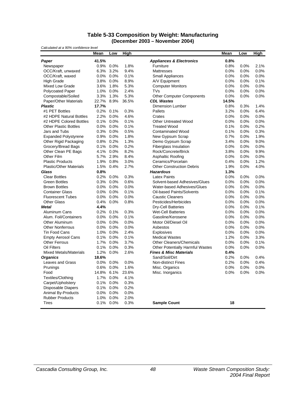#### **Table 5-33 Composition by Weight: Manufacturing (December 2003 – November 2004)**

| Calculated at a 90% confidence level |         |              |       |                                         |       |      |      |
|--------------------------------------|---------|--------------|-------|-----------------------------------------|-------|------|------|
|                                      | Mean    | Low          | High  |                                         | Mean  | Low  | High |
| Paper                                | 41.5%   |              |       | <b>Appliances &amp; Electronics</b>     | 0.8%  |      |      |
| Newspaper                            | 0.9%    | $0.0\%$      | 1.8%  | Furniture                               | 0.8%  | 0.0% | 2.1% |
| OCC/Kraft, unwaxed                   | 6.3%    | 3.2%         | 9.4%  | <b>Mattresses</b>                       | 0.0%  | 0.0% | 0.0% |
| OCC/Kraft, waxed                     | 0.0%    | 0.0%         | 0.1%  | Small Appliances                        | 0.0%  | 0.0% | 0.0% |
| <b>High Grade</b>                    | 3.8%    | 0.0%         | 8.9%  | A/V Equipment                           | 0.0%  | 0.0% | 0.1% |
| <b>Mixed Low Grade</b>               | 3.6%    | 1.8%         | 5.3%  | <b>Computer Monitors</b>                | 0.0%  | 0.0% | 0.0% |
| <b>Polycoated Paper</b>              | 1.0%    | 0.0%         | 2.4%  | <b>TVs</b>                              | 0.0%  | 0.0% | 0.0% |
| Compostable/Soiled                   | 3.3%    | 1.3%         | 5.3%  | <b>Other Computer Components</b>        | 0.0%  | 0.0% | 0.0% |
| Paper/Other Materials                | 22.7%   | 8.9%         | 36.5% | <b>CDL Wastes</b>                       | 14.5% |      |      |
| <b>Plastic</b>                       | 17.7%   |              |       | <b>Dimension Lumber</b>                 | 0.8%  | 0.3% | 1.4% |
| #1 PET Bottles                       | 0.2%    | 0.1%         | 0.3%  | Pallets                                 | 3.2%  | 0.0% | 6.4% |
| #2 HDPE Natural Bottles              | 2.2%    | 0.0%         | 4.6%  | Crates                                  | 0.0%  | 0.0% | 0.0% |
| #2 HDPE Colored Bottles              | 0.1%    | 0.0%         | 0.1%  | <b>Other Untreated Wood</b>             | 0.0%  | 0.0% | 0.0% |
| <b>Other Plastic Bottles</b>         | 0.0%    | 0.0%         | 0.1%  | <b>Treated Wood</b>                     | 0.1%  | 0.0% | 0.2% |
| Jars and Tubs                        | 0.3%    | 0.0%         | 0.5%  | <b>Contaminated Wood</b>                | 0.1%  | 0.0% | 0.3% |
| <b>Expanded Polystyrene</b>          | 0.9%    | 0.0%         | 1.8%  | New Gypsum Scrap                        | 0.7%  | 0.0% | 1.9% |
| Other Rigid Packaging                |         | 0.8% 0.2%    | 1.3%  | Demo Gypsum Scrap                       | 3.4%  | 0.0% | 9.0% |
| Grocery/Bread Bags                   | 0.1%    | 0.0%         | 0.2%  | <b>Fiberglass Insulation</b>            | 0.0%  | 0.0% | 0.0% |
| Other Clean PE Bags                  | 4.1%    | 0.0%         | 8.2%  | Rock/Concrete/Brick                     | 3.8%  | 0.0% | 9.9% |
| Other Film                           | 5.7%    | 2.9%         | 8.4%  | Asphaltic Roofing                       | 0.0%  | 0.0% | 0.0% |
| <b>Plastic Products</b>              | 1.9%    | 0.8%         | 3.0%  | Ceramics/Porcelain                      | 0.4%  | 0.0% | 1.2% |
| <b>Plastic/Other Materials</b>       | 1.5%    | 0.4%         | 2.7%  | <b>Other Construction Debris</b>        | 1.9%  | 0.0% | 4.0% |
| Glass                                | 0.8%    |              |       | <b>Hazardous</b>                        | 1.3%  |      |      |
| <b>Clear Bottles</b>                 | 0.2%    | 0.0%         | 0.3%  | <b>Latex Paints</b>                     | 0.0%  | 0.0% | 0.0% |
| <b>Green Bottles</b>                 | 0.3%    | 0.0%         | 0.6%  | Solvent-based Adhesives/Glues           | 0.0%  | 0.0% | 0.0% |
| <b>Brown Bottles</b>                 | 0.0%    | $0.0\%$      | 0.0%  | Water-based Adhesives/Glues             | 0.0%  | 0.0% | 0.0% |
| <b>Container Glass</b>               | 0.0%    | 0.0%         | 0.1%  | Oil-based Paints/Solvents               | 0.0%  | 0.0% | 0.1% |
| <b>Fluorescent Tubes</b>             | 0.0%    | 0.0%         | 0.0%  | <b>Caustic Cleaners</b>                 | 0.0%  | 0.0% | 0.0% |
| <b>Other Glass</b>                   | 0.4%    | 0.0%         | 0.8%  | Pesticides/Herbicides                   | 0.0%  | 0.0% | 0.0% |
| <b>Metal</b>                         | 4.4%    |              |       | <b>Dry-Cell Batteries</b>               | 0.0%  | 0.0% | 0.1% |
| Aluminum Cans                        | 0.2%    | 0.1%         | 0.3%  | <b>Wet-Cell Batteries</b>               | 0.0%  | 0.0% | 0.0% |
| Alum. Foil/Containers                | 0.0%    | 0.0%         | 0.1%  | Gasoline/Kerosene                       | 0.0%  | 0.0% | 0.0% |
| Other Aluminum                       | 0.0%    | 0.0%         | 0.0%  | Motor Oil/Diesel Oil                    | 0.0%  | 0.0% | 0.0% |
| <b>Other Nonferrous</b>              | 0.0%    | 0.0%         | 0.0%  | Asbestos                                | 0.0%  | 0.0% | 0.0% |
| <b>Tin Food Cans</b>                 | 1.0%    | 0.0%         | 2.4%  | <b>Explosives</b>                       | 0.0%  | 0.0% | 0.0% |
| <b>Empty Aerosol Cans</b>            | 0.1%    | 0.0%         | 0.1%  | <b>Medical Wastes</b>                   | 1.2%  | 0.0% | 3.3% |
| <b>Other Ferrous</b>                 | 1.7%    | 0.0%         | 3.7%  | <b>Other Cleaners/Chemicals</b>         | 0.0%  | 0.0% | 0.1% |
| Oil Filters                          | 0.1%    | 0.0%         | 0.3%  | <b>Other Potentially Harmful Wastes</b> | 0.0%  | 0.0% | 0.0% |
| <b>Mixed Metals/Materials</b>        | 1.2%    | 0.0%         | 2.6%  | <b>Fines &amp; Misc Materials</b>       | 0.4%  |      |      |
| <b>Organics</b>                      | 18.6%   |              |       | Sand/Soil/Dirt                          | 0.2%  | 0.0% | 0.4% |
| Leaves and Grass                     | $0.0\%$ | 0.0%         | 0.0%  | Non-distinct Fines                      | 0.2%  | 0.0% | 0.4% |
| Prunings                             | 0.6%    | 0.0%         | 1.6%  | Misc. Organics                          | 0.0%  | 0.0% | 0.0% |
| Food                                 | 14.8%   | 6.1%         | 23.6% | Misc. Inorganics                        | 0.0%  | 0.0% | 0.0% |
| Textiles/Clothing                    | 1.7%    | 0.0%         | 4.1%  |                                         |       |      |      |
| Carpet/Upholstery                    | 0.1%    | 0.0%         | 0.3%  |                                         |       |      |      |
| Disposable Diapers                   | 0.1%    | 0.0%         | 0.2%  |                                         |       |      |      |
| Animal By-Products                   | 0.0%    | 0.0%         | 0.0%  |                                         |       |      |      |
| <b>Rubber Products</b>               | 1.0%    | 0.0%         | 2.0%  |                                         |       |      |      |
| <b>Tires</b>                         |         | $0.1\%$ 0.0% | 0.3%  | <b>Sample Count</b>                     | 18    |      |      |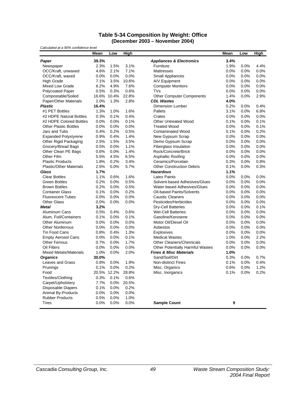#### **Table 5-34 Composition by Weight: Office (December 2003 – November 2004)**

| Calculated at a 90% confidence level |       |             |       |                                     |      |      |         |
|--------------------------------------|-------|-------------|-------|-------------------------------------|------|------|---------|
|                                      | Mean  | Low         | High  |                                     | Mean | Low  | High    |
| Paper                                | 39.3% |             |       | <b>Appliances &amp; Electronics</b> | 3.4% |      |         |
| Newspaper                            | 2.3%  | 1.5%        | 3.1%  | Furniture                           | 1.9% | 0.0% | 4.4%    |
| OCC/Kraft, unwaxed                   | 4.6%  | 2.1%        | 7.1%  | <b>Mattresses</b>                   | 0.0% | 0.0% | 0.0%    |
| OCC/Kraft, waxed                     | 0.0%  | 0.0%        | 0.0%  | <b>Small Appliances</b>             | 0.0% | 0.0% | 0.0%    |
| High Grade                           | 7.1%  | 3.5%        | 10.6% | A/V Equipment                       | 0.0% | 0.0% | 0.0%    |
| <b>Mixed Low Grade</b>               | 6.2%  | 4.9%        | 7.6%  | <b>Computer Monitors</b>            | 0.0% | 0.0% | 0.0%    |
| <b>Polycoated Paper</b>              | 0.5%  | 0.3%        | 0.6%  | <b>TVs</b>                          | 0.0% | 0.0% | 0.0%    |
| Compostable/Soiled                   | 16.6% | 10.4%       | 22.8% | <b>Other Computer Components</b>    | 1.4% | 0.0% | 2.9%    |
| Paper/Other Materials                | 2.0%  | 1.3%        | 2.8%  | <b>CDL Wastes</b>                   | 4.0% |      |         |
| <b>Plastic</b>                       | 16.4% |             |       | <b>Dimension Lumber</b>             | 0.2% | 0.0% | 0.4%    |
| #1 PET Bottles                       | 1.3%  | 1.0%        | 1.6%  | <b>Pallets</b>                      | 3.1% | 0.0% | 6.8%    |
| #2 HDPE Natural Bottles              | 0.3%  | 0.1%        | 0.4%  | Crates                              | 0.0% | 0.0% | 0.0%    |
| #2 HDPE Colored Bottles              | 0.0%  | 0.0%        | 0.1%  | <b>Other Untreated Wood</b>         | 0.1% | 0.0% | 0.1%    |
| <b>Other Plastic Bottles</b>         | 0.0%  | 0.0%        | 0.0%  | <b>Treated Wood</b>                 | 0.0% | 0.0% | 0.1%    |
| Jars and Tubs                        | 0.4%  | 0.2%        | 0.5%  | <b>Contaminated Wood</b>            | 0.1% | 0.0% | 0.2%    |
| <b>Expanded Polystyrene</b>          | 0.9%  | 0.4%        | 1.4%  | New Gypsum Scrap                    | 0.0% | 0.0% | 0.0%    |
| Other Rigid Packaging                | 2.5%  | 1.5%        | 3.5%  | Demo Gypsum Scrap                   | 0.0% | 0.0% | 0.0%    |
| Grocery/Bread Bags                   | 0.5%  | 0.0%        | 1.1%  | <b>Fiberglass Insulation</b>        | 0.0% | 0.0% | 0.0%    |
| Other Clean PE Bags                  | 0.6%  | 0.0%        | 1.4%  | Rock/Concrete/Brick                 | 0.0% | 0.0% | 0.0%    |
| Other Film                           | 5.5%  | 4.5%        | 6.5%  | Asphaltic Roofing                   | 0.0% | 0.0% | 0.0%    |
| <b>Plastic Products</b>              | 1.8%  | 0.2%        | 3.4%  | Ceramics/Porcelain                  | 0.3% | 0.0% | 0.8%    |
| <b>Plastic/Other Materials</b>       | 2.5%  | 0.0%        | 5.7%  | <b>Other Construction Debris</b>    | 0.1% | 0.0% | 0.3%    |
| Glass                                | 1.7%  |             |       | <b>Hazardous</b>                    | 1.1% |      |         |
| <b>Clear Bottles</b>                 | 1.1%  | 0.6%        | 1.6%  | <b>Latex Paints</b>                 | 0.0% | 0.0% | 0.0%    |
| <b>Green Bottles</b>                 | 0.2%  | 0.0%        | 0.5%  | Solvent-based Adhesives/Glues       | 0.0% | 0.0% | 0.0%    |
| <b>Brown Bottles</b>                 | 0.2%  | 0.0%        | 0.5%  | Water-based Adhesives/Glues         | 0.0% | 0.0% | 0.0%    |
| <b>Container Glass</b>               | 0.1%  | 0.0%        | 0.2%  | Oil-based Paints/Solvents           | 0.0% | 0.0% | 0.0%    |
| <b>Fluorescent Tubes</b>             | 0.0%  | 0.0%        | 0.0%  | <b>Caustic Cleaners</b>             | 0.0% | 0.0% | 0.0%    |
| <b>Other Glass</b>                   | 0.0%  | 0.0%        | 0.0%  | Pesticides/Herbicides               | 0.0% | 0.0% | 0.0%    |
| <b>Metal</b>                         | 3.2%  |             |       | <b>Dry-Cell Batteries</b>           | 0.0% | 0.0% | 0.1%    |
| <b>Aluminum Cans</b>                 | 0.5%  | 0.4%        | 0.6%  | <b>Wet-Cell Batteries</b>           | 0.0% | 0.0% | 0.0%    |
| Alum. Foil/Containers                | 0.1%  | 0.0%        | 0.1%  | Gasoline/Kerosene                   | 0.0% | 0.0% | 0.0%    |
| Other Aluminum                       | 0.0%  | 0.0%        | 0.0%  | Motor Oil/Diesel Oil                | 0.0% | 0.0% | 0.0%    |
| <b>Other Nonferrous</b>              | 0.0%  | 0.0%        | 0.0%  | Asbestos                            | 0.0% | 0.0% | 0.0%    |
| <b>Tin Food Cans</b>                 | 0.8%  | 0.4%        | 1.3%  | <b>Explosives</b>                   | 0.0% | 0.0% | 0.0%    |
| <b>Empty Aerosol Cans</b>            | 0.0%  | 0.0%        | 0.1%  | <b>Medical Wastes</b>               | 1.0% | 0.0% | 2.2%    |
| <b>Other Ferrous</b>                 | 0.7%  | 0.0%        | 1.7%  | <b>Other Cleaners/Chemicals</b>     | 0.0% | 0.0% | 0.0%    |
| Oil Filters                          | 0.0%  | 0.0%        | 0.0%  | Other Potentially Harmful Wastes    | 0.0% | 0.0% | 0.0%    |
| <b>Mixed Metals/Materials</b>        | 1.0%  | 0.0%        | 2.0%  | <b>Fines &amp; Misc Materials</b>   | 1.0% |      |         |
| <b>Organics</b>                      | 30.0% |             |       | Sand/Soil/Dirt                      | 0.3% | 0.0% | 0.7%    |
| Leaves and Grass                     | 0.8%  | 0.0%        | 1.9%  | <b>Non-distinct Fines</b>           | 0.1% | 0.0% | 0.4%    |
| Prunings                             | 0.1%  | 0.0%        | 0.2%  | Misc. Organics                      | 0.6% | 0.0% | 1.2%    |
| Food                                 |       | 20.5% 12.2% | 28.8% | Misc. Inorganics                    | 0.1% | 0.0% | $0.2\%$ |
| Textiles/Clothing                    | 0.3%  | 0.1%        | 0.6%  |                                     |      |      |         |
| Carpet/Upholstery                    | 7.7%  | 0.0%        | 20.5% |                                     |      |      |         |
| <b>Disposable Diapers</b>            | 0.1%  | 0.0%        | 0.2%  |                                     |      |      |         |
| Animal By-Products                   | 0.0%  | 0.0%        | 0.0%  |                                     |      |      |         |
| <b>Rubber Products</b>               | 0.5%  | 0.0%        | 1.0%  |                                     |      |      |         |
| Tires                                | 0.0%  | 0.0%        | 0.0%  | <b>Sample Count</b>                 | 9    |      |         |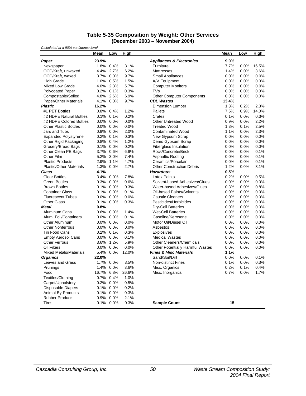#### **Table 5-35 Composition by Weight: Other Services (December 2003 – November 2004)**

| Calculated at a 90% confidence level |       |              |       |                                         |       |      |       |
|--------------------------------------|-------|--------------|-------|-----------------------------------------|-------|------|-------|
|                                      | Mean  | Low          | High  |                                         | Mean  | Low  | High  |
| Paper                                | 23.9% |              |       | <b>Appliances &amp; Electronics</b>     | 9.0%  |      |       |
| Newspaper                            |       | 1.8% 0.4%    | 3.1%  | Furniture                               | 7.7%  | 0.0% | 16.5% |
| OCC/Kraft, unwaxed                   | 4.4%  | 2.7%         | 6.2%  | <b>Mattresses</b>                       | 1.4%  | 0.0% | 3.6%  |
| OCC/Kraft, waxed                     |       | 3.7% 0.0%    | 9.7%  | Small Appliances                        | 0.0%  | 0.0% | 0.0%  |
| <b>High Grade</b>                    | 1.0%  | 0.5%         | 1.5%  | A/V Equipment                           | 0.0%  | 0.0% | 0.0%  |
| Mixed Low Grade                      |       | 4.0% 2.3%    | 5.7%  | <b>Computer Monitors</b>                | 0.0%  | 0.0% | 0.0%  |
| <b>Polycoated Paper</b>              | 0.2%  | 0.1%         | 0.3%  | <b>TVs</b>                              | 0.0%  | 0.0% | 0.0%  |
| Compostable/Soiled                   | 4.8%  | 2.6%         | 6.9%  | <b>Other Computer Components</b>        | 0.0%  | 0.0% | 0.0%  |
| Paper/Other Materials                | 4.1%  | 0.0%         | 9.7%  | <b>CDL Wastes</b>                       | 13.4% |      |       |
| <b>Plastic</b>                       | 16.2% |              |       | Dimension Lumber                        | 1.3%  | 0.2% | 2.3%  |
| #1 PET Bottles                       | 0.8%  | 0.4%         | 1.2%  | Pallets                                 | 7.5%  | 0.9% | 14.0% |
| #2 HDPE Natural Bottles              | 0.1%  | 0.1%         | 0.2%  | Crates                                  | 0.1%  | 0.0% | 0.3%  |
| #2 HDPE Colored Bottles              | 0.0%  | $0.0\%$      | 0.0%  | Other Untreated Wood                    | 0.9%  | 0.0% | 2.2%  |
| <b>Other Plastic Bottles</b>         | 0.0%  | 0.0%         | 0.0%  | <b>Treated Wood</b>                     | 1.3%  | 0.1% | 2.5%  |
| Jars and Tubs                        | 0.9%  | 0.0%         | 2.0%  | <b>Contaminated Wood</b>                | 1.1%  | 0.0% | 2.3%  |
| <b>Expanded Polystyrene</b>          | 0.2%  | 0.1%         | 0.3%  | New Gypsum Scrap                        | 0.0%  | 0.0% | 0.0%  |
| Other Rigid Packaging                | 0.8%  | 0.4%         | 1.2%  | Demo Gypsum Scrap                       | 0.0%  | 0.0% | 0.0%  |
| Grocery/Bread Bags                   | 0.1%  | 0.0%         | 0.2%  | Fiberglass Insulation                   | 0.0%  | 0.0% | 0.0%  |
| Other Clean PE Bags                  | 3.7%  | 0.6%         | 6.9%  | Rock/Concrete/Brick                     | 0.0%  | 0.0% | 0.1%  |
| Other Film                           | 5.2%  | 3.0%         | 7.4%  | Asphaltic Roofing                       | 0.0%  | 0.0% | 0.1%  |
| <b>Plastic Products</b>              | 2.9%  | 1.1%         | 4.7%  | Ceramics/Porcelain                      | 0.0%  | 0.0% | 0.1%  |
| <b>Plastic/Other Materials</b>       | 1.3%  | 0.0%         | 2.7%  | <b>Other Construction Debris</b>        | 1.2%  | 0.0% | 3.1%  |
| Glass                                | 4.1%  |              |       | <b>Hazardous</b>                        | 0.5%  |      |       |
| <b>Clear Bottles</b>                 | 3.4%  | 0.0%         | 7.8%  | <b>Latex Paints</b>                     | 0.2%  | 0.0% | 0.5%  |
| <b>Green Bottles</b>                 | 0.3%  | 0.0%         | 0.6%  | Solvent-based Adhesives/Glues           | 0.0%  | 0.0% | 0.0%  |
| <b>Brown Bottles</b>                 |       | $0.1\%$ 0.0% | 0.3%  | Water-based Adhesives/Glues             | 0.3%  | 0.0% | 0.8%  |
| <b>Container Glass</b>               | 0.1%  | 0.0%         | 0.1%  | Oil-based Paints/Solvents               | 0.0%  | 0.0% | 0.0%  |
| <b>Fluorescent Tubes</b>             | 0.0%  | 0.0%         | 0.0%  | <b>Caustic Cleaners</b>                 | 0.0%  | 0.0% | 0.0%  |
| <b>Other Glass</b>                   | 0.1%  | 0.0%         | 0.3%  | Pesticides/Herbicides                   | 0.0%  | 0.0% | 0.0%  |
| <b>Metal</b>                         | 9.8%  |              |       | Dry-Cell Batteries                      | 0.0%  | 0.0% | 0.0%  |
| Aluminum Cans                        | 0.6%  | 0.0%         | 1.4%  | <b>Wet-Cell Batteries</b>               | 0.0%  | 0.0% | 0.0%  |
| Alum. Foil/Containers                | 0.0%  | 0.0%         | 0.1%  | Gasoline/Kerosene                       | 0.0%  | 0.0% | 0.0%  |
| Other Aluminum                       | 0.0%  | 0.0%         | 0.0%  | Motor Oil/Diesel Oil                    | 0.0%  | 0.0% | 0.0%  |
| <b>Other Nonferrous</b>              | 0.0%  | 0.0%         | 0.0%  | Asbestos                                | 0.0%  | 0.0% | 0.0%  |
| <b>Tin Food Cans</b>                 | 0.2%  | 0.1%         | 0.3%  | Explosives                              | 0.0%  | 0.0% | 0.0%  |
| <b>Empty Aerosol Cans</b>            | 0.0%  | 0.0%         | 0.1%  | <b>Medical Wastes</b>                   | 0.0%  | 0.0% | 0.0%  |
| <b>Other Ferrous</b>                 | 3.6%  | 1.2%         | 5.9%  | <b>Other Cleaners/Chemicals</b>         | 0.0%  | 0.0% | 0.0%  |
| Oil Filters                          | 0.0%  | 0.0%         | 0.0%  | <b>Other Potentially Harmful Wastes</b> | 0.0%  | 0.0% | 0.0%  |
| <b>Mixed Metals/Materials</b>        | 5.4%  | 0.0%         | 12.0% | <b>Fines &amp; Misc Materials</b>       | 1.1%  |      |       |
| <b>Organics</b>                      | 22.0% |              |       | Sand/Soil/Dirt                          | 0.0%  | 0.0% | 0.1%  |
| Leaves and Grass                     | 1.7%  | 0.0%         | 3.5%  | <b>Non-distinct Fines</b>               | 0.1%  | 0.0% | 0.3%  |
| Prunings                             | 1.4%  | 0.0%         | 3.6%  | Misc. Organics                          | 0.2%  | 0.1% | 0.4%  |
| Food                                 | 16.7% | 6.8%         | 26.6% | Misc. Inorganics                        | 0.7%  | 0.0% | 1.7%  |
| Textiles/Clothing                    | 0.7%  | 0.4%         | 1.0%  |                                         |       |      |       |
| Carpet/Upholstery                    | 0.2%  | 0.0%         | 0.5%  |                                         |       |      |       |
| <b>Disposable Diapers</b>            | 0.1%  | 0.0%         | 0.2%  |                                         |       |      |       |
| Animal By-Products                   | 0.1%  | 0.0%         | 0.3%  |                                         |       |      |       |
| <b>Rubber Products</b>               | 0.9%  | 0.0%         | 2.1%  |                                         |       |      |       |
| <b>Tires</b>                         |       | 0.1% 0.0%    | 0.3%  | <b>Sample Count</b>                     | 15    |      |       |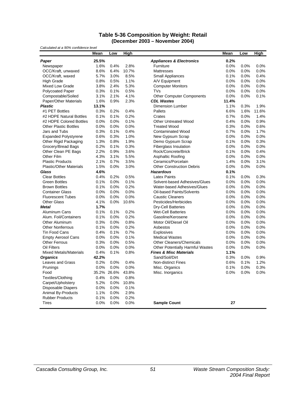#### **Table 5-36 Composition by Weight: Retail (December 2003 – November 2004)**

| Calculated at a 90% confidence level |       |             |       |                                         |       |      |             |
|--------------------------------------|-------|-------------|-------|-----------------------------------------|-------|------|-------------|
|                                      | Mean  | Low         | High  |                                         | Mean  | Low  | <b>High</b> |
| Paper                                | 25.5% |             |       | <b>Appliances &amp; Electronics</b>     | 0.2%  |      |             |
| Newspaper                            | 1.6%  | 0.4%        | 2.8%  | Furniture                               | 0.0%  | 0.0% | 0.0%        |
| OCC/Kraft, unwaxed                   | 8.6%  | 6.4%        | 10.7% | Mattresses                              | 0.0%  | 0.0% | 0.0%        |
| OCC/Kraft, waxed                     | 5.7%  | 3.0%        | 8.5%  | <b>Small Appliances</b>                 | 0.1%  | 0.0% | 0.4%        |
| <b>High Grade</b>                    | 0.8%  | 0.5%        | 1.1%  | A/V Equipment                           | 0.0%  | 0.0% | 0.0%        |
| <b>Mixed Low Grade</b>               | 3.8%  | 2.4%        | 5.3%  | <b>Computer Monitors</b>                | 0.0%  | 0.0% | 0.0%        |
| <b>Polycoated Paper</b>              | 0.3%  | 0.1%        | 0.5%  | <b>TVs</b><br>0.0%                      |       | 0.0% | 0.0%        |
| Compostable/Soiled                   | 3.1%  | 2.1%        | 4.1%  | <b>Other Computer Components</b>        | 0.0%  | 0.0% | 0.1%        |
| Paper/Other Materials                | 1.6%  | 0.9%        | 2.3%  | <b>CDL Wastes</b>                       | 11.4% |      |             |
| <b>Plastic</b>                       | 13.1% |             |       | <b>Dimension Lumber</b>                 | 1.1%  | 0.3% | 1.9%        |
| #1 PET Bottles                       | 0.3%  | 0.2%        | 0.4%  | Pallets                                 | 6.6%  | 1.6% | 11.6%       |
| #2 HDPE Natural Bottles              | 0.1%  | 0.1%        | 0.2%  | Crates                                  | 0.7%  | 0.0% | 1.4%        |
| #2 HDPE Colored Bottles              | 0.0%  | 0.0%        | 0.1%  | <b>Other Untreated Wood</b>             | 0.4%  | 0.0% | 0.9%        |
| <b>Other Plastic Bottles</b>         | 0.0%  | 0.0%        | 0.0%  | <b>Treated Wood</b>                     | 0.3%  | 0.0% | 0.6%        |
| Jars and Tubs                        | 0.3%  | 0.1%        | 0.4%  | <b>Contaminated Wood</b>                | 0.7%  | 0.0% | 1.7%        |
| <b>Expanded Polystyrene</b>          | 0.6%  | 0.3%        | 1.0%  | New Gypsum Scrap                        | 0.0%  | 0.0% | 0.0%        |
| Other Rigid Packaging                | 1.3%  | 0.8%        | 1.9%  | Demo Gypsum Scrap                       | 0.1%  | 0.0% | 0.3%        |
| Grocery/Bread Bags                   | 0.2%  | 0.1%        | 0.3%  | <b>Fiberglass Insulation</b>            | 0.0%  | 0.0% | 0.0%        |
| Other Clean PE Bags                  | 2.2%  | 0.9%        | 3.6%  | Rock/Concrete/Brick                     | 0.1%  | 0.0% | 0.4%        |
| Other Film                           | 4.3%  | 3.1%        | 5.5%  | Asphaltic Roofing                       | 0.0%  | 0.0% | 0.0%        |
| <b>Plastic Products</b>              | 2.1%  | 0.7%        | 3.5%  | Ceramics/Porcelain                      | 1.4%  | 0.0% | 3.1%        |
| <b>Plastic/Other Materials</b>       | 1.5%  | 0.0%        | 3.0%  | <b>Other Construction Debris</b>        | 0.0%  | 0.0% | 0.0%        |
| Glass                                | 4.6%  |             |       | <b>Hazardous</b>                        | 0.1%  |      |             |
| <b>Clear Bottles</b>                 | 0.4%  | 0.2%        | 0.5%  | <b>Latex Paints</b>                     | 0.1%  | 0.0% | 0.3%        |
| <b>Green Bottles</b>                 | 0.1%  | 0.0%        | 0.1%  | Solvent-based Adhesives/Glues           | 0.0%  | 0.0% | 0.0%        |
| <b>Brown Bottles</b>                 | 0.1%  | 0.0%        | 0.2%  | Water-based Adhesives/Glues             | 0.0%  | 0.0% | 0.0%        |
| <b>Container Glass</b>               | 0.0%  | 0.0%        | 0.0%  | <b>Oil-based Paints/Solvents</b>        | 0.0%  | 0.0% | 0.0%        |
| <b>Fluorescent Tubes</b>             | 0.0%  | 0.0%        | 0.0%  | <b>Caustic Cleaners</b>                 | 0.0%  | 0.0% | 0.0%        |
| <b>Other Glass</b>                   | 4.1%  | 0.0%        | 10.6% | Pesticides/Herbicides                   | 0.0%  | 0.0% | 0.0%        |
| <b>Metal</b>                         | 1.7%  |             |       | <b>Dry-Cell Batteries</b>               | 0.0%  | 0.0% | 0.0%        |
| Aluminum Cans                        | 0.1%  | 0.1%        | 0.2%  | <b>Wet-Cell Batteries</b>               | 0.0%  | 0.0% | 0.0%        |
| Alum. Foil/Containers                | 0.1%  | 0.0%        | 0.2%  | Gasoline/Kerosene                       | 0.0%  | 0.0% | 0.0%        |
| Other Aluminum                       | 0.3%  | 0.0%        | 0.8%  | Motor Oil/Diesel Oil                    | 0.0%  | 0.0% | 0.0%        |
| <b>Other Nonferrous</b>              | 0.1%  | 0.0%        | 0.2%  | Asbestos                                | 0.0%  | 0.0% | 0.0%        |
| <b>Tin Food Cans</b>                 | 0.4%  | 0.1%        | 0.7%  | <b>Explosives</b>                       | 0.0%  | 0.0% | 0.0%        |
| <b>Empty Aerosol Cans</b>            | 0.0%  | 0.0%        | 0.1%  | <b>Medical Wastes</b>                   | 0.0%  | 0.0% | 0.0%        |
| <b>Other Ferrous</b>                 | 0.3%  | 0.0%        | 0.5%  | <b>Other Cleaners/Chemicals</b>         | 0.0%  | 0.0% | 0.0%        |
| Oil Filters                          | 0.0%  | 0.0%        | 0.0%  | <b>Other Potentially Harmful Wastes</b> | 0.0%  | 0.0% | 0.0%        |
| <b>Mixed Metals/Materials</b>        | 0.4%  | 0.1%        | 0.8%  | <b>Fines &amp; Misc Materials</b>       | 1.1%  |      |             |
| <b>Organics</b>                      | 42.2% |             |       | Sand/Soil/Dirt                          | 0.3%  | 0.0% | 0.9%        |
| Leaves and Grass                     | 0.2%  | 0.0%        | 0.4%  | <b>Non-distinct Fines</b>               | 0.6%  | 0.1% | 1.2%        |
| Prunings                             | 0.0%  | 0.0%        | 0.0%  | Misc. Organics                          | 0.1%  | 0.0% | 0.3%        |
| Food                                 |       | 35.2% 26.6% | 43.8% | Misc. Inorganics                        | 0.0%  | 0.0% | 0.0%        |
| Textiles/Clothing                    | 0.4%  | 0.0%        | 0.8%  |                                         |       |      |             |
| Carpet/Upholstery                    | 5.2%  | 0.0%        | 10.8% |                                         |       |      |             |
| <b>Disposable Diapers</b>            | 0.0%  | 0.0%        | 0.1%  |                                         |       |      |             |
| Animal By-Products                   | 1.1%  | 0.0%        | 2.9%  |                                         |       |      |             |
| <b>Rubber Products</b>               | 0.1%  | 0.0%        | 0.2%  |                                         |       |      |             |
| Tires                                | 0.0%  | 0.0%        | 0.0%  | <b>Sample Count</b>                     | 27    |      |             |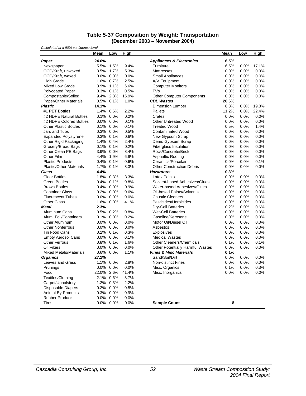#### **Table 5-37 Composition by Weight: Transportation (December 2003 – November 2004)**

| Calculated at a 90% confidence level |       |           |       |                                         |       |      |       |
|--------------------------------------|-------|-----------|-------|-----------------------------------------|-------|------|-------|
|                                      | Mean  | Low       | High  |                                         | Mean  | Low  | High  |
| Paper                                | 24.6% |           |       | <b>Appliances &amp; Electronics</b>     | 6.5%  |      |       |
| Newspaper                            | 5.5%  | 1.5%      | 9.4%  | Furniture                               | 6.5%  | 0.0% | 17.1% |
| OCC/Kraft, unwaxed                   | 3.5%  | 1.7%      | 5.3%  | <b>Mattresses</b>                       | 0.0%  | 0.0% | 0.0%  |
| OCC/Kraft, waxed                     | 0.0%  | 0.0%      | 0.0%  | Small Appliances                        | 0.0%  | 0.0% | 0.0%  |
| <b>High Grade</b>                    | 1.6%  | 0.7%      | 2.5%  | A/V Equipment                           | 0.0%  | 0.0% | 0.0%  |
| Mixed Low Grade                      | 3.9%  | 1.1%      | 6.6%  | <b>Computer Monitors</b>                | 0.0%  | 0.0% | 0.0%  |
| <b>Polycoated Paper</b>              | 0.3%  | 0.1%      | 0.5%  | <b>TVs</b>                              | 0.0%  | 0.0% | 0.0%  |
| Compostable/Soiled                   | 9.4%  | 2.8%      | 15.9% | <b>Other Computer Components</b>        | 0.0%  | 0.0% | 0.0%  |
| Paper/Other Materials                | 0.5%  | 0.1%      | 1.0%  | <b>CDL Wastes</b>                       | 20.6% |      |       |
| <b>Plastic</b>                       | 14.1% |           |       | Dimension Lumber                        | 8.8%  | 0.0% | 19.8% |
| #1 PET Bottles                       | 1.4%  | 0.6%      | 2.2%  | Pallets                                 | 11.2% | 0.0% | 22.4% |
| #2 HDPE Natural Bottles              | 0.1%  | 0.0%      | 0.2%  | Crates                                  | 0.0%  | 0.0% | 0.0%  |
| #2 HDPE Colored Bottles              | 0.0%  | 0.0%      | 0.1%  | Other Untreated Wood                    | 0.0%  | 0.0% | 0.0%  |
| <b>Other Plastic Bottles</b>         | 0.1%  | 0.0%      | 0.1%  | <b>Treated Wood</b>                     | 0.5%  | 0.0% | 1.4%  |
| Jars and Tubs                        | 0.3%  | 0.0%      | 0.5%  | <b>Contaminated Wood</b>                | 0.0%  | 0.0% | 0.0%  |
| <b>Expanded Polystyrene</b>          | 0.3%  | 0.1%      | 0.6%  | New Gypsum Scrap                        | 0.0%  | 0.0% | 0.0%  |
| Other Rigid Packaging                |       | 1.4% 0.4% | 2.4%  | Demo Gypsum Scrap                       | 0.0%  | 0.0% | 0.0%  |
| Grocery/Bread Bags                   | 0.1%  | 0.1%      | 0.2%  | Fiberglass Insulation                   | 0.0%  | 0.0% | 0.0%  |
| Other Clean PE Bags                  | 3.9%  | 0.0%      | 8.4%  | Rock/Concrete/Brick                     | 0.0%  | 0.0% | 0.0%  |
| Other Film                           | 4.4%  | 1.9%      | 6.9%  | Asphaltic Roofing                       | 0.0%  | 0.0% | 0.0%  |
| <b>Plastic Products</b>              | 0.4%  | 0.1%      | 0.6%  | Ceramics/Porcelain                      | 0.0%  | 0.0% | 0.1%  |
| <b>Plastic/Other Materials</b>       | 1.7%  | 0.1%      | 3.3%  | <b>Other Construction Debris</b>        | 0.0%  | 0.0% | 0.0%  |
| Glass                                | 4.4%  |           |       | <b>Hazardous</b>                        | 0.3%  |      |       |
| <b>Clear Bottles</b>                 | 1.8%  | 0.3%      | 3.3%  | <b>Latex Paints</b>                     | 0.0%  | 0.0% | 0.0%  |
| <b>Green Bottles</b>                 | 0.4%  | 0.1%      | 0.8%  | Solvent-based Adhesives/Glues           | 0.0%  | 0.0% | 0.0%  |
| <b>Brown Bottles</b>                 | 0.4%  | 0.0%      | 0.9%  | Water-based Adhesives/Glues             | 0.0%  | 0.0% | 0.0%  |
| <b>Container Glass</b>               | 0.2%  | 0.0%      | 0.6%  | Oil-based Paints/Solvents               | 0.0%  | 0.0% | 0.0%  |
| <b>Fluorescent Tubes</b>             | 0.0%  | 0.0%      | 0.0%  | <b>Caustic Cleaners</b>                 | 0.0%  | 0.0% | 0.0%  |
| <b>Other Glass</b>                   | 1.6%  | 0.0%      | 4.1%  | Pesticides/Herbicides                   | 0.0%  | 0.0% | 0.0%  |
| <b>Metal</b>                         | 2.3%  |           |       | Dry-Cell Batteries                      | 0.2%  | 0.0% | 0.6%  |
| Aluminum Cans                        | 0.5%  | 0.2%      | 0.8%  | <b>Wet-Cell Batteries</b>               | 0.0%  | 0.0% | 0.0%  |
| Alum. Foil/Containers                | 0.1%  | 0.0%      | 0.2%  | Gasoline/Kerosene                       | 0.0%  | 0.0% | 0.0%  |
| Other Aluminum                       | 0.0%  | 0.0%      | 0.0%  | Motor Oil/Diesel Oil                    | 0.0%  | 0.0% | 0.0%  |
| <b>Other Nonferrous</b>              | 0.0%  | 0.0%      | 0.0%  | Asbestos                                | 0.0%  | 0.0% | 0.0%  |
| <b>Tin Food Cans</b>                 | 0.2%  | 0.1%      | 0.3%  | Explosives                              | 0.0%  | 0.0% | 0.0%  |
| <b>Empty Aerosol Cans</b>            | 0.0%  | 0.0%      | 0.1%  | <b>Medical Wastes</b>                   | 0.0%  | 0.0% | 0.0%  |
| <b>Other Ferrous</b>                 | 0.8%  | 0.1%      | 1.6%  | <b>Other Cleaners/Chemicals</b>         | 0.1%  | 0.0% | 0.1%  |
| Oil Filters                          | 0.0%  | 0.0%      | 0.0%  | <b>Other Potentially Harmful Wastes</b> | 0.0%  | 0.0% | 0.0%  |
| <b>Mixed Metals/Materials</b>        | 0.6%  | 0.0%      | 1.1%  | <b>Fines &amp; Misc Materials</b>       | 0.1%  |      |       |
| <b>Organics</b>                      | 27.1% |           |       | Sand/Soil/Dirt                          | 0.0%  | 0.0% | 0.0%  |
| Leaves and Grass                     | 1.1%  | 0.0%      | 2.8%  | <b>Non-distinct Fines</b>               | 0.0%  | 0.0% | 0.0%  |
| Prunings                             | 0.0%  | 0.0%      | 0.0%  | Misc. Organics                          | 0.1%  | 0.0% | 0.3%  |
| Food                                 | 22.0% | 2.6%      | 41.4% | Misc. Inorganics                        | 0.0%  | 0.0% | 0.0%  |
| Textiles/Clothing                    | 2.1%  | 0.6%      | 3.7%  |                                         |       |      |       |
| Carpet/Upholstery                    | 1.2%  | 0.3%      | 2.2%  |                                         |       |      |       |
| <b>Disposable Diapers</b>            | 0.2%  | 0.0%      | 0.5%  |                                         |       |      |       |
| Animal By-Products                   | 0.3%  | 0.0%      | 0.9%  |                                         |       |      |       |
| <b>Rubber Products</b>               | 0.0%  | 0.0%      | 0.0%  |                                         |       |      |       |
| <b>Tires</b>                         |       | 0.0% 0.0% | 0.0%  | <b>Sample Count</b>                     | 8     |      |       |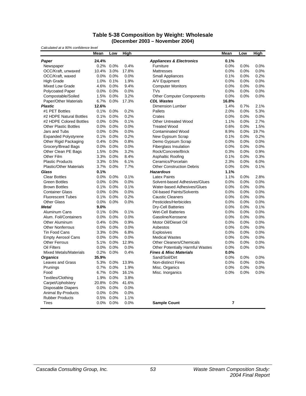#### **Table 5-38 Composition by Weight: Wholesale (December 2003 – November 2004)**

| Calculated at a 90% confidence level |       |           |       |                                         |                |      |             |
|--------------------------------------|-------|-----------|-------|-----------------------------------------|----------------|------|-------------|
|                                      | Mean  | Low       | High  |                                         | <b>Mean</b>    | Low  | <b>High</b> |
| Paper                                | 24.4% |           |       | <b>Appliances &amp; Electronics</b>     | 0.1%           |      |             |
| Newspaper                            | 0.2%  | 0.0%      | 0.4%  | Furniture                               | 0.0%           | 0.0% | 0.0%        |
| OCC/Kraft, unwaxed                   | 10.4% | 3.0%      | 17.8% | <b>Mattresses</b>                       | 0.0%           | 0.0% | 0.0%        |
| OCC/Kraft, waxed                     | 0.0%  | 0.0%      | 0.0%  | Small Appliances                        | 0.1%           | 0.0% | 0.2%        |
| <b>High Grade</b>                    | 1.0%  | 0.1%      | 1.9%  | A/V Equipment                           | 0.0%           | 0.0% | 0.0%        |
| Mixed Low Grade                      | 4.6%  | 0.0%      | 9.4%  | <b>Computer Monitors</b>                | 0.0%           | 0.0% | 0.0%        |
| <b>Polycoated Paper</b>              | 0.0%  | 0.0%      | 0.0%  | <b>TVs</b>                              | 0.0%           | 0.0% | 0.0%        |
| Compostable/Soiled                   | 1.5%  | 0.0%      | 3.2%  | <b>Other Computer Components</b>        | 0.0%           | 0.0% | 0.0%        |
| Paper/Other Materials                | 6.7%  | 0.0%      | 17.3% | <b>CDL Wastes</b>                       | 16.8%          |      |             |
| <b>Plastic</b>                       | 12.6% |           |       | <b>Dimension Lumber</b>                 | 1.4%           | 0.7% | 2.1%        |
| #1 PET Bottles                       | 0.1%  | 0.0%      | 0.2%  | Pallets                                 | 2.0%           | 0.0% | 5.3%        |
| #2 HDPE Natural Bottles              | 0.1%  | 0.0%      | 0.2%  | Crates                                  | 0.0%           | 0.0% | 0.0%        |
| #2 HDPE Colored Bottles              | 0.0%  | 0.0%      | 0.1%  | <b>Other Untreated Wood</b>             | 1.1%           | 0.0% | 2.7%        |
| <b>Other Plastic Bottles</b>         | 0.0%  | 0.0%      | 0.0%  | <b>Treated Wood</b>                     | 0.6%           | 0.0% | 1.5%        |
| Jars and Tubs                        | 0.0%  | $0.0\%$   | 0.0%  | <b>Contaminated Wood</b>                | 8.9%           | 0.0% | 19.7%       |
| <b>Expanded Polystyrene</b>          | 0.1%  | 0.0%      | 0.2%  | New Gypsum Scrap                        | 0.1%           | 0.0% | 0.2%        |
| Other Rigid Packaging                | 0.4%  | 0.0%      | 0.8%  | Demo Gypsum Scrap                       | 0.0%           | 0.0% | 0.0%        |
| Grocery/Bread Bags                   | 0.0%  | 0.0%      | 0.0%  | Fiberglass Insulation                   | 0.0%           | 0.0% | 0.0%        |
| Other Clean PE Bags                  | 1.5%  | 0.0%      | 3.2%  | Rock/Concrete/Brick                     | 0.3%           | 0.0% | 0.9%        |
| Other Film                           | 3.3%  | 0.0%      | 8.4%  | Asphaltic Roofing                       | 0.1%           | 0.0% | 0.3%        |
| <b>Plastic Products</b>              | 3.3%  | 0.5%      | 6.1%  | Ceramics/Porcelain                      | 2.3%           | 0.0% | 6.0%        |
| <b>Plastic/Other Materials</b>       | 3.7%  | 0.0%      | 7.7%  | <b>Other Construction Debris</b>        | 0.0%           | 0.0% | 0.1%        |
| Glass                                | 0.1%  |           |       | <b>Hazardous</b>                        | 1.1%           |      |             |
| <b>Clear Bottles</b>                 | 0.0%  | 0.0%      | 0.1%  | <b>Latex Paints</b>                     | 1.1%           | 0.0% | 2.8%        |
| <b>Green Bottles</b>                 | 0.0%  | 0.0%      | 0.0%  | Solvent-based Adhesives/Glues           | 0.0%           | 0.0% | 0.0%        |
| <b>Brown Bottles</b>                 |       | 0.1% 0.0% | 0.1%  | Water-based Adhesives/Glues             | 0.0%           | 0.0% | 0.0%        |
| <b>Container Glass</b>               | 0.0%  | 0.0%      | 0.0%  | Oil-based Paints/Solvents               | 0.0%           | 0.0% | 0.0%        |
| <b>Fluorescent Tubes</b>             | 0.1%  | 0.0%      | 0.2%  | <b>Caustic Cleaners</b>                 | 0.0%           | 0.0% | 0.0%        |
| <b>Other Glass</b>                   | 0.0%  | 0.0%      | 0.0%  | Pesticides/Herbicides                   | 0.0%           | 0.0% | 0.0%        |
| <b>Metal</b>                         | 9.0%  |           |       | Dry-Cell Batteries                      | 0.0%           | 0.0% | 0.1%        |
| Aluminum Cans                        | 0.1%  | 0.0%      | 0.1%  | <b>Wet-Cell Batteries</b>               | 0.0%           | 0.0% | 0.0%        |
| Alum. Foil/Containers                | 0.0%  | 0.0%      | 0.0%  | Gasoline/Kerosene                       | 0.0%           | 0.0% | 0.0%        |
| Other Aluminum                       | 0.4%  | 0.0%      | 0.9%  | Motor Oil/Diesel Oil                    | 0.0%           | 0.0% | 0.0%        |
| <b>Other Nonferrous</b>              | 0.0%  | 0.0%      | 0.0%  | Asbestos                                | 0.0%           | 0.0% | 0.0%        |
| <b>Tin Food Cans</b>                 | 3.3%  | 0.0%      | 6.8%  | <b>Explosives</b>                       | 0.0%           | 0.0% | 0.0%        |
| <b>Empty Aerosol Cans</b>            | 0.0%  | 0.0%      | 0.0%  | <b>Medical Wastes</b>                   | 0.0%           | 0.0% | 0.0%        |
| <b>Other Ferrous</b>                 | 5.1%  | 0.0%      | 12.9% | <b>Other Cleaners/Chemicals</b>         | 0.0%           | 0.0% | 0.0%        |
| Oil Filters                          | 0.0%  | 0.0%      | 0.0%  | <b>Other Potentially Harmful Wastes</b> | 0.0%           | 0.0% | 0.0%        |
| <b>Mixed Metals/Materials</b>        | 0.2%  | 0.0%      | 0.4%  | <b>Fines &amp; Misc Materials</b>       | 0.0%           |      |             |
| <b>Organics</b>                      | 35.9% |           |       | Sand/Soil/Dirt                          | 0.0%           | 0.0% | 0.0%        |
| Leaves and Grass                     | 5.3%  | 0.0%      | 13.9% | <b>Non-distinct Fines</b>               | 0.0%           | 0.0% | 0.0%        |
| Prunings                             | 0.7%  | 0.0%      | 1.9%  | Misc. Organics                          | 0.0%           | 0.0% | 0.0%        |
| Food                                 | 6.7%  | 0.0%      | 16.1% | Misc. Inorganics                        | 0.0%           | 0.0% | 0.0%        |
| Textiles/Clothing                    | 1.9%  | 0.0%      | 3.8%  |                                         |                |      |             |
| Carpet/Upholstery                    | 20.8% | 0.0%      | 41.6% |                                         |                |      |             |
| <b>Disposable Diapers</b>            | 0.0%  | 0.0%      | 0.0%  |                                         |                |      |             |
| Animal By-Products                   | 0.0%  | 0.0%      | 0.0%  |                                         |                |      |             |
| <b>Rubber Products</b>               | 0.5%  | 0.0%      | 1.1%  |                                         |                |      |             |
| <b>Tires</b>                         | 0.0%  | 0.0%      | 0.0%  | <b>Sample Count</b>                     | $\overline{7}$ |      |             |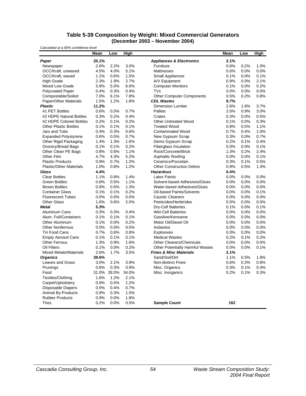#### **Table 5-39 Composition by Weight: Mixed Commercial Generators (December 2003 – November 2004)**

| Calculated at a 90% confidence level |       |       |       |                                         |      |      |             |
|--------------------------------------|-------|-------|-------|-----------------------------------------|------|------|-------------|
|                                      | Mean  | Low   | High  |                                         | Mean | Low  | <b>High</b> |
| Paper                                | 25.1% |       |       | <b>Appliances &amp; Electronics</b>     | 2.1% |      |             |
| Newspaper                            | 2.6%  | 2.2%  | 3.0%  | Furniture                               | 0.6% | 0.2% | 1.0%        |
| OCC/Kraft, unwaxed                   | 4.5%  | 4.0%  | 5.1%  | Mattresses                              | 0.0% | 0.0% | 0.0%        |
| OCC/Kraft, waxed                     | 1.1%  | 0.6%  | 1.5%  | <b>Small Appliances</b>                 | 0.1% | 0.0% | 0.1%        |
| <b>High Grade</b>                    | 2.3%  | 1.9%  | 2.7%  | A/V Equipment                           | 0.9% | 0.0% | 2.1%        |
| <b>Mixed Low Grade</b>               | 5.8%  | 5.0%  | 6.6%  | <b>Computer Monitors</b>                | 0.1% | 0.0% | 0.2%        |
| <b>Polycoated Paper</b>              | 0.4%  | 0.3%  | 0.4%  | <b>TVs</b>                              | 0.0% | 0.0% | 0.0%        |
| Compostable/Soiled                   | 7.0%  | 6.1%  | 7.8%  | <b>Other Computer Components</b>        | 0.5% | 0.2% | 0.8%        |
| Paper/Other Materials                | 1.5%  | 1.2%  | 1.8%  | <b>CDL Wastes</b>                       | 9.7% |      |             |
| <b>Plastic</b>                       | 11.2% |       |       | <b>Dimension Lumber</b>                 | 2.6% | 1.6% | 3.7%        |
| #1 PET Bottles                       | 0.6%  | 0.5%  | 0.7%  | Pallets                                 | 2.0% | 0.9% | 3.0%        |
| #2 HDPE Natural Bottles              | 0.3%  | 0.2%  | 0.4%  | Crates                                  | 0.3% | 0.0% | 0.5%        |
| #2 HDPE Colored Bottles              | 0.2%  | 0.1%  | 0.2%  | <b>Other Untreated Wood</b>             | 0.1% | 0.0% | 0.3%        |
| <b>Other Plastic Bottles</b>         | 0.1%  | 0.1%  | 0.1%  | <b>Treated Wood</b>                     | 0.8% | 0.5% | 1.1%        |
| Jars and Tubs                        | 0.4%  | 0.3%  | 0.6%  | <b>Contaminated Wood</b>                | 0.7% | 0.4% | 1.0%        |
| <b>Expanded Polystyrene</b>          | 0.6%  | 0.5%  | 0.7%  | New Gypsum Scrap                        | 0.3% | 0.0% | 0.7%        |
| Other Rigid Packaging                | 1.4%  | 1.3%  | 1.6%  | Demo Gypsum Scrap                       | 0.2% | 0.1% | 0.4%        |
| Grocery/Bread Bags                   | 0.1%  | 0.1%  | 0.2%  | <b>Fiberglass Insulation</b>            | 0.0% | 0.0% | 0.1%        |
| Other Clean PE Bags                  | 0.8%  | 0.6%  | 1.1%  | Rock/Concrete/Brick                     | 1.3% | 0.2% | 2.4%        |
| Other Film                           | 4.7%  | 4.3%  | 5.2%  | Asphaltic Roofing                       | 0.0% | 0.0% | 0.1%        |
| <b>Plastic Products</b>              | 0.9%  | 0.7%  | 1.2%  | Ceramics/Porcelain                      | 0.3% | 0.1% | 0.5%        |
| <b>Plastic/Other Materials</b>       | 1.0%  | 0.8%  | 1.2%  | <b>Other Construction Debris</b>        | 0.9% | 0.5% | 1.4%        |
| Glass                                | 4.4%  |       |       | <b>Hazardous</b>                        | 0.4% |      |             |
| <b>Clear Bottles</b>                 | 1.1%  | 0.8%  | 1.4%  | <b>Latex Paints</b>                     | 0.0% | 0.0% | 0.0%        |
| <b>Green Bottles</b>                 | 0.8%  | 0.5%  | 1.1%  | Solvent-based Adhesives/Glues           | 0.0% | 0.0% | 0.0%        |
| <b>Brown Bottles</b>                 | 0.9%  | 0.5%  | 1.3%  | Water-based Adhesives/Glues             | 0.0% | 0.0% | 0.0%        |
| <b>Container Glass</b>               | 0.1%  | 0.1%  | 0.2%  | <b>Oil-based Paints/Solvents</b>        | 0.0% | 0.0% | 0.1%        |
| <b>Fluorescent Tubes</b>             | 0.0%  | 0.0%  | 0.0%  | <b>Caustic Cleaners</b>                 | 0.0% | 0.0% | 0.0%        |
| <b>Other Glass</b>                   | 1.6%  | 0.6%  | 2.5%  | Pesticides/Herbicides                   | 0.0% | 0.0% | 0.0%        |
| <b>Metal</b>                         | 5.3%  |       |       | Dry-Cell Batteries                      | 0.1% | 0.0% | 0.1%        |
| Aluminum Cans                        | 0.3%  | 0.3%  | 0.4%  | <b>Wet-Cell Batteries</b>               | 0.0% | 0.0% | 0.0%        |
| Alum. Foil/Containers                | 0.1%  | 0.1%  | 0.1%  | Gasoline/Kerosene                       | 0.0% | 0.0% | 0.0%        |
| Other Aluminum                       | 0.1%  | 0.0%  | 0.2%  | Motor Oil/Diesel Oil                    | 0.0% | 0.0% | 0.0%        |
| <b>Other Nonferrous</b>              | 0.0%  | 0.0%  | 0.0%  | Asbestos                                | 0.0% | 0.0% | 0.0%        |
| <b>Tin Food Cans</b>                 | 0.7%  | 0.6%  | 0.8%  | <b>Explosives</b>                       | 0.0% | 0.0% | 0.0%        |
| <b>Empty Aerosol Cans</b>            | 0.1%  | 0.1%  | 0.1%  | <b>Medical Wastes</b>                   | 0.2% | 0.1% | 0.2%        |
| <b>Other Ferrous</b>                 | 1.3%  | 0.9%  | 1.6%  | <b>Other Cleaners/Chemicals</b>         | 0.0% | 0.0% | 0.0%        |
| <b>Oil Filters</b>                   | 0.1%  | 0.0%  | 0.2%  | <b>Other Potentially Harmful Wastes</b> | 0.0% | 0.0% | 0.1%        |
| <b>Mixed Metals/Materials</b>        | 2.6%  | 1.7%  | 3.5%  | <b>Fines &amp; Misc Materials</b>       | 2.1% |      |             |
| <b>Organics</b>                      | 39.6% |       |       | Sand/Soil/Dirt                          | 1.1% | 0.5% | 1.8%        |
| Leaves and Grass                     | 3.0%  | 2.1%  | 3.9%  | <b>Non-distinct Fines</b>               | 0.6% | 0.3% | 0.8%        |
| Prunings                             | 0.6%  | 0.3%  | 0.9%  | Misc. Organics                          | 0.3% | 0.1% | 0.4%        |
| Food                                 | 31.0% | 28.0% | 34.0% | Misc. Inorganics                        | 0.2% | 0.1% | 0.3%        |
| Textiles/Clothing                    | 1.6%  | 1.2%  | 2.1%  |                                         |      |      |             |
| Carpet/Upholstery                    | 0.9%  | 0.5%  | 1.2%  |                                         |      |      |             |
| <b>Disposable Diapers</b>            | 0.5%  | 0.4%  | 0.7%  |                                         |      |      |             |
| Animal By-Products                   | 0.9%  | 0.3%  | 1.5%  |                                         |      |      |             |
| <b>Rubber Products</b>               | 0.9%  | 0.0%  | 1.8%  |                                         |      |      |             |
| <b>Tires</b>                         | 0.2%  | 0.0%  | 0.5%  | <b>Sample Count</b>                     | 162  |      |             |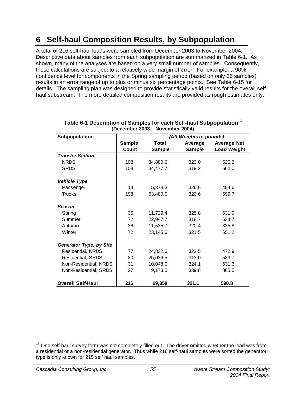# **6 Self-haul Composition Results, by Subpopulation**

A total of 216 self-haul loads were sampled from December 2003 to November 2004. Descriptive data about samples from each subpopulation are summarized in Table 6-1. As shown, many of the analyses are based on a very small number of samples. Consequently, these calculations are subject to a relatively wide margin of error. For example, a 90% confidence level for components in the Spring sampling period (based on only 36 samples) results in an error range of up to plus or minus six percentage points. See Table 6-15 for details. The sampling plan was designed to provide statistically valid results for the overall selfhaul substream. The more detailed composition results are provided as rough estimates only.

| Subpopulation            |               |          | (All Weights in pounds) |                    |
|--------------------------|---------------|----------|-------------------------|--------------------|
|                          | <b>Sample</b> | Total    | Average                 | <b>Average Net</b> |
|                          | Count         | Sample   | <b>Sample</b>           | <b>Load Weight</b> |
| <b>Transfer Station</b>  |               |          |                         |                    |
| <b>NRDS</b>              | 108           | 34,880.6 | 323.0                   | 520.2              |
| <b>SRDS</b>              | 108           | 34,477.7 | 319.2                   | 662.0              |
| <b>Vehicle Type</b>      |               |          |                         |                    |
| Passenger                | 18            | 5,878.3  | 326.6                   | 484.6              |
| <b>Trucks</b>            | 198           | 63,480.0 | 320.6                   | 599.7              |
| <b>Season</b>            |               |          |                         |                    |
| Spring                   | 36            | 11,729.4 | 325.8                   | 631.9              |
| Summer                   | 72            | 22,947.7 | 318.7                   | 634.7              |
| Autumn                   | 36            | 11,535.7 | 320.4                   | 335.8              |
| Winter                   | 72            | 23,145.6 | 321.5                   | 651.2              |
| Generator Type, by Site  |               |          |                         |                    |
| Residential, NRDS        | 77            | 24,832.6 | 322.5                   | 472.9              |
| Residential, SRDS        | 80            | 25,036.5 | 313.0                   | 589.7              |
| Non-Residential, NRDS    | 31            | 10,048.0 | 324.1                   | 631.6              |
| Non-Residential, SRDS    | 27            | 9,173.5  | 339.8                   | 865.5              |
| <b>Overall Self-Haul</b> | 216           | 69,358   | 321.1                   | 590.8              |

#### **Table 6-1 Description of Samples for each Self-haul Subpopulation<sup>13</sup> (December 2003 – November 2004)**

  $13$  One self-haul survey form was not completely filled out. The driver omitted whether the load was from a residential or a non-residential generator. Thus while 216 self-haul samples were sorted the generator type is only known for 215 self haul samples.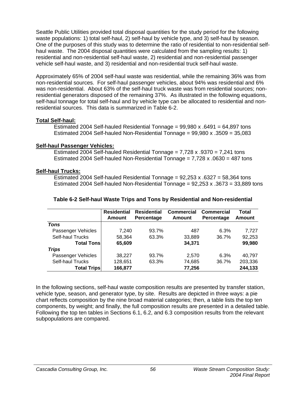Seattle Public Utilities provided total disposal quantities for the study period for the following waste populations: 1) total self-haul, 2) self-haul by vehicle type, and 3) self-haul by season. One of the purposes of this study was to determine the ratio of residential to non-residential selfhaul waste. The 2004 disposal quantities were calculated from the sampling results: 1) residential and non-residential self-haul waste, 2) residential and non-residential passenger vehicle self-haul waste, and 3) residential and non-residential truck self-haul waste.

Approximately 65% of 2004 self-haul waste was residential, while the remaining 36% was from non-residential sources. For self-haul passenger vehicles, about 94% was residential and 6% was non-residential. About 63% of the self-haul truck waste was from residential sources; nonresidential generators disposed of the remaining 37%. As illustrated in the following equations, self-haul tonnage for total self-haul and by vehicle type can be allocated to residential and nonresidential sources. This data is summarized in Table 6-2.

### **Total Self-haul:**

Estimated 2004 Self-hauled Residential Tonnage =  $99.980 \times .6491 = 64.897$  tons Estimated 2004 Self-hauled Non-Residential Tonnage = 99,980 x .3509 = 35,083

## **Self-haul Passenger Vehicles:**

Estimated 2004 Self-hauled Residential Tonnage =  $7,728 \times .9370 = 7,241$  tons Estimated 2004 Self-hauled Non-Residential Tonnage = 7,728 x .0630 = 487 tons

## **Self-haul Trucks:**

Estimated 2004 Self-hauled Residential Tonnage =  $92,253 \times .6327 = 58,364$  tons Estimated 2004 Self-hauled Non-Residential Tonnage =  $92,253 \times 0.3673 = 33,889$  tons

|                         | <b>Residential</b> | <b>Residential</b> | <b>Commercial</b> | <b>Commercial</b> | Total         |
|-------------------------|--------------------|--------------------|-------------------|-------------------|---------------|
|                         | Amount             | Percentage         | Amount            | Percentage        | <b>Amount</b> |
| <b>Tons</b>             |                    |                    |                   |                   |               |
| Passenger Vehicles      | 7.240              | 93.7%              | 487               | 6.3%              | 7.727         |
| <b>Self-haul Trucks</b> | 58,364             | 63.3%              | 33,889            | 36.7%             | 92,253        |
| <b>Total Tonsl</b>      | 65,609             |                    | 34,371            |                   | 99,980        |
| <b>Trips</b>            |                    |                    |                   |                   |               |
| Passenger Vehicles      | 38.227             | 93.7%              | 2.570             | 6.3%              | 40.797        |
| Self-haul Trucks        | 128,651            | 63.3%              | 74,685            | 36.7%             | 203,336       |
| <b>Total Trips</b>      | 166,877            |                    | 77,256            |                   | 244,133       |

## **Table 6-2 Self-haul Waste Trips and Tons by Residential and Non-residential**

In the following sections, self-haul waste composition results are presented by transfer station, vehicle type, season, and generator type, by site. Results are depicted in three ways: a pie chart reflects composition by the nine broad material categories; then, a table lists the top ten components, by weight; and finally, the full composition results are presented in a detailed table. Following the top ten tables in Sections 6.1, 6.2, and 6.3 composition results from the relevant subpopulations are compared.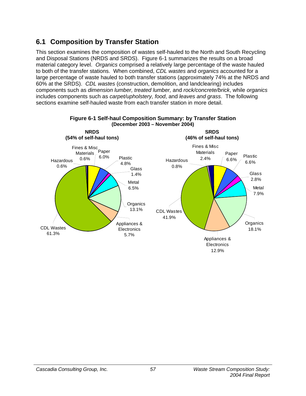# **6.1 Composition by Transfer Station**

This section examines the composition of wastes self-hauled to the North and South Recycling and Disposal Stations (NRDS and SRDS). Figure 6-1 summarizes the results on a broad material category level. *Organics* comprised a relatively large percentage of the waste hauled to both of the transfer stations. When combined, *CDL wastes* and *organics* accounted for a large percentage of waste hauled to both transfer stations (approximately 74% at the NRDS and 60% at the SRDS). *CDL wastes* (construction, demolition, and landclearing) includes components such as *dimension lumber, treated lumber,* and *rock/concrete/brick*, while *organics* includes components such as *carpet/upholstery, food*, and *leaves and grass*. The following sections examine self-hauled waste from each transfer station in more detail.



**Figure 6-1 Self-haul Composition Summary: by Transfer Station** 

12.9%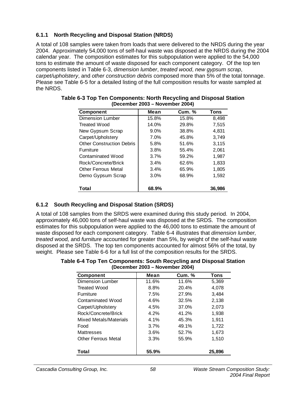## **6.1.1 North Recycling and Disposal Station (NRDS)**

A total of 108 samples were taken from loads that were delivered to the NRDS during the year 2004. Approximately 54,000 tons of self-haul waste was disposed at the NRDS during the 2004 calendar year. The composition estimates for this subpopulation were applied to the 54,000 tons to estimate the amount of waste disposed for each component category. Of the top ten components listed in Table 6-3, *dimension lumber*, *treated wood*, *new gypsum scrap*, *carpet/upholstery*, and *other construction debris* composed more than 5% of the total tonnage. Please see Table 6-5 for a detailed listing of the full composition results for waste sampled at the NRDS.

| <b>Component</b>                 | Mean  | <b>Cum.</b> % | Tons   |
|----------------------------------|-------|---------------|--------|
| <b>Dimension Lumber</b>          | 15.8% | 15.8%         | 8,498  |
| Treated Wood                     | 14.0% | 29.8%         | 7.515  |
| New Gypsum Scrap                 | 9.0%  | 38.8%         | 4.831  |
| Carpet/Upholstery                | 7.0%  | 45.8%         | 3,749  |
| <b>Other Construction Debris</b> | 5.8%  | 51.6%         | 3,115  |
| <b>Furniture</b>                 | 3.8%  | 55.4%         | 2,061  |
| Contaminated Wood                | 3.7%  | 59.2%         | 1,987  |
| Rock/Concrete/Brick              | 3.4%  | 62.6%         | 1,833  |
| Other Ferrous Metal              | 3.4%  | 65.9%         | 1.805  |
| Demo Gypsum Scrap                | 3.0%  | 68.9%         | 1,592  |
| Total                            | 68.9% |               | 36,986 |

| Table 6-3 Top Ten Components: North Recycling and Disposal Station |
|--------------------------------------------------------------------|
| (December 2003 – November 2004)                                    |

## **6.1.2 South Recycling and Disposal Station (SRDS)**

A total of 108 samples from the SRDS were examined during this study period. In 2004, approximately 46,000 tons of self-haul waste was disposed at the SRDS. The composition estimates for this subpopulation were applied to the 46,000 tons to estimate the amount of waste disposed for each component category. Table 6-4 illustrates that *dimension lumber, treated wood,* and *furniture* accounted for greater than 5%, by weight of the self-haul waste disposed at the SRDS. The top ten components accounted for almost 56% of the total, by weight. Please see Table 6-6 for a full list of the composition results for the SRDS.

**Table 6-4 Top Ten Components: South Recycling and Disposal Station (December 2003 – November 2004)** 

| <b>Component</b>       | Mean    | <b>Cum. %</b> | Tons   |
|------------------------|---------|---------------|--------|
| Dimension Lumber       | 11.6%   | 11.6%         | 5,369  |
| Treated Wood           | 8.8%    | 20.4%         | 4,078  |
| <b>Furniture</b>       | 7.5%    | 27.9%         | 3,484  |
| Contaminated Wood      | 4.6%    | 32.5%         | 2,138  |
| Carpet/Upholstery      | 4.5%    | 37.0%         | 2,073  |
| Rock/Concrete/Brick    | 4.2%    | 41.2%         | 1,938  |
| Mixed Metals/Materials | $4.1\%$ | 45.3%         | 1,911  |
| Food                   | 3.7%    | 49.1%         | 1.722  |
| Mattresses             | 3.6%    | 52.7%         | 1,673  |
| Other Ferrous Metal    | 3.3%    | 55.9%         | 1,510  |
| Total                  | 55.9%   |               | 25,896 |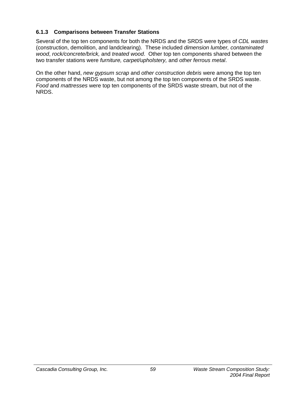## **6.1.3 Comparisons between Transfer Stations**

Several of the top ten components for both the NRDS and the SRDS were types of *CDL wastes* (construction, demolition, and landclearing). These included *dimension lumber, contaminated wood*, *rock/concrete/brick,* and *treated wood*. Other top ten components shared between the two transfer stations were *furniture, carpet/upholstery,* and *other ferrous metal*.

On the other hand, *new gypsum scrap* and *other construction debris* were among the top ten components of the NRDS waste, but not among the top ten components of the SRDS waste. *Food* and *mattresses* were top ten components of the SRDS waste stream, but not of the NRDS.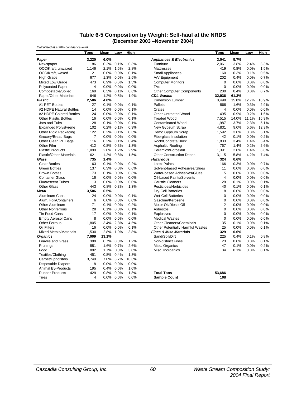#### **Table 6-5 Composition by Weight: Self-haul at the NRDS (December 2003 –November 2004)**

*Calculated at a 90% confidence level* **Tons Mean Low High Tons Mean Low High** *Paper* **3,220 6.0%** *Appliances & Electronics* **3,041 5.7%** Newspaper 86 0.2% 0.1% 0.3% Furniture 2,061 3.8% 2.4% 5.3% OCC/Kraft, unwaxed 1,146 2.1% 1.5% 2.8% Mattresses 419 0.8% 0.0% 1.5% OCC/Kraft, waxed 21 0.0% 0.0% 0.1% Small Appliances 160 0.3% 0.1% 0.5% High Grade 677 1.3% 0.0% 2.5% A/V Equipment 202 0.4% 0.0% 0.7% Computer Monitors Polycoated Paper  $4$  0.0% 0.0% 0.0% TVs 0 0.0% 0.0% 0.0% 0.0% 0.0% Compostable/Soiled 168 0.3% 0.1% 0.6% Other Computer Components 200 0.4% 0.0% 0.7% Paper/Other Materials 646 1.2% 0.5% 1.9% *CDL Wastes* **32,936 61.3%** *Plastic* **2,586 4.8%** Dimension Lumber 8,498 15.8% 12.7% 18.9% #1 PET Bottles 27 0.1% 0.0% 0.1% Pallets 866 1.6% 0.3% 2.9% #2 HDPE Natural Bottles 14 0.0% 0.0% 0.1% Crates 4 0.0% 0.0% 0.0% #2 HDPE Colored Bottles 24 0.0% 0.0% 0.1% Other Untreated Wood 495 0.9% 0.2% 1.6% Other Plastic Bottles 16 0.0% 0.0% 0.1% Treated Wood 7,515 14.0% 11.1% 16.9% 0.1% 0.0% 0.0% 0.1% Treated Wood 7,515 14.0% 17.9% 2.3% 5.1% Contaminated Wood Expanded Polystyrene 102 0.2% 0.1% 0.3% New Gypsum Scrap 4,831 9.0% 5.6% 12.3% Other Rigid Packaging 122 0.2% 0.1% 0.3% Demo Gypsum Scrap 1,592 3.0% 0.8% 5.1% Grocery/Bread Bags 7 0.0% 0.0% 0.0% Fiberglass Insulation 42 0.1% 0.0% 0.2% Other Clean PE Bags 116 0.2% 0.1% 0.4% Rock/Concrete/Brick 1,833 3.4% 1.4% 5.4% Other Film 412 0.8% 0.3% 1.3% Asphaltic Roofing 767 1.4% 0.2% 2.6% Plastic Products 1,099 2.0% 1.2% 2.9% Ceramics/Porcelain 1,391 2.6% 1.4% 3.8% Plastic/Other Materials 621 1.2% 0.8% 1.5% Other Construction Debris 3,115 5.8% 4.2% 7.4% *Glass* **735 1.4%** *Hazardous* **324 0.6%** Clear Bottles 63 0.1% 0.0% 0.2% Latex Paints 166 0.3% 0.0% 0.7% Green Bottles 137 0.3% 0.0% 0.6% Solvent-based Adhesives/Glues 11 0.0% 0.0% 0.0% Brown Bottles 73 0.1% 0.0% 0.3% Water-based Adhesives/Glues 5 0.0% 0.0% 0.0% Container Glass 16 0.0% 0.0% 0.0% Oil-based Paints/Solvents 4 0.0% 0.0% 0.0% Fluorescent Tubes 3 0.0% 0.0% 0.0% Caustic Cleaners 28 0.1% 0.0% 0.1% Other Glass 443 0.8% 0.3% 1.3% Pesticides/Herbicides 40 0.1% 0.0% 0.1% **Metal 3,506 6.5%** Dry-Cell Batteries 8 0.0% 0.0% 0.0% Aluminum Cans 24 0.0% 0.0% 0.1% Wet-Cell Batteries 0 0.0% 0.0% 0.0% Alum. Foil/Containers 6 0.0% 0.0% 0.0% Gasoline/Kerosene 0 0.0% 0.0% 0.0% 0.0% 0.0%<br>Other Aluminum 71 0.1% 0.0% 0.2% Motor Oil/Diesel Oil 0 2 0.0% 0.0% 0.0% Other Aluminum 71 0.1% 0.0% 0.2% Motor Oil/Diesel Oil 2 0.0% 0.0% 0.0% Other Nonferrous 28 0.1% 0.0% 0.1% Asbestos 0 0.0% 0.0% 0.0% Tin Food Cans 17 0.0% 0.0% 0.1% Explosives 0 0.0% 0.0% 0.0% Empty Aerosol Cans 8 0.0% 0.0% 0.0% Medical Wastes 0 0.0% 0.0% 0.0% Other Ferrous 1,805 3.4% 2.3% 4.5% Other Cleaners/Chemicals 35 0.1% 0.0% 0.1% Oil Filters 16 0.0% 0.0% 0.1% Other Potentially Harmful Wastes 25 0.0% 0.0% 0.1% Mixed Metals/Materials 1,530 2.8% 1.9% 3.8% *Fines & Misc Materials* **329 0.6%** *Organics* **7,009 13.1%** Sand/Soil/Dirt 225 0.4% 0.1% 0.8% Leaves and Grass 399 0.7% 0.3% 1.2% Non-distinct Fines 23 0.0% 0.0% 0.1% 0.1% 0.1% 0.2% 0.2% Prunings 881 1.6% 0.7% 2.6% Misc. Organics 47 0.1% 0.0% 0.2% Food 892 1.7% 0.3% 3.0% Misc. Inorganics 34 0.1% 0.0% 0.1% Textiles/Clothing 451 0.8% 0.4% 1.3% Carpet/Upholstery 3,749 7.0% 3.7% 10.3% Disposable Diapers 8 0.0% 0.0% 0.0% Animal By-Products 195 0.4% 0.0% 1.0% Rubber Products 429 0.8% 0.0% 1.8% **Total Tons 53,686** Tires 4 0.0% 0.0% 0.0% **Sample Count 108**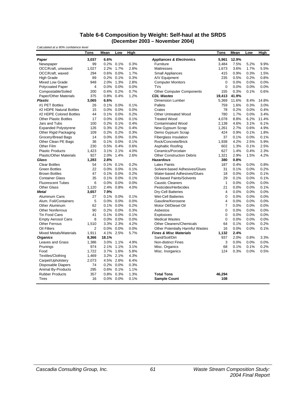#### **Table 6-6 Composition by Weight: Self-haul at the SRDS (December 2003 – November 2004)**

| High<br>High<br>Tons<br>Mean<br>Low<br>Tons<br>Mean<br>Low<br>6.6%<br>3.037<br><b>Appliances &amp; Electronics</b><br>5.961<br>12.9%<br>Paper<br>7.5%<br>99<br>0.2% 0.1%<br>0.3%<br>Furniture<br>3,484<br>5.2%<br>9.9%<br>Newspaper<br>1,027<br>2.2%<br>1.7%<br>2.8%<br>1,673<br>3.6%<br>1.7%<br>5.5%<br>OCC/Kraft, unwaxed<br><b>Mattresses</b><br>294<br>0.6%<br>0.0%<br>1.7%<br>415<br>0.9%<br>1.5%<br>OCC/Kraft, waxed<br><b>Small Appliances</b><br>0.3%<br>0.2%<br>0.3%<br>235<br>0.8%<br>89<br>0.1%<br>A/V Equipment<br>0.5%<br>0.2%<br><b>High Grade</b><br>2.0%<br>1.3%<br>2.8%<br>0.0%<br>0.0%<br><b>Mixed Low Grade</b><br>948<br><b>Computer Monitors</b><br>$\mathbf 0$<br>0.0%<br>$\overline{\mathbf{4}}$<br>0.0%<br>0<br>0.0%<br>0.0%<br><b>Polycoated Paper</b><br>$0.0\%$ 0.0%<br>TVs<br>0.0%<br>0.7%<br>Compostable/Soiled<br>200<br>0.4% 0.2%<br>Other Computer Components<br>155<br>0.3%<br>0.1%<br>0.6%<br>Paper/Other Materials<br>375<br>0.8%<br>0.4%<br>1.2%<br><b>CDL Wastes</b><br>19,413<br>41.9%<br><b>Plastic</b><br>3,065<br>6.6%<br><b>Dimension Lumber</b><br>5,369<br>11.6%<br>8.4%<br>14.8%<br>#1 PET Bottles<br>26<br>0.1% 0.0%<br>0.1%<br>Pallets<br>759<br>1.6%<br>0.3%<br>3.0%<br>#2 HDPE Natural Bottles<br>$0.0\%$<br>0.0%<br>78<br>0.2%<br>0.4%<br>15<br>0.0%<br>Crates<br>0.0%<br>#2 HDPE Colored Bottles<br>44<br>0.1%<br>0.0%<br>0.2%<br><b>Other Untreated Wood</b><br>780<br>1.7%<br>0.0%<br>3.4%<br>0.1%<br>11.4%<br><b>Other Plastic Bottles</b><br>17<br>$0.0\%$<br>0.0%<br><b>Treated Wood</b><br>4,078<br>8.8%<br>6.2%<br>0.4%<br>4.6%<br>Jars and Tubs<br>100<br>0.2% 0.1%<br><b>Contaminated Wood</b><br>2,138<br>3.1%<br>6.1%<br>126<br>0.3% 0.2%<br>0.4%<br>2.7%<br>4.9%<br><b>Expanded Polystyrene</b><br>New Gypsum Scrap<br>1,261<br>0.6%<br>109<br>0.2% 0.2%<br>0.3%<br>424<br>0.9%<br>1.8%<br>Other Rigid Packaging<br>Demo Gypsum Scrap<br>0.1%<br>14<br>0.0% 0.0%<br>0.0%<br>37<br>0.1%<br>0.1%<br>Grocery/Bread Bags<br><b>Fiberglass Insulation</b><br>0.0%<br>4.2%<br>Other Clean PE Bags<br>36<br>$0.1\%$ 0.0%<br>0.1%<br>Rock/Concrete/Brick<br>1.938<br>2.5%<br>5.9%<br>Other Film<br>230<br>1.3%<br>2.5%<br>0.5%<br>0.4%<br>0.6%<br>Asphaltic Roofing<br>602<br>0.1%<br><b>Plastic Products</b><br>1,423<br>3.1%<br>2.1%<br>4.0%<br>Ceramics/Porcelain<br>627<br>1.4%<br>0.4%<br>2.3%<br>927<br>2.9%<br><b>Plastic/Other Materials</b><br>2.0%<br>1.4%<br>2.6%<br><b>Other Construction Debris</b><br>1,321<br>1.5%<br>4.2%<br>Glass<br>1,283<br>2.8%<br><b>Hazardous</b><br>380<br>0.8%<br>54<br>0.1%<br>0.1%<br>0.2%<br>187<br>0.4%<br>0.0%<br>0.8%<br><b>Clear Bottles</b><br><b>Latex Paints</b><br>22<br>0.0% 0.0%<br>0.1%<br>31<br>0.2%<br>Solvent-based Adhesives/Glues<br>0.1%<br>0.0%<br><b>Green Bottles</b><br>0.1% 0.0%<br>0.2%<br>0.0%<br>0.1%<br><b>Brown Bottles</b><br>47<br>Water-based Adhesives/Glues<br>18<br>0.0%<br>35<br>0.1%<br>Oil-based Paints/Solvents<br>29<br>0.1%<br><b>Container Glass</b><br>0.1%<br>0.0%<br>0.1%<br>0.0%<br>6<br>$\mathbf{1}$<br>0.0%<br><b>Fluorescent Tubes</b><br>$0.0\%$<br>0.0%<br>0.0%<br><b>Caustic Cleaners</b><br>0.0%<br>0.0%<br>1,120<br>2.4%<br>0.8%<br>4.0%<br>Pesticides/Herbicides<br>0.0%<br>0.1%<br><b>Other Glass</b><br>21<br>0.0%<br>4<br>0.0%<br>0.0%<br>3,657<br>7.9%<br><b>Dry-Cell Batteries</b><br>0.0%<br><b>Metal</b><br>Aluminum Cans<br>27<br>0.1%<br>0.0%<br>0.1%<br><b>Wet-Cell Batteries</b><br>0<br>0.0%<br>0.0%<br>0.0%<br>5<br>$0.0\%$<br>0.0%<br>$\overline{4}$<br>0.0%<br>0.0%<br>Alum. Foil/Containers<br>0.0%<br>Gasoline/Kerosene<br>0.0%<br>0.2%<br>$\overline{7}$<br>62<br>0.1% 0.0%<br>Motor Oil/Diesel Oil<br>0.0%<br>0.0%<br>0.0%<br>Other Aluminum<br>0.0%<br><b>Other Nonferrous</b><br>90<br>0.2%<br>0.0%<br>0.3%<br>Asbestos<br>0<br>0.0%<br>0.0%<br>$\mathbf 0$<br>0.0%<br><b>Tin Food Cans</b><br>41<br>0.1% 0.0%<br>0.1%<br>Explosives<br>0.0%<br>0.0%<br>$\mathbf 0$<br>8<br>0.0% 0.0%<br>0.0%<br>0.0%<br>0.0%<br><b>Empty Aerosol Cans</b><br><b>Medical Wastes</b><br>0.0%<br><b>Other Ferrous</b><br>3.3% 2.3%<br>4.2%<br>0.1%<br>0.2%<br>1,510<br>Other Cleaners/Chemicals<br>64<br>0.0%<br>$\overline{2}$<br>0.0%<br>0.0%<br>16<br>0.0%<br>Oil Filters<br>0.0%<br>Other Potentially Harmful Wastes<br>0.0%<br>0.1%<br><b>Mixed Metals/Materials</b><br>1.911<br>4.1% 2.5%<br>5.7%<br><b>Fines &amp; Misc Materials</b><br>1,132<br>2.4%<br><b>Organics</b><br>8,366<br>18.1%<br>Sand/Soil/Dirt<br>937<br>2.0%<br>0.8%<br>3.3%<br>1,386<br>3.0% 1.1%<br>4.9%<br>3<br>0.0%<br>0.0%<br>Leaves and Grass<br><b>Non-distinct Fines</b><br>0.0%<br>974<br>2.1% 1.1%<br>3.1%<br>68<br>0.1%<br>0.1%<br>0.2%<br>Prunings<br>Misc. Organics<br>Food<br>1,722<br>3.7% 1.6%<br>5.8%<br>Misc. Inorganics<br>124<br>0.3%<br>0.0%<br>0.5%<br>3.2% 2.1%<br>4.3%<br>Textiles/Clothing<br>1,469<br>6.4%<br>Carpet/Upholstery<br>2.073<br>4.5%<br>2.6%<br>0.2% 0.0%<br><b>Disposable Diapers</b><br>74<br>0.3%<br>Animal By-Products<br>295<br>0.6% 0.1%<br>1.1%<br>357<br>0.8% 0.3%<br>1.3%<br><b>Total Tons</b><br>46,294<br><b>Rubber Products</b><br>0.0% 0.0%<br>0.1%<br>108<br><b>Tires</b><br>16<br><b>Sample Count</b> | Calculated at a 90% confidence level |  |  |  |  |  |
|---------------------------------------------------------------------------------------------------------------------------------------------------------------------------------------------------------------------------------------------------------------------------------------------------------------------------------------------------------------------------------------------------------------------------------------------------------------------------------------------------------------------------------------------------------------------------------------------------------------------------------------------------------------------------------------------------------------------------------------------------------------------------------------------------------------------------------------------------------------------------------------------------------------------------------------------------------------------------------------------------------------------------------------------------------------------------------------------------------------------------------------------------------------------------------------------------------------------------------------------------------------------------------------------------------------------------------------------------------------------------------------------------------------------------------------------------------------------------------------------------------------------------------------------------------------------------------------------------------------------------------------------------------------------------------------------------------------------------------------------------------------------------------------------------------------------------------------------------------------------------------------------------------------------------------------------------------------------------------------------------------------------------------------------------------------------------------------------------------------------------------------------------------------------------------------------------------------------------------------------------------------------------------------------------------------------------------------------------------------------------------------------------------------------------------------------------------------------------------------------------------------------------------------------------------------------------------------------------------------------------------------------------------------------------------------------------------------------------------------------------------------------------------------------------------------------------------------------------------------------------------------------------------------------------------------------------------------------------------------------------------------------------------------------------------------------------------------------------------------------------------------------------------------------------------------------------------------------------------------------------------------------------------------------------------------------------------------------------------------------------------------------------------------------------------------------------------------------------------------------------------------------------------------------------------------------------------------------------------------------------------------------------------------------------------------------------------------------------------------------------------------------------------------------------------------------------------------------------------------------------------------------------------------------------------------------------------------------------------------------------------------------------------------------------------------------------------------------------------------------------------------------------------------------------------------------------------------------------------------------------------------------------------------------------------------------------------------------------------------------------------------------------------------------------------------------------------------------------------------------------------------------------------------------------------------------------------------------------------------------------------------------------------------------------------------------------------------------------------------------------------------------------------------------------------------------------------------------------------------------------------------------------------------------------------------------------------------------------------------------------------------------------------------------------------------------------------------------------------------------------------------------------------------------------------------------|--------------------------------------|--|--|--|--|--|
|                                                                                                                                                                                                                                                                                                                                                                                                                                                                                                                                                                                                                                                                                                                                                                                                                                                                                                                                                                                                                                                                                                                                                                                                                                                                                                                                                                                                                                                                                                                                                                                                                                                                                                                                                                                                                                                                                                                                                                                                                                                                                                                                                                                                                                                                                                                                                                                                                                                                                                                                                                                                                                                                                                                                                                                                                                                                                                                                                                                                                                                                                                                                                                                                                                                                                                                                                                                                                                                                                                                                                                                                                                                                                                                                                                                                                                                                                                                                                                                                                                                                                                                                                                                                                                                                                                                                                                                                                                                                                                                                                                                                                                                                                                                                                                                                                                                                                                                                                                                                                                                                                                                                                                                             |                                      |  |  |  |  |  |
|                                                                                                                                                                                                                                                                                                                                                                                                                                                                                                                                                                                                                                                                                                                                                                                                                                                                                                                                                                                                                                                                                                                                                                                                                                                                                                                                                                                                                                                                                                                                                                                                                                                                                                                                                                                                                                                                                                                                                                                                                                                                                                                                                                                                                                                                                                                                                                                                                                                                                                                                                                                                                                                                                                                                                                                                                                                                                                                                                                                                                                                                                                                                                                                                                                                                                                                                                                                                                                                                                                                                                                                                                                                                                                                                                                                                                                                                                                                                                                                                                                                                                                                                                                                                                                                                                                                                                                                                                                                                                                                                                                                                                                                                                                                                                                                                                                                                                                                                                                                                                                                                                                                                                                                             |                                      |  |  |  |  |  |
|                                                                                                                                                                                                                                                                                                                                                                                                                                                                                                                                                                                                                                                                                                                                                                                                                                                                                                                                                                                                                                                                                                                                                                                                                                                                                                                                                                                                                                                                                                                                                                                                                                                                                                                                                                                                                                                                                                                                                                                                                                                                                                                                                                                                                                                                                                                                                                                                                                                                                                                                                                                                                                                                                                                                                                                                                                                                                                                                                                                                                                                                                                                                                                                                                                                                                                                                                                                                                                                                                                                                                                                                                                                                                                                                                                                                                                                                                                                                                                                                                                                                                                                                                                                                                                                                                                                                                                                                                                                                                                                                                                                                                                                                                                                                                                                                                                                                                                                                                                                                                                                                                                                                                                                             |                                      |  |  |  |  |  |
|                                                                                                                                                                                                                                                                                                                                                                                                                                                                                                                                                                                                                                                                                                                                                                                                                                                                                                                                                                                                                                                                                                                                                                                                                                                                                                                                                                                                                                                                                                                                                                                                                                                                                                                                                                                                                                                                                                                                                                                                                                                                                                                                                                                                                                                                                                                                                                                                                                                                                                                                                                                                                                                                                                                                                                                                                                                                                                                                                                                                                                                                                                                                                                                                                                                                                                                                                                                                                                                                                                                                                                                                                                                                                                                                                                                                                                                                                                                                                                                                                                                                                                                                                                                                                                                                                                                                                                                                                                                                                                                                                                                                                                                                                                                                                                                                                                                                                                                                                                                                                                                                                                                                                                                             |                                      |  |  |  |  |  |
|                                                                                                                                                                                                                                                                                                                                                                                                                                                                                                                                                                                                                                                                                                                                                                                                                                                                                                                                                                                                                                                                                                                                                                                                                                                                                                                                                                                                                                                                                                                                                                                                                                                                                                                                                                                                                                                                                                                                                                                                                                                                                                                                                                                                                                                                                                                                                                                                                                                                                                                                                                                                                                                                                                                                                                                                                                                                                                                                                                                                                                                                                                                                                                                                                                                                                                                                                                                                                                                                                                                                                                                                                                                                                                                                                                                                                                                                                                                                                                                                                                                                                                                                                                                                                                                                                                                                                                                                                                                                                                                                                                                                                                                                                                                                                                                                                                                                                                                                                                                                                                                                                                                                                                                             |                                      |  |  |  |  |  |
|                                                                                                                                                                                                                                                                                                                                                                                                                                                                                                                                                                                                                                                                                                                                                                                                                                                                                                                                                                                                                                                                                                                                                                                                                                                                                                                                                                                                                                                                                                                                                                                                                                                                                                                                                                                                                                                                                                                                                                                                                                                                                                                                                                                                                                                                                                                                                                                                                                                                                                                                                                                                                                                                                                                                                                                                                                                                                                                                                                                                                                                                                                                                                                                                                                                                                                                                                                                                                                                                                                                                                                                                                                                                                                                                                                                                                                                                                                                                                                                                                                                                                                                                                                                                                                                                                                                                                                                                                                                                                                                                                                                                                                                                                                                                                                                                                                                                                                                                                                                                                                                                                                                                                                                             |                                      |  |  |  |  |  |
|                                                                                                                                                                                                                                                                                                                                                                                                                                                                                                                                                                                                                                                                                                                                                                                                                                                                                                                                                                                                                                                                                                                                                                                                                                                                                                                                                                                                                                                                                                                                                                                                                                                                                                                                                                                                                                                                                                                                                                                                                                                                                                                                                                                                                                                                                                                                                                                                                                                                                                                                                                                                                                                                                                                                                                                                                                                                                                                                                                                                                                                                                                                                                                                                                                                                                                                                                                                                                                                                                                                                                                                                                                                                                                                                                                                                                                                                                                                                                                                                                                                                                                                                                                                                                                                                                                                                                                                                                                                                                                                                                                                                                                                                                                                                                                                                                                                                                                                                                                                                                                                                                                                                                                                             |                                      |  |  |  |  |  |
|                                                                                                                                                                                                                                                                                                                                                                                                                                                                                                                                                                                                                                                                                                                                                                                                                                                                                                                                                                                                                                                                                                                                                                                                                                                                                                                                                                                                                                                                                                                                                                                                                                                                                                                                                                                                                                                                                                                                                                                                                                                                                                                                                                                                                                                                                                                                                                                                                                                                                                                                                                                                                                                                                                                                                                                                                                                                                                                                                                                                                                                                                                                                                                                                                                                                                                                                                                                                                                                                                                                                                                                                                                                                                                                                                                                                                                                                                                                                                                                                                                                                                                                                                                                                                                                                                                                                                                                                                                                                                                                                                                                                                                                                                                                                                                                                                                                                                                                                                                                                                                                                                                                                                                                             |                                      |  |  |  |  |  |
|                                                                                                                                                                                                                                                                                                                                                                                                                                                                                                                                                                                                                                                                                                                                                                                                                                                                                                                                                                                                                                                                                                                                                                                                                                                                                                                                                                                                                                                                                                                                                                                                                                                                                                                                                                                                                                                                                                                                                                                                                                                                                                                                                                                                                                                                                                                                                                                                                                                                                                                                                                                                                                                                                                                                                                                                                                                                                                                                                                                                                                                                                                                                                                                                                                                                                                                                                                                                                                                                                                                                                                                                                                                                                                                                                                                                                                                                                                                                                                                                                                                                                                                                                                                                                                                                                                                                                                                                                                                                                                                                                                                                                                                                                                                                                                                                                                                                                                                                                                                                                                                                                                                                                                                             |                                      |  |  |  |  |  |
|                                                                                                                                                                                                                                                                                                                                                                                                                                                                                                                                                                                                                                                                                                                                                                                                                                                                                                                                                                                                                                                                                                                                                                                                                                                                                                                                                                                                                                                                                                                                                                                                                                                                                                                                                                                                                                                                                                                                                                                                                                                                                                                                                                                                                                                                                                                                                                                                                                                                                                                                                                                                                                                                                                                                                                                                                                                                                                                                                                                                                                                                                                                                                                                                                                                                                                                                                                                                                                                                                                                                                                                                                                                                                                                                                                                                                                                                                                                                                                                                                                                                                                                                                                                                                                                                                                                                                                                                                                                                                                                                                                                                                                                                                                                                                                                                                                                                                                                                                                                                                                                                                                                                                                                             |                                      |  |  |  |  |  |
|                                                                                                                                                                                                                                                                                                                                                                                                                                                                                                                                                                                                                                                                                                                                                                                                                                                                                                                                                                                                                                                                                                                                                                                                                                                                                                                                                                                                                                                                                                                                                                                                                                                                                                                                                                                                                                                                                                                                                                                                                                                                                                                                                                                                                                                                                                                                                                                                                                                                                                                                                                                                                                                                                                                                                                                                                                                                                                                                                                                                                                                                                                                                                                                                                                                                                                                                                                                                                                                                                                                                                                                                                                                                                                                                                                                                                                                                                                                                                                                                                                                                                                                                                                                                                                                                                                                                                                                                                                                                                                                                                                                                                                                                                                                                                                                                                                                                                                                                                                                                                                                                                                                                                                                             |                                      |  |  |  |  |  |
|                                                                                                                                                                                                                                                                                                                                                                                                                                                                                                                                                                                                                                                                                                                                                                                                                                                                                                                                                                                                                                                                                                                                                                                                                                                                                                                                                                                                                                                                                                                                                                                                                                                                                                                                                                                                                                                                                                                                                                                                                                                                                                                                                                                                                                                                                                                                                                                                                                                                                                                                                                                                                                                                                                                                                                                                                                                                                                                                                                                                                                                                                                                                                                                                                                                                                                                                                                                                                                                                                                                                                                                                                                                                                                                                                                                                                                                                                                                                                                                                                                                                                                                                                                                                                                                                                                                                                                                                                                                                                                                                                                                                                                                                                                                                                                                                                                                                                                                                                                                                                                                                                                                                                                                             |                                      |  |  |  |  |  |
|                                                                                                                                                                                                                                                                                                                                                                                                                                                                                                                                                                                                                                                                                                                                                                                                                                                                                                                                                                                                                                                                                                                                                                                                                                                                                                                                                                                                                                                                                                                                                                                                                                                                                                                                                                                                                                                                                                                                                                                                                                                                                                                                                                                                                                                                                                                                                                                                                                                                                                                                                                                                                                                                                                                                                                                                                                                                                                                                                                                                                                                                                                                                                                                                                                                                                                                                                                                                                                                                                                                                                                                                                                                                                                                                                                                                                                                                                                                                                                                                                                                                                                                                                                                                                                                                                                                                                                                                                                                                                                                                                                                                                                                                                                                                                                                                                                                                                                                                                                                                                                                                                                                                                                                             |                                      |  |  |  |  |  |
|                                                                                                                                                                                                                                                                                                                                                                                                                                                                                                                                                                                                                                                                                                                                                                                                                                                                                                                                                                                                                                                                                                                                                                                                                                                                                                                                                                                                                                                                                                                                                                                                                                                                                                                                                                                                                                                                                                                                                                                                                                                                                                                                                                                                                                                                                                                                                                                                                                                                                                                                                                                                                                                                                                                                                                                                                                                                                                                                                                                                                                                                                                                                                                                                                                                                                                                                                                                                                                                                                                                                                                                                                                                                                                                                                                                                                                                                                                                                                                                                                                                                                                                                                                                                                                                                                                                                                                                                                                                                                                                                                                                                                                                                                                                                                                                                                                                                                                                                                                                                                                                                                                                                                                                             |                                      |  |  |  |  |  |
|                                                                                                                                                                                                                                                                                                                                                                                                                                                                                                                                                                                                                                                                                                                                                                                                                                                                                                                                                                                                                                                                                                                                                                                                                                                                                                                                                                                                                                                                                                                                                                                                                                                                                                                                                                                                                                                                                                                                                                                                                                                                                                                                                                                                                                                                                                                                                                                                                                                                                                                                                                                                                                                                                                                                                                                                                                                                                                                                                                                                                                                                                                                                                                                                                                                                                                                                                                                                                                                                                                                                                                                                                                                                                                                                                                                                                                                                                                                                                                                                                                                                                                                                                                                                                                                                                                                                                                                                                                                                                                                                                                                                                                                                                                                                                                                                                                                                                                                                                                                                                                                                                                                                                                                             |                                      |  |  |  |  |  |
|                                                                                                                                                                                                                                                                                                                                                                                                                                                                                                                                                                                                                                                                                                                                                                                                                                                                                                                                                                                                                                                                                                                                                                                                                                                                                                                                                                                                                                                                                                                                                                                                                                                                                                                                                                                                                                                                                                                                                                                                                                                                                                                                                                                                                                                                                                                                                                                                                                                                                                                                                                                                                                                                                                                                                                                                                                                                                                                                                                                                                                                                                                                                                                                                                                                                                                                                                                                                                                                                                                                                                                                                                                                                                                                                                                                                                                                                                                                                                                                                                                                                                                                                                                                                                                                                                                                                                                                                                                                                                                                                                                                                                                                                                                                                                                                                                                                                                                                                                                                                                                                                                                                                                                                             |                                      |  |  |  |  |  |
|                                                                                                                                                                                                                                                                                                                                                                                                                                                                                                                                                                                                                                                                                                                                                                                                                                                                                                                                                                                                                                                                                                                                                                                                                                                                                                                                                                                                                                                                                                                                                                                                                                                                                                                                                                                                                                                                                                                                                                                                                                                                                                                                                                                                                                                                                                                                                                                                                                                                                                                                                                                                                                                                                                                                                                                                                                                                                                                                                                                                                                                                                                                                                                                                                                                                                                                                                                                                                                                                                                                                                                                                                                                                                                                                                                                                                                                                                                                                                                                                                                                                                                                                                                                                                                                                                                                                                                                                                                                                                                                                                                                                                                                                                                                                                                                                                                                                                                                                                                                                                                                                                                                                                                                             |                                      |  |  |  |  |  |
|                                                                                                                                                                                                                                                                                                                                                                                                                                                                                                                                                                                                                                                                                                                                                                                                                                                                                                                                                                                                                                                                                                                                                                                                                                                                                                                                                                                                                                                                                                                                                                                                                                                                                                                                                                                                                                                                                                                                                                                                                                                                                                                                                                                                                                                                                                                                                                                                                                                                                                                                                                                                                                                                                                                                                                                                                                                                                                                                                                                                                                                                                                                                                                                                                                                                                                                                                                                                                                                                                                                                                                                                                                                                                                                                                                                                                                                                                                                                                                                                                                                                                                                                                                                                                                                                                                                                                                                                                                                                                                                                                                                                                                                                                                                                                                                                                                                                                                                                                                                                                                                                                                                                                                                             |                                      |  |  |  |  |  |
|                                                                                                                                                                                                                                                                                                                                                                                                                                                                                                                                                                                                                                                                                                                                                                                                                                                                                                                                                                                                                                                                                                                                                                                                                                                                                                                                                                                                                                                                                                                                                                                                                                                                                                                                                                                                                                                                                                                                                                                                                                                                                                                                                                                                                                                                                                                                                                                                                                                                                                                                                                                                                                                                                                                                                                                                                                                                                                                                                                                                                                                                                                                                                                                                                                                                                                                                                                                                                                                                                                                                                                                                                                                                                                                                                                                                                                                                                                                                                                                                                                                                                                                                                                                                                                                                                                                                                                                                                                                                                                                                                                                                                                                                                                                                                                                                                                                                                                                                                                                                                                                                                                                                                                                             |                                      |  |  |  |  |  |
|                                                                                                                                                                                                                                                                                                                                                                                                                                                                                                                                                                                                                                                                                                                                                                                                                                                                                                                                                                                                                                                                                                                                                                                                                                                                                                                                                                                                                                                                                                                                                                                                                                                                                                                                                                                                                                                                                                                                                                                                                                                                                                                                                                                                                                                                                                                                                                                                                                                                                                                                                                                                                                                                                                                                                                                                                                                                                                                                                                                                                                                                                                                                                                                                                                                                                                                                                                                                                                                                                                                                                                                                                                                                                                                                                                                                                                                                                                                                                                                                                                                                                                                                                                                                                                                                                                                                                                                                                                                                                                                                                                                                                                                                                                                                                                                                                                                                                                                                                                                                                                                                                                                                                                                             |                                      |  |  |  |  |  |
|                                                                                                                                                                                                                                                                                                                                                                                                                                                                                                                                                                                                                                                                                                                                                                                                                                                                                                                                                                                                                                                                                                                                                                                                                                                                                                                                                                                                                                                                                                                                                                                                                                                                                                                                                                                                                                                                                                                                                                                                                                                                                                                                                                                                                                                                                                                                                                                                                                                                                                                                                                                                                                                                                                                                                                                                                                                                                                                                                                                                                                                                                                                                                                                                                                                                                                                                                                                                                                                                                                                                                                                                                                                                                                                                                                                                                                                                                                                                                                                                                                                                                                                                                                                                                                                                                                                                                                                                                                                                                                                                                                                                                                                                                                                                                                                                                                                                                                                                                                                                                                                                                                                                                                                             |                                      |  |  |  |  |  |
|                                                                                                                                                                                                                                                                                                                                                                                                                                                                                                                                                                                                                                                                                                                                                                                                                                                                                                                                                                                                                                                                                                                                                                                                                                                                                                                                                                                                                                                                                                                                                                                                                                                                                                                                                                                                                                                                                                                                                                                                                                                                                                                                                                                                                                                                                                                                                                                                                                                                                                                                                                                                                                                                                                                                                                                                                                                                                                                                                                                                                                                                                                                                                                                                                                                                                                                                                                                                                                                                                                                                                                                                                                                                                                                                                                                                                                                                                                                                                                                                                                                                                                                                                                                                                                                                                                                                                                                                                                                                                                                                                                                                                                                                                                                                                                                                                                                                                                                                                                                                                                                                                                                                                                                             |                                      |  |  |  |  |  |
|                                                                                                                                                                                                                                                                                                                                                                                                                                                                                                                                                                                                                                                                                                                                                                                                                                                                                                                                                                                                                                                                                                                                                                                                                                                                                                                                                                                                                                                                                                                                                                                                                                                                                                                                                                                                                                                                                                                                                                                                                                                                                                                                                                                                                                                                                                                                                                                                                                                                                                                                                                                                                                                                                                                                                                                                                                                                                                                                                                                                                                                                                                                                                                                                                                                                                                                                                                                                                                                                                                                                                                                                                                                                                                                                                                                                                                                                                                                                                                                                                                                                                                                                                                                                                                                                                                                                                                                                                                                                                                                                                                                                                                                                                                                                                                                                                                                                                                                                                                                                                                                                                                                                                                                             |                                      |  |  |  |  |  |
|                                                                                                                                                                                                                                                                                                                                                                                                                                                                                                                                                                                                                                                                                                                                                                                                                                                                                                                                                                                                                                                                                                                                                                                                                                                                                                                                                                                                                                                                                                                                                                                                                                                                                                                                                                                                                                                                                                                                                                                                                                                                                                                                                                                                                                                                                                                                                                                                                                                                                                                                                                                                                                                                                                                                                                                                                                                                                                                                                                                                                                                                                                                                                                                                                                                                                                                                                                                                                                                                                                                                                                                                                                                                                                                                                                                                                                                                                                                                                                                                                                                                                                                                                                                                                                                                                                                                                                                                                                                                                                                                                                                                                                                                                                                                                                                                                                                                                                                                                                                                                                                                                                                                                                                             |                                      |  |  |  |  |  |
|                                                                                                                                                                                                                                                                                                                                                                                                                                                                                                                                                                                                                                                                                                                                                                                                                                                                                                                                                                                                                                                                                                                                                                                                                                                                                                                                                                                                                                                                                                                                                                                                                                                                                                                                                                                                                                                                                                                                                                                                                                                                                                                                                                                                                                                                                                                                                                                                                                                                                                                                                                                                                                                                                                                                                                                                                                                                                                                                                                                                                                                                                                                                                                                                                                                                                                                                                                                                                                                                                                                                                                                                                                                                                                                                                                                                                                                                                                                                                                                                                                                                                                                                                                                                                                                                                                                                                                                                                                                                                                                                                                                                                                                                                                                                                                                                                                                                                                                                                                                                                                                                                                                                                                                             |                                      |  |  |  |  |  |
|                                                                                                                                                                                                                                                                                                                                                                                                                                                                                                                                                                                                                                                                                                                                                                                                                                                                                                                                                                                                                                                                                                                                                                                                                                                                                                                                                                                                                                                                                                                                                                                                                                                                                                                                                                                                                                                                                                                                                                                                                                                                                                                                                                                                                                                                                                                                                                                                                                                                                                                                                                                                                                                                                                                                                                                                                                                                                                                                                                                                                                                                                                                                                                                                                                                                                                                                                                                                                                                                                                                                                                                                                                                                                                                                                                                                                                                                                                                                                                                                                                                                                                                                                                                                                                                                                                                                                                                                                                                                                                                                                                                                                                                                                                                                                                                                                                                                                                                                                                                                                                                                                                                                                                                             |                                      |  |  |  |  |  |
|                                                                                                                                                                                                                                                                                                                                                                                                                                                                                                                                                                                                                                                                                                                                                                                                                                                                                                                                                                                                                                                                                                                                                                                                                                                                                                                                                                                                                                                                                                                                                                                                                                                                                                                                                                                                                                                                                                                                                                                                                                                                                                                                                                                                                                                                                                                                                                                                                                                                                                                                                                                                                                                                                                                                                                                                                                                                                                                                                                                                                                                                                                                                                                                                                                                                                                                                                                                                                                                                                                                                                                                                                                                                                                                                                                                                                                                                                                                                                                                                                                                                                                                                                                                                                                                                                                                                                                                                                                                                                                                                                                                                                                                                                                                                                                                                                                                                                                                                                                                                                                                                                                                                                                                             |                                      |  |  |  |  |  |
|                                                                                                                                                                                                                                                                                                                                                                                                                                                                                                                                                                                                                                                                                                                                                                                                                                                                                                                                                                                                                                                                                                                                                                                                                                                                                                                                                                                                                                                                                                                                                                                                                                                                                                                                                                                                                                                                                                                                                                                                                                                                                                                                                                                                                                                                                                                                                                                                                                                                                                                                                                                                                                                                                                                                                                                                                                                                                                                                                                                                                                                                                                                                                                                                                                                                                                                                                                                                                                                                                                                                                                                                                                                                                                                                                                                                                                                                                                                                                                                                                                                                                                                                                                                                                                                                                                                                                                                                                                                                                                                                                                                                                                                                                                                                                                                                                                                                                                                                                                                                                                                                                                                                                                                             |                                      |  |  |  |  |  |
|                                                                                                                                                                                                                                                                                                                                                                                                                                                                                                                                                                                                                                                                                                                                                                                                                                                                                                                                                                                                                                                                                                                                                                                                                                                                                                                                                                                                                                                                                                                                                                                                                                                                                                                                                                                                                                                                                                                                                                                                                                                                                                                                                                                                                                                                                                                                                                                                                                                                                                                                                                                                                                                                                                                                                                                                                                                                                                                                                                                                                                                                                                                                                                                                                                                                                                                                                                                                                                                                                                                                                                                                                                                                                                                                                                                                                                                                                                                                                                                                                                                                                                                                                                                                                                                                                                                                                                                                                                                                                                                                                                                                                                                                                                                                                                                                                                                                                                                                                                                                                                                                                                                                                                                             |                                      |  |  |  |  |  |
|                                                                                                                                                                                                                                                                                                                                                                                                                                                                                                                                                                                                                                                                                                                                                                                                                                                                                                                                                                                                                                                                                                                                                                                                                                                                                                                                                                                                                                                                                                                                                                                                                                                                                                                                                                                                                                                                                                                                                                                                                                                                                                                                                                                                                                                                                                                                                                                                                                                                                                                                                                                                                                                                                                                                                                                                                                                                                                                                                                                                                                                                                                                                                                                                                                                                                                                                                                                                                                                                                                                                                                                                                                                                                                                                                                                                                                                                                                                                                                                                                                                                                                                                                                                                                                                                                                                                                                                                                                                                                                                                                                                                                                                                                                                                                                                                                                                                                                                                                                                                                                                                                                                                                                                             |                                      |  |  |  |  |  |
|                                                                                                                                                                                                                                                                                                                                                                                                                                                                                                                                                                                                                                                                                                                                                                                                                                                                                                                                                                                                                                                                                                                                                                                                                                                                                                                                                                                                                                                                                                                                                                                                                                                                                                                                                                                                                                                                                                                                                                                                                                                                                                                                                                                                                                                                                                                                                                                                                                                                                                                                                                                                                                                                                                                                                                                                                                                                                                                                                                                                                                                                                                                                                                                                                                                                                                                                                                                                                                                                                                                                                                                                                                                                                                                                                                                                                                                                                                                                                                                                                                                                                                                                                                                                                                                                                                                                                                                                                                                                                                                                                                                                                                                                                                                                                                                                                                                                                                                                                                                                                                                                                                                                                                                             |                                      |  |  |  |  |  |
|                                                                                                                                                                                                                                                                                                                                                                                                                                                                                                                                                                                                                                                                                                                                                                                                                                                                                                                                                                                                                                                                                                                                                                                                                                                                                                                                                                                                                                                                                                                                                                                                                                                                                                                                                                                                                                                                                                                                                                                                                                                                                                                                                                                                                                                                                                                                                                                                                                                                                                                                                                                                                                                                                                                                                                                                                                                                                                                                                                                                                                                                                                                                                                                                                                                                                                                                                                                                                                                                                                                                                                                                                                                                                                                                                                                                                                                                                                                                                                                                                                                                                                                                                                                                                                                                                                                                                                                                                                                                                                                                                                                                                                                                                                                                                                                                                                                                                                                                                                                                                                                                                                                                                                                             |                                      |  |  |  |  |  |
|                                                                                                                                                                                                                                                                                                                                                                                                                                                                                                                                                                                                                                                                                                                                                                                                                                                                                                                                                                                                                                                                                                                                                                                                                                                                                                                                                                                                                                                                                                                                                                                                                                                                                                                                                                                                                                                                                                                                                                                                                                                                                                                                                                                                                                                                                                                                                                                                                                                                                                                                                                                                                                                                                                                                                                                                                                                                                                                                                                                                                                                                                                                                                                                                                                                                                                                                                                                                                                                                                                                                                                                                                                                                                                                                                                                                                                                                                                                                                                                                                                                                                                                                                                                                                                                                                                                                                                                                                                                                                                                                                                                                                                                                                                                                                                                                                                                                                                                                                                                                                                                                                                                                                                                             |                                      |  |  |  |  |  |
|                                                                                                                                                                                                                                                                                                                                                                                                                                                                                                                                                                                                                                                                                                                                                                                                                                                                                                                                                                                                                                                                                                                                                                                                                                                                                                                                                                                                                                                                                                                                                                                                                                                                                                                                                                                                                                                                                                                                                                                                                                                                                                                                                                                                                                                                                                                                                                                                                                                                                                                                                                                                                                                                                                                                                                                                                                                                                                                                                                                                                                                                                                                                                                                                                                                                                                                                                                                                                                                                                                                                                                                                                                                                                                                                                                                                                                                                                                                                                                                                                                                                                                                                                                                                                                                                                                                                                                                                                                                                                                                                                                                                                                                                                                                                                                                                                                                                                                                                                                                                                                                                                                                                                                                             |                                      |  |  |  |  |  |
|                                                                                                                                                                                                                                                                                                                                                                                                                                                                                                                                                                                                                                                                                                                                                                                                                                                                                                                                                                                                                                                                                                                                                                                                                                                                                                                                                                                                                                                                                                                                                                                                                                                                                                                                                                                                                                                                                                                                                                                                                                                                                                                                                                                                                                                                                                                                                                                                                                                                                                                                                                                                                                                                                                                                                                                                                                                                                                                                                                                                                                                                                                                                                                                                                                                                                                                                                                                                                                                                                                                                                                                                                                                                                                                                                                                                                                                                                                                                                                                                                                                                                                                                                                                                                                                                                                                                                                                                                                                                                                                                                                                                                                                                                                                                                                                                                                                                                                                                                                                                                                                                                                                                                                                             |                                      |  |  |  |  |  |
|                                                                                                                                                                                                                                                                                                                                                                                                                                                                                                                                                                                                                                                                                                                                                                                                                                                                                                                                                                                                                                                                                                                                                                                                                                                                                                                                                                                                                                                                                                                                                                                                                                                                                                                                                                                                                                                                                                                                                                                                                                                                                                                                                                                                                                                                                                                                                                                                                                                                                                                                                                                                                                                                                                                                                                                                                                                                                                                                                                                                                                                                                                                                                                                                                                                                                                                                                                                                                                                                                                                                                                                                                                                                                                                                                                                                                                                                                                                                                                                                                                                                                                                                                                                                                                                                                                                                                                                                                                                                                                                                                                                                                                                                                                                                                                                                                                                                                                                                                                                                                                                                                                                                                                                             |                                      |  |  |  |  |  |
|                                                                                                                                                                                                                                                                                                                                                                                                                                                                                                                                                                                                                                                                                                                                                                                                                                                                                                                                                                                                                                                                                                                                                                                                                                                                                                                                                                                                                                                                                                                                                                                                                                                                                                                                                                                                                                                                                                                                                                                                                                                                                                                                                                                                                                                                                                                                                                                                                                                                                                                                                                                                                                                                                                                                                                                                                                                                                                                                                                                                                                                                                                                                                                                                                                                                                                                                                                                                                                                                                                                                                                                                                                                                                                                                                                                                                                                                                                                                                                                                                                                                                                                                                                                                                                                                                                                                                                                                                                                                                                                                                                                                                                                                                                                                                                                                                                                                                                                                                                                                                                                                                                                                                                                             |                                      |  |  |  |  |  |
|                                                                                                                                                                                                                                                                                                                                                                                                                                                                                                                                                                                                                                                                                                                                                                                                                                                                                                                                                                                                                                                                                                                                                                                                                                                                                                                                                                                                                                                                                                                                                                                                                                                                                                                                                                                                                                                                                                                                                                                                                                                                                                                                                                                                                                                                                                                                                                                                                                                                                                                                                                                                                                                                                                                                                                                                                                                                                                                                                                                                                                                                                                                                                                                                                                                                                                                                                                                                                                                                                                                                                                                                                                                                                                                                                                                                                                                                                                                                                                                                                                                                                                                                                                                                                                                                                                                                                                                                                                                                                                                                                                                                                                                                                                                                                                                                                                                                                                                                                                                                                                                                                                                                                                                             |                                      |  |  |  |  |  |
|                                                                                                                                                                                                                                                                                                                                                                                                                                                                                                                                                                                                                                                                                                                                                                                                                                                                                                                                                                                                                                                                                                                                                                                                                                                                                                                                                                                                                                                                                                                                                                                                                                                                                                                                                                                                                                                                                                                                                                                                                                                                                                                                                                                                                                                                                                                                                                                                                                                                                                                                                                                                                                                                                                                                                                                                                                                                                                                                                                                                                                                                                                                                                                                                                                                                                                                                                                                                                                                                                                                                                                                                                                                                                                                                                                                                                                                                                                                                                                                                                                                                                                                                                                                                                                                                                                                                                                                                                                                                                                                                                                                                                                                                                                                                                                                                                                                                                                                                                                                                                                                                                                                                                                                             |                                      |  |  |  |  |  |
|                                                                                                                                                                                                                                                                                                                                                                                                                                                                                                                                                                                                                                                                                                                                                                                                                                                                                                                                                                                                                                                                                                                                                                                                                                                                                                                                                                                                                                                                                                                                                                                                                                                                                                                                                                                                                                                                                                                                                                                                                                                                                                                                                                                                                                                                                                                                                                                                                                                                                                                                                                                                                                                                                                                                                                                                                                                                                                                                                                                                                                                                                                                                                                                                                                                                                                                                                                                                                                                                                                                                                                                                                                                                                                                                                                                                                                                                                                                                                                                                                                                                                                                                                                                                                                                                                                                                                                                                                                                                                                                                                                                                                                                                                                                                                                                                                                                                                                                                                                                                                                                                                                                                                                                             |                                      |  |  |  |  |  |
|                                                                                                                                                                                                                                                                                                                                                                                                                                                                                                                                                                                                                                                                                                                                                                                                                                                                                                                                                                                                                                                                                                                                                                                                                                                                                                                                                                                                                                                                                                                                                                                                                                                                                                                                                                                                                                                                                                                                                                                                                                                                                                                                                                                                                                                                                                                                                                                                                                                                                                                                                                                                                                                                                                                                                                                                                                                                                                                                                                                                                                                                                                                                                                                                                                                                                                                                                                                                                                                                                                                                                                                                                                                                                                                                                                                                                                                                                                                                                                                                                                                                                                                                                                                                                                                                                                                                                                                                                                                                                                                                                                                                                                                                                                                                                                                                                                                                                                                                                                                                                                                                                                                                                                                             |                                      |  |  |  |  |  |
|                                                                                                                                                                                                                                                                                                                                                                                                                                                                                                                                                                                                                                                                                                                                                                                                                                                                                                                                                                                                                                                                                                                                                                                                                                                                                                                                                                                                                                                                                                                                                                                                                                                                                                                                                                                                                                                                                                                                                                                                                                                                                                                                                                                                                                                                                                                                                                                                                                                                                                                                                                                                                                                                                                                                                                                                                                                                                                                                                                                                                                                                                                                                                                                                                                                                                                                                                                                                                                                                                                                                                                                                                                                                                                                                                                                                                                                                                                                                                                                                                                                                                                                                                                                                                                                                                                                                                                                                                                                                                                                                                                                                                                                                                                                                                                                                                                                                                                                                                                                                                                                                                                                                                                                             |                                      |  |  |  |  |  |
|                                                                                                                                                                                                                                                                                                                                                                                                                                                                                                                                                                                                                                                                                                                                                                                                                                                                                                                                                                                                                                                                                                                                                                                                                                                                                                                                                                                                                                                                                                                                                                                                                                                                                                                                                                                                                                                                                                                                                                                                                                                                                                                                                                                                                                                                                                                                                                                                                                                                                                                                                                                                                                                                                                                                                                                                                                                                                                                                                                                                                                                                                                                                                                                                                                                                                                                                                                                                                                                                                                                                                                                                                                                                                                                                                                                                                                                                                                                                                                                                                                                                                                                                                                                                                                                                                                                                                                                                                                                                                                                                                                                                                                                                                                                                                                                                                                                                                                                                                                                                                                                                                                                                                                                             |                                      |  |  |  |  |  |
|                                                                                                                                                                                                                                                                                                                                                                                                                                                                                                                                                                                                                                                                                                                                                                                                                                                                                                                                                                                                                                                                                                                                                                                                                                                                                                                                                                                                                                                                                                                                                                                                                                                                                                                                                                                                                                                                                                                                                                                                                                                                                                                                                                                                                                                                                                                                                                                                                                                                                                                                                                                                                                                                                                                                                                                                                                                                                                                                                                                                                                                                                                                                                                                                                                                                                                                                                                                                                                                                                                                                                                                                                                                                                                                                                                                                                                                                                                                                                                                                                                                                                                                                                                                                                                                                                                                                                                                                                                                                                                                                                                                                                                                                                                                                                                                                                                                                                                                                                                                                                                                                                                                                                                                             |                                      |  |  |  |  |  |
|                                                                                                                                                                                                                                                                                                                                                                                                                                                                                                                                                                                                                                                                                                                                                                                                                                                                                                                                                                                                                                                                                                                                                                                                                                                                                                                                                                                                                                                                                                                                                                                                                                                                                                                                                                                                                                                                                                                                                                                                                                                                                                                                                                                                                                                                                                                                                                                                                                                                                                                                                                                                                                                                                                                                                                                                                                                                                                                                                                                                                                                                                                                                                                                                                                                                                                                                                                                                                                                                                                                                                                                                                                                                                                                                                                                                                                                                                                                                                                                                                                                                                                                                                                                                                                                                                                                                                                                                                                                                                                                                                                                                                                                                                                                                                                                                                                                                                                                                                                                                                                                                                                                                                                                             |                                      |  |  |  |  |  |
|                                                                                                                                                                                                                                                                                                                                                                                                                                                                                                                                                                                                                                                                                                                                                                                                                                                                                                                                                                                                                                                                                                                                                                                                                                                                                                                                                                                                                                                                                                                                                                                                                                                                                                                                                                                                                                                                                                                                                                                                                                                                                                                                                                                                                                                                                                                                                                                                                                                                                                                                                                                                                                                                                                                                                                                                                                                                                                                                                                                                                                                                                                                                                                                                                                                                                                                                                                                                                                                                                                                                                                                                                                                                                                                                                                                                                                                                                                                                                                                                                                                                                                                                                                                                                                                                                                                                                                                                                                                                                                                                                                                                                                                                                                                                                                                                                                                                                                                                                                                                                                                                                                                                                                                             |                                      |  |  |  |  |  |
|                                                                                                                                                                                                                                                                                                                                                                                                                                                                                                                                                                                                                                                                                                                                                                                                                                                                                                                                                                                                                                                                                                                                                                                                                                                                                                                                                                                                                                                                                                                                                                                                                                                                                                                                                                                                                                                                                                                                                                                                                                                                                                                                                                                                                                                                                                                                                                                                                                                                                                                                                                                                                                                                                                                                                                                                                                                                                                                                                                                                                                                                                                                                                                                                                                                                                                                                                                                                                                                                                                                                                                                                                                                                                                                                                                                                                                                                                                                                                                                                                                                                                                                                                                                                                                                                                                                                                                                                                                                                                                                                                                                                                                                                                                                                                                                                                                                                                                                                                                                                                                                                                                                                                                                             |                                      |  |  |  |  |  |
|                                                                                                                                                                                                                                                                                                                                                                                                                                                                                                                                                                                                                                                                                                                                                                                                                                                                                                                                                                                                                                                                                                                                                                                                                                                                                                                                                                                                                                                                                                                                                                                                                                                                                                                                                                                                                                                                                                                                                                                                                                                                                                                                                                                                                                                                                                                                                                                                                                                                                                                                                                                                                                                                                                                                                                                                                                                                                                                                                                                                                                                                                                                                                                                                                                                                                                                                                                                                                                                                                                                                                                                                                                                                                                                                                                                                                                                                                                                                                                                                                                                                                                                                                                                                                                                                                                                                                                                                                                                                                                                                                                                                                                                                                                                                                                                                                                                                                                                                                                                                                                                                                                                                                                                             |                                      |  |  |  |  |  |
|                                                                                                                                                                                                                                                                                                                                                                                                                                                                                                                                                                                                                                                                                                                                                                                                                                                                                                                                                                                                                                                                                                                                                                                                                                                                                                                                                                                                                                                                                                                                                                                                                                                                                                                                                                                                                                                                                                                                                                                                                                                                                                                                                                                                                                                                                                                                                                                                                                                                                                                                                                                                                                                                                                                                                                                                                                                                                                                                                                                                                                                                                                                                                                                                                                                                                                                                                                                                                                                                                                                                                                                                                                                                                                                                                                                                                                                                                                                                                                                                                                                                                                                                                                                                                                                                                                                                                                                                                                                                                                                                                                                                                                                                                                                                                                                                                                                                                                                                                                                                                                                                                                                                                                                             |                                      |  |  |  |  |  |
|                                                                                                                                                                                                                                                                                                                                                                                                                                                                                                                                                                                                                                                                                                                                                                                                                                                                                                                                                                                                                                                                                                                                                                                                                                                                                                                                                                                                                                                                                                                                                                                                                                                                                                                                                                                                                                                                                                                                                                                                                                                                                                                                                                                                                                                                                                                                                                                                                                                                                                                                                                                                                                                                                                                                                                                                                                                                                                                                                                                                                                                                                                                                                                                                                                                                                                                                                                                                                                                                                                                                                                                                                                                                                                                                                                                                                                                                                                                                                                                                                                                                                                                                                                                                                                                                                                                                                                                                                                                                                                                                                                                                                                                                                                                                                                                                                                                                                                                                                                                                                                                                                                                                                                                             |                                      |  |  |  |  |  |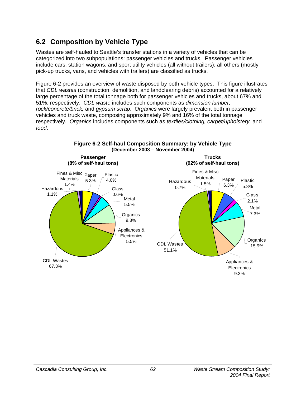# **6.2 Composition by Vehicle Type**

Wastes are self-hauled to Seattle's transfer stations in a variety of vehicles that can be categorized into two subpopulations: passenger vehicles and trucks. Passenger vehicles include cars, station wagons, and sport utility vehicles (all without trailers); all others (mostly pick-up trucks, vans, and vehicles with trailers) are classified as trucks.

Figure 6-2 provides an overview of waste disposed by both vehicle types. This figure illustrates that *CDL wastes* (construction, demolition, and landclearing debris) accounted for a relatively large percentage of the total tonnage both for passenger vehicles and trucks, about 67% and 51%, respectively. *CDL waste* includes such components as *dimension lumber, rock/concrete/brick,* and *gypsum scrap*. *Organics* were largely prevalent both in passenger vehicles and truck waste, composing approximately 9% and 16% of the total tonnage respectively. *Organics* includes components such as *textiles/clothing, carpet/upholstery,* and *food*.

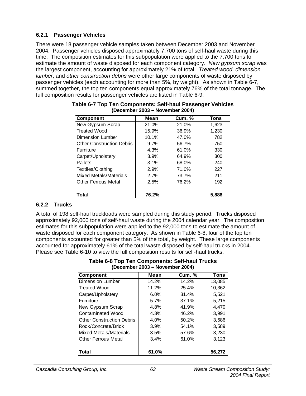## **6.2.1 Passenger Vehicles**

There were 18 passenger vehicle samples taken between December 2003 and November 2004. Passenger vehicles disposed approximately 7,700 tons of self-haul waste during this time. The composition estimates for this subpopulation were applied to the 7,700 tons to estimate the amount of waste disposed for each component category. *New gypsum scrap* was the largest component, accounting for approximately 21% of total. *Treated wood, dimension lumber*, and *other construction debris* were other large components of waste disposed by passenger vehicles (each accounting for more than 5%, by weight). As shown in Table 6-7, summed together, the top ten components equal approximately 76% of the total tonnage. The full composition results for passenger vehicles are listed in Table 6-9.

| <b>Component</b>                 | Mean  | <b>Cum. %</b> | <b>Tons</b> |
|----------------------------------|-------|---------------|-------------|
| New Gypsum Scrap                 | 21.0% | 21.0%         | 1,623       |
| <b>Treated Wood</b>              | 15.9% | 36.9%         | 1,230       |
| Dimension Lumber                 | 10.1% | 47.0%         | 782         |
| <b>Other Construction Debris</b> | 9.7%  | 56.7%         | 750         |
| <b>Furniture</b>                 | 4.3%  | 61.0%         | 330         |
| Carpet/Upholstery                | 3.9%  | 64.9%         | 300         |
| Pallets                          | 3.1%  | 68.0%         | 240         |
| Textiles/Clothing                | 2.9%  | 71.0%         | 227         |
| Mixed Metals/Materials           | 2.7%  | 73.7%         | 211         |
| <b>Other Ferrous Metal</b>       | 2.5%  | 76.2%         | 192         |
| Total                            | 76.2% |               | 5,886       |

| Table 6-7 Top Ten Components: Self-haul Passenger Vehicles |  |
|------------------------------------------------------------|--|
| (December 2003 – November 2004)                            |  |

## **6.2.2 Trucks**

A total of 198 self-haul truckloads were sampled during this study period. Trucks disposed approximately 92,000 tons of self-haul waste during the 2004 calendar year. The composition estimates for this subpopulation were applied to the 92,000 tons to estimate the amount of waste disposed for each component category. As shown in Table 6-8, four of the top ten components accounted for greater than 5% of the total, by weight. These large components accounted for approximately 61% of the total waste disposed by self-haul trucks in 2004. Please see Table 6-10 to view the full composition results for self-haul trucks.

| $\sim$                           |       |               |             |  |  |  |
|----------------------------------|-------|---------------|-------------|--|--|--|
| <b>Component</b>                 | Mean  | <b>Cum.</b> % | <b>Tons</b> |  |  |  |
| Dimension Lumber                 | 14.2% | 14.2%         | 13.085      |  |  |  |
| <b>Treated Wood</b>              | 11.2% | 25.4%         | 10,362      |  |  |  |
| Carpet/Upholstery                | 6.0%  | 31.4%         | 5,521       |  |  |  |
| Furniture                        | 5.7%  | 37.1%         | 5,215       |  |  |  |
| New Gypsum Scrap                 | 4.8%  | 41.9%         | 4,470       |  |  |  |
| Contaminated Wood                | 4.3%  | 46.2%         | 3.991       |  |  |  |
| <b>Other Construction Debris</b> | 4.0%  | 50.2%         | 3,686       |  |  |  |
| Rock/Concrete/Brick              | 3.9%  | 54.1%         | 3,589       |  |  |  |
| Mixed Metals/Materials           | 3.5%  | 57.6%         | 3,230       |  |  |  |
| <b>Other Ferrous Metal</b>       | 3.4%  | 61.0%         | 3,123       |  |  |  |
| Total                            | 61.0% |               | 56,272      |  |  |  |

#### **Table 6-8 Top Ten Components: Self-haul Trucks (December 2003 – November 2004)**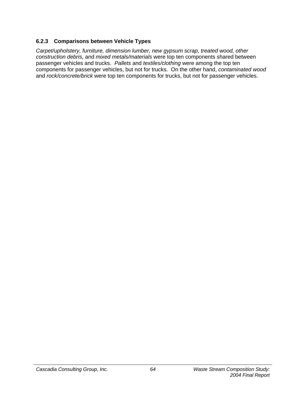## **6.2.3 Comparisons between Vehicle Types**

*Carpet/upholstery, furniture, dimension lumber, new gypsum scrap, treated wood, other construction debris,* and *mixed metals/materials* were top ten components shared between passenger vehicles and trucks. *Pallets* and *textiles/clothing* were among the top ten components for passenger vehicles, but not for trucks. On the other hand, *contaminated wood*  and *rock/concrete/brick* were top ten components for trucks, but not for passenger vehicles.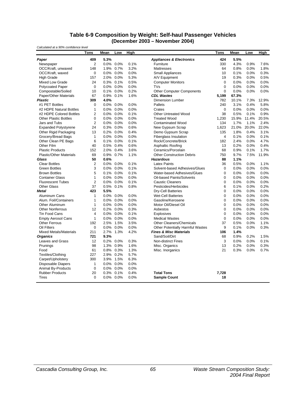#### **Table 6-9 Composition by Weight: Self-haul Passenger Vehicles (December 2003 – November 2004)**

| Calculated at a 90% confidence level |                |      |              |      |                                         |             |       |       |       |
|--------------------------------------|----------------|------|--------------|------|-----------------------------------------|-------------|-------|-------|-------|
|                                      | Tons           | Mean | Low          | High |                                         | <b>Tons</b> | Mean  | Low   | High  |
| Paper                                | 409            | 5.3% |              |      | <b>Appliances &amp; Electronics</b>     | 424         | 5.5%  |       |       |
| Newspaper                            | $\overline{2}$ |      | 0.0% 0.0%    | 0.1% | Furniture                               | 330         | 4.3%  | 0.9%  | 7.6%  |
| OCC/Kraft, unwaxed                   | 148            |      | 1.9% 0.7%    | 3.2% | <b>Mattresses</b>                       | 64          | 0.8%  | 0.0%  | 1.8%  |
| OCC/Kraft, waxed                     | $\Omega$       |      | 0.0% 0.0%    | 0.0% | <b>Small Appliances</b>                 | 10          | 0.1%  | 0.0%  | 0.3%  |
| <b>High Grade</b>                    | 157            |      | 2.0% 0.0%    | 5.3% | A/V Equipment                           | 19          | 0.3%  | 0.0%  | 0.5%  |
| Mixed Low Grade                      | 24             |      | 0.3% 0.1%    | 0.5% | <b>Computer Monitors</b>                | $\mathbf 0$ | 0.0%  | 0.0%  | 0.0%  |
| <b>Polycoated Paper</b>              | $\mathbf 0$    |      | 0.0% 0.0%    | 0.0% | <b>TVs</b>                              | 0           | 0.0%  | 0.0%  | 0.0%  |
| Compostable/Soiled                   | 10             |      | 0.1% 0.0%    | 0.2% | <b>Other Computer Components</b>        | $\Omega$    | 0.0%  | 0.0%  | 0.0%  |
| Paper/Other Materials                | 67             |      | 0.9% 0.1%    | 1.6% | <b>CDL Wastes</b>                       | 5,199       | 67.3% |       |       |
| <b>Plastic</b>                       | 309            | 4.0% |              |      | Dimension Lumber                        | 782         | 10.1% | 7.3%  | 12.9% |
| #1 PET Bottles                       | $\Omega$       |      | 0.0% 0.0%    | 0.0% | Pallets                                 | 240         | 3.1%  | 0.4%  | 5.8%  |
| #2 HDPE Natural Bottles              | 1              |      | $0.0\%$ 0.0% | 0.0% | Crates                                  | $\Omega$    | 0.0%  | 0.0%  | 0.0%  |
| #2 HDPE Colored Bottles              | 2              |      | 0.0% 0.0%    | 0.1% | <b>Other Untreated Wood</b>             | 38          | 0.5%  | 0.1%  | 0.9%  |
| <b>Other Plastic Bottles</b>         | $\mathbf 0$    |      | 0.0% 0.0%    | 0.0% | <b>Treated Wood</b>                     | 1,230       | 15.9% | 11.4% | 20.5% |
| Jars and Tubs                        | 2              |      | 0.0% 0.0%    | 0.0% | <b>Contaminated Wood</b>                | 134         | 1.7%  | 1.1%  | 2.4%  |
| <b>Expanded Polystyrene</b>          | 24             |      | 0.3% 0.0%    | 0.6% | New Gypsum Scrap                        | 1,623       | 21.0% | 20.0% | 22.0% |
| Other Rigid Packaging                | 13             |      | 0.2% 0.0%    | 0.4% | Demo Gypsum Scrap                       | 135         | 1.8%  | 0.4%  | 3.1%  |
| Grocery/Bread Bags                   | $\mathbf{1}$   |      | 0.0% 0.0%    | 0.0% | <b>Fiberglass Insulation</b>            | 4           | 0.1%  | 0.0%  | 0.1%  |
| Other Clean PE Bags                  | 6              |      | 0.1% 0.0%    | 0.1% | Rock/Concrete/Brick                     | 182         | 2.4%  | 0.0%  | 4.7%  |
| Other Film                           | 40             |      | 0.5% 0.4%    | 0.6% | Asphaltic Roofing                       | 13          | 0.2%  | 0.0%  | 0.4%  |
| <b>Plastic Products</b>              | 152            |      | 2.0% 0.4%    | 3.6% | Ceramics/Porcelain                      | 68          | 0.9%  | 0.1%  | 1.7%  |
| <b>Plastic/Other Materials</b>       | 69             |      | 0.9% 0.7%    | 1.1% | <b>Other Construction Debris</b>        | 750         | 9.7%  | 7.5%  | 11.9% |
| Glass                                | 50             | 0.6% |              |      | <b>Hazardous</b>                        | 88          | 1.1%  |       |       |
| <b>Clear Bottles</b>                 | $\overline{2}$ |      | 0.0% 0.0%    | 0.1% | <b>Latex Paints</b>                     | 36          | 0.5%  | 0.0%  | 1.1%  |
| <b>Green Bottles</b>                 | 3              |      | $0.0\%$ 0.0% | 0.1% | Solvent-based Adhesives/Glues           | $\mathbf 0$ | 0.0%  | 0.0%  | 0.0%  |
| <b>Brown Bottles</b>                 | 5              |      | 0.1% 0.0%    | 0.1% | Water-based Adhesives/Glues             | 0           | 0.0%  | 0.0%  | 0.0%  |
| <b>Container Glass</b>               | 1              |      | 0.0% 0.0%    | 0.0% | Oil-based Paints/Solvents               | 0           | 0.0%  | 0.0%  | 0.0%  |
| <b>Fluorescent Tubes</b>             | $\overline{2}$ |      | 0.0% 0.0%    | 0.1% | <b>Caustic Cleaners</b>                 | 0           | 0.0%  | 0.0%  | 0.0%  |
| <b>Other Glass</b>                   | 37             |      | 0.5% 0.1%    | 0.8% | Pesticides/Herbicides                   | 6           | 0.1%  | 0.0%  | 0.2%  |
| <b>Metal</b>                         | 423            | 5.5% |              |      | <b>Dry-Cell Batteries</b>               | 0           | 0.0%  | 0.0%  | 0.0%  |
| Aluminum Cans                        | 1              |      | 0.0% 0.0%    | 0.0% | <b>Wet-Cell Batteries</b>               | 0           | 0.0%  | 0.0%  | 0.0%  |
| Alum. Foil/Containers                | $\mathbf{1}$   |      | 0.0% 0.0%    | 0.0% | Gasoline/Kerosene                       | 0           | 0.0%  | 0.0%  | 0.0%  |
| <b>Other Aluminum</b>                | $\mathbf{1}$   |      | 0.0% 0.0%    | 0.0% | Motor Oil/Diesel Oil                    | 0           | 0.0%  | 0.0%  | 0.0%  |
| <b>Other Nonferrous</b>              | 12             |      | 0.2% 0.0%    | 0.3% | Asbestos                                | 0           | 0.0%  | 0.0%  | 0.0%  |
| Tin Food Cans                        | 4              |      | 0.0% 0.0%    | 0.1% | Explosives                              | 0           | 0.0%  | 0.0%  | 0.0%  |
| <b>Empty Aerosol Cans</b>            | 1              |      | 0.0% 0.0%    | 0.0% | <b>Medical Wastes</b>                   | 0           | 0.0%  | 0.0%  | 0.0%  |
| <b>Other Ferrous</b>                 | 192            |      | 2.5% 1.5%    | 3.5% | <b>Other Cleaners/Chemicals</b>         | 37          | 0.5%  | 0.0%  | 1.1%  |
| Oil Filters                          | 0              |      | 0.0% 0.0%    | 0.0% | <b>Other Potentially Harmful Wastes</b> | 9           | 0.1%  | 0.0%  | 0.3%  |
| <b>Mixed Metals/Materials</b>        | 211            |      | 2.7% 1.3%    | 4.2% | <b>Fines &amp; Misc Materials</b>       | 106         | 1.4%  |       |       |
| <b>Organics</b>                      | 721            | 9.3% |              |      | Sand/Soil/Dirt                          | 68          | 0.9%  | 0.2%  | 1.5%  |
| Leaves and Grass                     | 12             |      | 0.2% 0.0%    | 0.3% | <b>Non-distinct Fines</b>               | 3           | 0.0%  | 0.0%  | 0.1%  |
| Prunings                             | 98             |      | 1.3% 0.9%    | 1.6% | Misc. Organics                          | 13          | 0.2%  | 0.0%  | 0.3%  |
| Food                                 | 61             |      | 0.8% 0.3%    | 1.3% | Misc. Inorganics                        | 21          | 0.3%  | 0.0%  | 0.7%  |
| Textiles/Clothing                    | 227            |      | 2.9% 0.2%    | 5.7% |                                         |             |       |       |       |
| Carpet/Upholstery                    | 300            |      | 3.9% 1.5%    | 6.3% |                                         |             |       |       |       |
| <b>Disposable Diapers</b>            | 1              |      | 0.0% 0.0%    | 0.0% |                                         |             |       |       |       |
| <b>Animal By-Products</b>            | $\mathbf 0$    |      | 0.0% 0.0%    | 0.0% |                                         |             |       |       |       |
| <b>Rubber Products</b>               | 20             |      | 0.3% 0.1%    | 0.4% | <b>Total Tons</b>                       | 7,728       |       |       |       |
| <b>Tires</b>                         | 0              |      | 0.0% 0.0%    | 0.0% | <b>Sample Count</b>                     | 18          |       |       |       |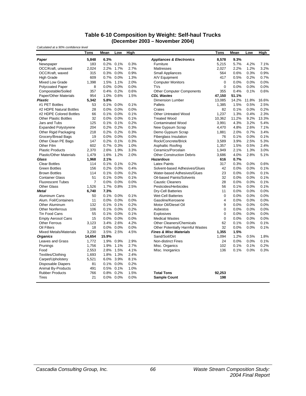#### **Table 6-10 Composition by Weight: Self-haul Trucks (December 2003 – November 2004)**

| Calculated at a 90% confidence level |                |       |              |      |                                     |             |       |       |       |
|--------------------------------------|----------------|-------|--------------|------|-------------------------------------|-------------|-------|-------|-------|
|                                      | Tons           | Mean  | Low          | High |                                     | Tons        | Mean  | Low   | High  |
| Paper                                | 5,848          | 6.3%  |              |      | <b>Appliances &amp; Electronics</b> | 8,578       | 9.3%  |       |       |
| Newspaper                            | 183            |       | 0.2% 0.1%    | 0.3% | Furniture                           | 5,215       | 5.7%  | 4.2%  | 7.1%  |
| OCC/Kraft, unwaxed                   | 2.024          | 2.2%  | 1.7%         | 2.7% | <b>Mattresses</b>                   | 2,027       | 2.2%  | 1.2%  | 3.2%  |
| OCC/Kraft, waxed                     | 315            |       | 0.3% 0.0%    | 0.9% | <b>Small Appliances</b>             | 564         | 0.6%  | 0.3%  | 0.9%  |
| <b>High Grade</b>                    | 609            |       | 0.7% 0.0%    | 1.3% | A/V Equipment                       | 417         | 0.5%  | 0.2%  | 0.7%  |
| Mixed Low Grade                      | 1,398          |       | 1.5% 1.1%    | 2.0% | <b>Computer Monitors</b>            | $\mathbf 0$ | 0.0%  | 0.0%  | 0.0%  |
| <b>Polycoated Paper</b>              | 8              |       | 0.0% 0.0%    | 0.0% | <b>TVs</b>                          | $\Omega$    | 0.0%  | 0.0%  | 0.0%  |
| Compostable/Soiled                   | 357            |       | 0.4% 0.2%    | 0.6% | <b>Other Computer Components</b>    | 355         | 0.4%  | 0.1%  | 0.6%  |
| Paper/Other Materials                | 954            |       | 1.0% 0.6%    | 1.5% | <b>CDL Wastes</b>                   | 47,150      | 51.1% |       |       |
| <b>Plastic</b>                       | 5,342          | 5.8%  |              |      | <b>Dimension Lumber</b>             | 13,085      | 14.2% | 11.8% | 16.6% |
| #1 PET Bottles                       | 53             |       | 0.1% 0.0%    | 0.1% | Pallets                             | 1,385       | 1.5%  | 0.5%  | 2.5%  |
| #2 HDPE Natural Bottles              | 28             |       | 0.0% 0.0%    | 0.0% | Crates                              | 82          | 0.1%  | 0.0%  | 0.2%  |
| #2 HDPE Colored Bottles              | 66             |       | 0.1% 0.0%    | 0.1% | <b>Other Untreated Wood</b>         | 1,237       | 1.3%  | 0.4%  | 2.3%  |
| <b>Other Plastic Bottles</b>         | 32             |       | 0.0% 0.0%    | 0.1% | <b>Treated Wood</b>                 | 10,362      | 11.2% | 9.2%  | 13.3% |
| Jars and Tubs                        | 125            |       | 0.1% 0.1%    | 0.2% | <b>Contaminated Wood</b>            | 3,991       | 4.3%  | 3.2%  | 5.4%  |
| <b>Expanded Polystyrene</b>          | 204            |       | 0.2% 0.2%    | 0.3% | New Gypsum Scrap                    | 4,470       | 4.8%  | 2.6%  | 7.1%  |
| Other Rigid Packaging                | 218            |       | 0.2% 0.2%    | 0.3% | Demo Gypsum Scrap                   | 1,881       | 2.0%  | 0.7%  | 3.4%  |
| Grocery/Bread Bags                   | 19             |       | $0.0\%$ 0.0% | 0.0% | <b>Fiberglass Insulation</b>        | 76          | 0.1%  | 0.0%  | 0.1%  |
| Other Clean PE Bags                  | 147            |       | 0.2% 0.1%    | 0.3% | Rock/Concrete/Brick                 | 3,589       | 3.9%  | 2.5%  | 5.3%  |
| Other Film                           | 602            |       | 0.7% 0.3%    | 1.0% | Asphaltic Roofing                   | 1,357       | 1.5%  | 0.5%  | 2.4%  |
| <b>Plastic Products</b>              | 2.370          |       | 2.6% 1.9%    | 3.3% | Ceramics/Porcelain                  | 1,949       | 2.1%  | 1.3%  | 3.0%  |
| <b>Plastic/Other Materials</b>       | 1,479          |       | 1.6% 1.2%    | 2.0% | <b>Other Construction Debris</b>    | 3,686       | 4.0%  | 2.8%  | 5.1%  |
| Glass                                | 1,968          | 2.1%  |              |      | <b>Hazardous</b>                    | 616         | 0.7%  |       |       |
| <b>Clear Bottles</b>                 | 114            |       | 0.1% 0.1%    | 0.2% | <b>Latex Paints</b>                 | 317         | 0.3%  | 0.0%  | 0.6%  |
| <b>Green Bottles</b>                 | 156            |       | 0.2% 0.0%    | 0.4% | Solvent-based Adhesives/Glues       | 42          | 0.0%  | 0.0%  | 0.1%  |
| <b>Brown Bottles</b>                 | 114            |       | 0.1% 0.0%    | 0.2% | Water-based Adhesives/Glues         | 23          | 0.0%  | 0.0%  | 0.1%  |
| <b>Container Glass</b>               | 51             |       | 0.1% 0.0%    | 0.1% | Oil-based Paints/Solvents           | 32          | 0.0%  | 0.0%  | 0.1%  |
| <b>Fluorescent Tubes</b>             | $\overline{7}$ |       | 0.0% 0.0%    | 0.0% | <b>Caustic Cleaners</b>             | 28          | 0.0%  | 0.0%  | 0.1%  |
| <b>Other Glass</b>                   | 1,526          |       | 1.7% 0.8%    | 2.5% | Pesticides/Herbicides               | 56          | 0.1%  | 0.0%  | 0.1%  |
| <b>Metal</b>                         | 6.740          | 7.3%  |              |      | <b>Dry-Cell Batteries</b>           | 11          | 0.0%  | 0.0%  | 0.0%  |
| Aluminum Cans                        | 50             |       | 0.1% 0.0%    | 0.1% | <b>Wet-Cell Batteries</b>           | 0           | 0.0%  | 0.0%  | 0.0%  |
| Alum. Foil/Containers                | 11             |       | 0.0% 0.0%    | 0.0% | Gasoline/Kerosene                   | 4           | 0.0%  | 0.0%  | 0.0%  |
| <b>Other Aluminum</b>                | 132            |       | 0.1% 0.1%    | 0.2% | Motor Oil/Diesel Oil                | 9           | 0.0%  | 0.0%  | 0.0%  |
| <b>Other Nonferrous</b>              | 106            |       | 0.1% 0.0%    | 0.2% | Asbestos                            | 0           | 0.0%  | 0.0%  | 0.0%  |
| Tin Food Cans                        | 55             |       | 0.1% 0.0%    | 0.1% | <b>Explosives</b>                   | $\mathbf 0$ | 0.0%  | 0.0%  | 0.0%  |
| <b>Empty Aerosol Cans</b>            | 15             |       | 0.0% 0.0%    | 0.0% | <b>Medical Wastes</b>               | $\mathbf 0$ | 0.0%  | 0.0%  | 0.0%  |
| <b>Other Ferrous</b>                 | 3,123          |       | 3.4% 2.6%    | 4.2% | <b>Other Cleaners/Chemicals</b>     | 62          | 0.1%  | 0.0%  | 0.1%  |
| Oil Filters                          | 18             |       | 0.0% 0.0%    | 0.0% | Other Potentially Harmful Wastes    | 32          | 0.0%  | 0.0%  | 0.1%  |
| <b>Mixed Metals/Materials</b>        | 3,230          |       | 3.5% 2.5%    | 4.5% | <b>Fines &amp; Misc Materials</b>   | 1,355       | 1.5%  |       |       |
| <b>Organics</b>                      | 14,654         | 15.9% |              |      | Sand/Soil/Dirt                      | 1,094       | 1.2%  | 0.5%  | 1.8%  |
| <b>Leaves and Grass</b>              | 1,772          |       | 1.9% 0.9%    | 2.9% | <b>Non-distinct Fines</b>           | 24          | 0.0%  | 0.0%  | 0.1%  |
| Prunings                             | 1,756          |       | 1.9% 1.1%    | 2.7% | Misc. Organics                      | 102         | 0.1%  | 0.1%  | 0.2%  |
| Food                                 | 2,553          |       | 2.8% 1.5%    | 4.1% | Misc. Inorganics                    | 136         | 0.1%  | 0.0%  | 0.3%  |
| Textiles/Clothing                    | 1,693          |       | 1.8% 1.3%    | 2.4% |                                     |             |       |       |       |
| Carpet/Upholstery                    | 5,521          |       | 6.0% 3.9%    | 8.1% |                                     |             |       |       |       |
| <b>Disposable Diapers</b>            | 81             |       | 0.1% 0.0%    | 0.2% |                                     |             |       |       |       |
| <b>Animal By-Products</b>            | 491            |       | 0.5% 0.1%    | 1.0% |                                     |             |       |       |       |
| <b>Rubber Products</b>               | 766            |       | 0.8% 0.2%    | 1.5% | <b>Total Tons</b>                   | 92,253      |       |       |       |
| Tires                                | 21             |       | 0.0% 0.0%    | 0.0% | <b>Sample Count</b>                 | 198         |       |       |       |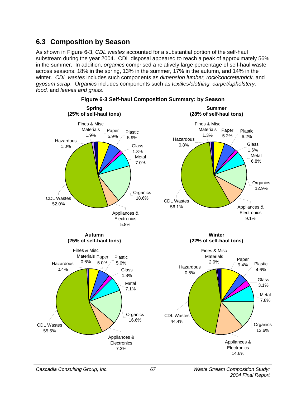# **6.3 Composition by Season**

As shown in Figure 6-3, *CDL wastes* accounted for a substantial portion of the self-haul substream during the year 2004. CDL disposal appeared to reach a peak of approximately 56% in the summer. In addition, *organics* comprised a relatively large percentage of self-haul waste across seasons: 18% in the spring, 13% in the summer, 17% in the autumn, and 14% in the winter*. CDL wastes* includes such components as *dimension lumber, rock/concrete/brick,* and *gypsum scrap*. *Organics* includes components such as *textiles/clothing, carpet/upholstery, food,* and *leaves and grass*.



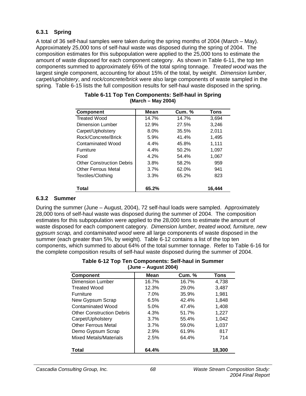### **6.3.1 Spring**

A total of 36 self-haul samples were taken during the spring months of 2004 (March – May). Approximately 25,000 tons of self-haul waste was disposed during the spring of 2004. The composition estimates for this subpopulation were applied to the 25,000 tons to estimate the amount of waste disposed for each component category. As shown in Table 6-11, the top ten components summed to approximately 65% of the total spring tonnage. *Treated wood* was the largest single component, accounting for about 15% of the total, by weight. *Dimension lumber*, *carpet/upholstery*, and *rock/concrete/brick* were also large components of waste sampled in the spring. Table 6-15 lists the full composition results for self-haul waste disposed in the spring.

| <b>Component</b>                 | Mean    | <b>Cum.</b> % | <b>Tons</b> |
|----------------------------------|---------|---------------|-------------|
| <b>Treated Wood</b>              | 14.7%   | 14.7%         | 3,694       |
| Dimension Lumber                 | 12.9%   | 27.5%         | 3,246       |
| Carpet/Upholstery                | 8.0%    | 35.5%         | 2,011       |
| Rock/Concrete/Brick              | 5.9%    | 41.4%         | 1.495       |
| Contaminated Wood                | $4.4\%$ | 45.8%         | 1,111       |
| <b>Furniture</b>                 | 4.4%    | 50.2%         | 1,097       |
| Food                             | 4.2%    | 54.4%         | 1,067       |
| <b>Other Construction Debris</b> | 3.8%    | 58.2%         | 959         |
| <b>Other Ferrous Metal</b>       | 3.7%    | 62.0%         | 941         |
| Textiles/Clothing                | 3.3%    | 65.2%         | 823         |
| Total                            | 65.2%   |               | 16.444      |

#### **Table 6-11 Top Ten Components: Self-haul in Spring (March – May 2004)**

### **6.3.2 Summer**

During the summer (June – August, 2004), 72 self-haul loads were sampled. Approximately 28,000 tons of self-haul waste was disposed during the summer of 2004. The composition estimates for this subpopulation were applied to the 28,000 tons to estimate the amount of waste disposed for each component category. *Dimension lumber, treated wood, furniture, new gypsum scrap,* and *contaminated wood* were all large components of waste disposed in the summer (each greater than 5%, by weight). Table 6-12 contains a list of the top ten components, which summed to about 64% of the total summer tonnage. Refer to Table 6-16 for the complete composition results of self-haul waste disposed during the summer of 2004.

| Table 6-12 Top Ten Components: Self-haul in Summer |
|----------------------------------------------------|
| $(June - August 2004)$                             |

| <b>Component</b>                 | Mean  | <b>Cum.</b> % | Tons   |
|----------------------------------|-------|---------------|--------|
| <b>Dimension Lumber</b>          | 16.7% | 16.7%         | 4,738  |
| <b>Treated Wood</b>              | 12.3% | 29.0%         | 3,487  |
| <b>Furniture</b>                 | 7.0%  | 35.9%         | 1,981  |
| New Gypsum Scrap                 | 6.5%  | 42.4%         | 1,848  |
| <b>Contaminated Wood</b>         | 5.0%  | 47.4%         | 1,408  |
| <b>Other Construction Debris</b> | 4.3%  | 51.7%         | 1,227  |
| Carpet/Upholstery                | 3.7%  | 55.4%         | 1,042  |
| <b>Other Ferrous Metal</b>       | 3.7%  | 59.0%         | 1,037  |
| Demo Gypsum Scrap                | 2.9%  | 61.9%         | 817    |
| <b>Mixed Metals/Materials</b>    | 2.5%  | 64.4%         | 714    |
| Total                            | 64.4% |               | 18,300 |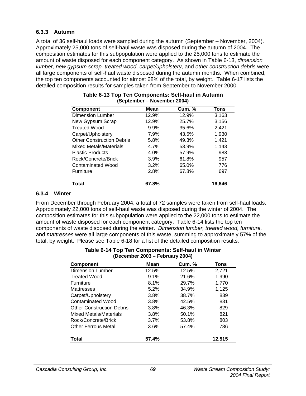### **6.3.3 Autumn**

A total of 36 self-haul loads were sampled during the autumn (September – November, 2004). Approximately 25,000 tons of self-haul waste was disposed during the autumn of 2004. The composition estimates for this subpopulation were applied to the 25,000 tons to estimate the amount of waste disposed for each component category. As shown in Table 6-13, *dimension lumber, new gypsum scrap, treated wood, carpet/upholstery,* and *other construction debris* were all large components of self-haul waste disposed during the autumn months. When combined, the top ten components accounted for almost 68% of the total, by weight. Table 6-17 lists the detailed composition results for samples taken from September to November 2000.

| <b>Component</b>                 | Mean  | <b>Cum. %</b> | <b>Tons</b> |
|----------------------------------|-------|---------------|-------------|
| <b>Dimension Lumber</b>          | 12.9% | 12.9%         | 3,163       |
| New Gypsum Scrap                 | 12.9% | 25.7%         | 3,156       |
| <b>Treated Wood</b>              | 9.9%  | 35.6%         | 2,421       |
| Carpet/Upholstery                | 7.9%  | 43.5%         | 1,930       |
| <b>Other Construction Debris</b> | 5.8%  | 49.3%         | 1,421       |
| <b>Mixed Metals/Materials</b>    | 4.7%  | 53.9%         | 1.143       |
| <b>Plastic Products</b>          | 4.0%  | 57.9%         | 983         |
| Rock/Concrete/Brick              | 3.9%  | 61.8%         | 957         |
| Contaminated Wood                | 3.2%  | 65.0%         | 776         |
| Furniture                        | 2.8%  | 67.8%         | 697         |
| Total                            | 67.8% |               | 16.646      |

| Table 6-13 Top Ten Components: Self-haul in Autumn |
|----------------------------------------------------|
| (September – November 2004)                        |

### **6.3.4 Winter**

From December through February 2004, a total of 72 samples were taken from self-haul loads. Approximately 22,000 tons of self-haul waste was disposed during the winter of 2004. The composition estimates for this subpopulation were applied to the 22,000 tons to estimate the amount of waste disposed for each component category. Table 6-14 lists the top ten components of waste disposed during the winter. *Dimension lumber, treated wood, furniture,*  and *mattresses* were all large components of this waste, summing to approximately 57% of the total, by weight. Please see Table 6-18 for a list of the detailed composition results.

| (Decennoer 2003 – February 2004) |       |               |        |  |  |  |  |  |  |
|----------------------------------|-------|---------------|--------|--|--|--|--|--|--|
| <b>Component</b>                 | Mean  | <b>Cum. %</b> | Tons   |  |  |  |  |  |  |
| <b>Dimension Lumber</b>          | 12.5% | 12.5%         | 2,721  |  |  |  |  |  |  |
| <b>Treated Wood</b>              | 9.1%  | 21.6%         | 1,990  |  |  |  |  |  |  |
| Furniture                        | 8.1%  | 29.7%         | 1,770  |  |  |  |  |  |  |
| <b>Mattresses</b>                | 5.2%  | 34.9%         | 1,125  |  |  |  |  |  |  |
| Carpet/Upholstery                | 3.8%  | 38.7%         | 839    |  |  |  |  |  |  |
| <b>Contaminated Wood</b>         | 3.8%  | 42.5%         | 831    |  |  |  |  |  |  |
| <b>Other Construction Debris</b> | 3.8%  | 46.3%         | 829    |  |  |  |  |  |  |
| Mixed Metals/Materials           | 3.8%  | 50.1%         | 821    |  |  |  |  |  |  |
| Rock/Concrete/Brick              | 3.7%  | 53.8%         | 803    |  |  |  |  |  |  |
| <b>Other Ferrous Metal</b>       | 3.6%  | 57.4%         | 786    |  |  |  |  |  |  |
| Total                            | 57.4% |               | 12,515 |  |  |  |  |  |  |

#### **Table 6-14 Top Ten Components: Self-haul in Winter (December 2003 – February 2004)**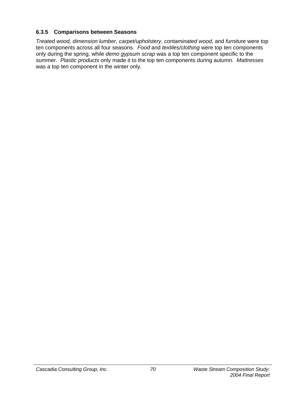### **6.3.5 Comparisons between Seasons**

*Treated wood, dimension lumber, carpet/upholstery*, *contaminated wood,* and *furniture* were top ten components across all four seasons. *Food* and *textiles/clothing* were top ten components only during the spring, while *demo gypsum scrap* was a top ten component specific to the summer. *Plastic products* only made it to the top ten components during autumn. *Mattresses* was a top ten component in the winter only.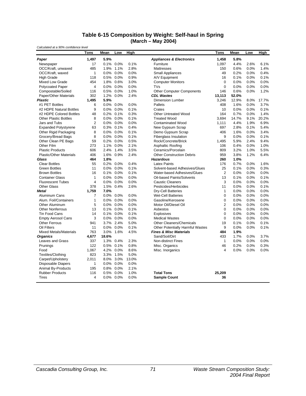#### **Table 6-15 Composition by Weight: Self-haul in Spring (March – May 2004)**

*Calculated at a 90% confidence level*

|                                | <b>Tons</b>    | Mean  | Low          | <b>High</b> |                                         | Tons           | Mean  | Low  | <b>High</b> |
|--------------------------------|----------------|-------|--------------|-------------|-----------------------------------------|----------------|-------|------|-------------|
| Paper                          | 1.497          | 5.9%  |              |             | <b>Appliances &amp; Electronics</b>     | 1.458          | 5.8%  |      |             |
| Newspaper                      | 17             |       | 0.1% 0.0%    | 0.1%        | Furniture                               | 1,097          | 4.4%  | 2.6% | 6.1%        |
| OCC/Kraft, unwaxed             | 485            |       | 1.9% 1.1%    | 2.8%        | Mattresses                              | 150            | 0.6%  | 0.0% | 1.4%        |
| OCC/Kraft, waxed               | $\mathbf{1}$   |       | 0.0% 0.0%    | 0.0%        | <b>Small Appliances</b>                 | 49             | 0.2%  | 0.0% | 0.4%        |
| <b>High Grade</b>              | 118            |       | 0.5% 0.0%    | 0.9%        | A/V Equipment                           | 16             | 0.1%  | 0.0% | 0.1%        |
| Mixed Low Grade                | 454            |       | 1.8% 0.6%    | 3.0%        | <b>Computer Monitors</b>                | $\mathbf 0$    | 0.0%  | 0.0% | 0.0%        |
| Polycoated Paper               | 4              |       | 0.0% 0.0%    | 0.0%        | TVs                                     | $\mathbf 0$    | 0.0%  | 0.0% | 0.0%        |
| Compostable/Soiled             | 116            |       | 0.5% 0.0%    | 1.0%        | <b>Other Computer Components</b>        | 146            | 0.6%  | 0.0% | 1.2%        |
| Paper/Other Materials          | 302            |       | 1.2% 0.0%    | 2.4%        | <b>CDL Wastes</b>                       | 13,113         | 52.0% |      |             |
| <b>Plastic</b>                 | 1.495          | 5.9%  |              |             | <b>Dimension Lumber</b>                 | 3,246          | 12.9% | 8.0% | 17.7%       |
| #1 PET Bottles                 | 6              |       | 0.0% 0.0%    | 0.0%        | <b>Pallets</b>                          | 408            | 1.6%  | 0.0% | 3.7%        |
| #2 HDPE Natural Bottles        | 9              |       | 0.0% 0.0%    | 0.1%        | Crates                                  | 10             | 0.0%  | 0.0% | 0.1%        |
| #2 HDPE Colored Bottles        | 48             |       | 0.2% 0.1%    | 0.3%        | <b>Other Untreated Wood</b>             | 164            | 0.7%  | 0.0% | 1.4%        |
| <b>Other Plastic Bottles</b>   | 8              |       | 0.0% 0.0%    | 0.1%        | <b>Treated Wood</b>                     | 3,694          | 14.7% | 9.1% | 20.2%       |
| Jars and Tubs                  | $\overline{2}$ |       | $0.0\%$ 0.0% | 0.0%        | <b>Contaminated Wood</b>                | 1,111          | 4.4%  | 1.9% | 6.9%        |
| <b>Expanded Polystyrene</b>    | 63             |       | 0.3% 0.1%    | 0.4%        | New Gypsum Scrap                        | 697            | 2.8%  | 0.1% | 5.4%        |
| Other Rigid Packaging          | 8              |       | 0.0% 0.0%    | 0.1%        | Demo Gypsum Scrap                       | 406            | 1.6%  | 0.0% | 3.4%        |
| Grocery/Bread Bags             | 8              |       | 0.0% 0.0%    | 0.1%        | <b>Fiberglass Insulation</b>            | 9              | 0.0%  | 0.0% | 0.1%        |
| Other Clean PE Bags            | 59             |       | 0.2% 0.0%    | 0.5%        | Rock/Concrete/Brick                     | 1,495          | 5.9%  | 2.4% | 9.4%        |
| Other Film                     | 273            | 1.1%  | 0.0%         | 2.1%        | Asphaltic Roofing                       | 106            | 0.4%  | 0.0% | 1.0%        |
| <b>Plastic Products</b>        | 606            | 2.4%  | 1.4%         | 3.5%        | Ceramics/Porcelain                      | 809            | 3.2%  | 1.0% | 5.5%        |
| <b>Plastic/Other Materials</b> | 406            | 1.6%  | 0.9%         | 2.4%        | <b>Other Construction Debris</b>        | 959            | 3.8%  | 1.2% | 6.4%        |
| Glass                          | 464            | 1.8%  |              |             | <b>Hazardous</b>                        | 260            | 1.0%  |      |             |
| <b>Clear Bottles</b>           | 55             | 0.2%  | $0.0\%$      | 0.4%        | <b>Latex Paints</b>                     | 176            | 0.7%  | 0.0% | 1.6%        |
| <b>Green Bottles</b>           | 11             |       | $0.0\%$ 0.0% | 0.1%        | Solvent-based Adhesives/Glues           | 25             | 0.1%  | 0.0% | 0.3%        |
| <b>Brown Bottles</b>           | 16             | 0.1%  | 0.0%         | 0.1%        | Water-based Adhesives/Glues             | $\overline{2}$ | 0.0%  | 0.0% | 0.0%        |
| <b>Container Glass</b>         | $\mathbf{1}$   |       | 0.0% 0.0%    | 0.0%        | Oil-based Paints/Solvents               | 13             | 0.1%  | 0.0% | 0.1%        |
| <b>Fluorescent Tubes</b>       | $\overline{4}$ |       | 0.0% 0.0%    | 0.0%        | <b>Caustic Cleaners</b>                 | 3              | 0.0%  | 0.0% | 0.0%        |
| <b>Other Glass</b>             | 378            |       | 1.5% 0.4%    | 2.6%        | Pesticides/Herbicides                   | 11             | 0.0%  | 0.0% | 0.1%        |
| <b>Metal</b>                   | 1,759          | 7.0%  |              |             | Dry-Cell Batteries                      | 1              | 0.0%  | 0.0% | 0.0%        |
| Aluminum Cans                  | 7              |       | 0.0% 0.0%    | 0.0%        | <b>Wet-Cell Batteries</b>               | $\mathbf 0$    | 0.0%  | 0.0% | 0.0%        |
| Alum. Foil/Containers          | $\mathbf{1}$   |       | 0.0% 0.0%    | 0.0%        | Gasoline/Kerosene                       | $\mathbf 0$    | 0.0%  | 0.0% | 0.0%        |
| Other Aluminum                 | 5              |       | 0.0% 0.0%    | 0.0%        | Motor Oil/Diesel Oil                    | $\overline{2}$ | 0.0%  | 0.0% | 0.0%        |
| <b>Other Nonferrous</b>        | 13             |       | 0.1% 0.0%    | 0.1%        | Asbestos                                | $\mathbf 0$    | 0.0%  | 0.0% | 0.0%        |
| Tin Food Cans                  | 14             |       | 0.1% 0.0%    | 0.1%        | <b>Explosives</b>                       | $\mathbf 0$    | 0.0%  | 0.0% | 0.0%        |
| <b>Empty Aerosol Cans</b>      | 3              |       | 0.0% 0.0%    | 0.0%        | <b>Medical Wastes</b>                   | $\mathbf 0$    | 0.0%  | 0.0% | 0.0%        |
| <b>Other Ferrous</b>           | 941            |       | 3.7% 2.4%    | 5.0%        | <b>Other Cleaners/Chemicals</b>         | 19             | 0.1%  | 0.0% | 0.1%        |
| Oil Filters                    | 11             |       | 0.0% 0.0%    | 0.1%        | <b>Other Potentially Harmful Wastes</b> | 9              | 0.0%  | 0.0% | 0.1%        |
| <b>Mixed Metals/Materials</b>  | 763            |       | 3.0% 1.6%    | 4.5%        | <b>Fines &amp; Misc Materials</b>       | 484            | 1.9%  |      |             |
| <b>Organics</b>                | 4,677          | 18.6% |              |             | Sand/Soil/Dirt                          | 433            | 1.7%  | 0.0% | 3.7%        |
| <b>Leaves and Grass</b>        | 337            |       | 1.3% 0.4%    | 2.3%        | <b>Non-distinct Fines</b>               | 1              | 0.0%  | 0.0% | 0.0%        |
| Prunings                       | 122            |       | 0.5% 0.1%    | 0.8%        | Misc. Organics                          | 46             | 0.2%  | 0.0% | 0.3%        |
| Food                           | 1,067          |       | 4.2% 0.0%    | 8.6%        | Misc. Inorganics                        | $\overline{4}$ | 0.0%  | 0.0% | 0.0%        |
| Textiles/Clothing              | 823            | 3.3%  | 1.5%         | 5.0%        |                                         |                |       |      |             |
| Carpet/Upholstery              | 2,011          |       | 8.0% 3.0%    | 13.0%       |                                         |                |       |      |             |
| <b>Disposable Diapers</b>      | $\mathbf{1}$   |       | 0.0% 0.0%    | 0.0%        |                                         |                |       |      |             |
| <b>Animal By-Products</b>      | 195            |       | 0.8% 0.0%    | 2.1%        |                                         |                |       |      |             |
| <b>Rubber Products</b>         | 116            |       | 0.5% 0.0%    | 1.0%        | <b>Total Tons</b>                       | 25.209         |       |      |             |
| Tires                          | $\overline{4}$ |       | 0.0% 0.0%    | 0.0%        | <b>Sample Count</b>                     | 36             |       |      |             |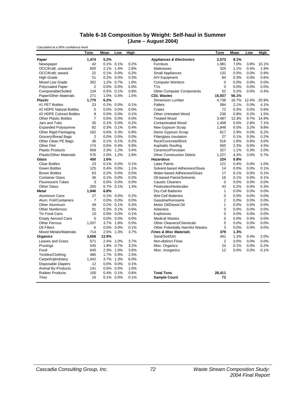#### **Table 6-16 Composition by Weight: Self-haul in Summer (June – August 2004)**

*Calculated at a 90% confidence level*

|                                | <b>Tons</b>    | Mean  | Low          | High |                                         | Tons           | Mean  | Low   | High  |
|--------------------------------|----------------|-------|--------------|------|-----------------------------------------|----------------|-------|-------|-------|
| Paper                          | 1,474          | 5.2%  |              |      | <b>Appliances &amp; Electronics</b>     | 2,573          | 9.1%  |       |       |
| Newspaper                      | 42             |       | 0.1% 0.1%    | 0.2% | Furniture                               | 1,981          | 7.0%  | 3.8%  | 10.1% |
| OCC/Kraft, unwaxed             | 600            |       | 2.1% 1.4%    | 2.8% | <b>Mattresses</b>                       | 325            | 1.1%  | 0.4%  | 1.9%  |
| OCC/Kraft, waxed               | 22             | 0.1%  | 0.0%         | 0.2% | <b>Small Appliances</b>                 | 132            | 0.5%  | 0.0%  | 0.9%  |
| <b>High Grade</b>              | 51             |       | 0.2% 0.0%    | 0.3% | A/V Equipment                           | 84             | 0.3%  | 0.0%  | 0.6%  |
| Mixed Low Grade                | 352            |       | 1.2% 0.7%    | 1.8% | <b>Computer Monitors</b>                | $\mathbf 0$    | 0.0%  | 0.0%  | 0.0%  |
| Polycoated Paper               | 2              |       | 0.0% 0.0%    | 0.0% | <b>TVs</b>                              | $\mathbf 0$    | 0.0%  | 0.0%  | 0.0%  |
| Compostable/Soiled             | 134            |       | 0.5% 0.1%    | 0.9% | Other Computer Components               | 52             | 0.2%  | 0.0%  | 0.4%  |
| Paper/Other Materials          | 271            |       | 1.0% 0.4%    | 1.5% | <b>CDL Wastes</b>                       | 15,937         | 56.1% |       |       |
| <b>Plastic</b>                 | 1.770          | 6.2%  |              |      | <b>Dimension Lumber</b>                 | 4,738          | 16.7% | 12.4% | 20.9% |
| #1 PET Bottles                 | 23             |       | $0.1\%$ 0.0% | 0.1% | <b>Pallets</b>                          | 584            | 2.1%  | 0.0%  | 4.1%  |
| #2 HDPE Natural Bottles        | 5              |       | $0.0\%$ 0.0% | 0.0% | Crates                                  | 72             | 0.3%  | 0.0%  | 0.6%  |
| #2 HDPE Colored Bottles        | 9              |       | 0.0% 0.0%    | 0.1% | Other Untreated Wood                    | 236            | 0.8%  | 0.2%  | 1.5%  |
| <b>Other Plastic Bottles</b>   | $\overline{7}$ |       | 0.0% 0.0%    | 0.0% | <b>Treated Wood</b>                     | 3,487          | 12.3% | 9.7%  | 14.9% |
| Jars and Tubs                  | 35             |       | 0.1% 0.0%    | 0.2% | <b>Contaminated Wood</b>                | 1,408          | 5.0%  | 2.8%  | 7.1%  |
| <b>Expanded Polystyrene</b>    | 82             |       | 0.3% 0.1%    | 0.4% | New Gypsum Scrap                        | 1,848          | 6.5%  | 3.2%  | 9.8%  |
| Other Rigid Packaging          | 162            |       | 0.6% 0.3%    | 0.8% | Demo Gypsum Scrap                       | 817            | 2.9%  | 0.0%  | 6.2%  |
| Grocery/Bread Bags             | $\overline{2}$ |       | 0.0% 0.0%    | 0.0% | <b>Fiberglass Insulation</b>            | 27             | 0.1%  | 0.0%  | 0.2%  |
| Other Clean PE Bags            | 36             |       | 0.1% 0.1%    | 0.2% | Rock/Concrete/Brick                     | 516            | 1.8%  | 0.6%  | 3.0%  |
| Other Film                     | 174            |       | 0.6% 0.4%    | 0.9% | Asphaltic Roofing                       | 650            | 2.3%  | 0.0%  | 4.5%  |
| <b>Plastic Products</b>        | 658            |       | 2.3% 1.2%    | 3.4% | Ceramics/Porcelain                      | 327            | 1.1%  | 0.3%  | 2.0%  |
| <b>Plastic/Other Materials</b> | 576            | 2.0%  | 1.2%         | 2.8% | <b>Other Construction Debris</b>        | 1,227          | 4.3%  | 3.0%  | 5.7%  |
| Glass                          | 450            | 1.6%  |              |      | <b>Hazardous</b>                        | 224            | 0.8%  |       |       |
| <b>Clear Bottles</b>           | 23             | 0.1%  | 0.0%         | 0.1% | <b>Latex Paints</b>                     | 121            | 0.4%  | 0.0%  | 1.0%  |
| <b>Green Bottles</b>           | 125            |       | 0.4% 0.0%    | 1.1% | Solvent-based Adhesives/Glues           | 14             | 0.0%  | 0.0%  | 0.1%  |
| <b>Brown Bottles</b>           | 63             |       | 0.2% 0.0%    | 0.5% | Water-based Adhesives/Glues             | 17             | 0.1%  | 0.0%  | 0.1%  |
| <b>Container Glass</b>         | 36             |       | 0.1% 0.0%    | 0.2% | Oil-based Paints/Solvents               | 16             | 0.1%  | 0.0%  | 0.1%  |
| <b>Fluorescent Tubes</b>       | 3              |       | 0.0% 0.0%    | 0.0% | <b>Caustic Cleaners</b>                 | $\mathbf 0$    | 0.0%  | 0.0%  | 0.0%  |
| <b>Other Glass</b>             | 200            |       | 0.7% 0.1%    | 1.3% | Pesticides/Herbicides                   | 43             | 0.2%  | 0.0%  | 0.3%  |
| <b>Metal</b>                   | 1,946          | 6.8%  |              |      | Dry-Cell Batteries                      | 1              | 0.0%  | 0.0%  | 0.0%  |
| Aluminum Cans                  | 27             |       | 0.1% 0.0%    | 0.2% | <b>Wet-Cell Batteries</b>               | $\mathbf 0$    | 0.0%  | 0.0%  | 0.0%  |
| Alum. Foil/Containers          | $\overline{7}$ |       | 0.0% 0.0%    | 0.0% | Gasoline/Kerosene                       | $\overline{2}$ | 0.0%  | 0.0%  | 0.0%  |
| <b>Other Aluminum</b>          | 49             | 0.2%  | 0.1%         | 0.3% | Motor Oil/Diesel Oil                    | $\mathbf{1}$   | 0.0%  | 0.0%  | 0.0%  |
| <b>Other Nonferrous</b>        | 91             |       | 0.3% 0.1%    | 0.6% | Asbestos                                | $\mathbf 0$    | 0.0%  | 0.0%  | 0.0%  |
| Tin Food Cans                  | 10             |       | 0.0% 0.0%    | 0.1% | <b>Explosives</b>                       | $\mathbf 0$    | 0.0%  | 0.0%  | 0.0%  |
| <b>Empty Aerosol Cans</b>      | 5              |       | 0.0% 0.0%    | 0.0% | <b>Medical Wastes</b>                   | $\mathbf 0$    | 0.0%  | 0.0%  | 0.0%  |
| <b>Other Ferrous</b>           | 1.037          |       | 3.7% 1.8%    | 5.5% | <b>Other Cleaners/Chemicals</b>         | 5              | 0.0%  | 0.0%  | 0.0%  |
| Oil Filters                    | 6              |       | 0.0% 0.0%    | 0.1% | <b>Other Potentially Harmful Wastes</b> | 3              | 0.0%  | 0.0%  | 0.0%  |
| <b>Mixed Metals/Materials</b>  | 714            |       | 2.5% 1.3%    | 3.7% | <b>Fines &amp; Misc Materials</b>       | 379            | 1.3%  |       |       |
| <b>Organics</b>                | 3,658          | 12.9% |              |      | Sand/Soil/Dirt                          | 341            | 1.2%  | 0.4%  | 2.0%  |
| Leaves and Grass               | 671            |       | 2.4% 1.0%    | 3.7% | <b>Non-distinct Fines</b>               | $\overline{2}$ | 0.0%  | 0.0%  | 0.0%  |
| Prunings                       | 545            | 1.9%  | 0.7%         | 3.2% | Misc. Organics                          | 24             | 0.1%  | 0.0%  | 0.2%  |
| Food                           | 645            |       | 2.3% 1.0%    | 3.6% | Misc. Inorganics                        | 12             | 0.0%  | 0.0%  | 0.1%  |
| Textiles/Clothing              | 485            |       | 1.7% 0.9%    | 2.5% |                                         |                |       |       |       |
| Carpet/Upholstery              | 1,042          |       | 3.7% 1.3%    | 6.0% |                                         |                |       |       |       |
| <b>Disposable Diapers</b>      | 12             |       | 0.0% 0.0%    | 0.1% |                                         |                |       |       |       |
| <b>Animal By-Products</b>      | 141            |       | 0.5% 0.0%    | 1.0% |                                         |                |       |       |       |
| <b>Rubber Products</b>         | 100            |       | 0.4% 0.1%    | 0.6% | <b>Total Tons</b>                       | 28,411         |       |       |       |
| <b>Tires</b>                   | 16             |       | 0.1% 0.0%    | 0.1% | <b>Sample Count</b>                     | 72             |       |       |       |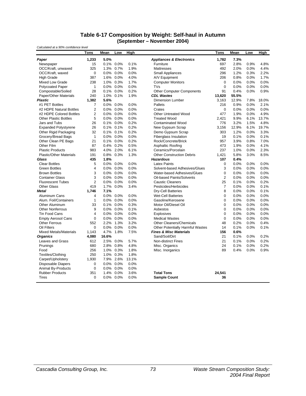#### **Table 6-17 Composition by Weight: Self-haul in Autumn (September – November 2004)**

| Mean<br>Tons                                    |       | Low          | High  |                                     | <b>Tons</b>    | Mean  | Low  | High  |
|-------------------------------------------------|-------|--------------|-------|-------------------------------------|----------------|-------|------|-------|
| 1,233<br>Paper                                  | 5.0%  |              |       | <b>Appliances &amp; Electronics</b> | 1,782          | 7.3%  |      |       |
| 15<br>Newspaper                                 |       | $0.1\%$ 0.0% | 0.1%  | Furniture                           | 697            | 2.8%  | 0.9% | 4.8%  |
| OCC/Kraft, unwaxed<br>325                       |       | 1.3% 0.7%    | 1.9%  | <b>Mattresses</b>                   | 492            | 2.0%  | 0.0% | 4.4%  |
| OCC/Kraft, waxed<br>0                           |       | 0.0% 0.0%    | 0.0%  | <b>Small Appliances</b>             | 296            | 1.2%  | 0.3% | 2.2%  |
| <b>High Grade</b><br>387                        |       | 1.6% 0.0%    | 4.0%  | A/V Equipment                       | 206            | 0.8%  | 0.0% | 1.7%  |
| 238<br>Mixed Low Grade                          |       | 1.0% 0.3%    | 1.7%  | <b>Computer Monitors</b>            | $\mathbf 0$    | 0.0%  | 0.0% | 0.0%  |
| $\mathbf{1}$<br><b>Polycoated Paper</b>         |       | 0.0% 0.0%    | 0.0%  | <b>TVs</b>                          | $\mathbf 0$    | 0.0%  | 0.0% | 0.0%  |
| 28<br>Compostable/Soiled                        |       | 0.1% 0.0%    | 0.2%  | <b>Other Computer Components</b>    | 91             | 0.4%  | 0.0% | 0.9%  |
| Paper/Other Materials<br>240                    |       | 1.0% 0.1%    | 1.9%  | <b>CDL Wastes</b>                   | 13,620         | 55.5% |      |       |
| <b>Plastic</b><br>1.382                         | 5.6%  |              |       | <b>Dimension Lumber</b>             | 3,163          | 12.9% | 7.8% | 18.0% |
| #1 PET Bottles<br>$\overline{7}$                |       | $0.0\%$ 0.0% | 0.0%  | Pallets                             | 216            | 0.9%  | 0.0% | 2.1%  |
| $\overline{2}$<br>#2 HDPE Natural Bottles       |       | $0.0\%$ 0.0% | 0.0%  | Crates                              | $\mathbf 0$    | 0.0%  | 0.0% | 0.0%  |
| $\overline{c}$<br>#2 HDPE Colored Bottles       |       | 0.0% 0.0%    | 0.0%  | <b>Other Untreated Wood</b>         | 477            | 1.9%  | 0.0% | 4.9%  |
| <b>Other Plastic Bottles</b><br>5               |       | 0.0% 0.0%    | 0.0%  | <b>Treated Wood</b>                 | 2,421          | 9.9%  | 6.1% | 13.7% |
| Jars and Tubs<br>26                             |       | 0.1% 0.0%    | 0.2%  | <b>Contaminated Wood</b>            | 776            | 3.2%  | 1.5% | 4.8%  |
| <b>Expanded Polystyrene</b><br>26               |       | 0.1% 0.1%    | 0.2%  | New Gypsum Scrap                    | 3,156          | 12.9% | 6.1% | 19.7% |
| Other Rigid Packaging<br>32                     |       | 0.1% 0.1%    | 0.2%  | Demo Gypsum Scrap                   | 303            | 1.2%  | 0.0% | 3.3%  |
| Grocery/Bread Bags<br>$\mathbf{1}$              |       | 0.0% 0.0%    | 0.0%  | <b>Fiberglass Insulation</b>        | 19             | 0.1%  | 0.0% | 0.1%  |
| Other Clean PE Bags<br>21                       |       | 0.1% 0.0%    | 0.2%  | Rock/Concrete/Brick                 | 957            | 3.9%  | 0.8% | 7.0%  |
| Other Film<br>87                                |       | 0.4% 0.2%    | 0.5%  | Asphaltic Roofing                   | 473            | 1.9%  | 0.0% | 4.1%  |
| <b>Plastic Products</b><br>983                  |       | 4.0% 2.0%    | 6.1%  | Ceramics/Porcelain                  | 237            | 1.0%  | 0.0% | 2.3%  |
| <b>Plastic/Other Materials</b><br>191           |       | 0.8% 0.3%    | 1.3%  | <b>Other Construction Debris</b>    | 1,421          | 5.8%  | 3.0% | 8.5%  |
| 435<br>Glass                                    | 1.8%  |              |       | <b>Hazardous</b>                    | 107            | 0.4%  |      |       |
| 5<br><b>Clear Bottles</b>                       |       | 0.0% 0.0%    | 0.0%  | <b>Latex Paints</b>                 | $\mathbf 0$    | 0.0%  | 0.0% | 0.0%  |
| <b>Green Bottles</b><br>$\overline{\mathbf{4}}$ |       | 0.0% 0.0%    | 0.0%  | Solvent-based Adhesives/Glues       | 3              | 0.0%  | 0.0% | 0.0%  |
| 3<br><b>Brown Bottles</b>                       |       | 0.0% 0.0%    | 0.0%  | Water-based Adhesives/Glues         | 0              | 0.0%  | 0.0% | 0.0%  |
| <b>Container Glass</b><br>3                     |       | 0.0% 0.0%    | 0.0%  | Oil-based Paints/Solvents           | $\overline{2}$ | 0.0%  | 0.0% | 0.0%  |
| $\overline{2}$<br><b>Fluorescent Tubes</b>      |       | 0.0% 0.0%    | 0.0%  | <b>Caustic Cleaners</b>             | 25             | 0.1%  | 0.0% | 0.2%  |
| Other Glass<br>419                              |       | 1.7% 0.0%    | 3.4%  | Pesticides/Herbicides               | $\overline{7}$ | 0.0%  | 0.0% | 0.1%  |
| 1,746<br><b>Metal</b>                           | 7.1%  |              |       | Dry-Cell Batteries                  | 8              | 0.0%  | 0.0% | 0.1%  |
| Aluminum Cans<br>$\overline{\mathbf{4}}$        |       | 0.0% 0.0%    | 0.0%  | <b>Wet-Cell Batteries</b>           | 0              | 0.0%  | 0.0% | 0.0%  |
| Alum. Foil/Containers<br>$\mathbf{1}$           |       | 0.0% 0.0%    | 0.0%  | Gasoline/Kerosene                   | 0              | 0.0%  | 0.0% | 0.0%  |
| 33<br><b>Other Aluminum</b>                     |       | 0.1% 0.0%    | 0.3%  | Motor Oil/Diesel Oil                | 0              | 0.0%  | 0.0% | 0.0%  |
| <b>Other Nonferrous</b><br>9                    |       | 0.0% 0.0%    | 0.1%  | Asbestos                            | $\mathbf 0$    | 0.0%  | 0.0% | 0.0%  |
| $\overline{4}$<br>Tin Food Cans                 |       | 0.0% 0.0%    | 0.0%  | Explosives                          | $\mathbf 0$    | 0.0%  | 0.0% | 0.0%  |
| 0<br><b>Empty Aerosol Cans</b>                  |       | 0.0% 0.0%    | 0.0%  | <b>Medical Wastes</b>               | $\mathbf 0$    | 0.0%  | 0.0% | 0.0%  |
| <b>Other Ferrous</b><br>552                     |       | 2.2% 1.3%    | 3.2%  | <b>Other Cleaners/Chemicals</b>     | 48             | 0.2%  | 0.0% | 0.4%  |
| Oil Filters<br>$\Omega$                         |       | $0.0\%$ 0.0% | 0.0%  | Other Potentially Harmful Wastes    | 14             | 0.1%  | 0.0% | 0.1%  |
| <b>Mixed Metals/Materials</b><br>1,143          |       | 4.7% 1.8%    | 7.5%  | <b>Fines &amp; Misc Materials</b>   | 156            | 0.6%  |      |       |
| 4,080<br><b>Organics</b>                        | 16.6% |              |       | Sand/Soil/Dirt                      | 21             | 0.1%  | 0.0% | 0.2%  |
| Leaves and Grass<br>612                         |       | 2.5% 0.0%    | 5.7%  | <b>Non-distinct Fines</b>           | 21             | 0.1%  | 0.0% | 0.2%  |
| 680<br>Prunings                                 |       | 2.8% 0.8%    | 4.8%  | Misc. Organics                      | 24             | 0.1%  | 0.0% | 0.2%  |
| 256<br>Food                                     |       | 1.0% 0.3%    | 1.8%  | Misc. Inorganics                    | 89             | 0.4%  | 0.0% | 0.9%  |
| Textiles/Clothing<br>250                        |       | 1.0% 0.3%    | 1.8%  |                                     |                |       |      |       |
| 1,930<br>Carpet/Upholstery                      |       | 7.9% 2.6%    | 13.1% |                                     |                |       |      |       |
| <b>Disposable Diapers</b><br>$\mathbf 0$        |       | 0.0% 0.0%    | 0.0%  |                                     |                |       |      |       |
| Animal By-Products<br>$\mathbf 0$               |       | 0.0% 0.0%    | 0.0%  |                                     |                |       |      |       |
| <b>Rubber Products</b><br>351                   |       | 1.4% 0.0%    | 3.6%  | <b>Total Tons</b>                   | 24,541         |       |      |       |
| <b>Tires</b><br>0                               |       | 0.0% 0.0%    | 0.0%  | <b>Sample Count</b>                 | 36             |       |      |       |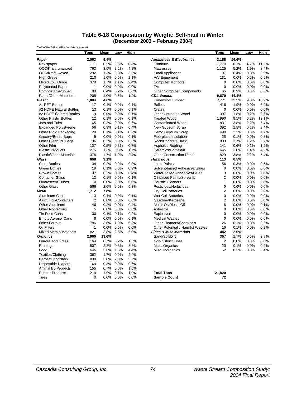#### **Table 6-18 Composition by Weight: Self-haul in Winter (December 2003 – February 2004)**

| Calculated at a 90% confidence level |                |       |              |      |                                         |                |       |      |             |
|--------------------------------------|----------------|-------|--------------|------|-----------------------------------------|----------------|-------|------|-------------|
|                                      | Tons           | Mean  | Low          | High |                                         | <b>Tons</b>    | Mean  | Low  | <b>High</b> |
| Paper                                | 2,053          | 9.4%  |              |      | <b>Appliances &amp; Electronics</b>     | 3,188          | 14.6% |      |             |
| Newspaper                            | 111            |       | 0.5% 0.3%    | 0.8% | Furniture                               | 1,770          | 8.1%  | 4.7% | 11.5%       |
| OCC/Kraft, unwaxed                   | 763            |       | 3.5% 2.2%    | 4.8% | <b>Mattresses</b>                       | 1,125          | 5.2%  | 1.9% | 8.4%        |
| OCC/Kraft, waxed                     | 292            |       | 1.3% 0.0%    | 3.5% | <b>Small Appliances</b>                 | 97             | 0.4%  | 0.0% | 0.9%        |
| <b>High Grade</b>                    | 210            |       | 1.0% 0.0%    | 2.1% | A/V Equipment                           | 131            | 0.6%  | 0.2% | 0.9%        |
| <b>Mixed Low Grade</b>               | 378            |       | 1.7% 1.1%    | 2.4% | <b>Computer Monitors</b>                | $\mathbf 0$    | 0.0%  | 0.0% | 0.0%        |
| <b>Polycoated Paper</b>              | 1              |       | 0.0% 0.0%    | 0.0% | <b>TVs</b>                              | $\mathbf 0$    | 0.0%  | 0.0% | 0.0%        |
| Compostable/Soiled                   | 90             |       | 0.4% 0.2%    | 0.6% | <b>Other Computer Components</b>        | 65             | 0.3%  | 0.0% | 0.6%        |
| Paper/Other Materials                | 208            |       | 1.0% 0.5%    | 1.4% | <b>CDL Wastes</b>                       | 9,679          | 44.4% |      |             |
| <b>Plastic</b>                       | 1,004          | 4.6%  |              |      | <b>Dimension Lumber</b>                 | 2,721          | 12.5% | 9.0% | 15.9%       |
| #1 PET Bottles                       | 17             |       | 0.1% 0.0%    | 0.1% | Pallets                                 | 416            | 1.9%  | 0.0% | 3.9%        |
| #2 HDPE Natural Bottles              | 13             |       | 0.1% 0.0%    | 0.1% | Crates                                  | $\mathbf 0$    | 0.0%  | 0.0% | 0.0%        |
| #2 HDPE Colored Bottles              | 9              |       | 0.0% 0.0%    | 0.1% | <b>Other Untreated Wood</b>             | 397            | 1.8%  | 0.2% | 3.5%        |
| <b>Other Plastic Bottles</b>         | 12             |       | 0.1% 0.0%    | 0.1% | <b>Treated Wood</b>                     | 1,990          | 9.1%  | 6.2% | 12.1%       |
| Jars and Tubs                        | 65             |       | 0.3% 0.0%    | 0.6% | <b>Contaminated Wood</b>                | 831            | 3.8%  | 2.2% | 5.4%        |
| <b>Expanded Polystyrene</b>          | 56             |       | 0.3% 0.1%    | 0.4% | New Gypsum Scrap                        | 392            | 1.8%  | 0.1% | 3.4%        |
| Other Rigid Packaging                | 29             |       | 0.1% 0.1%    | 0.2% | Demo Gypsum Scrap                       | 490            | 2.2%  | 0.3% | 4.2%        |
| Grocery/Bread Bags                   | 9              |       | 0.0% 0.0%    | 0.1% | <b>Fiberglass Insulation</b>            | 25             | 0.1%  | 0.0% | 0.3%        |
| Other Clean PE Bags                  | 36             |       | 0.2% 0.0%    | 0.3% | Rock/Concrete/Brick                     | 803            | 3.7%  | 1.2% | 6.2%        |
| Other Film                           | 107            |       | 0.5% 0.3%    | 0.7% | Asphaltic Roofing                       | 141            | 0.6%  | 0.1% | 1.2%        |
| <b>Plastic Products</b>              | 275            |       | 1.3% 0.8%    | 1.7% | Ceramics/Porcelain                      | 645            | 3.0%  | 1.4% | 4.5%        |
| <b>Plastic/Other Materials</b>       | 374            |       | 1.7% 1.0%    | 2.4% | <b>Other Construction Debris</b>        | 829            | 3.8%  | 2.2% | 5.4%        |
| Glass                                | 668            | 3.1%  |              |      | <b>Hazardous</b>                        | 113            | 0.5%  |      |             |
| <b>Clear Bottles</b>                 | 34             | 0.2%  | 0.0%         | 0.3% | <b>Latex Paints</b>                     | 56             | 0.3%  | 0.0% | 0.5%        |
| <b>Green Bottles</b>                 | 19             |       | 0.1% 0.0%    | 0.2% | Solvent-based Adhesives/Glues           | 0              | 0.0%  | 0.0% | 0.0%        |
| <b>Brown Bottles</b>                 | 37             |       | 0.2% 0.0%    | 0.4% | Water-based Adhesives/Glues             | 3              | 0.0%  | 0.0% | 0.0%        |
| <b>Container Glass</b>               | 12             |       | 0.1% 0.0%    | 0.1% | Oil-based Paints/Solvents               | $\overline{2}$ | 0.0%  | 0.0% | 0.0%        |
| <b>Fluorescent Tubes</b>             | 0              |       | 0.0% 0.0%    | 0.0% | <b>Caustic Cleaners</b>                 | 1              | 0.0%  | 0.0% | 0.0%        |
| <b>Other Glass</b>                   | 566            |       | 2.6% 0.0%    | 5.3% | Pesticides/Herbicides                   | 0              | 0.0%  | 0.0% | 0.0%        |
| <b>Metal</b>                         | 1,712          | 7.8%  |              |      | <b>Dry-Cell Batteries</b>               | $\overline{2}$ | 0.0%  | 0.0% | 0.0%        |
| Aluminum Cans                        | 13             |       | 0.1% 0.0%    | 0.1% | <b>Wet-Cell Batteries</b>               | 0              | 0.0%  | 0.0% | 0.0%        |
| Alum. Foil/Containers                | $\overline{2}$ |       | 0.0% 0.0%    | 0.0% | Gasoline/Kerosene                       | 2              | 0.0%  | 0.0% | 0.0%        |
| <b>Other Aluminum</b>                | 46             |       | 0.2% 0.0%    | 0.4% | Motor Oil/Diesel Oil                    | 6              | 0.0%  | 0.0% | 0.1%        |
| <b>Other Nonferrous</b>              | 5              |       | 0.0% 0.0%    | 0.0% | Asbestos                                | $\mathbf 0$    | 0.0%  | 0.0% | 0.0%        |
| Tin Food Cans                        | 30             |       | 0.1% 0.1%    | 0.2% | Explosives                              | $\mathbf 0$    | 0.0%  | 0.0% | 0.0%        |
| <b>Empty Aerosol Cans</b>            | 8              |       | $0.0\%$ 0.0% | 0.1% | <b>Medical Wastes</b>                   | $\mathbf 0$    | 0.0%  | 0.0% | 0.0%        |
| <b>Other Ferrous</b>                 | 786            |       | 3.6% 1.9%    | 5.3% | <b>Other Cleaners/Chemicals</b>         | 26             | 0.1%  | 0.0% | 0.2%        |
| Oil Filters                          | 1              |       | 0.0% 0.0%    | 0.0% | <b>Other Potentially Harmful Wastes</b> | 16             | 0.1%  | 0.0% | 0.2%        |
| <b>Mixed Metals/Materials</b>        | 821            |       | 3.8% 2.5%    | 5.0% | <b>Fines &amp; Misc Materials</b>       | 442            | 2.0%  |      |             |
| <b>Organics</b>                      | 2,960          | 13.6% |              |      | Sand/Soil/Dirt                          | 367            | 1.7%  | 0.6% | 2.8%        |
| Leaves and Grass                     | 164            |       | 0.7% 0.2%    | 1.3% | <b>Non-distinct Fines</b>               | $\overline{2}$ | 0.0%  | 0.0% | 0.0%        |
| Prunings                             | 507            |       | 2.3% 0.8%    | 3.8% | Misc. Organics                          | 20             | 0.1%  | 0.0% | 0.2%        |
| Food                                 | 646            |       | 3.0% 1.5%    | 4.4% | Misc. Inorganics                        | 52             | 0.2%  | 0.0% | 0.4%        |
| Textiles/Clothing                    | 362            |       | 1.7% 0.9%    | 2.4% |                                         |                |       |      |             |
| Carpet/Upholstery                    | 839            |       | 3.8% 2.0%    | 5.7% |                                         |                |       |      |             |
| <b>Disposable Diapers</b>            | 69             |       | 0.3% 0.0%    | 0.6% |                                         |                |       |      |             |
| Animal By-Products                   | 155            |       | 0.7% 0.0%    | 1.6% |                                         |                |       |      |             |
| <b>Rubber Products</b>               | 219            |       | 1.0% 0.1%    | 1.9% | <b>Total Tons</b>                       | 21.820         |       |      |             |
| Tires                                | 0              |       | 0.0% 0.0%    | 0.0% | <b>Sample Count</b>                     | 72             |       |      |             |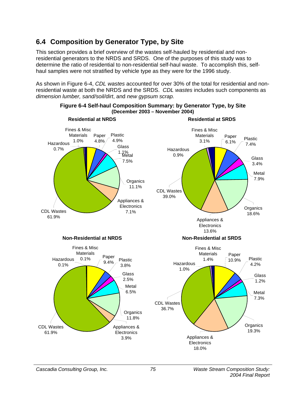# **6.4 Composition by Generator Type, by Site**

This section provides a brief overview of the wastes self-hauled by residential and nonresidential generators to the NRDS and SRDS. One of the purposes of this study was to determine the ratio of residential to non-residential self-haul waste. To accomplish this, selfhaul samples were not stratified by vehicle type as they were for the 1996 study.

As shown in Figure 6-4, *CDL wastes* accounted for over 30% of the total for residential and nonresidential waste at both the NRDS and the SRDS. *CDL wastes* includes such components as *dimension lumber, sand/soil/dirt*, and *new gypsum scrap.*



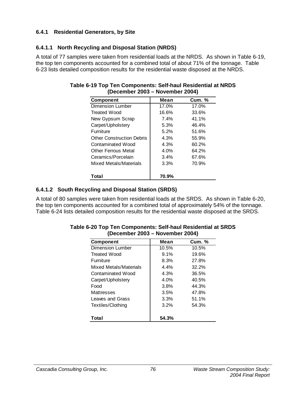### **6.4.1 Residential Generators, by Site**

### **6.4.1.1 North Recycling and Disposal Station (NRDS)**

A total of 77 samples were taken from residential loads at the NRDS. As shown in Table 6-19, the top ten components accounted for a combined total of about 71% of the tonnage. Table 6-23 lists detailed composition results for the residential waste disposed at the NRDS.

| $\sim$ $\sim$ $\sim$ $\sim$ $\sim$ $\sim$ $\sim$ $\sim$ |       |               |
|---------------------------------------------------------|-------|---------------|
| <b>Component</b>                                        | Mean  | <b>Cum. %</b> |
| Dimension Lumber                                        | 17.0% | 17.0%         |
| <b>Treated Wood</b>                                     | 16.6% | 33.6%         |
| New Gypsum Scrap                                        | 7.4%  | 41.1%         |
| Carpet/Upholstery                                       | 5.3%  | 46.4%         |
| Furniture                                               | 5.2%  | 51.6%         |
| <b>Other Construction Debris</b>                        | 4.3%  | 55.9%         |
| Contaminated Wood                                       | 4.3%  | 60.2%         |
| <b>Other Ferrous Metal</b>                              | 4.0%  | 64.2%         |
| Ceramics/Porcelain                                      | 3.4%  | 67.6%         |
| Mixed Metals/Materials                                  | 3.3%  | 70.9%         |
| Total                                                   | 70.9% |               |

#### **Table 6-19 Top Ten Components: Self-haul Residential at NRDS (December 2003 – November 2004)**

## **6.4.1.2 South Recycling and Disposal Station (SRDS)**

A total of 80 samples were taken from residential loads at the SRDS. As shown in Table 6-20, the top ten components accounted for a combined total of approximately 54% of the tonnage. Table 6-24 lists detailed composition results for the residential waste disposed at the SRDS.

| <b>Component</b>       | Mean    | <b>Cum.</b> % |
|------------------------|---------|---------------|
| Dimension Lumber       | 10.5%   | 10.5%         |
| <b>Treated Wood</b>    | 9.1%    | 19.6%         |
| Furniture              | 8.3%    | 27.8%         |
| Mixed Metals/Materials | 4.4%    | 32.2%         |
| Contaminated Wood      | 4.3%    | 36.5%         |
| Carpet/Upholstery      | $4.0\%$ | 40.5%         |
| Food                   | 3.8%    | 44.3%         |
| Mattresses             | 3.5%    | 47.8%         |
| Leaves and Grass       | 3.3%    | 51.1%         |
| Textiles/Clothing      | 3.2%    | 54.3%         |
|                        |         |               |
| Total                  | 54.3%   |               |

#### **Table 6-20 Top Ten Components: Self-haul Residential at SRDS (December 2003 – November 2004)**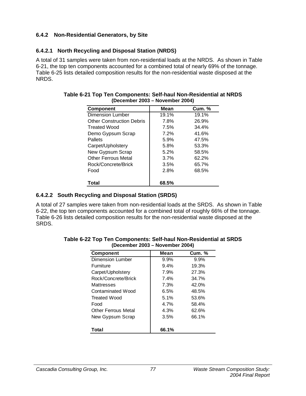## **6.4.2 Non-Residential Generators, by Site**

# **6.4.2.1 North Recycling and Disposal Station (NRDS)**

A total of 31 samples were taken from non-residential loads at the NRDS. As shown in Table 6-21, the top ten components accounted for a combined total of nearly 69% of the tonnage. Table 6-25 lists detailed composition results for the non-residential waste disposed at the NRDS.

| <b>Component</b>                 | Mean  | <b>Cum.</b> % |
|----------------------------------|-------|---------------|
| <b>Dimension Lumber</b>          | 19.1% | 19.1%         |
| <b>Other Construction Debris</b> | 7.8%  | 26.9%         |
| <b>Treated Wood</b>              | 7.5%  | 34.4%         |
| Demo Gypsum Scrap                | 7.2%  | 41.6%         |
| Pallets                          | 5.9%  | 47.5%         |
| Carpet/Upholstery                | 5.8%  | 53.3%         |
| New Gypsum Scrap                 | 5.2%  | 58.5%         |
| <b>Other Ferrous Metal</b>       | 3.7%  | 62.2%         |
| Rock/Concrete/Brick              | 3.5%  | 65.7%         |
| Food                             | 2.8%  | 68.5%         |
| Total                            | 68.5% |               |

#### **Table 6-21 Top Ten Components: Self-haul Non-Residential at NRDS (December 2003 – November 2004)**

# **6.4.2.2 South Recycling and Disposal Station (SRDS)**

A total of 27 samples were taken from non-residential loads at the SRDS. As shown in Table 6-22, the top ten components accounted for a combined total of roughly 66% of the tonnage. Table 6-26 lists detailed composition results for the non-residential waste disposed at the SRDS.

| <b>Component</b>        | Mean  | <b>Cum. %</b> |
|-------------------------|-------|---------------|
| <b>Dimension Lumber</b> | 9.9%  | 9.9%          |
| <b>Furniture</b>        | 9.4%  | 19.3%         |
| Carpet/Upholstery       | 7.9%  | 27.3%         |
| Rock/Concrete/Brick     | 7.4%  | 34.7%         |
| Mattresses              | 7.3%  | 42.0%         |
| Contaminated Wood       | 6.5%  | 48.5%         |
| Treated Wood            | 5.1%  | 53.6%         |
| Food                    | 4.7%  | 58.4%         |
| Other Ferrous Metal     | 4.3%  | 62.6%         |
| New Gypsum Scrap        | 3.5%  | 66.1%         |
| Total                   | 66.1% |               |

#### **Table 6-22 Top Ten Components: Self-haul Non-Residential at SRDS (December 2003 – November 2004)**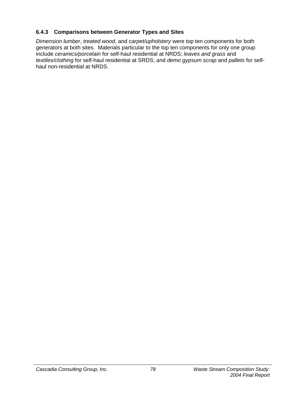## **6.4.3 Comparisons between Generator Types and Sites**

*Dimension lumber*, *treated wood*, and *carpet/upholstery* were top ten components for both generators at both sites. Materials particular to the top ten components for only one group include *ceramics/porcelain* for self-haul residential at NRDS; *leaves and grass* and *textiles/clothing* for self-haul residential at SRDS; and *demo gypsum scrap* and *pallets* for selfhaul non-residential at NRDS.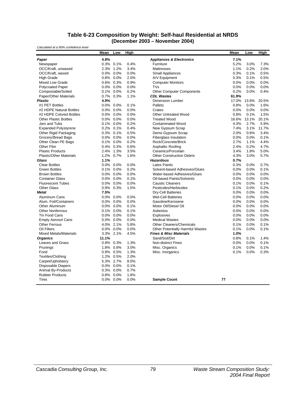#### **Table 6-23 Composition by Weight: Self-haul Residential at NRDS (December 2003 – November 2004)**

*Calculated at a 90% confidence level*

|                                | <b>Mean</b> | Low          | High |                                         | <b>Mean</b> | Low   | High  |
|--------------------------------|-------------|--------------|------|-----------------------------------------|-------------|-------|-------|
| Paper                          | 4.8%        |              |      | <b>Appliances &amp; Electronics</b>     | 7.1%        |       |       |
| Newspaper                      |             | 0.3% 0.1%    | 0.4% | Furniture                               | 5.2%        | 3.0%  | 7.3%  |
| OCC/Kraft, unwaxed             | 2.3%        | 1.2%         | 3.4% | <b>Mattresses</b>                       | 1.1%        | 0.2%  | 2.0%  |
| OCC/Kraft, waxed               | 0.0%        | 0.0%         | 0.0% | <b>Small Appliances</b>                 | 0.3%        | 0.1%  | 0.5%  |
| <b>High Grade</b>              | 0.8%        | 0.0%         | 2.0% | A/V Equipment                           | 0.3%        | 0.1%  | 0.5%  |
| <b>Mixed Low Grade</b>         |             | 0.6% 0.3%    | 0.9% | <b>Computer Monitors</b>                | 0.0%        | 0.0%  | 0.0%  |
| <b>Polycoated Paper</b>        |             | 0.0% 0.0%    | 0.0% | <b>TVs</b>                              | 0.0%        | 0.0%  | 0.0%  |
| Compostable/Soiled             | 0.1%        | 0.0%         | 0.2% | <b>Other Computer Components</b>        | 0.2%        | 0.0%  | 0.4%  |
| Paper/Other Materials          |             | 0.7% 0.3%    | 1.1% | <b>CDL Wastes</b>                       | 61.9%       |       |       |
| <b>Plastic</b>                 | 4.9%        |              |      | <b>Dimension Lumber</b>                 | 17.0%       | 13.6% | 20.5% |
| #1 PET Bottles                 |             | 0.0% 0.0%    | 0.1% | Pallets                                 | 0.8%        | 0.0%  | 1.6%  |
| #2 HDPE Natural Bottles        |             | $0.0\%$ 0.0% | 0.0% | Crates                                  | 0.0%        | 0.0%  | 0.0%  |
| #2 HDPE Colored Bottles        | 0.0%        | 0.0%         | 0.0% | <b>Other Untreated Wood</b>             | 0.8%        | 0.1%  | 1.5%  |
| <b>Other Plastic Bottles</b>   | $0.0\%$     | 0.0%         | 0.0% | <b>Treated Wood</b>                     | 16.6%       | 13.1% | 20.1% |
| Jars and Tubs                  | 0.1%        | 0.0%         | 0.2% | <b>Contaminated Wood</b>                | 4.3%        | 2.7%  | 5.9%  |
| <b>Expanded Polystyrene</b>    | 0.2%        | 0.1%         | 0.4% | New Gypsum Scrap                        | 7.4%        | 3.1%  | 11.7% |
| Other Rigid Packaging          |             | 0.3% 0.1%    | 0.5% | Demo Gypsum Scrap                       | 2.0%        | 0.6%  | 3.4%  |
| Grocery/Bread Bags             |             | 0.0% 0.0%    | 0.0% | <b>Fiberglass Insulation</b>            | 0.0%        | 0.0%  | 0.1%  |
| Other Clean PE Bags            |             | 0.1% 0.0%    | 0.2% | Rock/Concrete/Brick                     | 2.7%        | 1.1%  | 4.4%  |
| Other Film                     |             | 0.4% 0.3%    | 0.6% | Asphaltic Roofing                       | 2.4%        | 0.2%  | 4.7%  |
| <b>Plastic Products</b>        |             | 2.4% 1.3%    | 3.5% | Ceramics/Porcelain                      | 3.4%        | 1.8%  | 5.0%  |
| <b>Plastic/Other Materials</b> | 1.2%        | 0.7%         | 1.6% | <b>Other Construction Debris</b>        | 4.3%        | 3.0%  | 5.7%  |
| Glass                          | 1.1%        |              |      | <b>Hazardous</b>                        | 0.7%        |       |       |
| <b>Clear Bottles</b>           | 0.0%        | $0.0\%$      | 0.0% | <b>Latex Paints</b>                     | 0.3%        | 0.0%  | 0.7%  |
| <b>Green Bottles</b>           | 0.1%        | 0.0%         | 0.2% | Solvent-based Adhesives/Glues           | 0.0%        | 0.0%  | 0.1%  |
| <b>Brown Bottles</b>           | 0.0%        | 0.0%         | 0.0% | Water-based Adhesives/Glues             | 0.0%        | 0.0%  | 0.0%  |
| <b>Container Glass</b>         |             | 0.0% 0.0%    | 0.1% | Oil-based Paints/Solvents               | 0.0%        | 0.0%  | 0.0%  |
| <b>Fluorescent Tubes</b>       |             | 0.0% 0.0%    | 0.0% | <b>Caustic Cleaners</b>                 | 0.1%        | 0.0%  | 0.1%  |
| <b>Other Glass</b>             |             | 0.9% 0.3%    | 1.5% | Pesticides/Herbicides                   | 0.1%        | 0.0%  | 0.2%  |
| <b>Metal</b>                   | 7.5%        |              |      | <b>Dry-Cell Batteries</b>               | 0.0%        | 0.0%  | 0.0%  |
| Aluminum Cans                  |             | 0.0% 0.0%    | 0.0% | <b>Wet-Cell Batteries</b>               | 0.0%        | 0.0%  | 0.0%  |
| Alum. Foil/Containers          |             | 0.0% 0.0%    | 0.0% | Gasoline/Kerosene                       | 0.0%        | 0.0%  | 0.0%  |
| Other Aluminum                 | 0.0%        | 0.0%         | 0.1% | Motor Oil/Diesel Oil                    | 0.0%        | 0.0%  | 0.0%  |
| <b>Other Nonferrous</b>        | 0.1%        | 0.0%         | 0.1% | Asbestos                                | 0.0%        | 0.0%  | 0.0%  |
| Tin Food Cans                  | 0.0%        | 0.0%         | 0.0% | Explosives                              | 0.0%        | 0.0%  | 0.0%  |
| <b>Empty Aerosol Cans</b>      |             | 0.0% 0.0%    | 0.0% | <b>Medical Wastes</b>                   | 0.0%        | 0.0%  | 0.0%  |
| <b>Other Ferrous</b>           |             | 4.0% 2.1%    | 5.8% | <b>Other Cleaners/Chemicals</b>         | 0.1%        | 0.0%  | 0.1%  |
| Oil Filters                    |             | 0.0% 0.0%    | 0.0% | <b>Other Potentially Harmful Wastes</b> | 0.1%        | 0.0%  | 0.1%  |
| <b>Mixed Metals/Materials</b>  |             | 3.3% 2.1%    | 4.5% | <b>Fines &amp; Misc Materials</b>       | 1.0%        |       |       |
| <b>Organics</b>                | 11.1%       |              |      | Sand/Soil/Dirt                          | 0.8%        | 0.1%  | 1.4%  |
| Leaves and Grass               |             | 0.8% 0.3%    | 1.3% | <b>Non-distinct Fines</b>               | 0.0%        | 0.0%  | 0.1%  |
| Prunings                       |             | 1.8% 0.6%    | 3.0% | Misc. Organics                          | 0.1%        | 0.0%  | 0.1%  |
| Food                           |             | 0.9% 0.5%    | 1.3% | Misc. Inorganics                        | 0.1%        | 0.0%  | 0.3%  |
| Textiles/Clothing              | 1.2%        | 0.5%         | 2.0% |                                         |             |       |       |
| Carpet/Upholstery              |             | 5.3% 2.7%    | 8.0% |                                         |             |       |       |
| Disposable Diapers             | 0.0%        | 0.0%         | 0.1% |                                         |             |       |       |
| Animal By-Products             | 0.3%        | 0.0%         | 0.7% |                                         |             |       |       |
| <b>Rubber Products</b>         | 0.8%        | 0.0%         | 1.8% |                                         |             |       |       |
| Tires                          |             | 0.0% 0.0%    | 0.0% | <b>Sample Count</b>                     | 77          |       |       |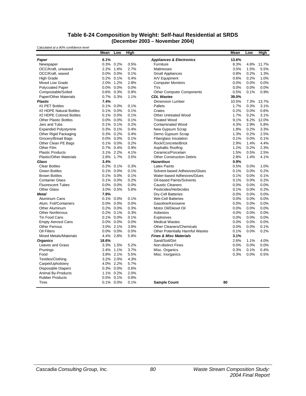#### **Table 6-24 Composition by Weight: Self-haul Residential at SRDS (December 2003 – November 2004)**

*Calculated at a 90% confidence level*

|                                | Mean    | Low       | <b>High</b> |                                         | Mean  | Low  | <b>High</b> |
|--------------------------------|---------|-----------|-------------|-----------------------------------------|-------|------|-------------|
| Paper                          | 6.1%    |           |             | <b>Appliances &amp; Electronics</b>     | 13.6% |      |             |
| Newspaper                      |         | 0.3% 0.2% | 0.5%        | Furniture                               | 8.3%  | 4.8% | 11.7%       |
| OCC/Kraft, unwaxed             | 2.2%    | 1.6%      | 2.7%        | <b>Mattresses</b>                       | 3.5%  | 1.5% | 5.5%        |
| OCC/Kraft, waxed               | $0.0\%$ | $0.0\%$   | 0.1%        | <b>Small Appliances</b>                 | 0.8%  | 0.2% | 1.3%        |
| <b>High Grade</b>              | 0.2%    | 0.1%      | 0.4%        | A/V Equipment                           | 0.6%  | 0.2% | 1.0%        |
| Mixed Low Grade                | 2.0%    | 1.2%      | 2.8%        | <b>Computer Monitors</b>                | 0.0%  | 0.0% | 0.0%        |
| <b>Polycoated Paper</b>        | $0.0\%$ | 0.0%      | 0.0%        | <b>TVs</b>                              | 0.0%  | 0.0% | 0.0%        |
| Compostable/Soiled             | $0.6\%$ | 0.3%      | 0.9%        | <b>Other Computer Components</b>        | 0.5%  | 0.1% | 0.9%        |
| Paper/Other Materials          | 0.7%    | 0.3%      | 1.1%        | <b>CDL Wastes</b>                       | 39.0% |      |             |
| <b>Plastic</b>                 | 7.4%    |           |             | <b>Dimension Lumber</b>                 | 10.5% | 7.3% | 13.7%       |
| #1 PET Bottles                 | 0.1%    | 0.0%      | 0.1%        | Pallets                                 | 1.7%  | 0.3% | 3.1%        |
| #2 HDPE Natural Bottles        | 0.1%    | 0.0%      | 0.1%        | Crates                                  | 0.2%  | 0.0% | 0.6%        |
| #2 HDPE Colored Bottles        | 0.1%    | 0.0%      | 0.1%        | <b>Other Untreated Wood</b>             | 1.7%  | 0.2% | 3.1%        |
| <b>Other Plastic Bottles</b>   | $0.0\%$ | $0.0\%$   | 0.1%        | <b>Treated Wood</b>                     | 9.1%  | 6.2% | 12.0%       |
| Jars and Tubs                  | 0.1%    | 0.1%      | 0.2%        | <b>Contaminated Wood</b>                | 4.3%  | 2.9% | 5.8%        |
| <b>Expanded Polystyrene</b>    | 0.3%    | 0.1%      | 0.4%        | New Gypsum Scrap                        | 1.8%  | 0.2% | 3.3%        |
| Other Rigid Packaging          |         | 0.3% 0.2% | 0.4%        | Demo Gypsum Scrap                       | 1.3%  | 0.2% | 2.5%        |
| Grocery/Bread Bags             | $0.0\%$ | 0.0%      | 0.1%        | <b>Fiberglass Insulation</b>            | 0.1%  | 0.0% | 0.1%        |
| Other Clean PE Bags            |         | 0.1% 0.0% | 0.2%        | Rock/Concrete/Brick                     | 2.9%  | 1.4% | 4.4%        |
| Other Film                     | 0.7%    | 0.4%      | 0.9%        | Asphaltic Roofing                       | 1.2%  | 0.2% | 2.3%        |
| <b>Plastic Products</b>        |         | 3.1% 2.2% | 4.1%        | Ceramics/Porcelain                      | 1.5%  | 0.5% | 2.5%        |
| <b>Plastic/Other Materials</b> | 2.6%    | 1.7%      | 3.5%        | <b>Other Construction Debris</b>        | 2.8%  | 1.4% | 4.1%        |
| Glass                          | 3.4%    |           |             | <b>Hazardous</b>                        | 0.9%  |      |             |
| <b>Clear Bottles</b>           | 0.2%    | 0.1%      | 0.3%        | <b>Latex Paints</b>                     | 0.5%  | 0.0% | 1.0%        |
| <b>Green Bottles</b>           | 0.1%    | 0.0%      | 0.1%        | Solvent-based Adhesives/Glues           | 0.1%  | 0.0% | 0.2%        |
| <b>Brown Bottles</b>           | 0.1%    | 0.0%      | 0.1%        | Water-based Adhesives/Glues             | 0.1%  | 0.0% | 0.1%        |
| <b>Container Glass</b>         |         | 0.1% 0.0% | 0.2%        | Oil-based Paints/Solvents               | 0.1%  | 0.0% | 0.2%        |
| <b>Fluorescent Tubes</b>       |         | 0.0% 0.0% | 0.0%        | <b>Caustic Cleaners</b>                 | 0.0%  | 0.0% | 0.0%        |
| <b>Other Glass</b>             | 3.0%    | 0.5%      | 5.6%        | Pesticides/Herbicides                   | 0.1%  | 0.0% | 0.2%        |
| <b>Metal</b>                   | 7.9%    |           |             | Dry-Cell Batteries                      | 0.0%  | 0.0% | 0.0%        |
| Aluminum Cans                  | 0.1%    | 0.0%      | 0.1%        | <b>Wet-Cell Batteries</b>               | 0.0%  | 0.0% | 0.0%        |
| Alum. Foil/Containers          | $0.0\%$ | 0.0%      | 0.0%        | Gasoline/Kerosene                       | 0.0%  | 0.0% | 0.0%        |
| Other Aluminum                 | 0.2%    | 0.0%      | 0.3%        | Motor Oil/Diesel Oil                    | 0.0%  | 0.0% | 0.0%        |
| <b>Other Nonferrous</b>        | 0.2%    | 0.1%      | 0.3%        | Asbestos                                | 0.0%  | 0.0% | 0.0%        |
| Tin Food Cans                  | 0.1%    | 0.0%      | 0.1%        | Explosives                              | 0.0%  | 0.0% | 0.0%        |
| <b>Empty Aerosol Cans</b>      | $0.0\%$ | 0.0%      | 0.0%        | <b>Medical Wastes</b>                   | 0.0%  | 0.0% | 0.0%        |
| <b>Other Ferrous</b>           | 3.0%    | 2.1%      | 3.9%        | Other Cleaners/Chemicals                | 0.0%  | 0.0% | 0.1%        |
| Oil Filters                    | $0.0\%$ | 0.0%      | 0.0%        | <b>Other Potentially Harmful Wastes</b> | 0.1%  | 0.0% | 0.2%        |
| <b>Mixed Metals/Materials</b>  | 4.4%    | 2.8%      | 5.9%        | <b>Fines &amp; Misc Materials</b>       | 3.1%  |      |             |
| <b>Organics</b>                | 18.6%   |           |             | Sand/Soil/Dirt                          | 2.6%  | 1.1% | 4.0%        |
| <b>Leaves and Grass</b>        | 3.3%    | 1.5%      | 5.2%        | <b>Non-distinct Fines</b>               | 0.0%  | 0.0% | 0.0%        |
| Prunings                       | 2.4%    | 1.1%      | 3.7%        | Misc. Organics                          | 0.3%  | 0.1% | 0.4%        |
| Food                           |         | 3.8% 2.1% | 5.5%        | Misc. Inorganics                        | 0.3%  | 0.0% | 0.5%        |
| Textiles/Clothing              |         | 3.2% 2.0% | 4.3%        |                                         |       |      |             |
| Carpet/Upholstery              |         | 4.0% 2.2% | 5.7%        |                                         |       |      |             |
| <b>Disposable Diapers</b>      | 0.3%    | 0.0%      | 0.6%        |                                         |       |      |             |
| Animal By-Products             | 1.1%    | 0.2%      | 2.0%        |                                         |       |      |             |
| <b>Rubber Products</b>         | 0.5%    | 0.1%      | 0.8%        |                                         |       |      |             |
| Tires                          |         | 0.1% 0.0% | 0.1%        | <b>Sample Count</b>                     | 80    |      |             |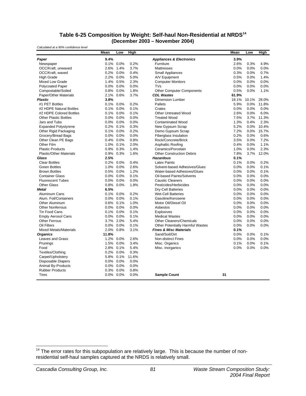#### **Table 6-25 Composition by Weight: Self-haul Non-Residential at NRDS<sup>14</sup> (December 2003 – November 2004)**

*Calculated at a 90% confidence level*

|                                | Mean    | Low       | High  |                                         | Mean  | Low   | High  |
|--------------------------------|---------|-----------|-------|-----------------------------------------|-------|-------|-------|
| Paper                          | 9.4%    |           |       | <b>Appliances &amp; Electronics</b>     | 3.9%  |       |       |
| Newspaper                      | 0.1%    | 0.0%      | 0.2%  | Furniture                               | 2.6%  | 0.3%  | 4.9%  |
| OCC/Kraft, unwaxed             | 2.6%    | 1.4%      | 3.7%  | <b>Mattresses</b>                       | 0.0%  | 0.0%  | 0.0%  |
| OCC/Kraft, waxed               | 0.2%    | 0.0%      | 0.4%  | <b>Small Appliances</b>                 | 0.3%  | 0.0%  | 0.7%  |
| <b>High Grade</b>              | 2.2%    | 0.0%      | 5.0%  | A/V Equipment                           | 0.5%  | 0.0%  | 1.4%  |
| <b>Mixed Low Grade</b>         | 1.4%    | 0.5%      | 2.3%  | <b>Computer Monitors</b>                | 0.0%  | 0.0%  | 0.0%  |
| <b>Polycoated Paper</b>        | 0.0%    | 0.0%      | 0.0%  | <b>TVs</b>                              | 0.0%  | 0.0%  | 0.0%  |
| Compostable/Soiled             | 0.8%    | 0.0%      | 1.8%  | <b>Other Computer Components</b>        | 0.5%  | 0.0%  | 1.1%  |
| Paper/Other Materials          | 2.1%    | 0.6%      | 3.7%  | <b>CDL Wastes</b>                       | 61.9% |       |       |
| <b>Plastic</b>                 | 3.8%    |           |       | <b>Dimension Lumber</b>                 | 19.1% | 10.1% | 28.0% |
| #1 PET Bottles                 | 0.1%    | 0.0%      | 0.2%  | Pallets                                 | 5.9%  | 0.0%  | 11.8% |
| #2 HDPE Natural Bottles        | 0.1%    | 0.0%      | 0.1%  | Crates                                  | 0.0%  | 0.0%  | 0.0%  |
| #2 HDPE Colored Bottles        |         | 0.1% 0.0% | 0.1%  | <b>Other Untreated Wood</b>             | 2.6%  | 0.0%  | 6.0%  |
| <b>Other Plastic Bottles</b>   | $0.0\%$ | 0.0%      | 0.0%  | <b>Treated Wood</b>                     | 7.5%  | 3.7%  | 11.3% |
| Jars and Tubs                  |         | 0.0% 0.0% | 0.0%  | <b>Contaminated Wood</b>                | 1.3%  | 0.4%  | 2.3%  |
| <b>Expanded Polystyrene</b>    | 0.2%    | 0.1%      | 0.3%  | New Gypsum Scrap                        | 5.2%  | 0.0%  | 10.4% |
| Other Rigid Packaging          | 0.1%    | 0.0%      | 0.2%  | Demo Gypsum Scrap                       | 7.2%  | 0.0%  | 15.7% |
| Grocery/Bread Bags             | 0.0%    | 0.0%      | 0.0%  | <b>Fiberglass Insulation</b>            | 0.2%  | 0.0%  | 0.6%  |
| Other Clean PE Bags            | 0.4%    | 0.0%      | 0.8%  | Rock/Concrete/Brick                     | 3.5%  | 0.0%  | 7.2%  |
| Other Film                     | 1.0%    | 0.1%      | 2.0%  | Asphaltic Roofing                       | 0.4%  | 0.0%  | 1.1%  |
| <b>Plastic Products</b>        | 0.9%    | 0.3%      | 1.4%  | Ceramics/Porcelain                      | 1.0%  | 0.0%  | 2.3%  |
| <b>Plastic/Other Materials</b> | 0.9%    | 0.3%      | 1.6%  | <b>Other Construction Debris</b>        | 7.8%  | 3.7%  | 12.0% |
| Glass                          | 2.5%    |           |       | <b>Hazardous</b>                        | 0.1%  |       |       |
| <b>Clear Bottles</b>           | 0.2%    | 0.0%      | 0.4%  | <b>Latex Paints</b>                     | 0.1%  | 0.0%  | 0.2%  |
| <b>Green Bottles</b>           | 1.0%    | 0.0%      | 2.6%  | Solvent-based Adhesives/Glues           | 0.0%  | 0.0%  | 0.1%  |
| <b>Brown Bottles</b>           | 0.5%    | 0.0%      | 1.2%  | Water-based Adhesives/Glues             | 0.0%  | 0.0%  | 0.1%  |
| <b>Container Glass</b>         | 0.0%    | 0.0%      | 0.1%  | Oil-based Paints/Solvents               | 0.0%  | 0.0%  | 0.0%  |
| <b>Fluorescent Tubes</b>       | 0.0%    | 0.0%      | 0.0%  | <b>Caustic Cleaners</b>                 | 0.0%  | 0.0%  | 0.0%  |
| <b>Other Glass</b>             | 0.8%    | 0.0%      | 1.8%  | Pesticides/Herbicides                   | 0.0%  | 0.0%  | 0.0%  |
| <b>Metal</b>                   | 6.5%    |           |       | Dry-Cell Batteries                      | 0.0%  | 0.0%  | 0.0%  |
| Aluminum Cans                  | 0.1%    | 0.0%      | 0.2%  | <b>Wet-Cell Batteries</b>               | 0.0%  | 0.0%  | 0.0%  |
| Alum. Foil/Containers          | 0.0%    | 0.0%      | 0.1%  | Gasoline/Kerosene                       | 0.0%  | 0.0%  | 0.0%  |
| Other Aluminum                 | 0.6%    | 0.1%      | 1.0%  | Motor Oil/Diesel Oil                    | 0.0%  | 0.0%  | 0.0%  |
| <b>Other Nonferrous</b>        | $0.0\%$ | 0.0%      | 0.0%  | Asbestos                                | 0.0%  | 0.0%  | 0.0%  |
| <b>Tin Food Cans</b>           | 0.1%    | 0.0%      | 0.1%  | Explosives                              | 0.0%  | 0.0%  | 0.0%  |
| <b>Empty Aerosol Cans</b>      | 0.0%    | 0.0%      | 0.1%  | <b>Medical Wastes</b>                   | 0.0%  | 0.0%  | 0.0%  |
| <b>Other Ferrous</b>           | 3.7%    | 2.0%      | 5.4%  | Other Cleaners/Chemicals                | 0.0%  | 0.0%  | 0.0%  |
| <b>Oil Filters</b>             | 0.0%    | 0.0%      | 0.1%  | <b>Other Potentially Harmful Wastes</b> | 0.0%  | 0.0%  | 0.0%  |
| <b>Mixed Metals/Materials</b>  | 2.0%    | 0.8%      | 3.1%  | <b>Fines &amp; Misc Materials</b>       | 0.1%  |       |       |
| <b>Organics</b>                | 11.8%   |           |       | Sand/Soil/Dirt                          | 0.0%  | 0.0%  | 0.1%  |
| Leaves and Grass               | 1.2%    | 0.0%      | 2.6%  | Non-distinct Fines                      | 0.0%  | 0.0%  | 0.0%  |
| Prunings                       | 1.5%    | 0.0%      | 3.4%  | Misc. Organics                          | 0.1%  | 0.0%  | 0.1%  |
| Food                           | 2.8%    | 0.1%      | 5.4%  | Misc. Inorganics                        | 0.0%  | 0.0%  | 0.0%  |
| Textiles/Clothing              |         | 0.2% 0.0% | 0.3%  |                                         |       |       |       |
| Carpet/Upholstery              | 5.8%    | 0.1%      | 11.6% |                                         |       |       |       |
| <b>Disposable Diapers</b>      | 0.0%    | 0.0%      | 0.0%  |                                         |       |       |       |
| <b>Animal By-Products</b>      | 0.0%    | 0.0%      | 0.0%  |                                         |       |       |       |
| <b>Rubber Products</b>         | 0.3%    | 0.0%      | 0.8%  |                                         |       |       |       |
| <b>Tires</b>                   |         | 0.0% 0.0% | 0.0%  | <b>Sample Count</b>                     | 31    |       |       |

-

 $14$  The error rates for this subpopulation are relatively large. This is because the number of nonresidential self-haul samples captured at the NRDS is relatively small.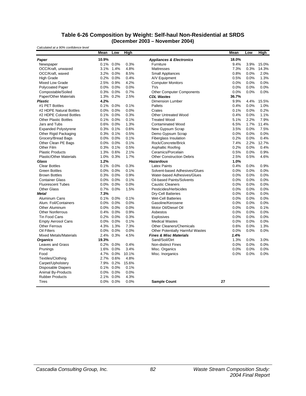#### **Table 6-26 Composition by Weight: Self-haul Non-Residential at SRDS (December 2003 – November 2004)**

*Calculated at a 90% confidence level*

|                                | Mean  | Low          | High  |                                         | Mean  | Low  | <b>High</b> |
|--------------------------------|-------|--------------|-------|-----------------------------------------|-------|------|-------------|
| Paper                          | 10.9% |              |       | <b>Appliances &amp; Electronics</b>     | 18.0% |      |             |
| Newspaper                      |       | $0.1\%$ 0.0% | 0.3%  | Furniture                               | 9.4%  | 3.9% | 15.0%       |
| OCC/Kraft, unwaxed             | 3.1%  | 1.4%         | 4.8%  | <b>Mattresses</b>                       | 7.3%  | 0.3% | 14.3%       |
| OCC/Kraft, waxed               |       | 3.2% 0.0%    | 8.5%  | <b>Small Appliances</b>                 | 0.8%  | 0.0% | 2.0%        |
| <b>High Grade</b>              |       | 0.2% 0.0%    | 0.4%  | A/V Equipment                           | 0.5%  | 0.0% | 1.3%        |
| <b>Mixed Low Grade</b>         |       | 2.5% 0.9%    | 4.2%  | <b>Computer Monitors</b>                | 0.0%  | 0.0% | 0.0%        |
| <b>Polycoated Paper</b>        |       | 0.0% 0.0%    | 0.0%  | <b>TVs</b>                              | 0.0%  | 0.0% | 0.0%        |
| Compostable/Soiled             |       | 0.3% 0.0%    | 0.7%  | <b>Other Computer Components</b>        | 0.0%  | 0.0% | 0.0%        |
| Paper/Other Materials          |       | 1.3% 0.2%    | 2.5%  | <b>CDL Wastes</b>                       | 36.7% |      |             |
| <b>Plastic</b>                 | 4.2%  |              |       | <b>Dimension Lumber</b>                 | 9.9%  | 4.4% | 15.5%       |
| #1 PET Bottles                 | 0.1%  | 0.0%         | 0.1%  | Pallets                                 | 0.4%  | 0.0% | 1.0%        |
| #2 HDPE Natural Bottles        |       | 0.0% 0.0%    | 0.0%  | Crates                                  | 0.1%  | 0.0% | 0.2%        |
| #2 HDPE Colored Bottles        |       | 0.1% 0.0%    | 0.3%  | <b>Other Untreated Wood</b>             | 0.4%  | 0.0% | 1.1%        |
| <b>Other Plastic Bottles</b>   |       | $0.1\%$ 0.0% | 0.1%  | <b>Treated Wood</b>                     | 5.1%  | 2.2% | 7.9%        |
| Jars and Tubs                  |       | 0.6% 0.0%    | 1.3%  | <b>Contaminated Wood</b>                | 6.5%  | 1.7% | 11.4%       |
| <b>Expanded Polystyrene</b>    |       | 0.3% 0.1%    | 0.6%  | New Gypsum Scrap                        | 3.5%  | 0.0% | 7.5%        |
| Other Rigid Packaging          |       | 0.3% 0.1%    | 0.5%  | Demo Gypsum Scrap                       | 0.0%  | 0.0% | 0.0%        |
| Grocery/Bread Bags             |       | 0.0% 0.0%    | 0.1%  | <b>Fiberglass Insulation</b>            | 0.2%  | 0.0% | 0.4%        |
| Other Clean PE Bags            |       | 0.0% 0.0%    | 0.1%  | Rock/Concrete/Brick                     | 7.4%  | 2.2% | 12.7%       |
| Other Film                     |       | 0.3% 0.1%    | 0.5%  | <b>Asphaltic Roofing</b>                | 0.2%  | 0.0% | 0.4%        |
| <b>Plastic Products</b>        |       | 1.3% 0.6%    | 2.1%  | Ceramics/Porcelain                      | 0.5%  | 0.0% | 0.9%        |
| <b>Plastic/Other Materials</b> |       | 1.0% 0.3%    | 1.7%  | <b>Other Construction Debris</b>        | 2.5%  | 0.5% | 4.6%        |
| Glass                          | 1.2%  |              |       | <b>Hazardous</b>                        | 1.0%  |      |             |
| <b>Clear Bottles</b>           | 0.1%  | 0.0%         | 0.3%  | <b>Latex Paints</b>                     | 0.4%  | 0.0% | 0.9%        |
| <b>Green Bottles</b>           |       | 0.0% 0.0%    | 0.1%  | Solvent-based Adhesives/Glues           | 0.0%  | 0.0% | 0.0%        |
| <b>Brown Bottles</b>           |       | 0.3% 0.0%    | 0.9%  | Water-based Adhesives/Glues             | 0.0%  | 0.0% | 0.0%        |
| <b>Container Glass</b>         |       | 0.0% 0.0%    | 0.1%  | <b>Oil-based Paints/Solvents</b>        | 0.0%  | 0.0% | 0.0%        |
| <b>Fluorescent Tubes</b>       |       | $0.0\%$ 0.0% | 0.0%  | <b>Caustic Cleaners</b>                 | 0.0%  | 0.0% | 0.0%        |
| <b>Other Glass</b>             |       | 0.7% 0.0%    | 1.5%  | Pesticides/Herbicides                   | 0.0%  | 0.0% | 0.0%        |
| <b>Metal</b>                   | 7.3%  |              |       | <b>Dry-Cell Batteries</b>               | 0.0%  | 0.0% | 0.0%        |
| Aluminum Cans                  |       | 0.1% 0.0%    | 0.1%  | <b>Wet-Cell Batteries</b>               | 0.0%  | 0.0% | 0.0%        |
| Alum. Foil/Containers          |       | 0.0% 0.0%    | 0.0%  | Gasoline/Kerosene                       | 0.0%  | 0.0% | 0.0%        |
| <b>Other Aluminum</b>          |       | 0.0% 0.0%    | 0.0%  | Motor Oil/Diesel Oil                    | 0.0%  | 0.0% | 0.1%        |
| <b>Other Nonferrous</b>        |       | 0.4% 0.0%    | 0.9%  | Asbestos                                | 0.0%  | 0.0% | 0.0%        |
| Tin Food Cans                  |       | 0.2% 0.0%    | 0.3%  | Explosives                              | 0.0%  | 0.0% | 0.0%        |
| <b>Empty Aerosol Cans</b>      |       | 0.0% 0.0%    | 0.1%  | <b>Medical Wastes</b>                   | 0.0%  | 0.0% | 0.0%        |
| <b>Other Ferrous</b>           |       | 4.3% 1.3%    | 7.3%  | <b>Other Cleaners/Chemicals</b>         | 0.6%  | 0.0% | 1.3%        |
| Oil Filters                    |       | 0.0% 0.0%    | 0.0%  | <b>Other Potentially Harmful Wastes</b> | 0.0%  | 0.0% | 0.0%        |
| <b>Mixed Metals/Materials</b>  |       | 2.4% 0.3%    | 4.5%  | <b>Fines &amp; Misc Materials</b>       | 1.4%  |      |             |
| <b>Organics</b>                | 19.3% |              |       | Sand/Soil/Dirt                          | 1.3%  | 0.0% | 3.0%        |
| <b>Leaves and Grass</b>        |       | 0.2% 0.0%    | 0.4%  | Non-distinct Fines                      | 0.0%  | 0.0% | 0.0%        |
| Prunings                       |       | 1.6% 0.0%    | 3.4%  | Misc. Organics                          | 0.0%  | 0.0% | 0.0%        |
| Food                           |       | 4.7% 0.0%    | 10.1% | Misc. Inorganics                        | 0.0%  | 0.0% | 0.0%        |
| Textiles/Clothing              |       | 2.7% 0.6%    | 4.8%  |                                         |       |      |             |
| Carpet/Upholstery              |       | 7.9% 0.2%    | 15.6% |                                         |       |      |             |
| <b>Disposable Diapers</b>      |       | 0.1% 0.0%    | 0.1%  |                                         |       |      |             |
| Animal By-Products             |       | 0.0% 0.0%    | 0.0%  |                                         |       |      |             |
| <b>Rubber Products</b>         | 2.1%  | 0.0%         | 4.3%  |                                         |       |      |             |
| Tires                          |       | $0.0\%$ 0.0% | 0.0%  | <b>Sample Count</b>                     | 27    |      |             |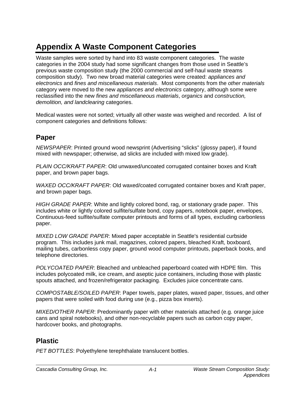# **Appendix A Waste Component Categories**

Waste samples were sorted by hand into 83 waste component categories. The waste categories in the 2004 study had some significant changes from those used in Seattle's previous waste composition study (the 2000 commercial and self-haul waste streams composition study). Two new broad material categories were created: *appliances and electronics* and *fines and miscellaneous materials*. Most components from the *other materials*  category were moved to the new *appliances and electronics* category, although some were reclassified into the new *fines and miscellaneous materials*, *organics* and *construction, demolition, and landclearing* categories.

Medical wastes were not sorted; virtually all other waste was weighed and recorded. A list of component categories and definitions follows:

# **Paper**

*NEWSPAPER*: Printed ground wood newsprint (Advertising "slicks" (glossy paper), if found mixed with newspaper; otherwise, ad slicks are included with mixed low grade).

*PLAIN OCC/KRAFT PAPER*: Old unwaxed/uncoated corrugated container boxes and Kraft paper, and brown paper bags.

*WAXED OCC/KRAFT PAPER*: Old waxed/coated corrugated container boxes and Kraft paper, and brown paper bags.

*HIGH GRADE PAPER*: White and lightly colored bond, rag, or stationary grade paper. This includes white or lightly colored sulfite/sulfate bond, copy papers, notebook paper, envelopes, Continuous-feed sulfite/sulfate computer printouts and forms of all types, excluding carbonless paper.

*MIXED LOW GRADE PAPER*: Mixed paper acceptable in Seattle's residential curbside program. This includes junk mail, magazines, colored papers, bleached Kraft, boxboard, mailing tubes, carbonless copy paper, ground wood computer printouts, paperback books, and telephone directories.

*POLYCOATED PAPER*: Bleached and unbleached paperboard coated with HDPE film. This includes polycoated milk, ice cream, and aseptic juice containers, including those with plastic spouts attached, and frozen/refrigerator packaging. Excludes juice concentrate cans.

*COMPOSTABLE/SOILED PAPER*: Paper towels, paper plates, waxed paper, tissues, and other papers that were soiled with food during use (e.g., pizza box inserts).

*MIXED/OTHER PAPER*: Predominantly paper with other materials attached (e.g. orange juice cans and spiral notebooks), and other non-recyclable papers such as carbon copy paper, hardcover books, and photographs.

# **Plastic**

*PET BOTTLES*: Polyethylene terephthalate translucent bottles.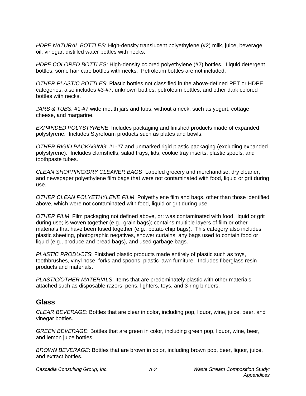*HDPE NATURAL BOTTLES*: High-density translucent polyethylene (#2) milk, juice, beverage, oil, vinegar, distilled water bottles with necks.

*HDPE COLORED BOTTLES*: High-density colored polyethylene (#2) bottles. Liquid detergent bottles, some hair care bottles with necks. Petroleum bottles are not included.

*OTHER PLASTIC BOTTLES*: Plastic bottles not classified in the above-defined PET or HDPE categories; also includes #3-#7, unknown bottles, petroleum bottles, and other dark colored bottles with necks.

*JARS & TUBS:* #1-#7 wide mouth jars and tubs, without a neck, such as yogurt, cottage cheese, and margarine.

*EXPANDED POLYSTYRENE*: Includes packaging and finished products made of expanded polystyrene. Includes Styrofoam products such as plates and bowls.

*OTHER RIGID PACKAGING*: #1-#7 and unmarked rigid plastic packaging (excluding expanded polystyrene). Includes clamshells, salad trays, lids, cookie tray inserts, plastic spools, and toothpaste tubes.

*CLEAN SHOPPING/DRY CLEANER BAGS*: Labeled grocery and merchandise, dry cleaner, and newspaper polyethylene film bags that were not contaminated with food, liquid or grit during use.

*OTHER CLEAN POLYETHYLENE FILM*: Polyethylene film and bags, other than those identified above, which were not contaminated with food, liquid or grit during use.

*OTHER FILM*: Film packaging not defined above, or: was contaminated with food, liquid or grit during use; is woven together (e.g., grain bags); contains multiple layers of film or other materials that have been fused together (e.g., potato chip bags). This category also includes plastic sheeting, photographic negatives, shower curtains, any bags used to contain food or liquid (e.g., produce and bread bags), and used garbage bags.

*PLASTIC PRODUCTS*: Finished plastic products made entirely of plastic such as toys, toothbrushes, vinyl hose, forks and spoons, plastic lawn furniture. Includes fiberglass resin products and materials.

*PLASTIC/OTHER MATERIALS*: Items that are predominately plastic with other materials attached such as disposable razors, pens, lighters, toys, and 3-ring binders.

# **Glass**

*CLEAR BEVERAGE*: Bottles that are clear in color, including pop, liquor, wine, juice, beer, and vinegar bottles.

*GREEN BEVERAGE*: Bottles that are green in color, including green pop, liquor, wine, beer, and lemon juice bottles.

*BROWN BEVERAGE*: Bottles that are brown in color, including brown pop, beer, liquor, juice, and extract bottles.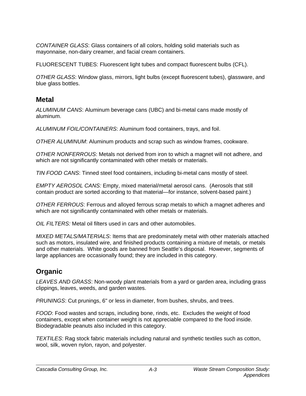*CONTAINER GLASS*: Glass containers of all colors, holding solid materials such as mayonnaise, non-dairy creamer, and facial cream containers.

FLUORESCENT TUBES: Fluorescent light tubes and compact fluorescent bulbs (CFL).

*OTHER GLASS*: Window glass, mirrors, light bulbs (except fluorescent tubes), glassware, and blue glass bottles.

# **Metal**

*ALUMINUM CANS*: Aluminum beverage cans (UBC) and bi-metal cans made mostly of aluminum.

*ALUMINUM FOIL/CONTAINERS*: Aluminum food containers, trays, and foil.

*OTHER ALUMINUM*: Aluminum products and scrap such as window frames, cookware.

*OTHER NONFERROUS*: Metals not derived from iron to which a magnet will not adhere, and which are not significantly contaminated with other metals or materials.

*TIN FOOD CANS*: Tinned steel food containers, including bi-metal cans mostly of steel.

*EMPTY AEROSOL CANS:* Empty, mixed material/metal aerosol cans. (Aerosols that still contain product are sorted according to that material—for instance, solvent-based paint.)

*OTHER FERROUS*: Ferrous and alloyed ferrous scrap metals to which a magnet adheres and which are not significantly contaminated with other metals or materials.

*OIL FILTERS:* Metal oil filters used in cars and other automobiles.

*MIXED METALS/MATERIALS*: Items that are predominately metal with other materials attached such as motors, insulated wire, and finished products containing a mixture of metals, or metals and other materials. White goods are banned from Seattle's disposal. However, segments of large appliances are occasionally found; they are included in this category.

# **Organic**

*LEAVES AND GRASS*: Non-woody plant materials from a yard or garden area, including grass clippings, leaves, weeds, and garden wastes.

*PRUNINGS*: Cut prunings, 6" or less in diameter, from bushes, shrubs, and trees.

*FOOD*: Food wastes and scraps, including bone, rinds, etc. Excludes the weight of food containers, except when container weight is not appreciable compared to the food inside. Biodegradable peanuts also included in this category.

*TEXTILES*: Rag stock fabric materials including natural and synthetic textiles such as cotton, wool, silk, woven nylon, rayon, and polyester.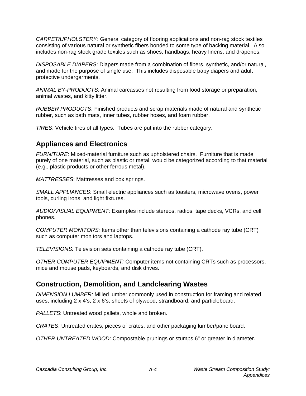*CARPET/UPHOLSTERY*: General category of flooring applications and non-rag stock textiles consisting of various natural or synthetic fibers bonded to some type of backing material. Also includes non-rag stock grade textiles such as shoes, handbags, heavy linens, and draperies.

*DISPOSABLE DIAPERS*: Diapers made from a combination of fibers, synthetic, and/or natural, and made for the purpose of single use. This includes disposable baby diapers and adult protective undergarments.

*ANIMAL BY-PRODUCTS*: Animal carcasses not resulting from food storage or preparation, animal wastes, and kitty litter.

*RUBBER PRODUCTS*: Finished products and scrap materials made of natural and synthetic rubber, such as bath mats, inner tubes, rubber hoses, and foam rubber.

*TIRES*: Vehicle tires of all types. Tubes are put into the rubber category.

# **Appliances and Electronics**

*FURNITURE*: Mixed-material furniture such as upholstered chairs. Furniture that is made purely of one material, such as plastic or metal, would be categorized according to that material (e.g., plastic products or other ferrous metal).

*MATTRESSES*: Mattresses and box springs.

*SMALL APPLIANCES*: Small electric appliances such as toasters, microwave ovens, power tools, curling irons, and light fixtures.

*AUDIO/VISUAL EQUIPMENT*: Examples include stereos, radios, tape decks, VCRs, and cell phones.

*COMPUTER MONITORS:* Items other than televisions containing a cathode ray tube (CRT) such as computer monitors and laptops.

*TELEVISIONS:* Television sets containing a cathode ray tube (CRT).

*OTHER COMPUTER EQUIPMENT:* Computer items not containing CRTs such as processors, mice and mouse pads, keyboards, and disk drives.

# **Construction, Demolition, and Landclearing Wastes**

*DIMENSION LUMBER:* Milled lumber commonly used in construction for framing and related uses, including 2 x 4's, 2 x 6's, sheets of plywood, strandboard, and particleboard.

*PALLETS*: Untreated wood pallets, whole and broken.

*CRATES*: Untreated crates, pieces of crates, and other packaging lumber/panelboard.

*OTHER UNTREATED WOOD*: Compostable prunings or stumps 6" or greater in diameter.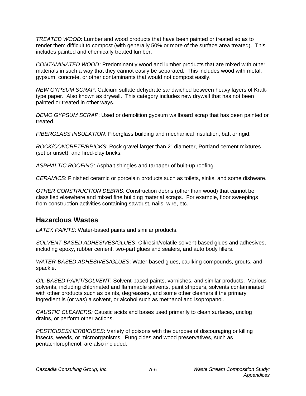*TREATED WOOD*: Lumber and wood products that have been painted or treated so as to render them difficult to compost (with generally 50% or more of the surface area treated). This includes painted and chemically treated lumber.

*CONTAMINATED WOOD:* Predominantly wood and lumber products that are mixed with other materials in such a way that they cannot easily be separated. This includes wood with metal, gypsum, concrete, or other contaminants that would not compost easily.

*NEW GYPSUM SCRAP*: Calcium sulfate dehydrate sandwiched between heavy layers of Krafttype paper. Also known as drywall. This category includes new drywall that has not been painted or treated in other ways.

*DEMO GYPSUM SCRAP*: Used or demolition gypsum wallboard scrap that has been painted or treated.

*FIBERGLASS INSULATION*: Fiberglass building and mechanical insulation, batt or rigid.

*ROCK/CONCRETE/BRICKS*: Rock gravel larger than 2" diameter, Portland cement mixtures (set or unset), and fired-clay bricks.

*ASPHALTIC ROOFING*: Asphalt shingles and tarpaper of built-up roofing.

*CERAMICS*: Finished ceramic or porcelain products such as toilets, sinks, and some dishware.

*OTHER CONSTRUCTION DEBRIS*: Construction debris (other than wood) that cannot be classified elsewhere and mixed fine building material scraps. For example, floor sweepings from construction activities containing sawdust, nails, wire, etc.

# **Hazardous Wastes**

*LATEX PAINTS*: Water-based paints and similar products.

*SOLVENT-BASED ADHESIVES/GLUES*: Oil/resin/volatile solvent-based glues and adhesives, including epoxy, rubber cement, two-part glues and sealers, and auto body fillers.

*WATER-BASED ADHESIVES/GLUES*: Water-based glues, caulking compounds, grouts, and spackle.

*OIL-BASED PAINT/SOLVENT*: Solvent-based paints, varnishes, and similar products. Various solvents, including chlorinated and flammable solvents, paint strippers, solvents contaminated with other products such as paints, degreasers, and some other cleaners if the primary ingredient is (or was) a solvent, or alcohol such as methanol and isopropanol.

*CAUSTIC CLEANERS:* Caustic acids and bases used primarily to clean surfaces, unclog drains, or perform other actions.

*PESTICIDES/HERBICIDES*: Variety of poisons with the purpose of discouraging or killing insects, weeds, or microorganisms. Fungicides and wood preservatives, such as pentachlorophenol, are also included.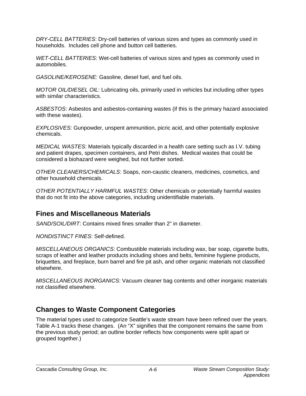*DRY-CELL BATTERIES*: Dry-cell batteries of various sizes and types as commonly used in households. Includes cell phone and button cell batteries.

*WET-CELL BATTERIES*: Wet-cell batteries of various sizes and types as commonly used in automobiles.

*GASOLINE/KEROSENE*: Gasoline, diesel fuel, and fuel oils.

*MOTOR OIL/DIESEL OIL*: Lubricating oils, primarily used in vehicles but including other types with similar characteristics.

*ASBESTOS*: Asbestos and asbestos-containing wastes (if this is the primary hazard associated with these wastes).

*EXPLOSIVES*: Gunpowder, unspent ammunition, picric acid, and other potentially explosive chemicals.

*MEDICAL WASTES*: Materials typically discarded in a health care setting such as I.V. tubing and patient drapes, specimen containers, and Petri dishes. Medical wastes that could be considered a biohazard were weighed, but not further sorted.

*OTHER CLEANERS/CHEMICALS*: Soaps, non-caustic cleaners, medicines, cosmetics, and other household chemicals.

*OTHER POTENTIALLY HARMFUL WASTES*: Other chemicals or potentially harmful wastes that do not fit into the above categories, including unidentifiable materials.

# **Fines and Miscellaneous Materials**

*SAND/SOIL/DIRT*: Contains mixed fines smaller than 2" in diameter.

*NONDISTINCT FINES*: Self-defined.

*MISCELLANEOUS ORGANICS*: Combustible materials including wax, bar soap, cigarette butts, scraps of leather and leather products including shoes and belts, feminine hygiene products, briquettes, and fireplace, burn barrel and fire pit ash, and other organic materials not classified elsewhere.

*MISCELLANEOUS INORGANICS*: Vacuum cleaner bag contents and other inorganic materials not classified elsewhere.

# **Changes to Waste Component Categories**

The material types used to categorize Seattle's waste stream have been refined over the years. Table A-1 tracks these changes. (An "X" signifies that the component remains the same from the previous study period; an outline border reflects how components were split apart or grouped together.)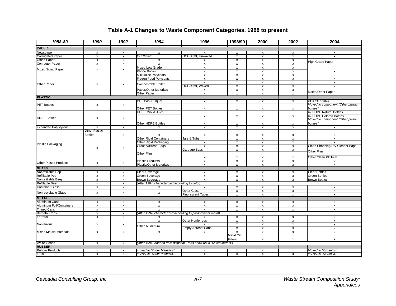| 1988-89                         | 1990                         | 1992                                      | 1994                                                                | 1996                                      | 1998/99                                   | 2000                                            | 2002                               | 2004                              |
|---------------------------------|------------------------------|-------------------------------------------|---------------------------------------------------------------------|-------------------------------------------|-------------------------------------------|-------------------------------------------------|------------------------------------|-----------------------------------|
| <b>PAPER</b>                    |                              |                                           |                                                                     |                                           |                                           |                                                 |                                    |                                   |
| Newspaper                       | $\mathsf{x}$                 | $\mathsf{x}$                              | $\mathsf{x}$                                                        | $\mathsf{x}$                              | $\boldsymbol{\mathsf{x}}$                 | $\boldsymbol{\mathsf{x}}$                       | $\mathsf{x}$                       | $\mathsf{x}$                      |
| <b>Corrugated Paper</b>         | $\pmb{\mathsf{x}}$           | $\pmb{\mathsf{x}}$                        | OCC/Kraft                                                           | <b>OCC/Kraft, Unwaxed</b>                 | $\pmb{\times}$                            | $\pmb{\mathsf{X}}$                              | $\pmb{\mathsf{x}}$                 | $\mathsf{x}$                      |
| <b>Office Paper</b>             | $\pmb{\mathsf{x}}$           | x                                         | $\boldsymbol{\mathsf{x}}$                                           | x                                         | $\boldsymbol{\mathsf{x}}$                 | $\boldsymbol{\mathsf{x}}$                       | $\pmb{\mathsf{x}}$                 |                                   |
| <b>Computer Paper</b>           | $\overline{\mathbf{x}}$      | $\overline{\mathbf{x}}$                   | x                                                                   | $\mathsf{x}$                              | $\overline{\mathbf{x}}$                   | $\mathsf{x}$                                    | $\pmb{\mathsf{x}}$                 | <b>High Grade Paper</b>           |
|                                 |                              |                                           | Mixed Low Grade                                                     | $\boldsymbol{\mathsf{x}}$                 | $\boldsymbol{\mathsf{x}}$                 | $\boldsymbol{\mathsf{x}}$                       | $\boldsymbol{\mathsf{x}}$          |                                   |
| <b>Mixed Scrap Paper</b>        | $\pmb{\mathsf{x}}$           | $\pmb{\times}$                            | <b>Phone Books</b>                                                  | x                                         | $\boldsymbol{\mathsf{x}}$                 | $\overline{\mathbf{x}}$                         | $\boldsymbol{\mathsf{x}}$          |                                   |
|                                 |                              |                                           | Milk/Juice Polycoats                                                | $\mathsf{x}$                              | $\pmb{\chi}$                              | $\mathsf{x}$                                    | $\mathsf{x}$                       |                                   |
|                                 |                              |                                           | Frozen Food Polycoats                                               | x                                         | $\boldsymbol{\mathsf{x}}$                 | $\pmb{\mathsf{x}}$                              | $\pmb{\mathsf{x}}$                 | $\boldsymbol{\mathsf{x}}$         |
| Other Paper                     | $\pmb{\times}$               | x                                         | Compostable/Soiled                                                  | $\pmb{\mathsf{x}}$                        | $\pmb{\times}$                            | $\pmb{\mathsf{X}}$                              | $\pmb{\mathsf{x}}$                 | $\pmb{\chi}$                      |
|                                 |                              |                                           |                                                                     | OCC/Kraft, Waxed                          | $\pmb{\times}$                            | $\pmb{\mathsf{x}}$                              | $\pmb{\mathsf{x}}$                 | $\mathsf{x}$                      |
|                                 |                              |                                           | Paper/Other Materials                                               | x                                         | $\mathsf{x}$                              | $\pmb{\mathsf{X}}$                              | $\pmb{\chi}$                       | Mixed/Other Paper                 |
|                                 |                              |                                           | Other Paper                                                         | x                                         | $\pmb{\mathsf{x}}$                        | $\pmb{\mathsf{x}}$                              | $\boldsymbol{\mathsf{x}}$          |                                   |
| <b>PLASTIC</b>                  |                              |                                           |                                                                     |                                           |                                           |                                                 |                                    |                                   |
|                                 |                              |                                           | PET Pop & Liquor                                                    | $\mathsf{x}$                              | $\mathsf{x}$                              | $\boldsymbol{\mathsf{x}}$                       | $\mathsf{x}$                       | #1 PET Bottles                    |
| <b>PET Bottles</b>              | $\pmb{\mathsf{x}}$           | $\pmb{\times}$                            |                                                                     |                                           |                                           |                                                 |                                    | Moved to component "Other plastic |
|                                 |                              |                                           | Other PET Bottles                                                   | X                                         | $\boldsymbol{\mathsf{x}}$                 | X                                               | $\mathsf{x}$                       | bottles"                          |
|                                 |                              |                                           | HDPE Milk & Juice                                                   |                                           |                                           |                                                 |                                    | #2 HDPE Natural Bottles           |
| <b>HDPE Bottles</b>             | $\pmb{\mathsf{x}}$           | x                                         |                                                                     | x                                         | x                                         | $\pmb{\mathsf{x}}$                              | $\boldsymbol{\mathsf{x}}$          | #2 HDPE Colored Bottles           |
|                                 |                              |                                           |                                                                     |                                           |                                           |                                                 |                                    | Moved to component "Other plastic |
|                                 |                              |                                           | Other HDPE Bottles                                                  | x                                         | х                                         | $\boldsymbol{\mathsf{x}}$                       | x                                  | bottles"                          |
| <b>Expanded Polystyrene</b>     | $\boldsymbol{\mathsf{x}}$    | $\pmb{\mathsf{x}}$                        | X                                                                   | $\pmb{\mathsf{x}}$                        | $\pmb{\mathsf{x}}$                        | $\pmb{\mathsf{x}}$                              | $\pmb{\mathsf{x}}$                 | $\pmb{\chi}$                      |
|                                 | Other Plastic                |                                           |                                                                     |                                           |                                           |                                                 |                                    |                                   |
|                                 | <b>Bottles</b>               | $\pmb{\mathsf{x}}$                        | X                                                                   | x                                         | $\pmb{\mathsf{x}}$                        | $\pmb{\chi}$                                    | $\pmb{\chi}$                       | $\boldsymbol{\mathsf{x}}$         |
|                                 |                              |                                           | <b>Other Rigid Containers</b>                                       | Jars & Tubs                               | $\boldsymbol{\mathsf{x}}$                 | $\mathsf{x}$                                    | $\pmb{\chi}$                       | $\mathsf{x}$                      |
| <b>Plastic Packaging</b>        |                              |                                           | Other Rigid Packaging                                               | x                                         | $\pmb{\mathsf{x}}$                        | $\boldsymbol{\mathsf{x}}$                       | $\pmb{\mathsf{x}}$                 | $\mathsf{x}$                      |
|                                 | $\pmb{\times}$               | $\pmb{\mathsf{x}}$                        | Grocery/Bread Bags                                                  | $\mathsf{x}$                              | $\mathsf{x}$                              | $\pmb{\mathsf{X}}$                              | $\pmb{\mathsf{x}}$                 | Clean Shopping/Dry Cleaner Bags   |
|                                 |                              |                                           |                                                                     | Garbage Bags                              | $\boldsymbol{\mathsf{x}}$                 | $\overline{\mathbf{x}}$                         | $\boldsymbol{\mathsf{x}}$          | Other Film                        |
|                                 |                              |                                           | Other Film                                                          |                                           |                                           |                                                 |                                    |                                   |
|                                 |                              |                                           |                                                                     | х                                         | х                                         | x                                               | X                                  | Other Clean PE Film               |
| <b>Other Plastic Products</b>   | $\pmb{\mathsf{x}}$           | $\pmb{\mathsf{x}}$                        | <b>Plastic Products</b>                                             | $\pmb{\mathsf{x}}$                        | $\pmb{\chi}$                              | $\pmb{\mathsf{X}}$                              | $\pmb{\mathsf{x}}$                 | X                                 |
|                                 |                              |                                           | Plastic/Other Materials                                             | $\mathsf{x}$                              | $\mathsf{x}$                              | $\mathsf{x}$                                    | $\mathsf{x}$                       | $\mathsf{x}$                      |
| <b>GLASS</b>                    |                              |                                           |                                                                     |                                           |                                           |                                                 |                                    |                                   |
| Nonrefillable Pop               | $\mathsf{x}$                 | $\boldsymbol{\mathsf{x}}$                 | Clear Beverage                                                      | $\mathsf{x}$                              | $\boldsymbol{\mathsf{x}}$                 | $\mathsf{x}$                                    | $\mathsf{x}$                       | <b>Clear Bottles</b>              |
| Refillable Pop                  | $\overline{\mathbf{x}}$      | $\boldsymbol{\mathsf{x}}$                 | Green Beverage                                                      | x                                         | $\pmb{\mathsf{x}}$                        | $\boldsymbol{\mathsf{x}}$                       | $\pmb{\chi}$                       | <b>Green Bottles</b>              |
| Nonrefillable Beer              | $\mathsf{x}$                 | $\boldsymbol{\mathsf{x}}$                 | <b>Brown Beverage</b>                                               | $\mathsf{x}$                              | $\boldsymbol{\mathsf{x}}$                 | $\boldsymbol{\mathsf{x}}$                       | $\mathsf{x}$                       | <b>Brown Bottles</b>              |
| <b>Refillable Beer</b>          | $\overline{\mathbf{x}}$      | $\overline{\mathbf{x}}$                   | (After 1994, characterized according to color)                      |                                           |                                           |                                                 |                                    |                                   |
| <b>Container Glass</b>          | X                            | x                                         | X                                                                   | x<br><b>Other Glass</b>                   | $\boldsymbol{\mathsf{x}}$                 | x                                               | $\boldsymbol{\mathsf{x}}$          | $\boldsymbol{\mathsf{x}}$         |
| Nonrecyclable Glass             | $\pmb{\mathsf{x}}$           | x                                         | X                                                                   |                                           | $\boldsymbol{\mathsf{x}}$                 | $\pmb{\mathsf{x}}$                              | $\pmb{\mathsf{x}}$                 | $\boldsymbol{\mathsf{x}}$         |
| <b>METAL</b>                    |                              |                                           |                                                                     | <b>Fluorescent Tubes</b>                  | $\overline{\mathbf{x}}$                   | $\overline{\mathbf{x}}$                         | $\mathsf{x}$                       | $\pmb{\chi}$                      |
| Aluminum Cans                   | $\mathsf{x}$                 | $\mathsf{x}$                              | $\mathsf{x}$                                                        | $\mathsf{x}$                              | $\mathsf{x}$                              | $\mathsf{x}$                                    | $\mathsf{x}$                       | $\mathsf{x}$                      |
| <b>Aluminum Foil/Containers</b> |                              |                                           | $\mathsf{x}$                                                        | $\mathsf{x}$                              |                                           |                                                 |                                    | $\mathsf{x}$                      |
| <b>Tinned Cans</b>              | $\pmb{\chi}$<br>$\mathsf{x}$ | $\boldsymbol{\mathsf{x}}$<br>$\mathsf{x}$ | $\mathsf{x}$                                                        | $\mathbf{x}$                              | $\boldsymbol{\mathsf{x}}$<br>$\mathsf{x}$ | $\boldsymbol{\mathsf{x}}$<br>$\mathsf{x}$       | $\mathsf{x}$<br>$\pmb{\chi}$       | $\mathsf{x}$                      |
| <b>Bi-metal Cans</b>            | $\pmb{\mathsf{x}}$           |                                           |                                                                     |                                           |                                           |                                                 |                                    |                                   |
|                                 | $\pmb{\mathsf{x}}$           | $\pmb{\mathsf{x}}$<br>$\pmb{\mathsf{X}}$  | (After 1994, characterized according to predominant metal)          | $\mathsf{x}$                              | $\mathsf{x}$                              |                                                 |                                    |                                   |
| Ferrous                         |                              |                                           | $\boldsymbol{\mathsf{x}}$                                           | <b>Other Nonferrous</b>                   |                                           | $\boldsymbol{\mathsf{x}}$                       | $\mathsf{x}$<br>$\pmb{\chi}$       | $\boldsymbol{\mathsf{x}}$         |
| Nonferrous                      |                              |                                           | X                                                                   |                                           | $\pmb{\mathsf{x}}$                        | $\boldsymbol{\mathsf{x}}$                       |                                    | $\pmb{\chi}$                      |
|                                 | $\pmb{\mathsf{x}}$           | x                                         | Other Aluminum                                                      | $\mathsf{x}$<br><b>Empty Aerosol Cans</b> | $\mathsf{x}$<br>$\overline{\mathbf{x}}$   | $\pmb{\mathsf{X}}$<br>$\boldsymbol{\mathsf{x}}$ | $\pmb{\mathsf{x}}$<br>$\mathsf{x}$ | $\pmb{\chi}$<br>$\pmb{\chi}$      |
| <b>Mixed Metals/Materials</b>   | $\pmb{\times}$               | x                                         | $\pmb{\mathsf{x}}$                                                  | X                                         | $\overline{\mathbf{x}}$                   | $\pmb{\mathsf{X}}$                              | $\pmb{\chi}$                       | $\pmb{\chi}$                      |
|                                 |                              |                                           |                                                                     |                                           | <b>Metal Oil</b>                          |                                                 |                                    |                                   |
|                                 |                              |                                           |                                                                     |                                           | <b>Filters</b>                            | $\pmb{\mathsf{x}}$                              | $\mathsf{x}$                       | $\pmb{\chi}$                      |
| <b>White Goods</b>              | $\mathsf{x}$                 | $\mathsf{x}$                              | (After 1994, banned from disposal. Parts show up in "Mixed Metals") |                                           |                                           |                                                 |                                    |                                   |
| <b>RUBBER</b>                   |                              |                                           |                                                                     |                                           |                                           |                                                 |                                    |                                   |
| <b>Rubber Products</b>          | x                            | $\mathsf{x}$                              | moved to "Other Materials"                                          | x                                         | $\pmb{\times}$                            |                                                 |                                    | Moved to "Organics"               |
| Tires                           | χ                            | χ                                         | moved to "Other Materials                                           | $\overline{x}$                            | $\mathsf{x}$                              | x<br>$\overline{\mathbf{x}}$                    | X<br>$\mathsf{x}$                  | Moved to "Organics"               |
|                                 |                              |                                           |                                                                     |                                           |                                           |                                                 |                                    |                                   |

# **Table A-1 Changes to Waste Component Categories, 1988 to present**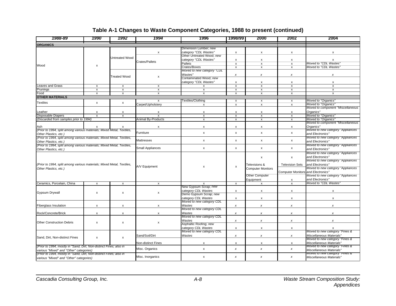### **Table A-1 Changes to Waste Component Categories, 1988 to present (continued)**

| 1988-89                                                                                                       | 1990                      | 1992                      | 1994                      | 1996                                                          | 1998/99                                  | 2000                                      | 2002                                      | 2004                                                             |
|---------------------------------------------------------------------------------------------------------------|---------------------------|---------------------------|---------------------------|---------------------------------------------------------------|------------------------------------------|-------------------------------------------|-------------------------------------------|------------------------------------------------------------------|
| <b>ORGANICS</b>                                                                                               |                           |                           |                           |                                                               |                                          |                                           |                                           |                                                                  |
|                                                                                                               |                           |                           | X                         | Dimension Lumber; new<br>category "CDL Wastes"                | $\mathsf{x}$                             | x                                         | x                                         | X                                                                |
|                                                                                                               | <b>Jntreated Wood</b>     |                           | Crates/Pallets            | Other Untreated Wood; new<br>category "CDL Wastes"<br>Pallets | $\pmb{\mathsf{x}}$<br>$\pmb{\mathsf{x}}$ | x<br>x                                    | x<br>X                                    | $\boldsymbol{\mathsf{x}}$<br>Moved to "CDL Wastes"               |
| Wood                                                                                                          | x                         |                           |                           | Crates/Boxes<br>Moved to new category "CDL                    | $\pmb{\mathsf{x}}$                       | X                                         | x                                         | Moved to "CDL Wastes'                                            |
|                                                                                                               |                           | <b>Treated Wood</b>       | $\pmb{\mathsf{x}}$        | Wastes"<br>Contaminated Wood; new                             | $\pmb{\chi}$                             | x                                         | x                                         | x                                                                |
| <b>Leaves and Grass</b>                                                                                       |                           |                           |                           | category "CDL Wastes"                                         | $\mathsf{x}$                             | X                                         | X                                         | X                                                                |
|                                                                                                               | $\pmb{\mathsf{x}}$        | $\mathsf{x}$              | $\pmb{\mathsf{x}}$        | x                                                             | $\pmb{\mathsf{x}}$                       | $\boldsymbol{\mathsf{x}}$                 | X                                         | $\pmb{\times}$                                                   |
| Prunings                                                                                                      | $\boldsymbol{\mathsf{x}}$ | $\boldsymbol{\mathsf{x}}$ | X                         | x                                                             | $\boldsymbol{\mathsf{x}}$                | x                                         | X                                         | $\pmb{\times}$                                                   |
| Food<br><b>OTHER MATERIALS</b>                                                                                | $\boldsymbol{\mathsf{x}}$ | $\boldsymbol{\mathsf{x}}$ | x                         | $\mathsf{x}$                                                  | $\boldsymbol{\mathsf{x}}$                | $\boldsymbol{\mathsf{x}}$                 | x                                         | $\mathsf{x}$                                                     |
|                                                                                                               |                           |                           | x                         | Textiles/Clothing                                             | $\mathsf{x}$                             | X                                         | x                                         | Moved to "Organics"                                              |
| Textiles                                                                                                      | $\mathsf{x}$              | $\mathsf{x}$              | Carpet/Upholstery         | x                                                             | $\overline{\mathbf{x}}$                  | x                                         | x                                         | Moved to "Organics"                                              |
|                                                                                                               |                           |                           |                           |                                                               |                                          |                                           |                                           | Moved to component "Miscellaneous                                |
| Leather                                                                                                       | Х                         | Х                         | X                         | х                                                             | $\pmb{\mathsf{x}}$                       | x                                         | x                                         | Organics"                                                        |
| Disposable Diapers                                                                                            | $\boldsymbol{\mathsf{x}}$ | $\boldsymbol{\mathsf{x}}$ | $\boldsymbol{\mathsf{x}}$ | $\mathsf{x}$                                                  | $\boldsymbol{\mathsf{x}}$                | x                                         | X                                         | Moved to "Organics"                                              |
| (Discarded from samples prior to 1994)                                                                        |                           |                           | Animal By-Products        | $\mathsf{x}$                                                  | $\mathsf{x}$                             | $\boldsymbol{\mathsf{x}}$                 | $\boldsymbol{\mathsf{x}}$                 | Moved to "Organics"<br>Moved to component "Miscellaneous"        |
| Ash                                                                                                           |                           |                           | $\boldsymbol{\mathsf{x}}$ | $\mathsf{x}$                                                  | $\boldsymbol{\mathsf{x}}$                | X                                         | $\mathsf{x}$                              | Organics"                                                        |
| (Prior to 1994, split among various materials; Mixed Metal, Textiles,<br>Other Plastics, etc.)                |                           |                           | Furniture                 | $\mathsf{x}$                                                  | $\mathsf{x}$                             | X                                         | $\mathsf{x}$                              | Moved to new category "Appliances"<br>and Electronics"           |
| (Prior to 1994, split among various materials; Mixed Metal, Textiles,<br>Other Plastics, etc.)                |                           |                           | Mattresses                | x                                                             | $\pmb{\mathsf{x}}$                       | x                                         | X                                         | Moved to new category "Appliances<br>and Electronics"            |
| (Prior to 1994, split among various materials; Mixed Metal, Textiles,<br>Other Plastics, etc.)                |                           |                           | Small Appliances          | $\pmb{\mathsf{x}}$                                            | $\pmb{\mathsf{x}}$                       | x                                         | $\pmb{\mathsf{x}}$                        | Moved to new category "Appliances<br>and Electronics"            |
|                                                                                                               |                           |                           |                           |                                                               |                                          |                                           |                                           | Moved to new category "Appliances                                |
|                                                                                                               |                           |                           |                           | x                                                             |                                          | x                                         | x                                         | and Electronics"<br>Moved to new category "Appliances            |
| (Prior to 1994, split among various materials; Mixed Metal, Textiles,<br>Other Plastics, etc.)                |                           |                           | A/V Equipment             |                                                               | х                                        | Televisions &<br><b>Computer Monitors</b> | <b>Television Sets</b>                    | and Electronics"<br>Moved to new category "Appliances            |
|                                                                                                               |                           |                           |                           |                                                               |                                          | <b>Other Computer</b>                     | <b>Computer Monitors and Electronics"</b> | Moved to new category "Appliances                                |
|                                                                                                               |                           |                           |                           |                                                               |                                          | Equipment                                 | X                                         | and Electronics"                                                 |
| Ceramics, Porcelain, China                                                                                    | $\mathsf{x}$              | $\mathsf{x}$              | $\mathsf{x}$              |                                                               | $\overline{\mathbf{x}}$                  | x                                         | $\overline{\mathbf{x}}$                   | Moved to "CDL Wastes"                                            |
|                                                                                                               |                           |                           |                           | New Gypsum Scrap; new                                         |                                          |                                           |                                           |                                                                  |
| Gypsum Drywall                                                                                                | Х                         | х                         | $\pmb{\mathsf{x}}$        | category CDL Wastes<br>Demo Gypsum Scrap; new                 | $\boldsymbol{\mathsf{x}}$                | x                                         | x                                         | X                                                                |
|                                                                                                               |                           |                           |                           | category CDL Wastes                                           | $\boldsymbol{\mathsf{x}}$                | x                                         | х                                         | X                                                                |
| <b>Fiberglass Insulation</b>                                                                                  | x                         | x                         | x                         | Moved to new category CDL<br>Wastes                           | x                                        | x                                         | x                                         | x                                                                |
| Rock/Concrete/Brick                                                                                           | $\pmb{\chi}$              | $\pmb{\chi}$              | х                         | Moved to new category CDL<br>Wastes                           | $\pmb{\chi}$                             | x                                         | x                                         | x                                                                |
|                                                                                                               |                           |                           |                           | Moved to new category CDL<br>Wastes                           | $\pmb{\chi}$                             | $\pmb{\chi}$                              | $\pmb{\chi}$                              | $\pmb{\times}$                                                   |
| <b>Other Construction Debris</b>                                                                              | $\mathsf{x}$              | $\pmb{\chi}$              | $\pmb{\mathsf{x}}$        | Asphaltic Roofing; new                                        |                                          |                                           |                                           |                                                                  |
|                                                                                                               |                           |                           |                           | category CDL Wastes<br>Moved to new category CDL              | $\pmb{\mathsf{x}}$                       | $\boldsymbol{\mathsf{x}}$                 | x                                         | x<br>Moved to new category "Fines &                              |
| Sand, Dirt, Non-distinct Fines                                                                                | $\pmb{\chi}$              | $\pmb{\chi}$              | Sand/Soil/Dirt            | Wastes                                                        | $\pmb{\chi}$                             | $\pmb{\mathsf{x}}$                        | x                                         | Miscellaneous Materials"<br>Moved to new category "Fines &       |
|                                                                                                               |                           |                           | Non-distinct Fines        | x                                                             | x                                        | x                                         | x                                         | Miscellaneous Materials"                                         |
| (Prior to 1994, mostly in "Sand, Dirt, Non-distinct Fines; also in<br>various "Mixed" and "Other" categories) |                           |                           | Misc. Organics            | x                                                             | $\pmb{\chi}$                             | $\pmb{\chi}$                              | x                                         | Moved to new category "Fines &<br>Miscellaneous Materials"       |
| (Prior to 1994, mostly in "Sand, Dirt, Non-distinct Fines; also in<br>various "Mixed" and "Other" categories) |                           |                           | Misc. Inorganics          | $\mathsf{x}$                                                  | $\boldsymbol{x}$                         | $\boldsymbol{x}$                          | $\boldsymbol{x}$                          | woved to new category Fines &<br><b>Miscellaneous Materials"</b> |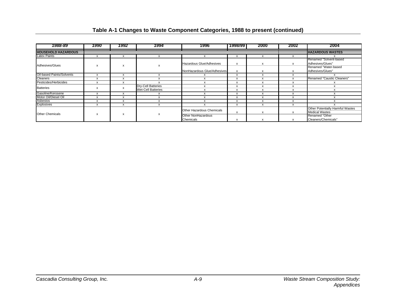| 1988-89                    | 1990 | 1992 | 1994                      | 1996                            | 1998/99      | 2000         | 2002         | 2004                                    |  |
|----------------------------|------|------|---------------------------|---------------------------------|--------------|--------------|--------------|-----------------------------------------|--|
| <b>HOUSEHOLD HAZARDOUS</b> |      |      |                           |                                 |              |              |              | <b>HAZARDOUS WASTES</b>                 |  |
| <b>Latex Paints</b>        | X    | X    |                           |                                 | $\mathsf{x}$ | X            | $\checkmark$ |                                         |  |
|                            |      |      |                           |                                 |              |              |              | Renamed "Solvent-based                  |  |
| Adhesives/Glues            |      |      |                           | <b>Hazardous Glue/Adhesives</b> | $\mathsf{x}$ | $\mathsf{x}$ | X            | Adhesives/Glues"                        |  |
|                            | X    | X    | х                         |                                 |              |              |              | Renamed "Water-based                    |  |
|                            |      |      |                           | NonHazardous Glue/Adhesives     | x            | X            |              | Adhesives/Glues"                        |  |
| Oil-based Paints/Solvents  | X    | X    |                           |                                 | x            | X            |              |                                         |  |
| Cleaners                   | х    | X    |                           |                                 | x            | X            |              | Renamed "Caustic Cleaners"              |  |
| Pesticides/Herbicides      | X    | X    |                           |                                 | х            |              |              |                                         |  |
| <b>Batteries</b>           | X    |      |                           | <b>Dry-Cell Batteries</b>       |              | x            |              |                                         |  |
|                            |      |      | <b>Wet-Cell Batteries</b> |                                 | X            | X            | x            |                                         |  |
| Gasoline/Kerosene          | X    | X    | X                         |                                 | x            | x            | X            |                                         |  |
| Motor Oil/Diesel Oil       | X    | X    | X                         |                                 | x            | X            |              |                                         |  |
| Asbestos                   | X    | X    | X                         |                                 | x            | x            |              |                                         |  |
| <b>Explosives</b>          | X    | X    | X                         |                                 | X            | x            | X            |                                         |  |
|                            |      |      |                           | Other Hazardous Chemicals       |              |              |              | <b>Other Potentially Harmful Wastes</b> |  |
| <b>Other Chemicals</b>     |      | X    | х                         |                                 | х            | x            |              | <b>Medical Wastes</b>                   |  |
|                            | x    |      |                           | Other NonHazardous              |              |              |              | Renamed "Other                          |  |
|                            |      |      |                           | Chemicals                       | x            |              |              | Cleaners/Chemicals"                     |  |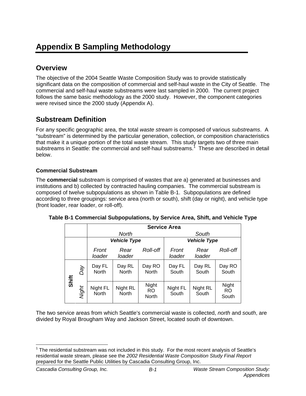# **Appendix B Sampling Methodology**

# **Overview**

The objective of the 2004 Seattle Waste Composition Study was to provide statistically significant data on the composition of commercial and self-haul waste in the City of Seattle. The commercial and self-haul waste substreams were last sampled in 2000. The current project follows the same basic methodology as the 2000 study. However, the component categories were revised since the 2000 study (Appendix A).

# **Substream Definition**

For any specific geographic area, the total *waste stream* is composed of various *substreams*. A "substream" is determined by the particular generation, collection, or composition characteristics that make it a unique portion of the total waste stream. This study targets two of three main substreams in Seattle: the commercial and self-haul substreams.<sup>1</sup> These are described in detail below.

# **Commercial Substream**

The **commercial** substream is comprised of wastes that are a) generated at businesses and institutions and b) collected by contracted hauling companies. The commercial substream is composed of twelve subpopulations as shown in Table B-1. Subpopulations are defined according to three groupings: service area (north or south), shift (day or night), and vehicle type (front loader, rear loader, or roll-off).

|       |       |                          | <b>Service Area</b>      |                       |                   |                     |                       |  |  |  |  |  |  |
|-------|-------|--------------------------|--------------------------|-----------------------|-------------------|---------------------|-----------------------|--|--|--|--|--|--|
|       |       |                          | <b>North</b>             |                       |                   | South               |                       |  |  |  |  |  |  |
|       |       |                          | <b>Vehicle Type</b>      |                       |                   | <b>Vehicle Type</b> |                       |  |  |  |  |  |  |
|       |       | Front<br>loader          | Rear<br>loader           | Roll-off              | Front<br>loader   | Rear<br>loader      | Roll-off              |  |  |  |  |  |  |
| Shift | Day   | Day FL<br><b>North</b>   | Day RL<br><b>North</b>   | Day RO<br>North       | Day FL<br>South   | Day RL<br>South     | Day RO<br>South       |  |  |  |  |  |  |
|       | Night | Night FL<br><b>North</b> | Night RL<br><b>North</b> | Night<br>RO.<br>North | Night FL<br>South | Night RL<br>South   | Night<br>RO.<br>South |  |  |  |  |  |  |

|  | Table B-1 Commercial Subpopulations, by Service Area, Shift, and Vehicle Type |  |  |
|--|-------------------------------------------------------------------------------|--|--|
|  |                                                                               |  |  |

The two service areas from which Seattle's commercial waste is collected, *north* and *south*, are divided by Royal Brougham Way and Jackson Street, located south of downtown.

 $\overline{a}$  $1$  The residential substream was not included in this study. For the most recent analysis of Seattle's residential waste stream, please see the *2002 Residential Waste Composition Study Final Report* prepared for the Seattle Public Utilities by Cascadia Consulting Group, Inc.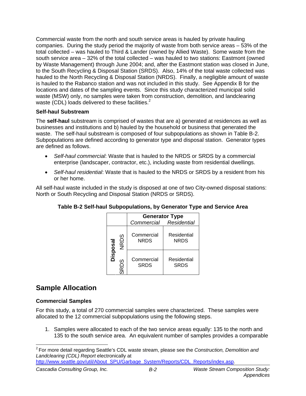Commercial waste from the north and south service areas is hauled by private hauling companies. During the study period the majority of waste from both service areas – 53% of the total collected – was hauled to Third & Lander (owned by Allied Waste). Some waste from the south service area – 32% of the total collected – was hauled to two stations: Eastmont (owned by Waste Management) through June 2004; and, after the Eastmont station was closed in June, to the South Recycling & Disposal Station (SRDS). Also, 14% of the total waste collected was hauled to the North Recycling & Disposal Station (NRDS). Finally, a negligible amount of waste is hauled to the Rabanco station and was not included in this study. See Appendix B for the locations and dates of the sampling events. Since this study characterized municipal solid waste (MSW) only, no samples were taken from construction, demolition, and landclearing waste (CDL) loads delivered to these facilities.<sup>2</sup>

### **Self-haul Substream**

The **self-haul** substream is comprised of wastes that are a) generated at residences as well as businesses and institutions and b) hauled by the household or business that generated the waste. The self-haul substream is composed of four subpopulations as shown in Table B-2. Subpopulations are defined according to generator type and disposal station. Generator types are defined as follows.

- *Self-haul commercial*: Waste that is hauled to the NRDS or SRDS by a commercial enterprise (landscaper, contractor, etc.), including waste from residential dwellings.
- *Self-haul residential*: Waste that is hauled to the NRDS or SRDS by a resident from his or her home.

All self-haul waste included in the study is disposed at one of two City-owned disposal stations: North or South Recycling and Disposal Station (NRDS or SRDS).

|          |             | Commercial Residential    | <b>Generator Type</b>      |
|----------|-------------|---------------------------|----------------------------|
|          | <b>NRDS</b> | Commercial<br><b>NRDS</b> | Residential<br><b>NRDS</b> |
| Disposal | ഗ<br>SRD.   | Commercial<br><b>SRDS</b> | Residential<br><b>SRDS</b> |

### **Table B-2 Self-haul Subpopulations, by Generator Type and Service Area**

# **Sample Allocation**

### **Commercial Samples**

For this study, a total of 270 commercial samples were characterized. These samples were allocated to the 12 commercial subpopulations using the following steps.

1. Samples were allocated to each of the two service areas equally: 135 to the north and 135 to the south service area. An equivalent number of samples provides a comparable

 $\overline{a}$ 2 For more detail regarding Seattle's CDL waste stream, please see the *Construction, Demolition and Landclearing (CDL) Report* electronically at

http://www.seattle.gov/util/About\_SPU/Garbage\_System/Reports/CDL\_Reports/index.asp.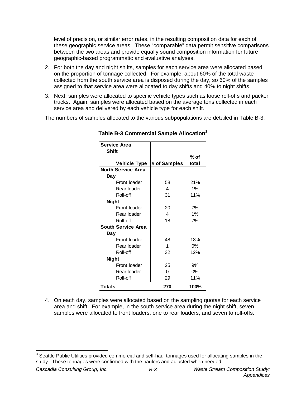level of precision, or similar error rates, in the resulting composition data for each of these geographic service areas. These "comparable" data permit sensitive comparisons between the two areas and provide equally sound composition information for future geographic-based programmatic and evaluative analyses.

- 2. For both the day and night shifts, samples for each service area were allocated based on the proportion of tonnage collected. For example, about 60% of the total waste collected from the south service area is disposed during the day, so 60% of the samples assigned to that service area were allocated to day shifts and 40% to night shifts.
- 3. Next, samples were allocated to specific vehicle types such as loose roll-offs and packer trucks. Again, samples were allocated based on the average tons collected in each service area and delivered by each vehicle type for each shift.

The numbers of samples allocated to the various subpopulations are detailed in Table B-3.

| <b>Service Area</b>       |              |       |
|---------------------------|--------------|-------|
| <b>Shift</b>              |              |       |
|                           |              | % of  |
| <b>Vehicle Type</b>       | # of Samples | total |
| <b>North Service Area</b> |              |       |
| Day                       |              |       |
| Front loader              | 58           | 21%   |
| Rear loader               | 4            | 1%    |
| Roll-off                  | 31           | 11%   |
| <b>Night</b>              |              |       |
| Front loader              | 20           | 7%    |
| Rear loader               | 4            | 1%    |
| Roll-off                  | 18           | 7%    |
| South Service Area        |              |       |
| Day                       |              |       |
| Front loader              | 48           | 18%   |
| Rear loader               | 1            | $0\%$ |
| Roll-off                  | 32           | 12%   |
| Night                     |              |       |
| Front loader              | 25           | 9%    |
| Rear Ioader               | 0            | $0\%$ |
| Roll-off                  | 29           | 11%   |
| Totals                    | 270          | 100%  |

**Table B-3 Commercial Sample Allocation<sup>3</sup>**

4. On each day, samples were allocated based on the sampling quotas for each service area and shift. For example, in the south service area during the night shift, seven samples were allocated to front loaders, one to rear loaders, and seven to roll-offs.

\_\_\_\_\_\_\_\_\_\_\_\_\_\_\_\_\_\_\_\_\_\_\_\_\_\_\_\_\_\_\_\_\_\_\_\_<br><sup>3</sup> Seattle Public Utilities provided commercial and self-haul tonnages used for allocating samples in the study. These tonnages were confirmed with the haulers and adjusted when needed.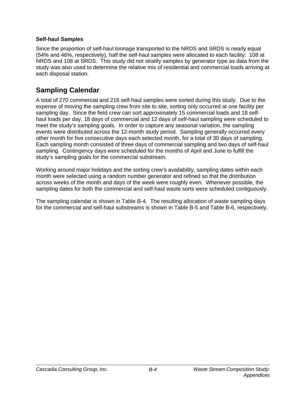### **Self-haul Samples**

Since the proportion of self-haul tonnage transported to the NRDS and SRDS is nearly equal (54% and 46%, respectively), half the self-haul samples were allocated to each facility: 108 at NRDS and 108 at SRDS. This study did not stratify samples by generator type as data from the study was also used to determine the relative mix of residential and commercial loads arriving at each disposal station.

# **Sampling Calendar**

A total of 270 commercial and 216 self-haul samples were sorted during this study. Due to the expense of moving the sampling crew from site to site, sorting only occurred at one facility per sampling day. Since the field crew can sort approximately 15 commercial loads and 18 selfhaul loads per day, 18 days of commercial and 12 days of self-haul sampling were scheduled to meet the study's sampling goals. In order to capture any seasonal variation, the sampling events were distributed across the 12-month study period. Sampling generally occurred every other month for five consecutive days each selected month, for a total of 30 days of sampling. Each sampling month consisted of three days of commercial sampling and two days of self-haul sampling. Contingency days were scheduled for the months of April and June to fulfill the study's sampling goals for the commercial substream.

Working around major holidays and the sorting crew's availability, sampling dates within each month were selected using a random number generator and refined so that the distribution across weeks of the month and days of the week were roughly even. Whenever possible, the sampling dates for both the commercial and self-haul waste sorts were scheduled contiguously.

The sampling calendar is shown in Table B-4. The resulting allocation of waste sampling days for the commercial and self-haul substreams is shown in Table B-5 and Table B-6, respectively.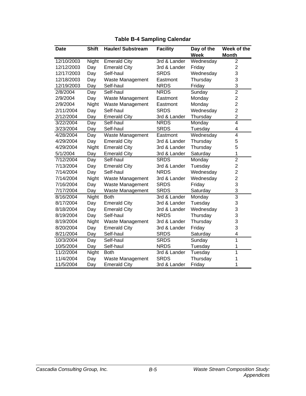| <b>Date</b> | <b>Shift</b> | <b>Hauler/Substream</b> | <b>Facility</b> | Day of the  | Week of the    |
|-------------|--------------|-------------------------|-----------------|-------------|----------------|
|             |              |                         |                 | <b>Week</b> | <b>Month</b>   |
| 12/10/2003  | Night        | <b>Emerald City</b>     | 3rd & Lander    | Wednesday   | 2              |
| 12/12/2003  | Day          | <b>Emerald City</b>     | 3rd & Lander    | Friday      | $\overline{2}$ |
| 12/17/2003  | Day          | Self-haul               | <b>SRDS</b>     | Wednesday   | 3              |
| 12/18/2003  | Day          | Waste Management        | Eastmont        | Thursday    | 3              |
| 12/19/2003  | Day          | Self-haul               | <b>NRDS</b>     | Friday      | 3              |
| 2/8/2004    | Day          | Self-haul               | <b>NRDS</b>     | Sunday      | $\overline{2}$ |
| 2/9/2004    | Day          | Waste Management        | Eastmont        | Monday      | $\mathbf{2}$   |
| 2/9/2004    | Night        | Waste Management        | Eastmont        | Monday      | $\overline{c}$ |
| 2/11/2004   | Day          | Self-haul               | <b>SRDS</b>     | Wednesday   | $\overline{c}$ |
| 2/12/2004   | Day          | <b>Emerald City</b>     | 3rd & Lander    | Thursday    | $\overline{2}$ |
| 3/22/2004   | Day          | Self-haul               | <b>NRDS</b>     | Monday      | $\overline{4}$ |
| 3/23/2004   | Day          | Self-haul               | <b>SRDS</b>     | Tuesday     | 4              |
| 4/28/2004   | Day          | Waste Management        | Eastmont        | Wednesday   | $\overline{4}$ |
| 4/29/2004   | Day          | <b>Emerald City</b>     | 3rd & Lander    | Thursday    | 5              |
| 4/29/2004   | Night        | <b>Emerald City</b>     | 3rd & Lander    | Thursday    | 5              |
| 5/1/2004    | Day          | <b>Emerald City</b>     | 3rd & Lander    | Saturday    | 1              |
| 7/12/2004   | Day          | Self-haul               | <b>SRDS</b>     | Monday      | $\overline{2}$ |
| 7/13/2004   | Day          | <b>Emerald City</b>     | 3rd & Lander    | Tuesday     | $\overline{c}$ |
| 7/14/2004   | Day          | Self-haul               | <b>NRDS</b>     | Wednesday   | $\overline{c}$ |
| 7/14/2004   | Night        | Waste Management        | 3rd & Lander    | Wednesday   | $\overline{2}$ |
| 7/16/2004   | Day          | Waste Management        | <b>SRDS</b>     | Friday      | 3              |
| 7/17/2004   | Day          | Waste Management        | <b>SRDS</b>     | Saturday    | 3              |
| 8/16/2004   | Night        | <b>Both</b>             | 3rd & Lander    | Monday      | $\overline{3}$ |
| 8/17/2004   | Day          | <b>Emerald City</b>     | 3rd & Lander    | Tuesday     | 3              |
| 8/18/2004   | Day          | <b>Emerald City</b>     | 3rd & Lander    | Wednesday   | 3              |
| 8/19/2004   | Day          | Self-haul               | <b>NRDS</b>     | Thursday    | 3              |
| 8/19/2004   | Night        | Waste Management        | 3rd & Lander    | Thursday    | 3              |
| 8/20/2004   | Day          | <b>Emerald City</b>     | 3rd & Lander    | Friday      | 3              |
| 8/21/2004   | Day          | Self-haul               | <b>SRDS</b>     | Saturday    | 4              |
| 10/3/2004   | Day          | Self-haul               | <b>SRDS</b>     | Sunday      | 1              |
| 10/5/2004   | Day          | Self-haul               | <b>NRDS</b>     | Tuesday     | 1              |
| 11/2/2004   | Night        | <b>Both</b>             | 3rd & Lander    | Tuesday     | 1              |
| 11/4/2004   | Day          | <b>Waste Management</b> | <b>SRDS</b>     | Thursday    | 1              |
| 11/5/2004   | Day          | <b>Emerald City</b>     | 3rd & Lander    | Friday      | 1              |

# **Table B-4 Sampling Calendar**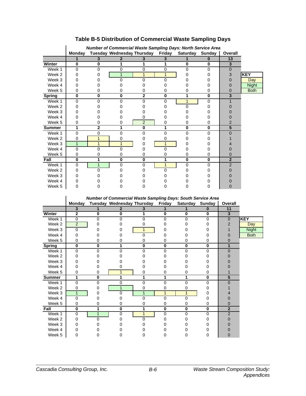|               | Number of Commercial Waste Sampling Days: North Service Area |              |                                                                     |                |               |          |          |                |              |
|---------------|--------------------------------------------------------------|--------------|---------------------------------------------------------------------|----------------|---------------|----------|----------|----------------|--------------|
|               | <b>Monday</b>                                                |              | Tuesday Wednesday Thursday                                          |                | Friday        | Saturday | Sunday   | Overall        |              |
|               | 1                                                            | 3            | $\mathbf 2$                                                         | 3              | 3             |          | $\bf{0}$ | 13             |              |
| Winter        | $\bf{0}$                                                     | $\bf{0}$     | 1                                                                   | 1              | 1             | $\bf{0}$ | $\bf{0}$ | 3              |              |
| Week 1        | 0                                                            | $\Omega$     | 0                                                                   | $\mathbf 0$    | 0             | $\Omega$ | $\Omega$ | 0              |              |
| Week 2        | 0                                                            | 0            | 1                                                                   | 1              | $\mathbf{1}$  | $\Omega$ | 0        | 3              | <b>KEY</b>   |
| Week 3        | 0                                                            | 0            | $\Omega$                                                            | 0              | 0             | 0        | 0        | 0              | Day          |
| Week 4        | 0                                                            | 0            | 0                                                                   | 0              | 0             | 0        | 0        | 0              | <b>Night</b> |
| Week 5        | 0                                                            | 0            | 0                                                                   | 0              | 0             | 0        | 0        | 0              | <b>Both</b>  |
| <b>Spring</b> | 0                                                            | $\bf{0}$     | 0                                                                   | $\mathbf{2}$   | 0             | 1        | $\bf{0}$ | 3              |              |
| Week 1        | 0                                                            | 0            | 0                                                                   | 0              | 0             | 1        | 0        |                |              |
| Week 2        | 0                                                            | 0            | 0                                                                   | O              | 0             | $\Omega$ | 0        | 0              |              |
| Week 3        | 0                                                            | 0            | 0                                                                   | O              | 0             | 0        | 0        | 0              |              |
| Week 4        | 0                                                            | 0            | 0                                                                   | 0              | 0             | 0        | 0        | 0              |              |
| Week 5        | 0                                                            | 0            | 0                                                                   | $\overline{2}$ | 0             | 0        | 0        | $\overline{2}$ |              |
| <b>Summer</b> | 1                                                            | 2            | 1                                                                   | 0              | 1             | $\bf{0}$ | $\bf{0}$ | 5              |              |
| Week 1        | 0                                                            | 0            | $\Omega$                                                            | 0              | 0             | $\Omega$ | 0        | $\overline{0}$ |              |
| Week 2        | 0                                                            | 1            | 0                                                                   | 0              | 0             | 0        | 0        |                |              |
| Week 3        | $\mathbf{1}$                                                 | $\mathbf{1}$ | $\mathbf{1}$                                                        | 0              | $\mathbf{1}$  | 0        | 0        | 4              |              |
| Week 4        | 0                                                            | 0            | 0                                                                   | 0              | $\Omega$      | 0        | 0        | 0              |              |
| Week 5        | 0                                                            | 0            | 0                                                                   | 0              | 0             | 0        | 0        | 0              |              |
| Fall          | 0                                                            | 1            | 0                                                                   | 0              | 1             | $\bf{0}$ | 0        | $\overline{2}$ |              |
| Week 1        | 0                                                            | $\mathbf{1}$ | 0                                                                   | 0              | $\mathbf{1}$  | $\Omega$ | $\Omega$ | $\overline{2}$ |              |
| Week 2        | 0                                                            | $\Omega$     | 0                                                                   | 0              | 0             | 0        | 0        | 0              |              |
| Week 3        | 0                                                            | 0            | 0                                                                   | Ω              | 0             | 0        | 0        | 0              |              |
| Week 4        | 0                                                            | 0            | 0                                                                   | O              | 0             | 0        | 0        | 0              |              |
| Week 5        | $\Omega$                                                     | $\Omega$     | 0                                                                   | 0              | 0             | $\Omega$ | 0        | $\overline{0}$ |              |
|               |                                                              |              |                                                                     |                |               |          |          |                |              |
|               |                                                              |              | <b>Number of Commercial Waste Sampling Days: South Service Area</b> |                |               |          |          |                |              |
|               | <b>Monday</b>                                                |              | Tuesday Wednesday Thursday                                          |                | <b>Friday</b> | Saturday | Sunday   | Overall        |              |
|               |                                                              |              |                                                                     |                |               |          |          |                |              |

# **Table B-5 Distribution of Commercial Waste Sampling Days**

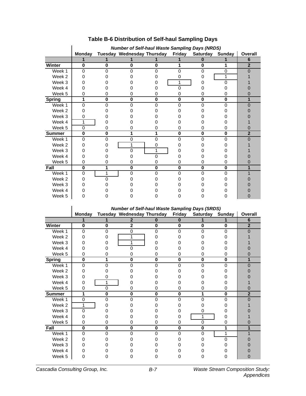|               | <b>Number of Self-haul Waste Sampling Days (NRDS)</b> |          |                            |          |               |          |          |                |
|---------------|-------------------------------------------------------|----------|----------------------------|----------|---------------|----------|----------|----------------|
|               | <b>Monday</b>                                         |          | Tuesday Wednesday Thursday |          | <b>Friday</b> | Saturday | Sunday   | Overall        |
|               | 1                                                     |          |                            |          |               | n        |          | 6              |
| Winter        | 0                                                     | $\bf{0}$ | $\bf{0}$                   | $\bf{0}$ |               | $\bf{0}$ |          | $\overline{2}$ |
| Week 1        | $\Omega$                                              | 0        | $\Omega$                   | 0        | 0             | 0        | 0        |                |
| Week 2        | O                                                     |          |                            |          | 0             |          | 1        |                |
| Week 3        |                                                       |          |                            |          | 1             |          | ∩        |                |
| Week 4        |                                                       |          |                            |          | O             |          |          |                |
| Week 5        | 0                                                     |          |                            |          |               | 0        |          |                |
| <b>Spring</b> | 1                                                     | O        | $\bf{0}$                   | 0        | 0             | $\bf{0}$ | $\bf{0}$ |                |
| Week 1        | 0                                                     | ∩        | O                          | O        | O             | 0        | n        |                |
| Week 2        | 0                                                     |          |                            |          |               |          |          |                |
| Week 3        | 0                                                     |          |                            |          |               |          |          |                |
| Week 4        | 1                                                     |          |                            |          |               |          |          |                |
| Week 5        | $\Omega$                                              | 0        | O                          |          | 0             | 0        | 0        |                |
| <b>Summer</b> | 0                                                     | 0        | 1                          |          | $\bf{0}$      | $\bf{0}$ | $\bf{0}$ | $\overline{2}$ |
| Week 1        | $\Omega$                                              | 0        | $\mathbf 0$                | ი        | 0             | 0        | ი        |                |
| Week 2        |                                                       |          | 1                          | 0        |               |          |          |                |
| Week 3        |                                                       |          | ∩                          |          |               |          |          |                |
| Week 4        |                                                       |          |                            | n        |               |          |          |                |
| Week 5        | Ω                                                     |          | 0                          |          | 0             |          |          |                |
| Fall          | 0                                                     | 1        | $\bf{0}$                   | $\bf{0}$ | 0             | 0        | $\bf{0}$ |                |
| Week 1        | 0                                                     | 1        | $\Omega$                   | U        | O             | 0        | n        |                |
| Week 2        | n                                                     | ∩        |                            |          |               |          |          |                |
| Week 3        |                                                       |          |                            |          |               |          |          |                |
| Week 4        |                                                       |          |                            |          |               |          |          |                |
| Week 5        |                                                       |          |                            |          |               |          |          |                |

# **Table B-6 Distribution of Self-haul Sampling Days**

|               | <b>Number of Self-haul Waste Sampling Days (SRDS)</b> |          |                            |              |               |                 |          |                |
|---------------|-------------------------------------------------------|----------|----------------------------|--------------|---------------|-----------------|----------|----------------|
|               | <b>Monday</b>                                         |          | Tuesday Wednesday Thursday |              | <b>Friday</b> | Saturday Sunday |          | Overall        |
|               |                                                       |          | $\mathbf{2}$               | Ω            | 0             |                 |          | 6              |
| Winter        | $\bf{0}$                                              | 0        | $\overline{2}$             | $\mathbf{0}$ | $\bf{0}$      | $\bf{0}$        | $\bf{0}$ | $\overline{2}$ |
| Week 1        | 0                                                     | 0        | 0                          | $\Omega$     | $\Omega$      | $\Omega$        | $\Omega$ | ∩              |
| Week 2        | O                                                     |          | 1                          |              |               |                 |          |                |
| Week 3        |                                                       |          | 1                          |              |               |                 |          |                |
| Week 4        |                                                       |          | $\Omega$                   |              |               |                 |          |                |
| Week 5        | 0                                                     | O)       | 0                          | 0            | $\Omega$      | $\Omega$        | $\Omega$ |                |
| <b>Spring</b> | $\bf{0}$                                              | 1        | $\bf{0}$                   | $\mathbf{0}$ | $\bf{0}$      | $\bf{0}$        | $\bf{0}$ |                |
| Week 1        | $\Omega$                                              | ∩        | $\Omega$                   | 0            | $\Omega$      | 0               | $\Omega$ |                |
| Week 2        |                                                       |          |                            |              |               |                 |          |                |
| Week 3        |                                                       | 0        |                            |              |               |                 |          |                |
| Week 4        | O                                                     | 1        |                            |              |               |                 |          |                |
| Week 5        | 0                                                     | $\Omega$ | 0                          | 0            | 0             | 0               | 0        |                |
| <b>Summer</b> | 1                                                     | $\bf{0}$ | 0                          | $\bf{0}$     | $\bf{0}$      |                 | $\bf{0}$ | $\overline{2}$ |
| Week 1        | 0                                                     | 0        | $\Omega$                   | 0            | O             | U               | U        |                |
| Week 2        | 1                                                     |          |                            |              |               |                 |          |                |
| Week 3        | 0                                                     |          |                            |              |               | $\cup$          |          |                |
| Week 4        | Ω                                                     |          |                            |              |               | 1               |          |                |
| Week 5        | 0                                                     | 0        | 0                          | 0            | 0             | $\Omega$        | 0        |                |
| Fall          | $\bf{0}$                                              | $\bf{0}$ | $\bf{0}$                   | $\mathbf{0}$ | $\bf{0}$      | $\bf{0}$        | 1        |                |
| Week 1        | $\Omega$                                              | 0        | 0                          | O            | O             | 0               | 1        |                |
| Week 2        | O                                                     |          |                            |              |               |                 | U        |                |
| Week 3        | O                                                     |          |                            |              |               |                 |          |                |
| Week 4        |                                                       |          |                            |              |               |                 |          |                |
| Week 5        |                                                       |          |                            |              |               |                 |          |                |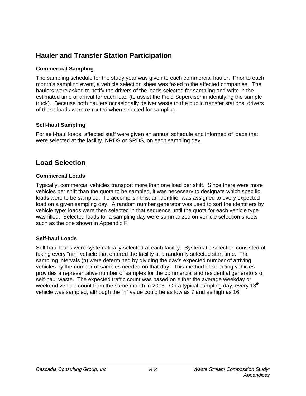# **Hauler and Transfer Station Participation**

### **Commercial Sampling**

The sampling schedule for the study year was given to each commercial hauler. Prior to each month's sampling event, a vehicle selection sheet was faxed to the affected companies. The haulers were asked to notify the drivers of the loads selected for sampling and write in the estimated time of arrival for each load (to assist the Field Supervisor in identifying the sample truck). Because both haulers occasionally deliver waste to the public transfer stations, drivers of these loads were re-routed when selected for sampling.

## **Self-haul Sampling**

For self-haul loads, affected staff were given an annual schedule and informed of loads that were selected at the facility, NRDS or SRDS, on each sampling day.

# **Load Selection**

### **Commercial Loads**

Typically, commercial vehicles transport more than one load per shift. Since there were more vehicles per shift than the quota to be sampled, it was necessary to designate which specific loads were to be sampled. To accomplish this, an identifier was assigned to every expected load on a given sampling day. A random number generator was used to sort the identifiers by vehicle type; loads were then selected in that sequence until the quota for each vehicle type was filled. Selected loads for a sampling day were summarized on vehicle selection sheets such as the one shown in Appendix F.

### **Self-haul Loads**

Self-haul loads were systematically selected at each facility. Systematic selection consisted of taking every "nth" vehicle that entered the facility at a randomly selected start time. The sampling intervals (n) were determined by dividing the day's expected number of arriving vehicles by the number of samples needed on that day. This method of selecting vehicles provides a representative number of samples for the commercial and residential generators of self-haul waste. The expected traffic count was based on either the average weekday or weekend vehicle count from the same month in 2003. On a typical sampling day, every  $13<sup>th</sup>$ vehicle was sampled, although the "n" value could be as low as 7 and as high as 16.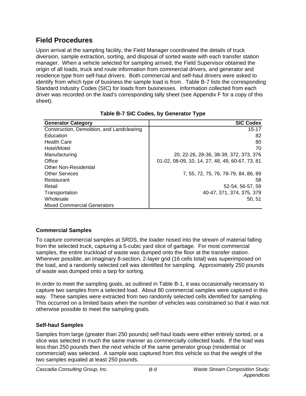### **Field Procedures**

Upon arrival at the sampling facility, the Field Manager coordinated the details of truck diversion, sample extraction, sorting, and disposal of sorted waste with each transfer station manager. When a vehicle selected for sampling arrived, the Field Supervisor obtained the origin of all loads, truck and route information from commercial drivers, and generator and residence type from self-haul drivers. Both commercial and self-haul drivers were asked to identify from which type of business the sample load is from. Table B-7 lists the corresponding Standard Industry Codes (SIC) for loads from businesses. Information collected from each driver was recorded on the load's corresponding tally sheet (see Appendix F for a copy of this sheet).

| <b>Generator Category</b>                  | <b>SIC Codes</b>                                |
|--------------------------------------------|-------------------------------------------------|
| Construction, Demolition, and Landclearing | $15 - 17$                                       |
| Education                                  | 82                                              |
| <b>Health Care</b>                         | 80                                              |
| Hotel/Motel                                | 70                                              |
| Manufacturing                              | 20, 22-26, 28-36, 38-39, 372, 373, 376          |
| Office                                     | 01-02, 08-09, 10, 14, 27, 48, 49, 60-67, 73, 81 |
| <b>Other Non-Residential</b>               |                                                 |
| <b>Other Services</b>                      | 7, 55, 72, 75, 76, 78-79, 84, 86, 89            |
| Restaurant                                 | 58                                              |
| Retail                                     | 52-54, 56-57, 59                                |
| Transportation                             | 40-47, 371, 374, 375, 379                       |
| Wholesale                                  | 50, 51                                          |
| <b>Mixed Commercial Generators</b>         |                                                 |

|  |  | Table B-7 SIC Codes, by Generator Type |  |
|--|--|----------------------------------------|--|
|  |  |                                        |  |

#### **Commercial Samples**

To capture commercial samples at SRDS, the loader nosed into the stream of material falling from the selected truck, capturing a 5-cubic yard slice of garbage. For most commercial samples, the entire truckload of waste was dumped onto the floor at the transfer station. Wherever possible, an imaginary 8-section, 2-layer grid (16 cells total) was superimposed on the load, and a randomly selected cell was identified for sampling. Approximately 250 pounds of waste was dumped onto a tarp for sorting.

In order to meet the sampling goals, as outlined in Table B-1, it was occasionally necessary to capture two samples from a selected load. About 80 commercial samples were captured in this way. These samples were extracted from two randomly selected cells identified for sampling. This occurred on a limited basis when the number of vehicles was constrained so that it was not otherwise possible to meet the sampling goals.

#### **Self-haul Samples**

Samples from large (greater than 250 pounds) self-haul loads were either entirely sorted, or a slice was selected in much the same manner as commercially collected loads. If the load was less than 250 pounds then the next vehicle of the same generator group (residential or commercial) was selected. A sample was captured from this vehicle so that the weight of the two samples equaled at least 250 pounds.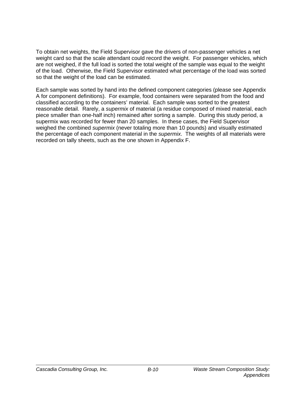To obtain net weights, the Field Supervisor gave the drivers of non-passenger vehicles a net weight card so that the scale attendant could record the weight. For passenger vehicles, which are not weighed, if the full load is sorted the total weight of the sample was equal to the weight of the load. Otherwise, the Field Supervisor estimated what percentage of the load was sorted so that the weight of the load can be estimated.

Each sample was sorted by hand into the defined component categories (please see Appendix A for component definitions). For example, food containers were separated from the food and classified according to the containers' material. Each sample was sorted to the greatest reasonable detail. Rarely, a *supermix* of material (a residue composed of mixed material, each piece smaller than one-half inch) remained after sorting a sample. During this study period, a supermix was recorded for fewer than 20 samples. In these cases, the Field Supervisor weighed the combined *supermix* (never totaling more than 10 pounds) and visually estimated the percentage of each component material in the *supermix*. The weights of all materials were recorded on tally sheets, such as the one shown in Appendix F.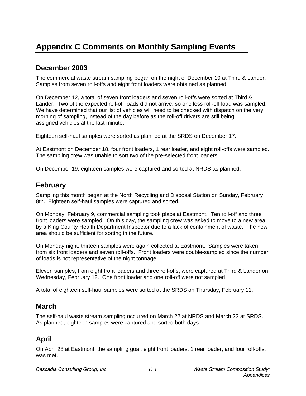# **Appendix C Comments on Monthly Sampling Events**

## **December 2003**

The commercial waste stream sampling began on the night of December 10 at Third & Lander. Samples from seven roll-offs and eight front loaders were obtained as planned.

On December 12, a total of seven front loaders and seven roll-offs were sorted at Third & Lander. Two of the expected roll-off loads did not arrive, so one less roll-off load was sampled. We have determined that our list of vehicles will need to be checked with dispatch on the very morning of sampling, instead of the day before as the roll-off drivers are still being assigned vehicles at the last minute.

Eighteen self-haul samples were sorted as planned at the SRDS on December 17.

At Eastmont on December 18, four front loaders, 1 rear loader, and eight roll-offs were sampled. The sampling crew was unable to sort two of the pre-selected front loaders.

On December 19, eighteen samples were captured and sorted at NRDS as planned.

### **February**

Sampling this month began at the North Recycling and Disposal Station on Sunday, February 8th. Eighteen self-haul samples were captured and sorted.

On Monday, February 9, commercial sampling took place at Eastmont. Ten roll-off and three front loaders were sampled. On this day, the sampling crew was asked to move to a new area by a King County Health Department Inspector due to a lack of containment of waste. The new area should be sufficient for sorting in the future.

On Monday night, thirteen samples were again collected at Eastmont. Samples were taken from six front loaders and seven roll-offs. Front loaders were double-sampled since the number of loads is not representative of the night tonnage.

Eleven samples, from eight front loaders and three roll-offs, were captured at Third & Lander on Wednesday, February 12. One front loader and one roll-off were not sampled.

A total of eighteen self-haul samples were sorted at the SRDS on Thursday, February 11.

#### **March**

The self-haul waste stream sampling occurred on March 22 at NRDS and March 23 at SRDS. As planned, eighteen samples were captured and sorted both days.

### **April**

On April 28 at Eastmont, the sampling goal, eight front loaders, 1 rear loader, and four roll-offs, was met.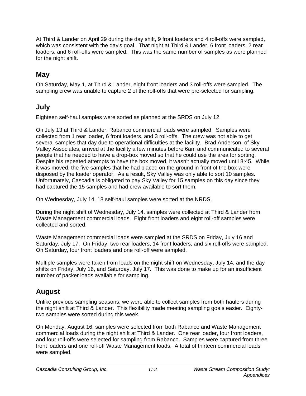At Third & Lander on April 29 during the day shift, 9 front loaders and 4 roll-offs were sampled, which was consistent with the day's goal. That night at Third & Lander, 6 front loaders, 2 rear loaders, and 6 roll-offs were sampled. This was the same number of samples as were planned for the night shift.

# **May**

On Saturday, May 1, at Third & Lander, eight front loaders and 3 roll-offs were sampled. The sampling crew was unable to capture 2 of the roll-offs that were pre-selected for sampling.

### **July**

Eighteen self-haul samples were sorted as planned at the SRDS on July 12.

On July 13 at Third & Lander, Rabanco commercial loads were sampled. Samples were collected from 1 rear loader, 6 front loaders, and 3 roll-offs. The crew was not able to get several samples that day due to operational difficulties at the facility. Brad Anderson, of Sky Valley Associates, arrived at the facility a few minutes before 6am and communicated to several people that he needed to have a drop-box moved so that he could use the area for sorting. Despite his repeated attempts to have the box moved, it wasn't actually moved until 8:45. While it was moved, the five samples that he had placed on the ground in front of the box were disposed by the loader operator. As a result, Sky Valley was only able to sort 10 samples. Unfortunately, Cascadia is obligated to pay Sky Valley for 15 samples on this day since they had captured the 15 samples and had crew available to sort them.

On Wednesday, July 14, 18 self-haul samples were sorted at the NRDS.

During the night shift of Wednesday, July 14, samples were collected at Third & Lander from Waste Management commercial loads. Eight front loaders and eight roll-off samples were collected and sorted.

Waste Management commercial loads were sampled at the SRDS on Friday, July 16 and Saturday, July 17. On Friday, two rear loaders, 14 front loaders, and six roll-offs were sampled. On Saturday, four front loaders and one roll-off were sampled.

Multiple samples were taken from loads on the night shift on Wednesday, July 14, and the day shifts on Friday, July 16, and Saturday, July 17. This was done to make up for an insufficient number of packer loads available for sampling.

## **August**

Unlike previous sampling seasons, we were able to collect samples from both haulers during the night shift at Third & Lander. This flexibility made meeting sampling goals easier. Eightytwo samples were sorted during this week.

On Monday, August 16, samples were selected from both Rabanco and Waste Management commercial loads during the night shift at Third & Lander. One rear loader, four front loaders, and four roll-offs were selected for sampling from Rabanco. Samples were captured from three front loaders and one roll-off Waste Management loads. A total of thirteen commercial loads were sampled.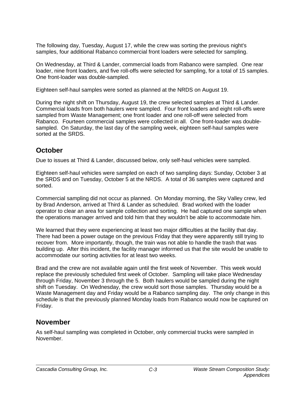The following day, Tuesday, August 17, while the crew was sorting the previous night's samples, four additional Rabanco commercial front loaders were selected for sampling.

On Wednesday, at Third & Lander, commercial loads from Rabanco were sampled. One rear loader, nine front loaders, and five roll-offs were selected for sampling, for a total of 15 samples. One front-loader was double-sampled.

Eighteen self-haul samples were sorted as planned at the NRDS on August 19.

During the night shift on Thursday, August 19, the crew selected samples at Third & Lander. Commercial loads from both haulers were sampled. Four front loaders and eight roll-offs were sampled from Waste Management; one front loader and one roll-off were selected from Rabanco. Fourteen commercial samples were collected in all. One front-loader was doublesampled. On Saturday, the last day of the sampling week, eighteen self-haul samples were sorted at the SRDS.

### **October**

Due to issues at Third & Lander, discussed below, only self-haul vehicles were sampled.

Eighteen self-haul vehicles were sampled on each of two sampling days: Sunday, October 3 at the SRDS and on Tuesday, October 5 at the NRDS. A total of 36 samples were captured and sorted.

Commercial sampling did not occur as planned. On Monday morning, the Sky Valley crew, led by Brad Anderson, arrived at Third & Lander as scheduled. Brad worked with the loader operator to clear an area for sample collection and sorting. He had captured one sample when the operations manager arrived and told him that they wouldn't be able to accommodate him.

We learned that they were experiencing at least two major difficulties at the facility that day. There had been a power outage on the previous Friday that they were apparently still trying to recover from. More importantly, though, the train was not able to handle the trash that was building up. After this incident, the facility manager informed us that the site would be unable to accommodate our sorting activities for at least two weeks.

Brad and the crew are not available again until the first week of November. This week would replace the previously scheduled first week of October. Sampling will take place Wednesday through Friday, November 3 through the 5. Both haulers would be sampled during the night shift on Tuesday. On Wednesday, the crew would sort those samples. Thursday would be a Waste Management day and Friday would be a Rabanco sampling day. The only change in this schedule is that the previously planned Monday loads from Rabanco would now be captured on Friday.

#### **November**

As self-haul sampling was completed in October, only commercial trucks were sampled in November.